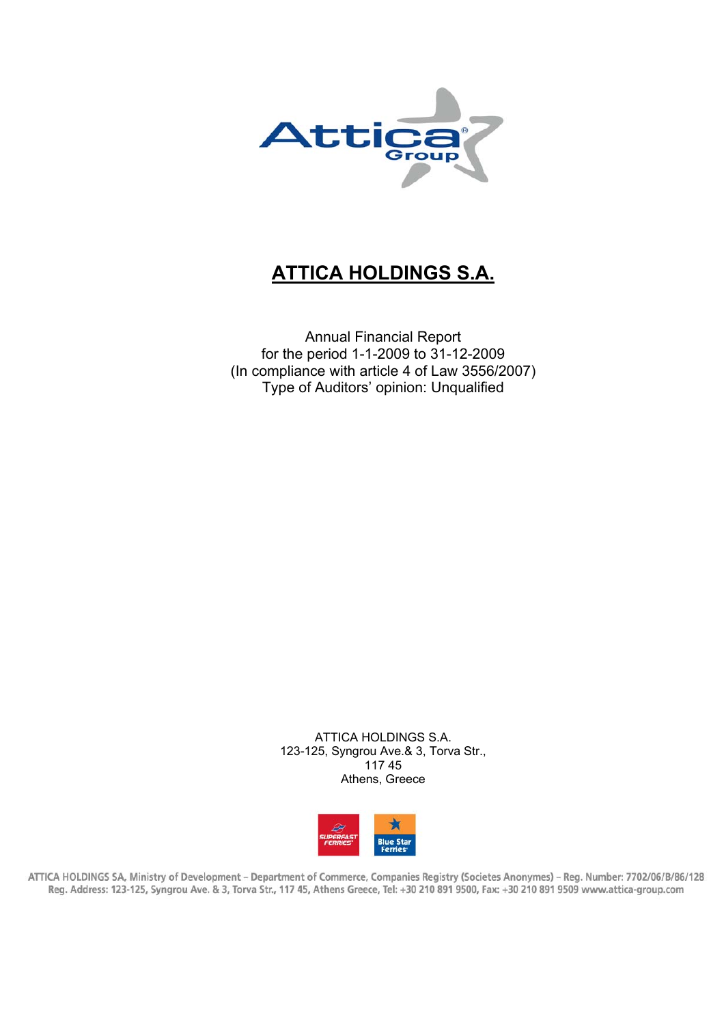

# **ATTICA HOLDINGS S.A.**

Annual Financial Report for the period 1-1-2009 to 31-12-2009 (In compliance with article 4 of Law 3556/2007) Type of Auditors' opinion: Unqualified

> ATTICA HOLDINGS S.A. 123-125, Syngrou Ave.& 3, Torva Str., 117 45 Athens, Greece



ATTICA HOLDINGS SA, Ministry of Development - Department of Commerce, Companies Registry (Societes Anonymes) - Reg. Number: 7702/06/B/86/128 Reg. Address: 123-125, Syngrou Ave. & 3, Torva Str., 117 45, Athens Greece, Tel: +30 210 891 9500, Fax: +30 210 891 9509 www.attica-group.com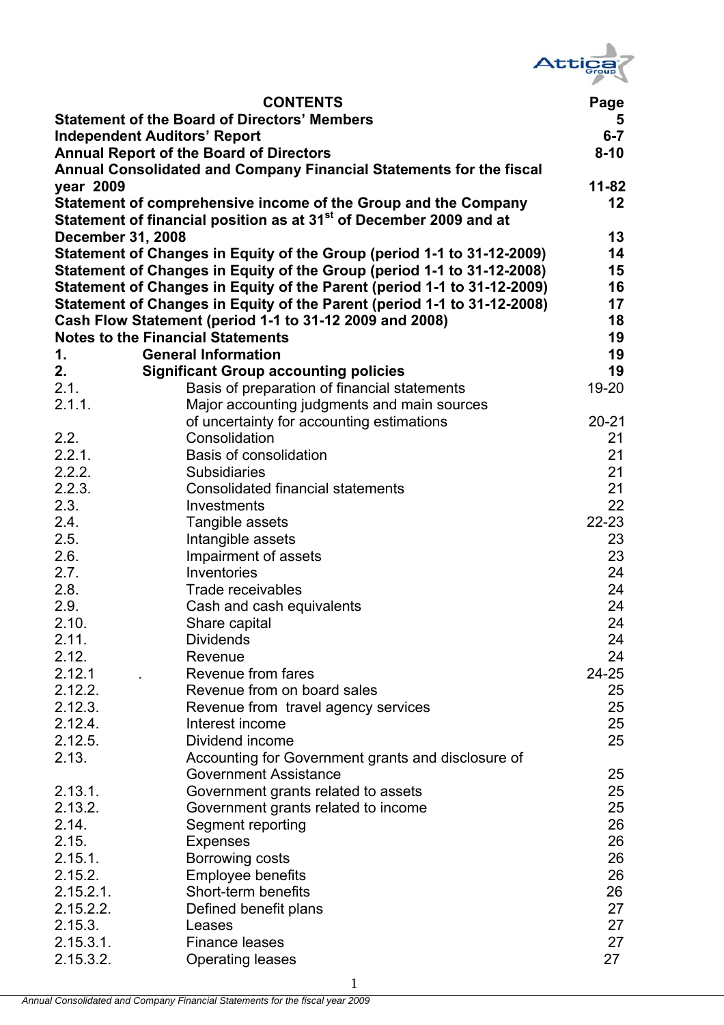

|                          | <b>CONTENTS</b>                                                                | Page                    |
|--------------------------|--------------------------------------------------------------------------------|-------------------------|
|                          | <b>Statement of the Board of Directors' Members</b>                            | $\overline{\mathbf{5}}$ |
|                          | <b>Independent Auditors' Report</b>                                            | $6 - 7$                 |
|                          | <b>Annual Report of the Board of Directors</b>                                 | $8 - 10$                |
|                          | Annual Consolidated and Company Financial Statements for the fiscal            |                         |
| year 2009                |                                                                                | $11 - 82$               |
|                          | Statement of comprehensive income of the Group and the Company                 | 12                      |
|                          | Statement of financial position as at 31 <sup>st</sup> of December 2009 and at |                         |
| <b>December 31, 2008</b> |                                                                                | 13                      |
|                          | Statement of Changes in Equity of the Group (period 1-1 to 31-12-2009)         | 14                      |
|                          | Statement of Changes in Equity of the Group (period 1-1 to 31-12-2008)         | 15                      |
|                          | Statement of Changes in Equity of the Parent (period 1-1 to 31-12-2009)        | 16                      |
|                          | Statement of Changes in Equity of the Parent (period 1-1 to 31-12-2008)        | 17                      |
|                          | Cash Flow Statement (period 1-1 to 31-12 2009 and 2008)                        | 18                      |
|                          | <b>Notes to the Financial Statements</b>                                       | 19                      |
| 1.                       | <b>General Information</b>                                                     | 19                      |
| 2.                       | <b>Significant Group accounting policies</b>                                   | 19                      |
| 2.1.                     | Basis of preparation of financial statements                                   | $19 - 20$               |
| 2.1.1.                   | Major accounting judgments and main sources                                    |                         |
|                          | of uncertainty for accounting estimations                                      | $20 - 21$               |
| 2.2.                     | Consolidation                                                                  | 21                      |
| 2.2.1.                   | <b>Basis of consolidation</b>                                                  | 21                      |
| 2.2.2.                   | <b>Subsidiaries</b>                                                            | 21                      |
| 2.2.3.                   | <b>Consolidated financial statements</b>                                       | 21                      |
| 2.3.                     | Investments                                                                    | 22                      |
| 2.4.                     | Tangible assets                                                                | $22 - 23$               |
| 2.5.                     | Intangible assets                                                              | 23                      |
| 2.6.                     | Impairment of assets                                                           | 23                      |
| 2.7.                     | Inventories                                                                    | 24                      |
| 2.8.                     | Trade receivables                                                              | 24                      |
| 2.9.                     | Cash and cash equivalents                                                      | 24                      |
| 2.10.                    | Share capital                                                                  | 24                      |
| 2.11.                    | <b>Dividends</b>                                                               | 24                      |
| 2.12.                    | Revenue                                                                        | 24                      |
| 2.12.1                   | Revenue from fares                                                             | $24 - 25$               |
| 2.12.2.                  | Revenue from on board sales                                                    | 25                      |
| 2.12.3.                  | Revenue from travel agency services                                            | 25                      |
| 2.12.4.                  | Interest income                                                                | 25                      |
| 2.12.5.                  | Dividend income                                                                | 25                      |
| 2.13.                    | Accounting for Government grants and disclosure of                             |                         |
|                          | <b>Government Assistance</b>                                                   | 25                      |
| 2.13.1.                  | Government grants related to assets                                            | 25                      |
| 2.13.2.                  | Government grants related to income                                            | 25                      |
| 2.14.                    | Segment reporting                                                              | 26                      |
| 2.15.                    | <b>Expenses</b>                                                                | 26                      |
| 2.15.1.                  | Borrowing costs                                                                | 26                      |
| 2.15.2.                  | <b>Employee benefits</b>                                                       | 26                      |
| $2.15.2.1$ .             | Short-term benefits                                                            | 26                      |
| 2.15.2.2.                | Defined benefit plans                                                          | 27                      |
| 2.15.3.                  | Leases                                                                         | 27                      |
| 2.15.3.1.                | <b>Finance leases</b>                                                          | 27                      |
| 2.15.3.2.                | <b>Operating leases</b>                                                        | 27                      |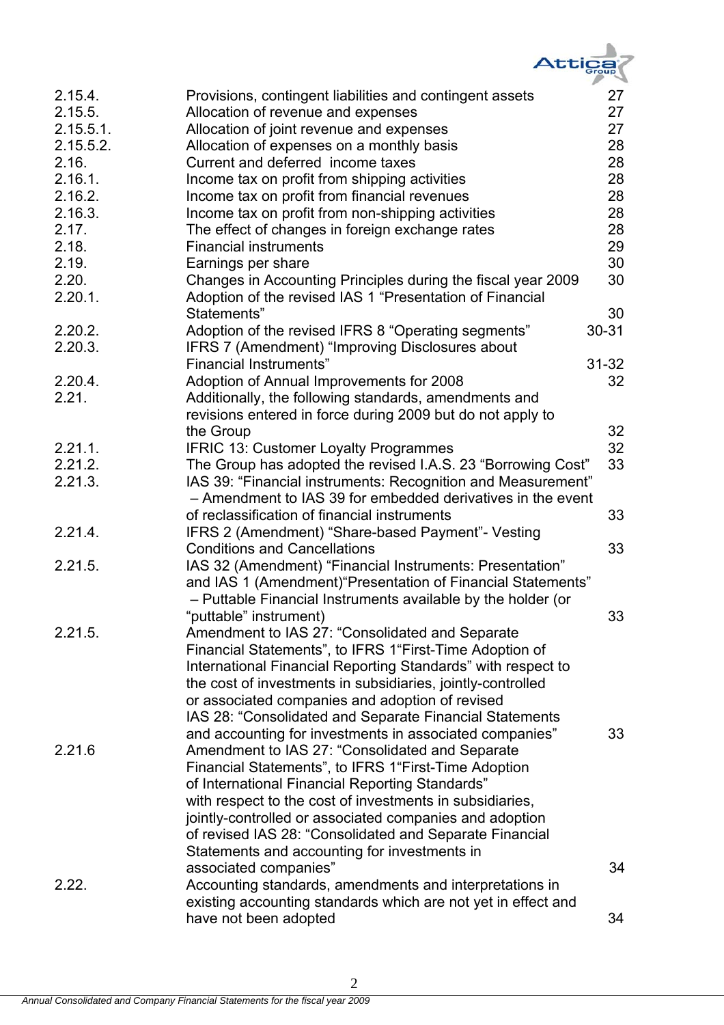

|              |                                                               | ⊸         |
|--------------|---------------------------------------------------------------|-----------|
| 2.15.4.      | Provisions, contingent liabilities and contingent assets      | 27        |
| 2.15.5.      | Allocation of revenue and expenses                            | 27        |
| $2.15.5.1$ . | Allocation of joint revenue and expenses                      | 27        |
| 2.15.5.2.    | Allocation of expenses on a monthly basis                     | 28        |
| 2.16.        | Current and deferred income taxes                             | 28        |
| 2.16.1.      | Income tax on profit from shipping activities                 | 28        |
| 2.16.2.      | Income tax on profit from financial revenues                  | 28        |
| 2.16.3.      | Income tax on profit from non-shipping activities             | 28        |
| 2.17.        | The effect of changes in foreign exchange rates               | 28        |
| 2.18.        | <b>Financial instruments</b>                                  | 29        |
| 2.19.        | Earnings per share                                            | 30        |
| 2.20.        | Changes in Accounting Principles during the fiscal year 2009  | 30        |
| 2.20.1.      | Adoption of the revised IAS 1 "Presentation of Financial      |           |
|              | Statements"                                                   | 30        |
| 2.20.2.      | Adoption of the revised IFRS 8 "Operating segments"           | 30-31     |
| 2.20.3.      | IFRS 7 (Amendment) "Improving Disclosures about               |           |
|              | <b>Financial Instruments"</b>                                 | $31 - 32$ |
|              |                                                               |           |
| 2.20.4.      | Adoption of Annual Improvements for 2008                      | 32        |
| 2.21.        | Additionally, the following standards, amendments and         |           |
|              | revisions entered in force during 2009 but do not apply to    |           |
|              | the Group                                                     | 32        |
| 2.21.1.      | <b>IFRIC 13: Customer Loyalty Programmes</b>                  | 32        |
| 2.21.2.      | The Group has adopted the revised I.A.S. 23 "Borrowing Cost"  | 33        |
| 2.21.3.      | IAS 39: "Financial instruments: Recognition and Measurement"  |           |
|              | - Amendment to IAS 39 for embedded derivatives in the event   |           |
|              | of reclassification of financial instruments                  | 33        |
| 2.21.4.      | IFRS 2 (Amendment) "Share-based Payment"- Vesting             |           |
|              | <b>Conditions and Cancellations</b>                           | 33        |
| 2.21.5.      | IAS 32 (Amendment) "Financial Instruments: Presentation"      |           |
|              | and IAS 1 (Amendment) "Presentation of Financial Statements"  |           |
|              | - Puttable Financial Instruments available by the holder (or  |           |
|              | "puttable" instrument)                                        | 33        |
| 2.21.5.      | Amendment to IAS 27: "Consolidated and Separate               |           |
|              | Financial Statements", to IFRS 1"First-Time Adoption of       |           |
|              | International Financial Reporting Standards" with respect to  |           |
|              | the cost of investments in subsidiaries, jointly-controlled   |           |
|              | or associated companies and adoption of revised               |           |
|              | IAS 28: "Consolidated and Separate Financial Statements       |           |
|              | and accounting for investments in associated companies"       | 33        |
| 2.21.6       | Amendment to IAS 27: "Consolidated and Separate               |           |
|              | Financial Statements", to IFRS 1"First-Time Adoption          |           |
|              | of International Financial Reporting Standards"               |           |
|              | with respect to the cost of investments in subsidiaries,      |           |
|              |                                                               |           |
|              | jointly-controlled or associated companies and adoption       |           |
|              | of revised IAS 28: "Consolidated and Separate Financial       |           |
|              | Statements and accounting for investments in                  |           |
|              | associated companies"                                         | 34        |
| 2.22.        | Accounting standards, amendments and interpretations in       |           |
|              | existing accounting standards which are not yet in effect and |           |
|              | have not been adopted                                         | 34        |

2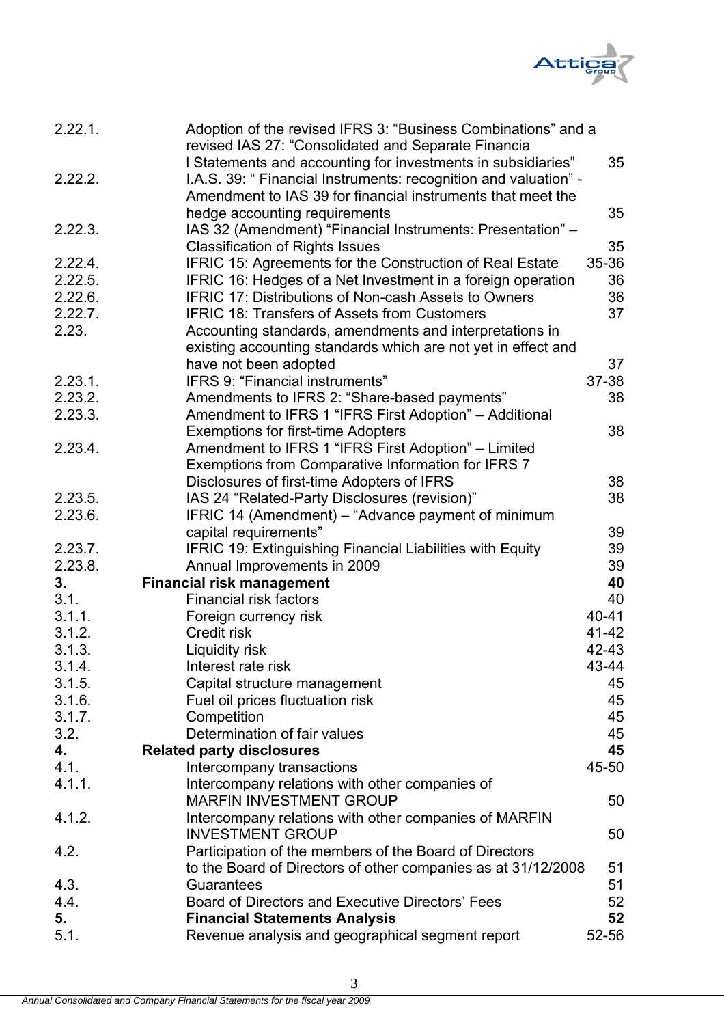

| 2.22.1. | Adoption of the revised IFRS 3: "Business Combinations" and a<br>revised IAS 27: "Consolidated and Separate Financia |       |
|---------|----------------------------------------------------------------------------------------------------------------------|-------|
|         | I Statements and accounting for investments in subsidiaries"                                                         | 35    |
| 2.22.2. | I.A.S. 39: " Financial Instruments: recognition and valuation" -                                                     |       |
|         | Amendment to IAS 39 for financial instruments that meet the                                                          |       |
|         | hedge accounting requirements                                                                                        | 35    |
| 2.22.3. | IAS 32 (Amendment) "Financial Instruments: Presentation" -                                                           |       |
|         | <b>Classification of Rights Issues</b>                                                                               | 35    |
| 2.22.4. | IFRIC 15: Agreements for the Construction of Real Estate                                                             | 35-36 |
| 2.22.5. | IFRIC 16: Hedges of a Net Investment in a foreign operation                                                          | 36    |
| 2.22.6. | <b>IFRIC 17: Distributions of Non-cash Assets to Owners</b>                                                          | 36    |
| 2.22.7. | <b>IFRIC 18: Transfers of Assets from Customers</b>                                                                  | 37    |
| 2.23.   | Accounting standards, amendments and interpretations in                                                              |       |
|         | existing accounting standards which are not yet in effect and                                                        |       |
|         | have not been adopted                                                                                                | 37    |
| 2.23.1. | IFRS 9: "Financial instruments"                                                                                      | 37-38 |
| 2.23.2. | Amendments to IFRS 2: "Share-based payments"                                                                         | 38    |
|         |                                                                                                                      |       |
| 2.23.3. | Amendment to IFRS 1 "IFRS First Adoption" – Additional                                                               |       |
|         | <b>Exemptions for first-time Adopters</b>                                                                            | 38    |
| 2.23.4. | Amendment to IFRS 1 "IFRS First Adoption" – Limited                                                                  |       |
|         | Exemptions from Comparative Information for IFRS 7                                                                   |       |
|         | Disclosures of first-time Adopters of IFRS                                                                           | 38    |
| 2.23.5. | IAS 24 "Related-Party Disclosures (revision)"                                                                        | 38    |
| 2.23.6. | IFRIC 14 (Amendment) – "Advance payment of minimum                                                                   |       |
|         | capital requirements"                                                                                                | 39    |
| 2.23.7. | IFRIC 19: Extinguishing Financial Liabilities with Equity                                                            | 39    |
| 2.23.8. | Annual Improvements in 2009                                                                                          | 39    |
| 3.      | <b>Financial risk management</b>                                                                                     | 40    |
| 3.1.    | <b>Financial risk factors</b>                                                                                        | 40    |
| 3.1.1.  | Foreign currency risk                                                                                                | 40-41 |
| 3.1.2.  | Credit risk                                                                                                          | 41-42 |
| 3.1.3.  | Liquidity risk                                                                                                       | 42-43 |
| 3.1.4.  | Interest rate risk                                                                                                   | 43-44 |
| 3.1.5.  | Capital structure management                                                                                         | 45    |
| 3.1.6.  | Fuel oil prices fluctuation risk                                                                                     | 45    |
| 3.1.7.  | Competition                                                                                                          | 45    |
| 3.2.    | Determination of fair values                                                                                         | 45    |
| 4.      | <b>Related party disclosures</b>                                                                                     | 45    |
| 4.1.    | Intercompany transactions                                                                                            | 45-50 |
| 4.1.1.  | Intercompany relations with other companies of                                                                       |       |
|         | <b>MARFIN INVESTMENT GROUP</b>                                                                                       | 50    |
| 4.1.2.  | Intercompany relations with other companies of MARFIN                                                                |       |
|         | <b>INVESTMENT GROUP</b>                                                                                              | 50    |
| 4.2.    | Participation of the members of the Board of Directors                                                               |       |
|         | to the Board of Directors of other companies as at 31/12/2008                                                        | 51    |
| 4.3.    | Guarantees                                                                                                           | 51    |
| 4.4.    | Board of Directors and Executive Directors' Fees                                                                     | 52    |
| 5.      | <b>Financial Statements Analysis</b>                                                                                 | 52    |
| 5.1.    | Revenue analysis and geographical segment report                                                                     | 52-56 |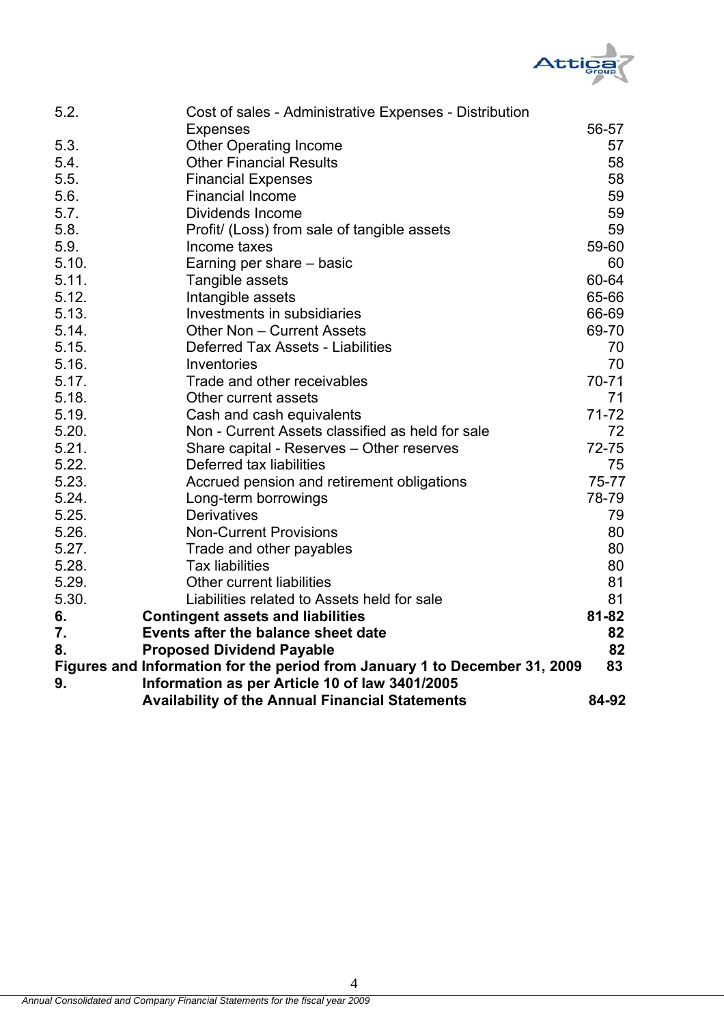

| 5.2.  | Cost of sales - Administrative Expenses - Distribution                     |           |
|-------|----------------------------------------------------------------------------|-----------|
|       | <b>Expenses</b>                                                            | 56-57     |
| 5.3.  | <b>Other Operating Income</b>                                              | 57        |
| 5.4.  | <b>Other Financial Results</b>                                             | 58        |
| 5.5.  | <b>Financial Expenses</b>                                                  | 58        |
| 5.6.  | <b>Financial Income</b>                                                    | 59        |
| 5.7.  | Dividends Income                                                           | 59        |
| 5.8.  | Profit/ (Loss) from sale of tangible assets                                | 59        |
| 5.9.  | Income taxes                                                               | 59-60     |
| 5.10. | Earning per share - basic                                                  | 60        |
| 5.11. | Tangible assets                                                            | 60-64     |
| 5.12. | Intangible assets                                                          | 65-66     |
| 5.13. | Investments in subsidiaries                                                | 66-69     |
| 5.14. | Other Non - Current Assets                                                 | 69-70     |
| 5.15. | Deferred Tax Assets - Liabilities                                          | 70        |
| 5.16. | Inventories                                                                | 70        |
| 5.17. | Trade and other receivables                                                | 70-71     |
| 5.18. | Other current assets                                                       | 71        |
| 5.19. | Cash and cash equivalents                                                  | $71 - 72$ |
| 5.20. | Non - Current Assets classified as held for sale                           | 72        |
| 5.21. | Share capital - Reserves - Other reserves                                  | $72 - 75$ |
| 5.22. | Deferred tax liabilities                                                   | 75        |
| 5.23. | Accrued pension and retirement obligations                                 | 75-77     |
| 5.24. | Long-term borrowings                                                       | 78-79     |
| 5.25. | <b>Derivatives</b>                                                         | 79        |
| 5.26. | <b>Non-Current Provisions</b>                                              | 80        |
| 5.27. | Trade and other payables                                                   | 80        |
| 5.28. | <b>Tax liabilities</b>                                                     | 80        |
| 5.29. | Other current liabilities                                                  | 81        |
| 5.30. | Liabilities related to Assets held for sale                                | 81        |
| 6.    | <b>Contingent assets and liabilities</b>                                   | $81 - 82$ |
| 7.    | Events after the balance sheet date                                        | 82        |
| 8.    | <b>Proposed Dividend Payable</b>                                           | 82        |
|       | Figures and Information for the period from January 1 to December 31, 2009 | 83        |
| 9.    | Information as per Article 10 of law 3401/2005                             |           |
|       | <b>Availability of the Annual Financial Statements</b>                     | 84-92     |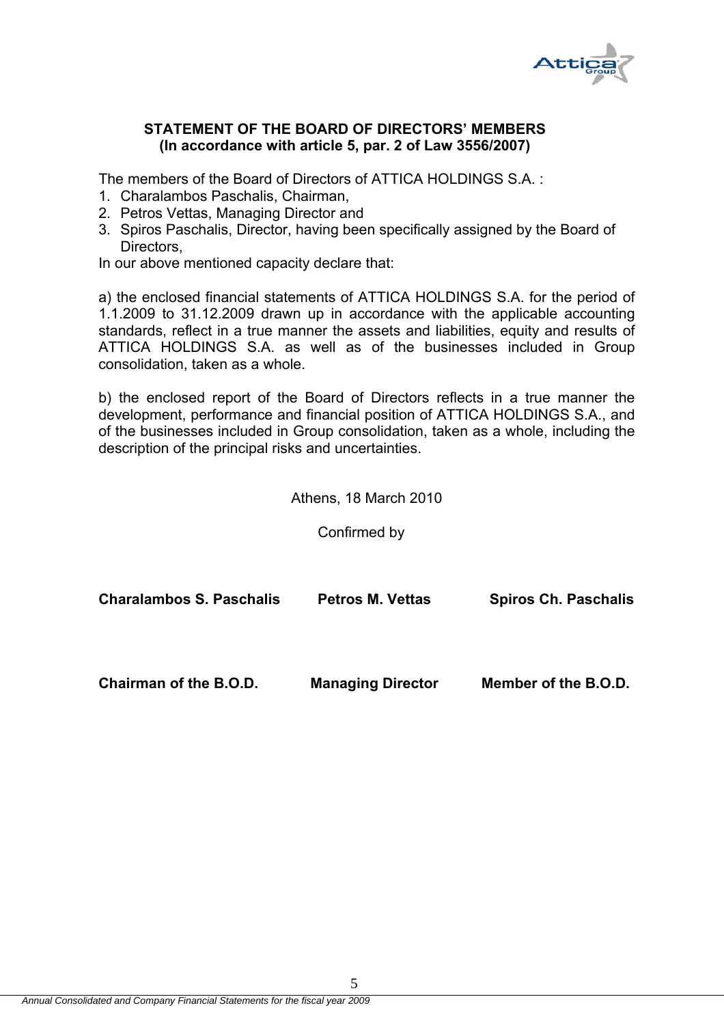

# **STATEMENT OF THE BOARD OF DIRECTORS' MEMBERS (In accordance with article 5, par. 2 of Law 3556/2007)**

The members of the Board of Directors of ATTICA HOLDINGS S.A. :

- 1. Charalambos Paschalis, Chairman,
- 2. Petros Vettas, Managing Director and
- 3. Spiros Paschalis, Director, having been specifically assigned by the Board of Directors,

In our above mentioned capacity declare that:

a) the enclosed financial statements of ATTICA HOLDINGS S.A. for the period of 1.1.2009 to 31.12.2009 drawn up in accordance with the applicable accounting standards, reflect in a true manner the assets and liabilities, equity and results of ATTICA HOLDINGS S.A. as well as of the businesses included in Group consolidation, taken as a whole.

b) the enclosed report of the Board of Directors reflects in a true manner the development, performance and financial position of ATTICA HOLDINGS S.A., and of the businesses included in Group consolidation, taken as a whole, including the description of the principal risks and uncertainties.

Athens, 18 March 2010

Confirmed by

| <b>Charalambos S. Paschalis</b> | <b>Petros M. Vettas</b>  | <b>Spiros Ch. Paschalis</b> |
|---------------------------------|--------------------------|-----------------------------|
| Chairman of the B.O.D.          | <b>Managing Director</b> | Member of the B.O.D.        |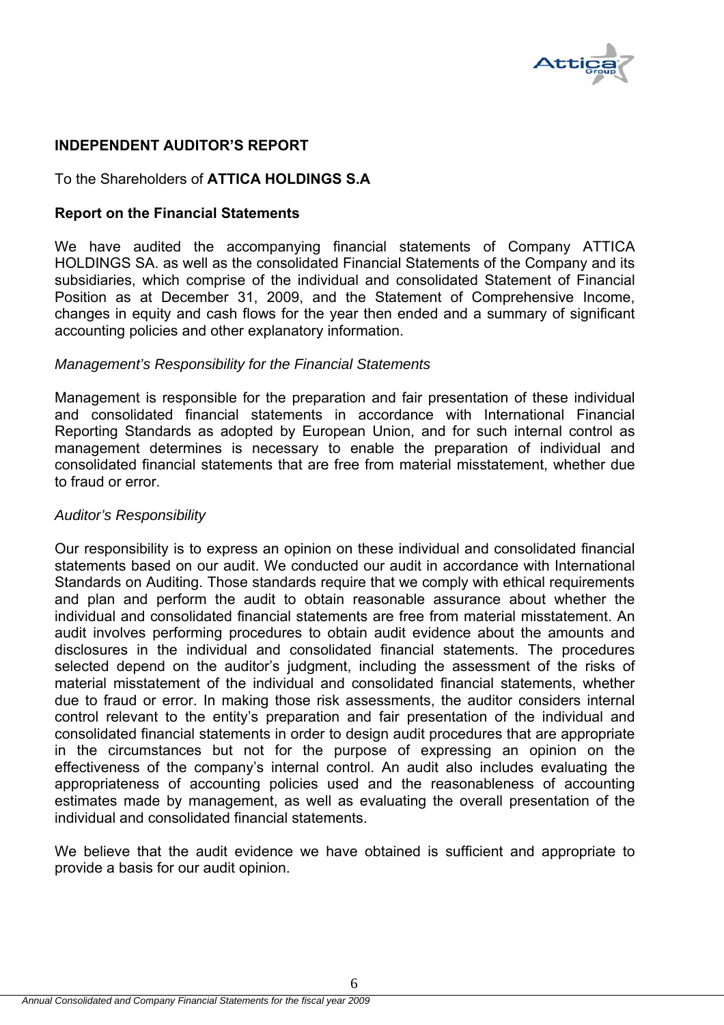

# **INDEPENDENT AUDITOR'S REPORT**

# To the Shareholders of **ATTICA HOLDINGS S.A**

# **Report on the Financial Statements**

We have audited the accompanying financial statements of Company ATTICA HOLDINGS SA. as well as the consolidated Financial Statements of the Company and its subsidiaries, which comprise of the individual and consolidated Statement of Financial Position as at December 31, 2009, and the Statement of Comprehensive Income, changes in equity and cash flows for the year then ended and a summary of significant accounting policies and other explanatory information.

### *Management's Responsibility for the Financial Statements*

Management is responsible for the preparation and fair presentation of these individual and consolidated financial statements in accordance with International Financial Reporting Standards as adopted by European Union, and for such internal control as management determines is necessary to enable the preparation of individual and consolidated financial statements that are free from material misstatement, whether due to fraud or error.

#### *Auditor's Responsibility*

Our responsibility is to express an opinion on these individual and consolidated financial statements based on our audit. We conducted our audit in accordance with International Standards on Auditing. Those standards require that we comply with ethical requirements and plan and perform the audit to obtain reasonable assurance about whether the individual and consolidated financial statements are free from material misstatement. An audit involves performing procedures to obtain audit evidence about the amounts and disclosures in the individual and consolidated financial statements. The procedures selected depend on the auditor's judgment, including the assessment of the risks of material misstatement of the individual and consolidated financial statements, whether due to fraud or error. In making those risk assessments, the auditor considers internal control relevant to the entity's preparation and fair presentation of the individual and consolidated financial statements in order to design audit procedures that are appropriate in the circumstances but not for the purpose of expressing an opinion on the effectiveness of the company's internal control. An audit also includes evaluating the appropriateness of accounting policies used and the reasonableness of accounting estimates made by management, as well as evaluating the overall presentation of the individual and consolidated financial statements.

We believe that the audit evidence we have obtained is sufficient and appropriate to provide a basis for our audit opinion.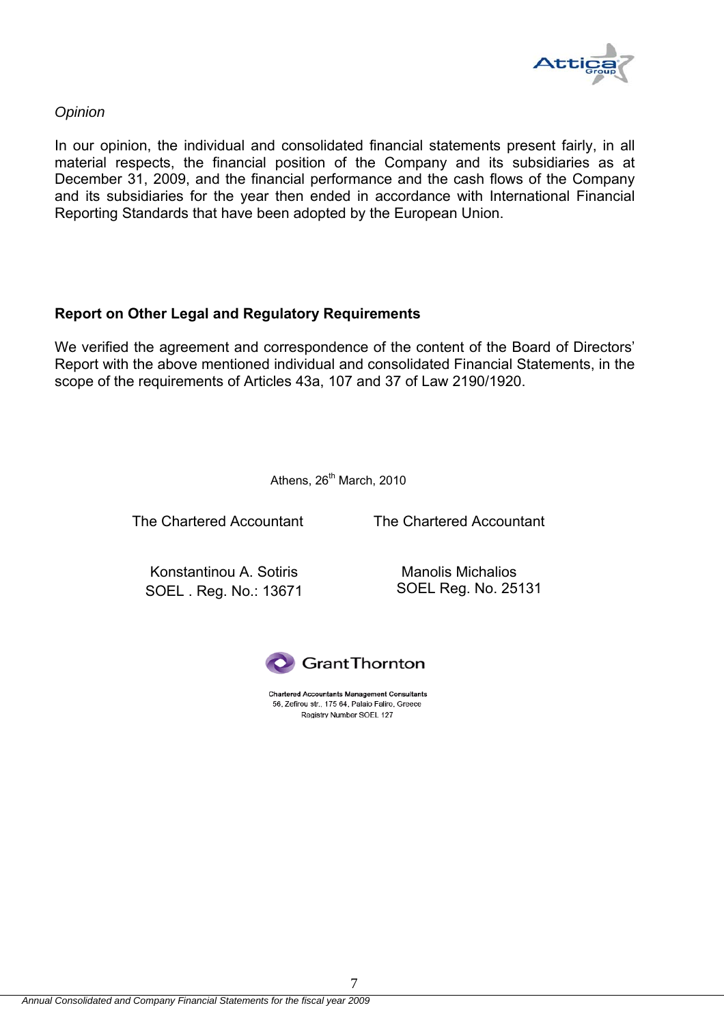

### *Opinion*

In our opinion, the individual and consolidated financial statements present fairly, in all material respects, the financial position of the Company and its subsidiaries as at December 31, 2009, and the financial performance and the cash flows of the Company and its subsidiaries for the year then ended in accordance with International Financial Reporting Standards that have been adopted by the European Union.

# **Report on Other Legal and Regulatory Requirements**

We verified the agreement and correspondence of the content of the Board of Directors' Report with the above mentioned individual and consolidated Financial Statements, in the scope of the requirements of Articles 43a, 107 and 37 of Law 2190/1920.

Athens,  $26<sup>th</sup>$  March, 2010

The Chartered Accountant

The Chartered Accountant

Konstantinou A. Sotiris SOEL . Reg. No.: 13671

Manolis Michalios SOEL Reg. No. 25131



**Chartered Accountants Management Consultants** 56, Zefirou str., 175 64, Palaio Faliro, Greece Registry Number SOEL 127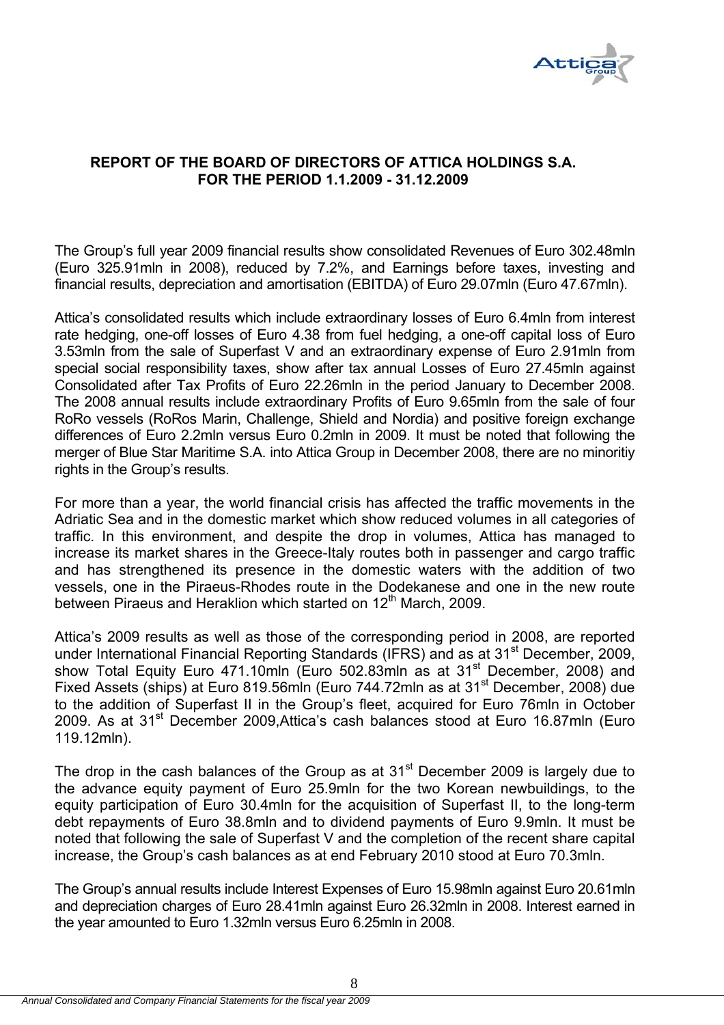

# **REPORT OF THE BOARD OF DIRECTORS OF ATTICA HOLDINGS S.A. FOR THE PERIOD 1.1.2009 - 31.12.2009**

The Group's full year 2009 financial results show consolidated Revenues of Euro 302.48mln (Euro 325.91mln in 2008), reduced by 7.2%, and Earnings before taxes, investing and financial results, depreciation and amortisation (EBITDA) of Euro 29.07mln (Euro 47.67mln).

Attica's consolidated results which include extraordinary losses of Euro 6.4mln from interest rate hedging, one-off losses of Euro 4.38 from fuel hedging, a one-off capital loss of Euro 3.53mln from the sale of Superfast V and an extraordinary expense of Euro 2.91mln from special social responsibility taxes, show after tax annual Losses of Euro 27.45mln against Consolidated after Tax Profits of Euro 22.26mln in the period January to December 2008. The 2008 annual results include extraordinary Profits of Euro 9.65mln from the sale of four RoRo vessels (RoRos Marin, Challenge, Shield and Nordia) and positive foreign exchange differences of Euro 2.2mln versus Euro 0.2mln in 2009. It must be noted that following the merger of Blue Star Maritime S.A. into Attica Group in December 2008, there are no minoritiy rights in the Group's results.

For more than a year, the world financial crisis has affected the traffic movements in the Adriatic Sea and in the domestic market which show reduced volumes in all categories of traffic. In this environment, and despite the drop in volumes, Attica has managed to increase its market shares in the Greece-Italy routes both in passenger and cargo traffic and has strengthened its presence in the domestic waters with the addition of two vessels, one in the Piraeus-Rhodes route in the Dodekanese and one in the new route between Piraeus and Heraklion which started on 12th March, 2009.

Attica's 2009 results as well as those of the corresponding period in 2008, are reported under International Financial Reporting Standards (IFRS) and as at 31<sup>st</sup> December, 2009, show Total Equity Euro 471.10mln (Euro 502.83mln as at 31<sup>st</sup> December, 2008) and Fixed Assets (ships) at Euro 819.56mln (Euro 744.72mln as at 31<sup>st</sup> December, 2008) due to the addition of Superfast II in the Group's fleet, acquired for Euro 76mln in October 2009. As at 31st December 2009,Attica's cash balances stood at Euro 16.87mln (Euro 119.12mln).

The drop in the cash balances of the Group as at  $31<sup>st</sup>$  December 2009 is largely due to the advance equity payment of Euro 25.9mln for the two Korean newbuildings, to the equity participation of Euro 30.4mln for the acquisition of Superfast II, to the long-term debt repayments of Euro 38.8mln and to dividend payments of Euro 9.9mln. It must be noted that following the sale of Superfast V and the completion of the recent share capital increase, the Group's cash balances as at end February 2010 stood at Euro 70.3mln.

The Group's annual results include Interest Expenses of Euro 15.98mln against Euro 20.61mln and depreciation charges of Euro 28.41mln against Euro 26.32mln in 2008. Interest earned in the year amounted to Euro 1.32mln versus Euro 6.25mln in 2008.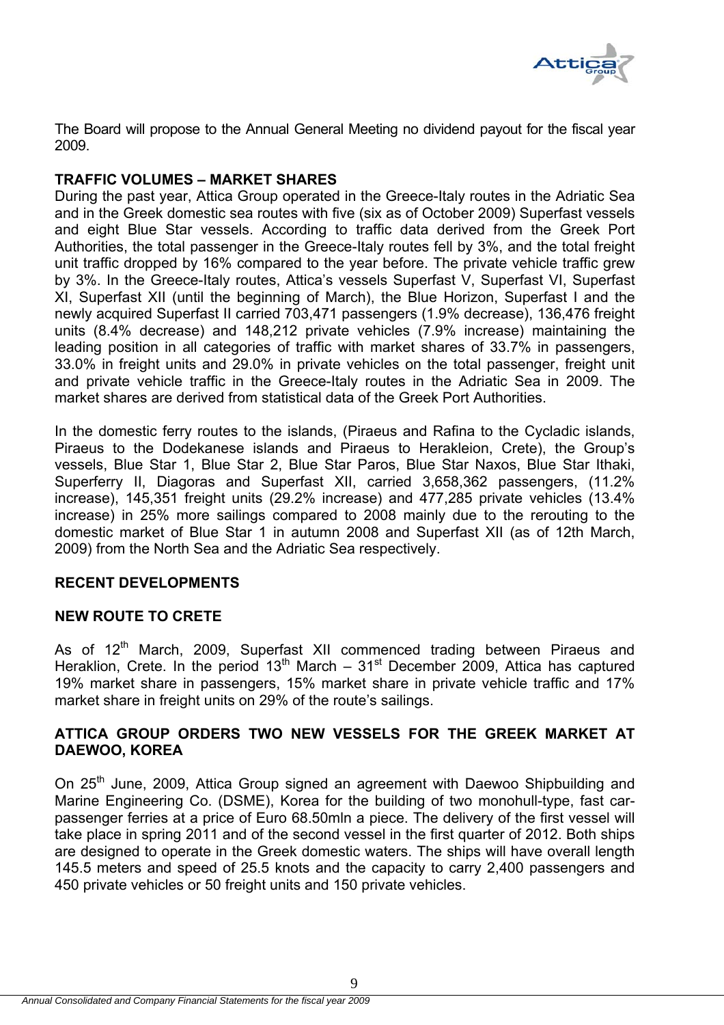

The Board will propose to the Annual General Meeting no dividend payout for the fiscal year 2009.

# **TRAFFIC VOLUMES – MARKET SHARES**

During the past year, Attica Group operated in the Greece-Italy routes in the Adriatic Sea and in the Greek domestic sea routes with five (six as of October 2009) Superfast vessels and eight Blue Star vessels. According to traffic data derived from the Greek Port Authorities, the total passenger in the Greece-Italy routes fell by 3%, and the total freight unit traffic dropped by 16% compared to the year before. The private vehicle traffic grew by 3%. In the Greece-Italy routes, Attica's vessels Superfast V, Superfast VI, Superfast XI, Superfast XII (until the beginning of March), the Blue Horizon, Superfast I and the newly acquired Superfast II carried 703,471 passengers (1.9% decrease), 136,476 freight units (8.4% decrease) and 148,212 private vehicles (7.9% increase) maintaining the leading position in all categories of traffic with market shares of 33.7% in passengers, 33.0% in freight units and 29.0% in private vehicles on the total passenger, freight unit and private vehicle traffic in the Greece-Italy routes in the Adriatic Sea in 2009. The market shares are derived from statistical data of the Greek Port Authorities.

In the domestic ferry routes to the islands, (Piraeus and Rafina to the Cycladic islands, Piraeus to the Dodekanese islands and Piraeus to Herakleion, Crete), the Group's vessels, Blue Star 1, Blue Star 2, Blue Star Paros, Blue Star Naxos, Blue Star Ithaki, Superferry II, Diagoras and Superfast XII, carried 3,658,362 passengers, (11.2% increase), 145,351 freight units (29.2% increase) and 477,285 private vehicles (13.4% increase) in 25% more sailings compared to 2008 mainly due to the rerouting to the domestic market of Blue Star 1 in autumn 2008 and Superfast XII (as of 12th March, 2009) from the North Sea and the Adriatic Sea respectively.

# **RECENT DEVELOPMENTS**

# **NEW ROUTE TO CRETE**

As of 12<sup>th</sup> March, 2009, Superfast XII commenced trading between Piraeus and Heraklion, Crete. In the period  $13<sup>th</sup>$  March –  $31<sup>st</sup>$  December 2009, Attica has captured 19% market share in passengers, 15% market share in private vehicle traffic and 17% market share in freight units on 29% of the route's sailings.

# **ATTICA GROUP ORDERS TWO NEW VESSELS FOR THE GREEK MARKET AT DAEWOO, KOREA**

On 25<sup>th</sup> June, 2009, Attica Group signed an agreement with Daewoo Shipbuilding and Marine Engineering Co. (DSME), Korea for the building of two monohull-type, fast carpassenger ferries at a price of Euro 68.50mln a piece. The delivery of the first vessel will take place in spring 2011 and of the second vessel in the first quarter of 2012. Both ships are designed to operate in the Greek domestic waters. The ships will have overall length 145.5 meters and speed of 25.5 knots and the capacity to carry 2,400 passengers and 450 private vehicles or 50 freight units and 150 private vehicles.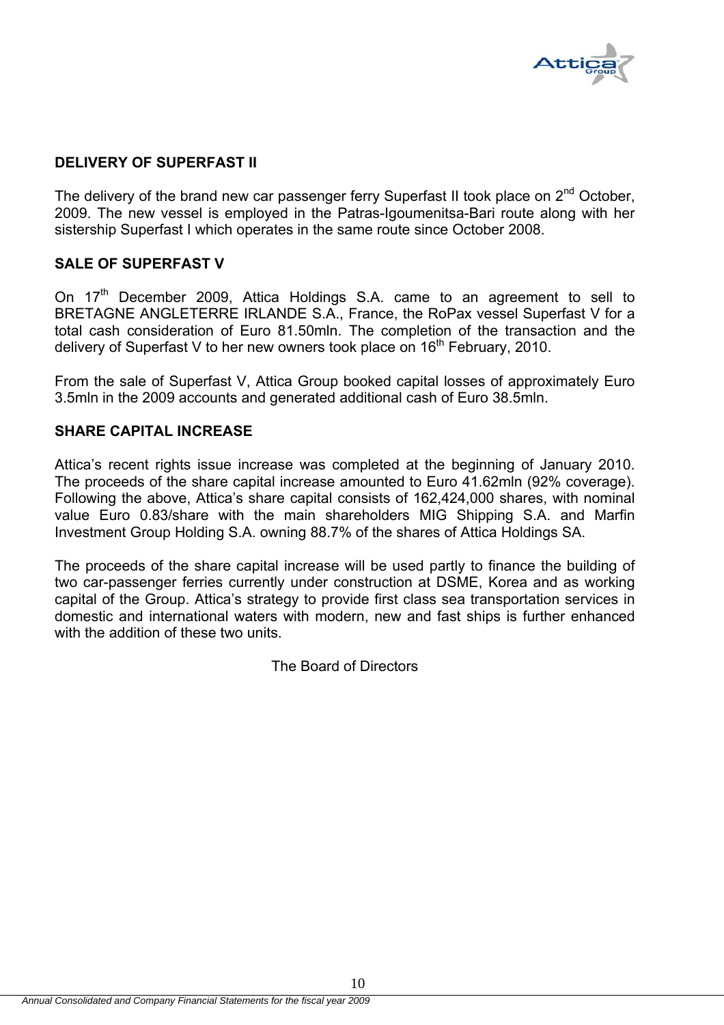

# **DELIVERY OF SUPERFAST II**

The delivery of the brand new car passenger ferry Superfast II took place on  $2<sup>nd</sup>$  October, 2009. The new vessel is employed in the Patras-Igoumenitsa-Bari route along with her sistership Superfast I which operates in the same route since October 2008.

# **SALE OF SUPERFAST V**

On 17<sup>th</sup> December 2009, Attica Holdings S.A. came to an agreement to sell to BRETAGNE ANGLETERRE IRLANDE S.A., France, the RoPax vessel Superfast V for a total cash consideration of Euro 81.50mln. The completion of the transaction and the delivery of Superfast V to her new owners took place on  $16<sup>th</sup>$  February, 2010.

From the sale of Superfast V, Attica Group booked capital losses of approximately Euro 3.5mln in the 2009 accounts and generated additional cash of Euro 38.5mln.

### **SHARE CAPITAL INCREASE**

Attica's recent rights issue increase was completed at the beginning of January 2010. The proceeds of the share capital increase amounted to Euro 41.62mln (92% coverage). Following the above, Attica's share capital consists of 162,424,000 shares, with nominal value Euro 0.83/share with the main shareholders MIG Shipping S.A. and Marfin Investment Group Holding S.A. owning 88.7% of the shares of Attica Holdings SA.

The proceeds of the share capital increase will be used partly to finance the building of two car-passenger ferries currently under construction at DSME, Korea and as working capital of the Group. Attica's strategy to provide first class sea transportation services in domestic and international waters with modern, new and fast ships is further enhanced with the addition of these two units.

The Board of Directors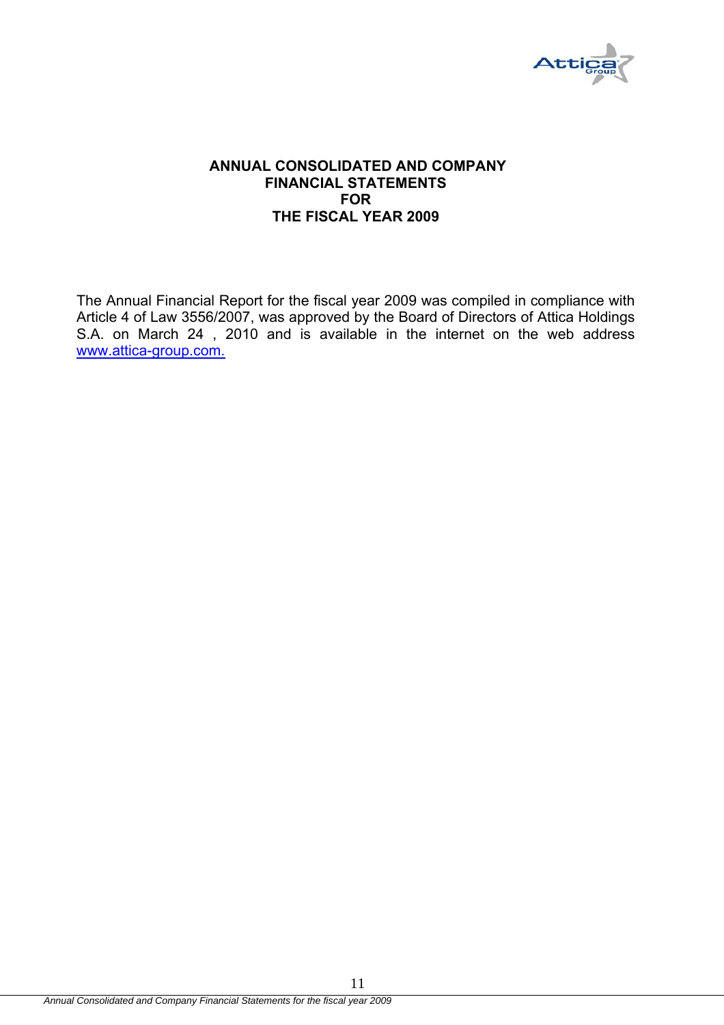

#### **ANNUAL CONSOLIDATED AND COMPANY FINANCIAL STATEMENTS FOR THE FISCAL YEAR 2009**

The Annual Financial Report for the fiscal year 2009 was compiled in compliance with Article 4 of Law 3556/2007, was approved by the Board of Directors of Attica Holdings S.A. on March 24 , 2010 and is available in the internet on the web address www.attica-group.com.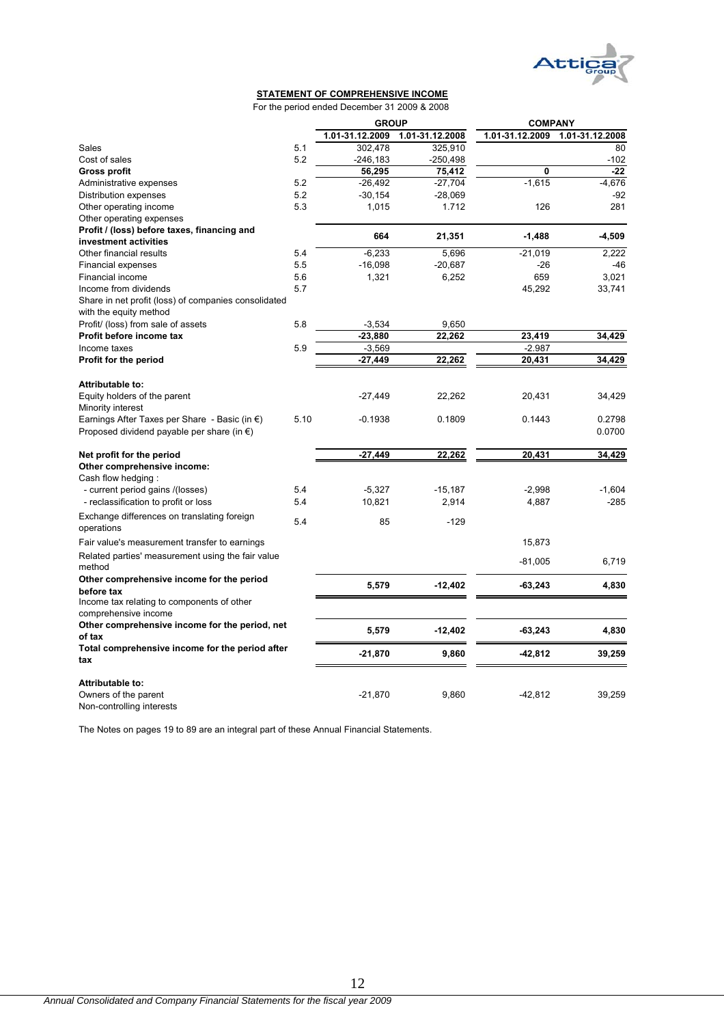

### **STATEMENT OF COMPREHENSIVE INCOME**

For the period ended December 31 2009 & 2008

|                                                         |      | <b>GROUP</b>    |                 | <b>COMPANY</b>  |                 |  |
|---------------------------------------------------------|------|-----------------|-----------------|-----------------|-----------------|--|
|                                                         |      | 1.01-31.12.2009 | 1.01-31.12.2008 | 1.01-31.12.2009 | 1.01-31.12.2008 |  |
| Sales                                                   | 5.1  | 302.478         | 325,910         |                 | 80              |  |
| Cost of sales                                           | 5.2  | $-246,183$      | -250,498        |                 | $-102$          |  |
| <b>Gross profit</b>                                     |      | 56,295          | 75,412          | $\mathbf{0}$    | $-22$           |  |
| Administrative expenses                                 | 5.2  | $-26,492$       | $-27,704$       | $-1,615$        | $-4,676$        |  |
| Distribution expenses                                   | 5.2  | $-30,154$       | $-28,069$       |                 | $-92$           |  |
| Other operating income                                  | 5.3  | 1,015           | 1.712           | 126             | 281             |  |
| Other operating expenses                                |      |                 |                 |                 |                 |  |
| Profit / (loss) before taxes, financing and             |      | 664             |                 |                 |                 |  |
| investment activities                                   |      |                 | 21,351          | $-1,488$        | $-4,509$        |  |
| Other financial results                                 | 5.4  | $-6,233$        | 5,696           | $-21,019$       | 2,222           |  |
| <b>Financial expenses</b>                               | 5.5  | $-16,098$       | $-20,687$       | $-26$           | -46             |  |
| Financial income                                        | 5.6  | 1,321           | 6,252           | 659             | 3,021           |  |
| Income from dividends                                   | 5.7  |                 |                 | 45,292          | 33,741          |  |
| Share in net profit (loss) of companies consolidated    |      |                 |                 |                 |                 |  |
| with the equity method                                  |      |                 |                 |                 |                 |  |
| Profit/ (loss) from sale of assets                      | 5.8  | $-3,534$        | 9,650           |                 |                 |  |
| Profit before income tax                                |      | $-23,880$       | 22,262          | 23,419          | 34,429          |  |
| Income taxes                                            | 5.9  | $-3,569$        |                 | $-2.987$        |                 |  |
| Profit for the period                                   |      | $-27,449$       | 22,262          | 20,431          | 34,429          |  |
|                                                         |      |                 |                 |                 |                 |  |
| Attributable to:                                        |      |                 |                 |                 |                 |  |
| Equity holders of the parent                            |      | $-27,449$       | 22,262          | 20,431          | 34,429          |  |
| Minority interest                                       |      |                 |                 |                 |                 |  |
| Earnings After Taxes per Share - Basic (in $\epsilon$ ) | 5.10 | $-0.1938$       | 0.1809          | 0.1443          | 0.2798          |  |
| Proposed dividend payable per share (in $\epsilon$ )    |      |                 |                 |                 | 0.0700          |  |
|                                                         |      |                 |                 |                 |                 |  |
| Net profit for the period                               |      | $-27,449$       | 22,262          | 20,431          | 34,429          |  |
| Other comprehensive income:                             |      |                 |                 |                 |                 |  |
| Cash flow hedging:                                      |      |                 |                 |                 |                 |  |
| - current period gains /(losses)                        | 5.4  | $-5,327$        | $-15,187$       | $-2,998$        | $-1,604$        |  |
| - reclassification to profit or loss                    | 5.4  | 10,821          | 2,914           | 4,887           | $-285$          |  |
|                                                         |      |                 |                 |                 |                 |  |
| Exchange differences on translating foreign             | 5.4  | 85              | $-129$          |                 |                 |  |
| operations                                              |      |                 |                 |                 |                 |  |
| Fair value's measurement transfer to earnings           |      |                 |                 | 15,873          |                 |  |
| Related parties' measurement using the fair value       |      |                 |                 | $-81,005$       | 6,719           |  |
| method                                                  |      |                 |                 |                 |                 |  |
| Other comprehensive income for the period               |      |                 |                 |                 |                 |  |
| before tax                                              |      | 5,579           | $-12,402$       | $-63,243$       | 4,830           |  |
| Income tax relating to components of other              |      |                 |                 |                 |                 |  |
| comprehensive income                                    |      |                 |                 |                 |                 |  |
| Other comprehensive income for the period, net          |      | 5,579           | $-12,402$       | $-63,243$       | 4,830           |  |
| of tax                                                  |      |                 |                 |                 |                 |  |
| Total comprehensive income for the period after         |      | $-21,870$       | 9,860           | -42,812         | 39,259          |  |
| tax                                                     |      |                 |                 |                 |                 |  |
|                                                         |      |                 |                 |                 |                 |  |
| Attributable to:                                        |      |                 |                 |                 |                 |  |
| Owners of the parent                                    |      | $-21,870$       | 9,860           | $-42,812$       | 39,259          |  |
| Non-controlling interests                               |      |                 |                 |                 |                 |  |

The Notes on pages 19 to 89 are an integral part of these Annual Financial Statements.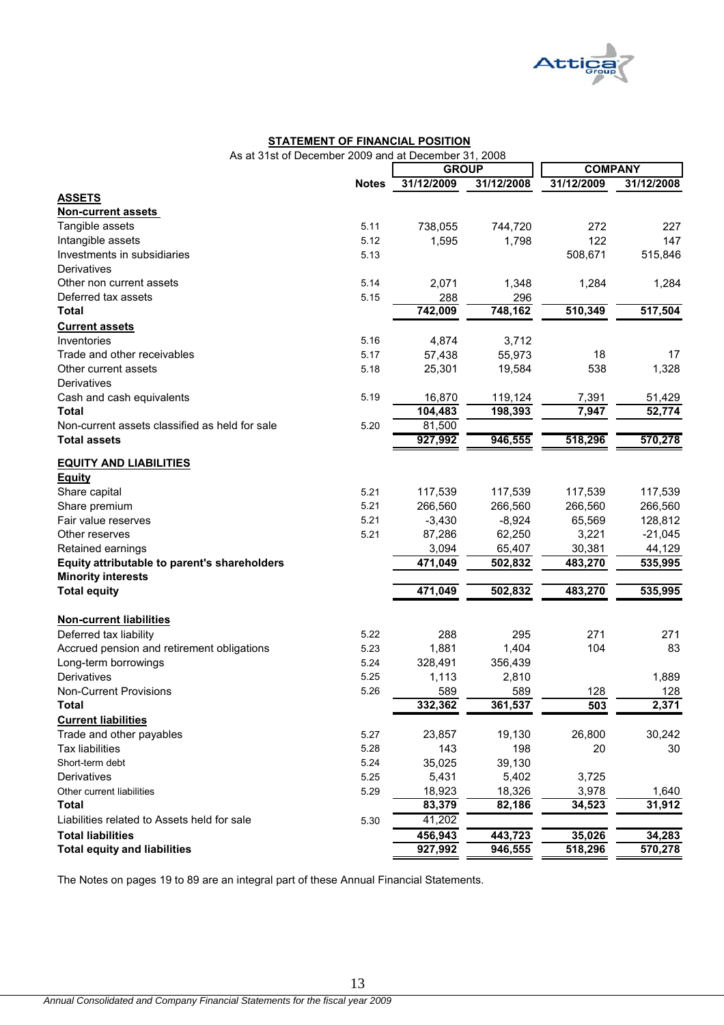

#### **STATEMENT OF FINANCIAL POSITION**

As at 31st of December 2009 and at December 31, 2008

|                                                |              | <b>GROUP</b> |            | <b>COMPANY</b> |            |
|------------------------------------------------|--------------|--------------|------------|----------------|------------|
|                                                | <b>Notes</b> | 31/12/2009   | 31/12/2008 | 31/12/2009     | 31/12/2008 |
| <b>ASSETS</b>                                  |              |              |            |                |            |
| <b>Non-current assets</b>                      |              |              |            |                |            |
| Tangible assets                                | 5.11         | 738,055      | 744,720    | 272            | 227        |
| Intangible assets                              | 5.12         | 1,595        | 1,798      | 122            | 147        |
| Investments in subsidiaries                    | 5.13         |              |            | 508,671        | 515,846    |
| Derivatives                                    |              |              |            |                |            |
| Other non current assets                       | 5.14         | 2,071        | 1,348      | 1,284          | 1,284      |
| Deferred tax assets                            | 5.15         | 288          | 296        |                |            |
| <b>Total</b>                                   |              | 742,009      | 748,162    | 510,349        | 517,504    |
| <b>Current assets</b>                          |              |              |            |                |            |
| Inventories                                    | 5.16         | 4,874        | 3,712      |                |            |
| Trade and other receivables                    | 5.17         | 57,438       | 55,973     | 18             | 17         |
| Other current assets                           | 5.18         | 25,301       | 19,584     | 538            | 1,328      |
| Derivatives                                    |              |              |            |                |            |
| Cash and cash equivalents                      | 5.19         | 16,870       | 119,124    | 7,391          | 51,429     |
| <b>Total</b>                                   |              | 104,483      | 198,393    | 7,947          | 52,774     |
| Non-current assets classified as held for sale | 5.20         | 81,500       |            |                |            |
| <b>Total assets</b>                            |              | 927,992      | 946,555    | 518,296        | 570,278    |
| <b>EQUITY AND LIABILITIES</b>                  |              |              |            |                |            |
| <b>Equity</b>                                  |              |              |            |                |            |
| Share capital                                  | 5.21         | 117,539      | 117,539    | 117,539        | 117,539    |
| Share premium                                  | 5.21         | 266,560      | 266,560    | 266,560        | 266,560    |
| Fair value reserves                            | 5.21         | $-3,430$     | $-8,924$   | 65,569         | 128,812    |
| Other reserves                                 | 5.21         | 87,286       | 62,250     | 3,221          | $-21,045$  |
| Retained earnings                              |              | 3,094        | 65,407     | 30,381         | 44,129     |
| Equity attributable to parent's shareholders   |              | 471,049      | 502,832    | 483,270        | 535,995    |
| <b>Minority interests</b>                      |              |              |            |                |            |
| <b>Total equity</b>                            |              | 471,049      | 502,832    | 483,270        | 535,995    |
| <b>Non-current liabilities</b>                 |              |              |            |                |            |
| Deferred tax liability                         | 5.22         | 288          | 295        | 271            | 271        |
| Accrued pension and retirement obligations     | 5.23         | 1,881        | 1,404      | 104            | 83         |
| Long-term borrowings                           | 5.24         | 328,491      | 356,439    |                |            |
| Derivatives                                    | 5.25         | 1,113        | 2,810      |                | 1,889      |
| <b>Non-Current Provisions</b>                  | 5.26         | 589          | 589        | 128            | 128        |
| <b>Total</b>                                   |              | 332,362      | 361,537    | 503            | 2,371      |
| <b>Current liabilities</b>                     |              |              |            |                |            |
| Trade and other payables                       | 5.27         | 23,857       | 19,130     | 26,800         | 30,242     |
| <b>Tax liabilities</b>                         | 5.28         | 143          | 198        | 20             | 30         |
| Short-term debt                                | 5.24         | 35,025       | 39,130     |                |            |
| Derivatives                                    | 5.25         | 5,431        | 5,402      | 3,725          |            |
| Other current liabilities                      | 5.29         | 18,923       | 18,326     | 3,978          | 1,640      |
| <b>Total</b>                                   |              | 83,379       | 82,186     | 34,523         | 31,912     |
| Liabilities related to Assets held for sale    | 5.30         | 41,202       |            |                |            |
| <b>Total liabilities</b>                       |              | 456,943      | 443,723    | 35,026         | 34,283     |
| <b>Total equity and liabilities</b>            |              | 927,992      | 946,555    | 518,296        | 570,278    |

The Notes on pages 19 to 89 are an integral part of these Annual Financial Statements.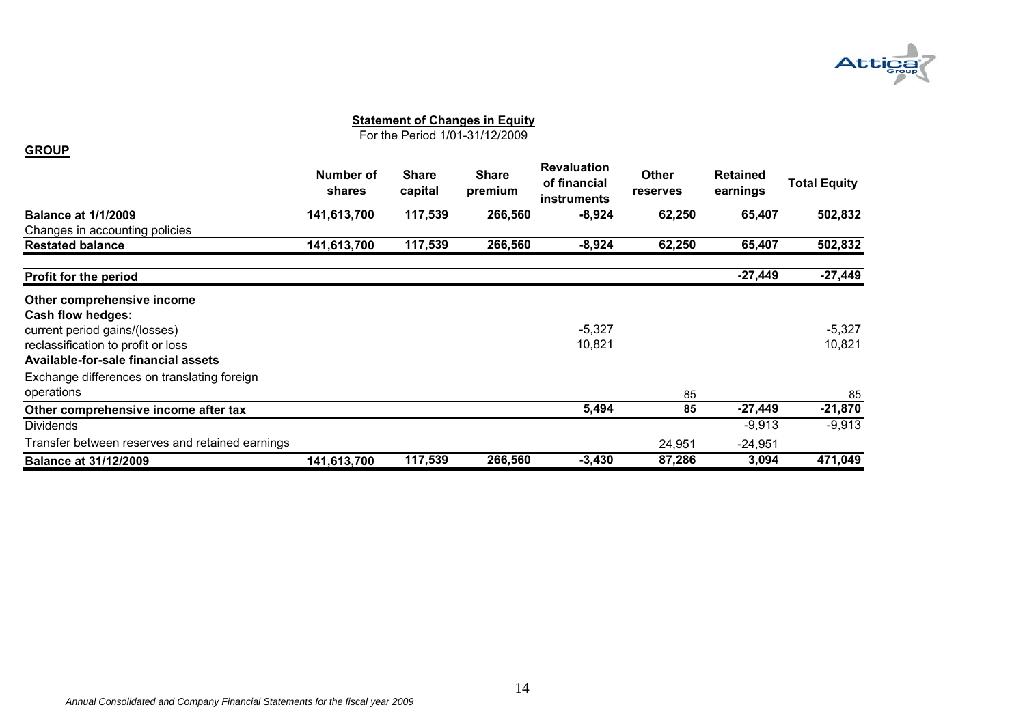

For the Period 1/01-31/12/2009

#### **GROUP**

|                                                 | Number of<br>shares | <b>Share</b><br>capital | <b>Share</b><br>premium | <b>Revaluation</b><br>of financial<br><b>instruments</b> | <b>Other</b><br><b>reserves</b> | <b>Retained</b><br>earnings | <b>Total Equity</b> |
|-------------------------------------------------|---------------------|-------------------------|-------------------------|----------------------------------------------------------|---------------------------------|-----------------------------|---------------------|
| <b>Balance at 1/1/2009</b>                      | 141,613,700         | 117,539                 | 266,560                 | $-8,924$                                                 | 62,250                          | 65,407                      | 502,832             |
| Changes in accounting policies                  |                     |                         |                         |                                                          |                                 |                             |                     |
| <b>Restated balance</b>                         | 141,613,700         | 117,539                 | 266,560                 | $-8,924$                                                 | 62,250                          | 65,407                      | 502,832             |
| Profit for the period                           |                     |                         |                         |                                                          |                                 | $-27,449$                   | $-27,449$           |
| Other comprehensive income                      |                     |                         |                         |                                                          |                                 |                             |                     |
| <b>Cash flow hedges:</b>                        |                     |                         |                         |                                                          |                                 |                             |                     |
| current period gains/(losses)                   |                     |                         |                         | $-5,327$                                                 |                                 |                             | $-5,327$            |
| reclassification to profit or loss              |                     |                         |                         | 10,821                                                   |                                 |                             | 10,821              |
| Available-for-sale financial assets             |                     |                         |                         |                                                          |                                 |                             |                     |
| Exchange differences on translating foreign     |                     |                         |                         |                                                          |                                 |                             |                     |
| operations                                      |                     |                         |                         |                                                          | 85                              |                             | 85                  |
| Other comprehensive income after tax            |                     |                         |                         | 5,494                                                    | 85                              | $-27,449$                   | $-21,870$           |
| <b>Dividends</b>                                |                     |                         |                         |                                                          |                                 | $-9,913$                    | $-9,913$            |
| Transfer between reserves and retained earnings |                     |                         |                         |                                                          | 24,951                          | $-24,951$                   |                     |
| <b>Balance at 31/12/2009</b>                    | 141,613,700         | 117,539                 | 266,560                 | $-3,430$                                                 | 87,286                          | 3,094                       | 471,049             |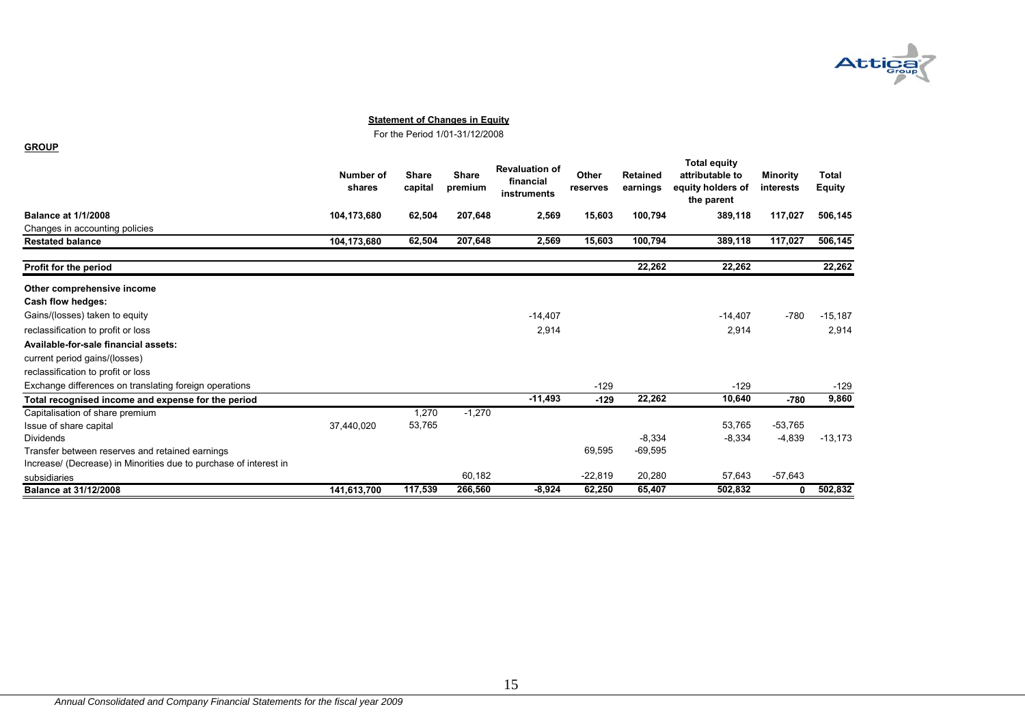

For the Period 1/01-31/12/2008

|                                                                   | Number of<br>shares | <b>Share</b><br>capital | <b>Share</b><br>premium | <b>Revaluation of</b><br>financial<br>instruments | Other<br>reserves | <b>Retained</b><br>earnings | <b>Total equity</b><br>attributable to<br>equity holders of<br>the parent | <b>Minority</b><br>interests | <b>Total</b><br><b>Equity</b> |
|-------------------------------------------------------------------|---------------------|-------------------------|-------------------------|---------------------------------------------------|-------------------|-----------------------------|---------------------------------------------------------------------------|------------------------------|-------------------------------|
| <b>Balance at 1/1/2008</b>                                        | 104,173,680         | 62,504                  | 207,648                 | 2,569                                             | 15,603            | 100,794                     | 389,118                                                                   | 117,027                      | 506,145                       |
| Changes in accounting policies                                    |                     |                         |                         |                                                   |                   |                             |                                                                           |                              |                               |
| <b>Restated balance</b>                                           | 104,173,680         | 62,504                  | 207,648                 | 2,569                                             | 15,603            | 100,794                     | 389,118                                                                   | 117,027                      | 506,145                       |
| Profit for the period                                             |                     |                         |                         |                                                   |                   | 22,262                      | 22,262                                                                    |                              | 22,262                        |
| Other comprehensive income                                        |                     |                         |                         |                                                   |                   |                             |                                                                           |                              |                               |
| Cash flow hedges:                                                 |                     |                         |                         |                                                   |                   |                             |                                                                           |                              |                               |
| Gains/(losses) taken to equity                                    |                     |                         |                         | $-14,407$                                         |                   |                             | $-14,407$                                                                 | $-780$                       | $-15,187$                     |
| reclassification to profit or loss                                |                     |                         |                         | 2,914                                             |                   |                             | 2,914                                                                     |                              | 2,914                         |
| Available-for-sale financial assets:                              |                     |                         |                         |                                                   |                   |                             |                                                                           |                              |                               |
| current period gains/(losses)                                     |                     |                         |                         |                                                   |                   |                             |                                                                           |                              |                               |
| reclassification to profit or loss                                |                     |                         |                         |                                                   |                   |                             |                                                                           |                              |                               |
| Exchange differences on translating foreign operations            |                     |                         |                         |                                                   | $-129$            |                             | $-129$                                                                    |                              | $-129$                        |
| Total recognised income and expense for the period                |                     |                         |                         | $-11,493$                                         | $-129$            | 22,262                      | 10,640                                                                    | $-780$                       | 9,860                         |
| Capitalisation of share premium                                   |                     | 1,270                   | $-1,270$                |                                                   |                   |                             |                                                                           |                              |                               |
| Issue of share capital                                            | 37,440,020          | 53,765                  |                         |                                                   |                   |                             | 53,765                                                                    | $-53,765$                    |                               |
| <b>Dividends</b>                                                  |                     |                         |                         |                                                   |                   | $-8,334$                    | $-8.334$                                                                  | $-4,839$                     | $-13,173$                     |
| Transfer between reserves and retained earnings                   |                     |                         |                         |                                                   | 69,595            | $-69,595$                   |                                                                           |                              |                               |
| Increase/ (Decrease) in Minorities due to purchase of interest in |                     |                         |                         |                                                   |                   |                             |                                                                           |                              |                               |
| subsidiaries                                                      |                     |                         | 60,182                  |                                                   | $-22,819$         | 20,280                      | 57,643                                                                    | $-57,643$                    |                               |
| <b>Balance at 31/12/2008</b>                                      | 141,613,700         | 117,539                 | 266,560                 | $-8,924$                                          | 62,250            | 65,407                      | 502,832                                                                   | 0                            | 502,832                       |

**GROUP**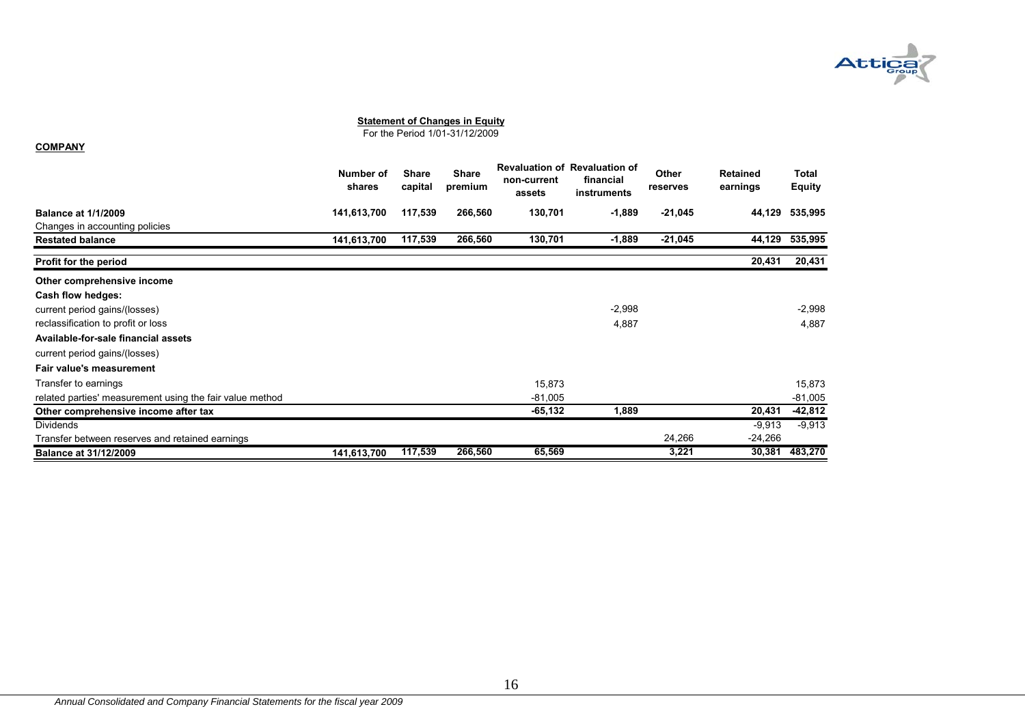

For the Period 1/01-31/12/2009

#### **COMPANY**

|                                                          | Number of<br>shares | <b>Share</b><br>capital | <b>Share</b><br>premium | non-current<br>assets | <b>Revaluation of Revaluation of</b><br>financial<br>instruments | <b>Other</b><br>reserves | Retained<br>earnings | Total<br>Equity |
|----------------------------------------------------------|---------------------|-------------------------|-------------------------|-----------------------|------------------------------------------------------------------|--------------------------|----------------------|-----------------|
| <b>Balance at 1/1/2009</b>                               | 141,613,700         | 117,539                 | 266,560                 | 130,701               | $-1,889$                                                         | $-21,045$                | 44,129               | 535,995         |
| Changes in accounting policies                           |                     |                         |                         |                       |                                                                  |                          |                      |                 |
| <b>Restated balance</b>                                  | 141,613,700         | 117,539                 | 266,560                 | 130,701               | $-1,889$                                                         | $-21,045$                | 44,129               | 535,995         |
| Profit for the period                                    |                     |                         |                         |                       |                                                                  |                          | 20,431               | 20,431          |
| Other comprehensive income                               |                     |                         |                         |                       |                                                                  |                          |                      |                 |
| Cash flow hedges:                                        |                     |                         |                         |                       |                                                                  |                          |                      |                 |
| current period gains/(losses)                            |                     |                         |                         |                       | $-2,998$                                                         |                          |                      | $-2,998$        |
| reclassification to profit or loss                       |                     |                         |                         |                       | 4,887                                                            |                          |                      | 4,887           |
| Available-for-sale financial assets                      |                     |                         |                         |                       |                                                                  |                          |                      |                 |
| current period gains/(losses)                            |                     |                         |                         |                       |                                                                  |                          |                      |                 |
| Fair value's measurement                                 |                     |                         |                         |                       |                                                                  |                          |                      |                 |
| Transfer to earnings                                     |                     |                         |                         | 15,873                |                                                                  |                          |                      | 15,873          |
| related parties' measurement using the fair value method |                     |                         |                         | $-81,005$             |                                                                  |                          |                      | $-81,005$       |
| Other comprehensive income after tax                     |                     |                         |                         | $-65,132$             | 1,889                                                            |                          | 20,431               | $-42,812$       |
| <b>Dividends</b>                                         |                     |                         |                         |                       |                                                                  |                          | $-9,913$             | $-9,913$        |
| Transfer between reserves and retained earnings          |                     |                         |                         |                       |                                                                  | 24,266                   | $-24,266$            |                 |
| <b>Balance at 31/12/2009</b>                             | 141,613,700         | 117,539                 | 266,560                 | 65,569                |                                                                  | 3,221                    | 30,381               | 483,270         |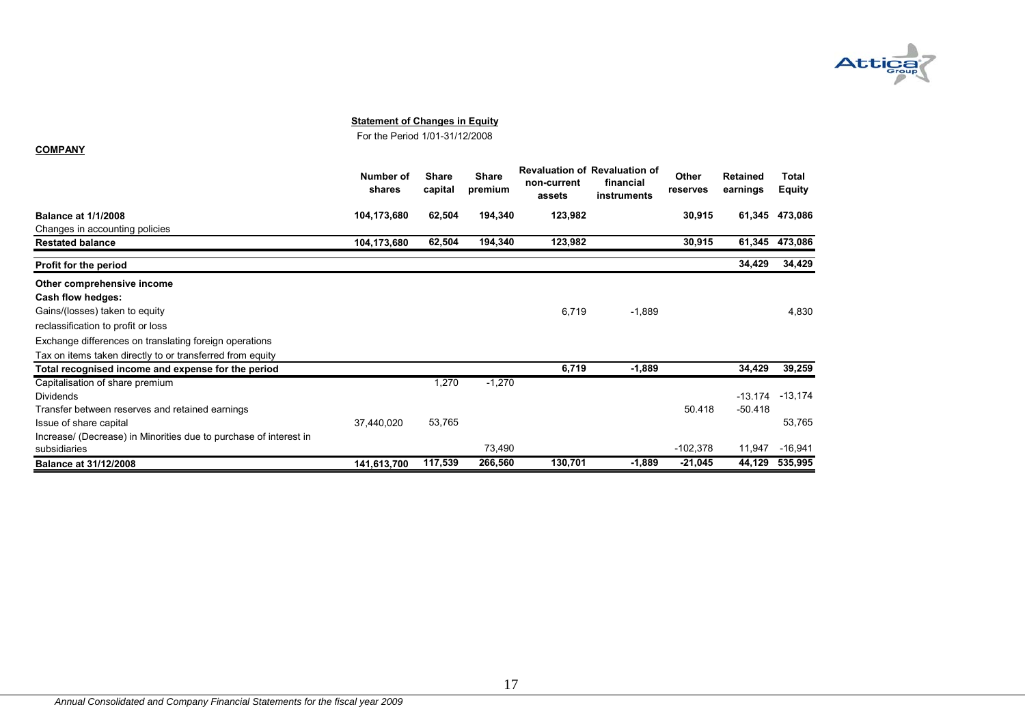

For the Period 1/01-31/12/2008

**COMPANY**

|                                                                   | Number of<br>shares | <b>Share</b><br>capital | <b>Share</b><br>premium | non-current<br>assets | <b>Revaluation of Revaluation of</b><br>financial<br>instruments | Other<br>reserves | <b>Retained</b><br>earnings | Total<br><b>Equity</b> |
|-------------------------------------------------------------------|---------------------|-------------------------|-------------------------|-----------------------|------------------------------------------------------------------|-------------------|-----------------------------|------------------------|
| <b>Balance at 1/1/2008</b>                                        | 104,173,680         | 62,504                  | 194,340                 | 123,982               |                                                                  | 30,915            | 61,345                      | 473,086                |
| Changes in accounting policies                                    |                     |                         |                         |                       |                                                                  |                   |                             |                        |
| <b>Restated balance</b>                                           | 104,173,680         | 62,504                  | 194,340                 | 123,982               |                                                                  | 30,915            | 61,345                      | 473,086                |
| Profit for the period                                             |                     |                         |                         |                       |                                                                  |                   | 34,429                      | 34,429                 |
| Other comprehensive income                                        |                     |                         |                         |                       |                                                                  |                   |                             |                        |
| Cash flow hedges:                                                 |                     |                         |                         |                       |                                                                  |                   |                             |                        |
| Gains/(losses) taken to equity                                    |                     |                         |                         | 6,719                 | $-1,889$                                                         |                   |                             | 4.830                  |
| reclassification to profit or loss                                |                     |                         |                         |                       |                                                                  |                   |                             |                        |
| Exchange differences on translating foreign operations            |                     |                         |                         |                       |                                                                  |                   |                             |                        |
| Tax on items taken directly to or transferred from equity         |                     |                         |                         |                       |                                                                  |                   |                             |                        |
| Total recognised income and expense for the period                |                     |                         |                         | 6,719                 | $-1,889$                                                         |                   | 34,429                      | 39,259                 |
| Capitalisation of share premium                                   |                     | 1,270                   | $-1,270$                |                       |                                                                  |                   |                             |                        |
| Dividends                                                         |                     |                         |                         |                       |                                                                  |                   | $-13.174$                   | $-13,174$              |
| Transfer between reserves and retained earnings                   |                     |                         |                         |                       |                                                                  | 50.418            | $-50.418$                   |                        |
| Issue of share capital                                            | 37,440,020          | 53,765                  |                         |                       |                                                                  |                   |                             | 53,765                 |
| Increase/ (Decrease) in Minorities due to purchase of interest in |                     |                         |                         |                       |                                                                  |                   |                             |                        |
| subsidiaries                                                      |                     |                         | 73,490                  |                       |                                                                  | $-102,378$        | 11,947                      | $-16,941$              |
| <b>Balance at 31/12/2008</b>                                      | 141,613,700         | 117,539                 | 266,560                 | 130,701               | $-1,889$                                                         | -21,045           | 44,129                      | 535,995                |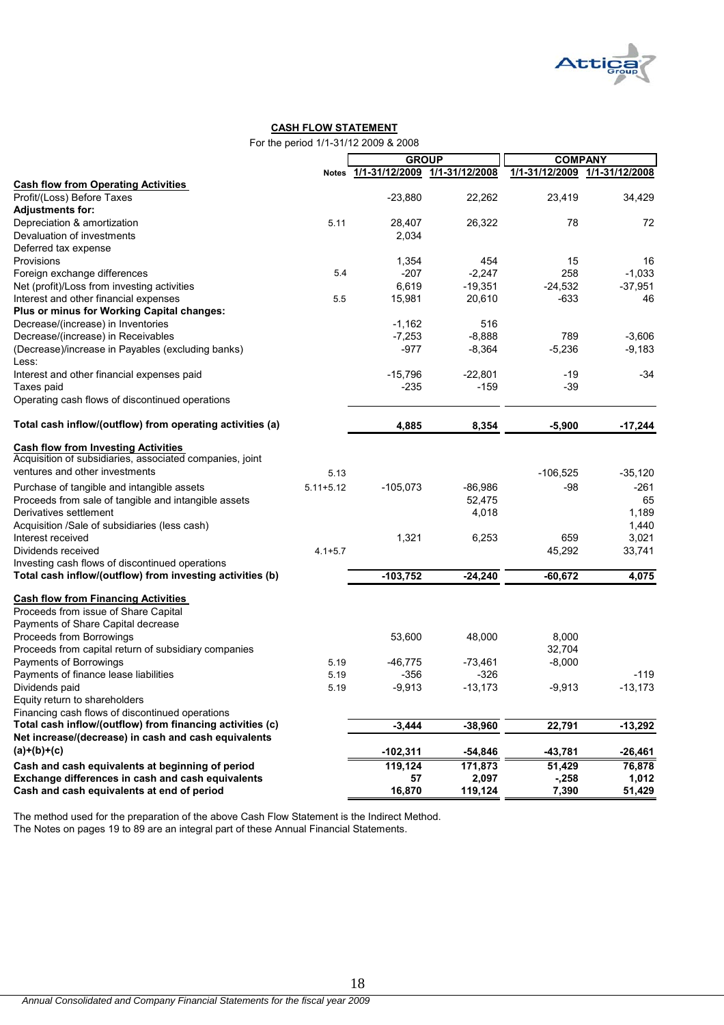

#### **CASH FLOW STATEMENT**

For the period 1/1-31/12 2009 & 2008

|                                                           |               | <b>GROUP</b>                        |           | <b>COMPANY</b> |                |  |  |
|-----------------------------------------------------------|---------------|-------------------------------------|-----------|----------------|----------------|--|--|
|                                                           |               | Notes 1/1-31/12/2009 1/1-31/12/2008 |           | 1/1-31/12/2009 | 1/1-31/12/2008 |  |  |
| <b>Cash flow from Operating Activities</b>                |               |                                     |           |                |                |  |  |
| Profit/(Loss) Before Taxes                                |               | $-23,880$                           | 22,262    | 23,419         | 34,429         |  |  |
| <b>Adjustments for:</b>                                   |               |                                     |           |                |                |  |  |
| Depreciation & amortization                               | 5.11          | 28,407                              | 26,322    | 78             | 72             |  |  |
| Devaluation of investments                                |               | 2,034                               |           |                |                |  |  |
| Deferred tax expense                                      |               |                                     |           |                |                |  |  |
| Provisions                                                |               | 1,354                               | 454       | 15             | 16             |  |  |
| Foreign exchange differences                              | 5.4           | $-207$                              | $-2,247$  | 258            | $-1,033$       |  |  |
| Net (profit)/Loss from investing activities               |               | 6,619                               | $-19,351$ | $-24,532$      | $-37,951$      |  |  |
| Interest and other financial expenses                     | 5.5           | 15,981                              | 20,610    | $-633$         | 46             |  |  |
| Plus or minus for Working Capital changes:                |               |                                     |           |                |                |  |  |
| Decrease/(increase) in Inventories                        |               | $-1,162$                            | 516       |                |                |  |  |
| Decrease/(increase) in Receivables                        |               | $-7,253$                            | $-8,888$  | 789            | $-3,606$       |  |  |
| (Decrease)/increase in Payables (excluding banks)         |               | $-977$                              | $-8,364$  | $-5,236$       | $-9,183$       |  |  |
| Less:                                                     |               |                                     |           |                |                |  |  |
| Interest and other financial expenses paid                |               | $-15,796$                           | $-22,801$ | $-19$          | $-34$          |  |  |
| Taxes paid                                                |               | $-235$                              | $-159$    | $-39$          |                |  |  |
| Operating cash flows of discontinued operations           |               |                                     |           |                |                |  |  |
| Total cash inflow/(outflow) from operating activities (a) |               | 4,885                               | 8,354     | $-5,900$       | $-17,244$      |  |  |
|                                                           |               |                                     |           |                |                |  |  |
| <b>Cash flow from Investing Activities</b>                |               |                                     |           |                |                |  |  |
| Acquisition of subsidiaries, associated companies, joint  |               |                                     |           |                |                |  |  |
| ventures and other investments                            | 5.13          |                                     |           | $-106,525$     | $-35,120$      |  |  |
| Purchase of tangible and intangible assets                | $5.11 + 5.12$ | $-105,073$                          | $-86,986$ | -98            | $-261$         |  |  |
| Proceeds from sale of tangible and intangible assets      |               |                                     | 52,475    |                | 65             |  |  |
| Derivatives settlement                                    |               |                                     | 4,018     |                | 1,189          |  |  |
| Acquisition /Sale of subsidiaries (less cash)             |               |                                     |           |                | 1,440          |  |  |
| Interest received                                         |               | 1,321                               | 6,253     | 659            | 3,021          |  |  |
| Dividends received                                        | $4.1 + 5.7$   |                                     |           | 45,292         | 33,741         |  |  |
| Investing cash flows of discontinued operations           |               |                                     |           |                |                |  |  |
| Total cash inflow/(outflow) from investing activities (b) |               | $-103,752$                          | $-24,240$ | $-60,672$      | 4,075          |  |  |
| <b>Cash flow from Financing Activities</b>                |               |                                     |           |                |                |  |  |
| Proceeds from issue of Share Capital                      |               |                                     |           |                |                |  |  |
| Payments of Share Capital decrease                        |               |                                     |           |                |                |  |  |
| Proceeds from Borrowings                                  |               | 53,600                              | 48,000    | 8,000          |                |  |  |
| Proceeds from capital return of subsidiary companies      |               |                                     |           | 32,704         |                |  |  |
| Payments of Borrowings                                    | 5.19          | $-46,775$                           | $-73,461$ | $-8,000$       |                |  |  |
| Payments of finance lease liabilities                     | 5.19          | $-356$                              | $-326$    |                | $-119$         |  |  |
| Dividends paid                                            | 5.19          | $-9,913$                            | $-13,173$ | $-9.913$       | $-13,173$      |  |  |
| Equity return to shareholders                             |               |                                     |           |                |                |  |  |
| Financing cash flows of discontinued operations           |               |                                     |           |                |                |  |  |
| Total cash inflow/(outflow) from financing activities (c) |               | $-3,444$                            | $-38,960$ | 22,791         | $-13,292$      |  |  |
| Net increase/(decrease) in cash and cash equivalents      |               |                                     |           |                |                |  |  |
| $(a)+(b)+(c)$                                             |               | $-102,311$                          | $-54,846$ | -43,781        | $-26,461$      |  |  |
| Cash and cash equivalents at beginning of period          |               | 119,124                             | 171,873   | 51,429         | 76,878         |  |  |
| Exchange differences in cash and cash equivalents         |               | 57                                  | 2,097     | $-258$         | 1,012          |  |  |
| Cash and cash equivalents at end of period                |               | 16,870                              | 119,124   | 7,390          | 51,429         |  |  |

The method used for the preparation of the above Cash Flow Statement is the Indirect Method. The Notes on pages 19 to 89 are an integral part of these Annual Financial Statements.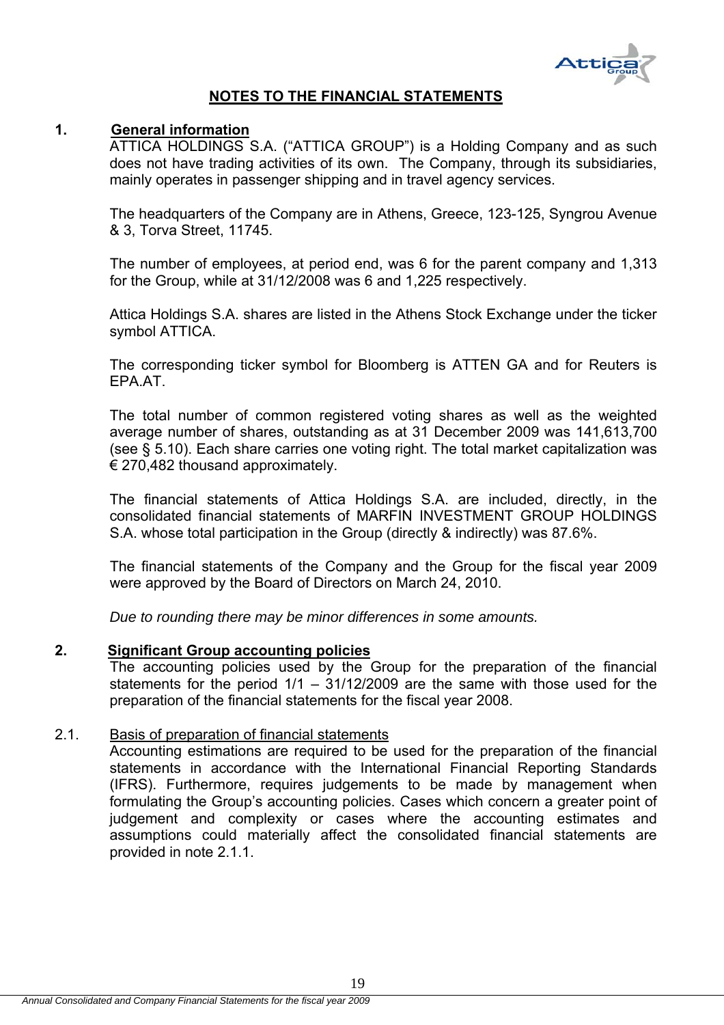

# **NOTES TO THE FINANCIAL STATEMENTS**

# **1. General information**

ATTICA HOLDINGS S.A. ("ATTICA GROUP") is a Holding Company and as such does not have trading activities of its own. The Company, through its subsidiaries, mainly operates in passenger shipping and in travel agency services.

The headquarters of the Company are in Athens, Greece, 123-125, Syngrou Avenue & 3, Torva Street, 11745.

The number of employees, at period end, was 6 for the parent company and 1,313 for the Group, while at 31/12/2008 was 6 and 1,225 respectively.

Attica Holdings S.A. shares are listed in the Athens Stock Exchange under the ticker symbol ATTICA.

The corresponding ticker symbol for Bloomberg is ATTEN GA and for Reuters is EPA.AT.

The total number of common registered voting shares as well as the weighted average number of shares, outstanding as at 31 December 2009 was 141,613,700 (see § 5.10). Each share carries one voting right. The total market capitalization was € 270,482 thousand approximately.

The financial statements of Attica Holdings S.A. are included, directly, in the consolidated financial statements of MARFIN INVESTMENT GROUP HOLDINGS S.A. whose total participation in the Group (directly & indirectly) was 87.6%.

The financial statements of the Company and the Group for the fiscal year 2009 were approved by the Board of Directors on March 24, 2010.

*Due to rounding there may be minor differences in some amounts.* 

#### **2. Significant Group accounting policies**

The accounting policies used by the Group for the preparation of the financial statements for the period 1/1 – 31/12/2009 are the same with those used for the preparation of the financial statements for the fiscal year 2008.

#### 2.1. Basis of preparation of financial statements

Accounting estimations are required to be used for the preparation of the financial statements in accordance with the International Financial Reporting Standards (IFRS). Furthermore, requires judgements to be made by management when formulating the Group's accounting policies. Cases which concern a greater point of judgement and complexity or cases where the accounting estimates and assumptions could materially affect the consolidated financial statements are provided in note 2.1.1.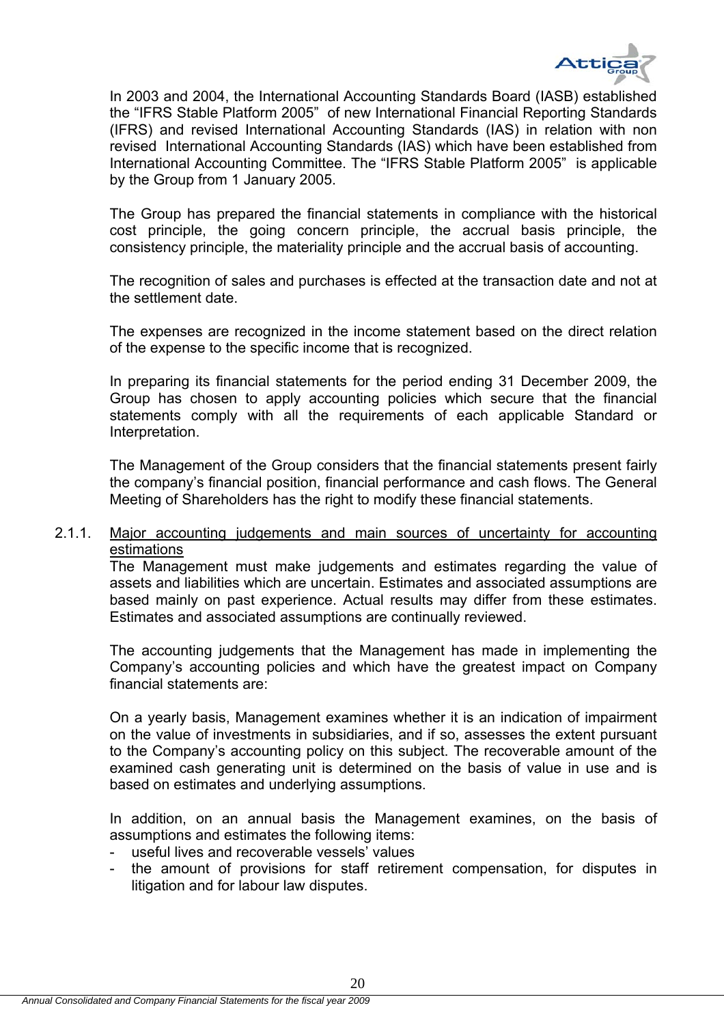

In 2003 and 2004, the International Accounting Standards Board (IASB) established the "IFRS Stable Platform 2005" of new International Financial Reporting Standards (IFRS) and revised International Accounting Standards (IAS) in relation with non revised International Accounting Standards (IAS) which have been established from International Accounting Committee. The "IFRS Stable Platform 2005" is applicable by the Group from 1 January 2005.

The Group has prepared the financial statements in compliance with the historical cost principle, the going concern principle, the accrual basis principle, the consistency principle, the materiality principle and the accrual basis of accounting.

The recognition of sales and purchases is effected at the transaction date and not at the settlement date.

The expenses are recognized in the income statement based on the direct relation of the expense to the specific income that is recognized.

In preparing its financial statements for the period ending 31 December 2009, the Group has chosen to apply accounting policies which secure that the financial statements comply with all the requirements of each applicable Standard or Interpretation.

The Management of the Group considers that the financial statements present fairly the company's financial position, financial performance and cash flows. The General Meeting of Shareholders has the right to modify these financial statements.

# 2.1.1. Major accounting judgements and main sources of uncertainty for accounting estimations

The Management must make judgements and estimates regarding the value of assets and liabilities which are uncertain. Estimates and associated assumptions are based mainly on past experience. Actual results may differ from these estimates. Estimates and associated assumptions are continually reviewed.

The accounting judgements that the Management has made in implementing the Company's accounting policies and which have the greatest impact on Company financial statements are:

On a yearly basis, Management examines whether it is an indication of impairment on the value of investments in subsidiaries, and if so, assesses the extent pursuant to the Company's accounting policy on this subject. The recoverable amount of the examined cash generating unit is determined on the basis of value in use and is based on estimates and underlying assumptions.

In addition, on an annual basis the Management examines, on the basis of assumptions and estimates the following items:

- useful lives and recoverable vessels' values
- the amount of provisions for staff retirement compensation, for disputes in litigation and for labour law disputes.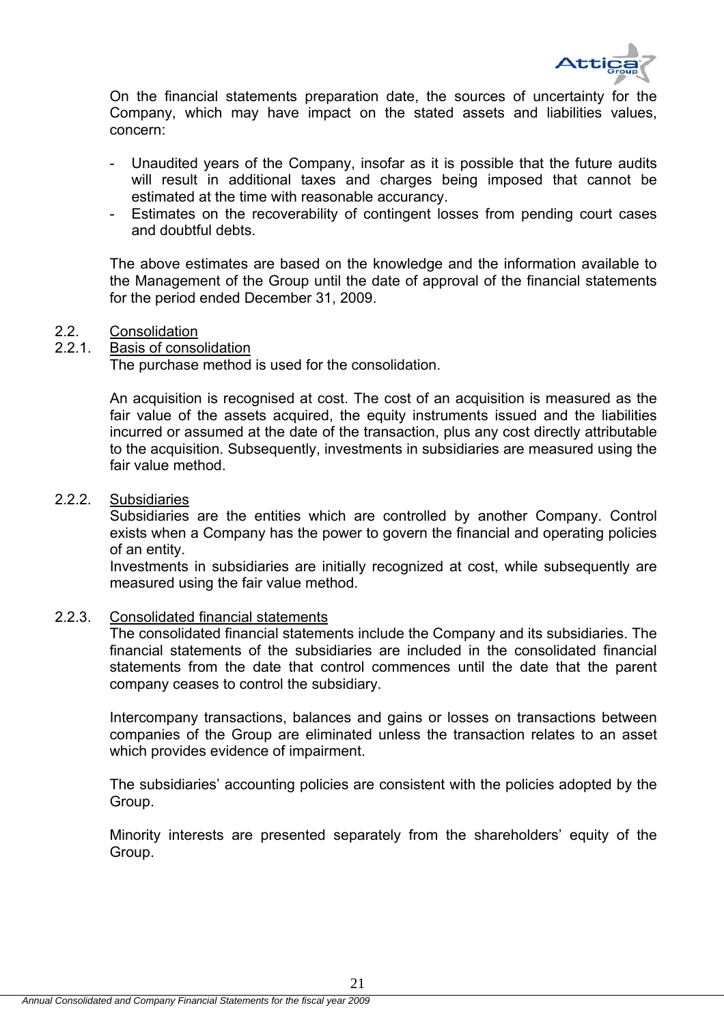

On the financial statements preparation date, the sources of uncertainty for the Company, which may have impact on the stated assets and liabilities values, concern:

- Unaudited years of the Company, insofar as it is possible that the future audits will result in additional taxes and charges being imposed that cannot be estimated at the time with reasonable accurancy.
- Estimates on the recoverability of contingent losses from pending court cases and doubtful debts.

 The above estimates are based οn the knowledge and the information available to the Management of the Group until the date of approval of the financial statements for the period ended December 31, 2009.

#### 2.2. Consolidation

# 2.2.1. Basis of consolidation

The purchase method is used for the consolidation.

An acquisition is recognised at cost. The cost of an acquisition is measured as the fair value of the assets acquired, the equity instruments issued and the liabilities incurred or assumed at the date of the transaction, plus any cost directly attributable to the acquisition. Subsequently, investments in subsidiaries are measured using the fair value method.

#### 2.2.2. Subsidiaries

Subsidiaries are the entities which are controlled by another Company. Control exists when a Company has the power to govern the financial and operating policies of an entity.

Investments in subsidiaries are initially recognized at cost, while subsequently are measured using the fair value method.

#### 2.2.3. Consolidated financial statements

The consolidated financial statements include the Company and its subsidiaries. The financial statements of the subsidiaries are included in the consolidated financial statements from the date that control commences until the date that the parent company ceases to control the subsidiary.

Intercompany transactions, balances and gains or losses on transactions between companies of the Group are eliminated unless the transaction relates to an asset which provides evidence of impairment.

The subsidiaries' accounting policies are consistent with the policies adopted by the Group.

Minority interests are presented separately from the shareholders' equity of the Group.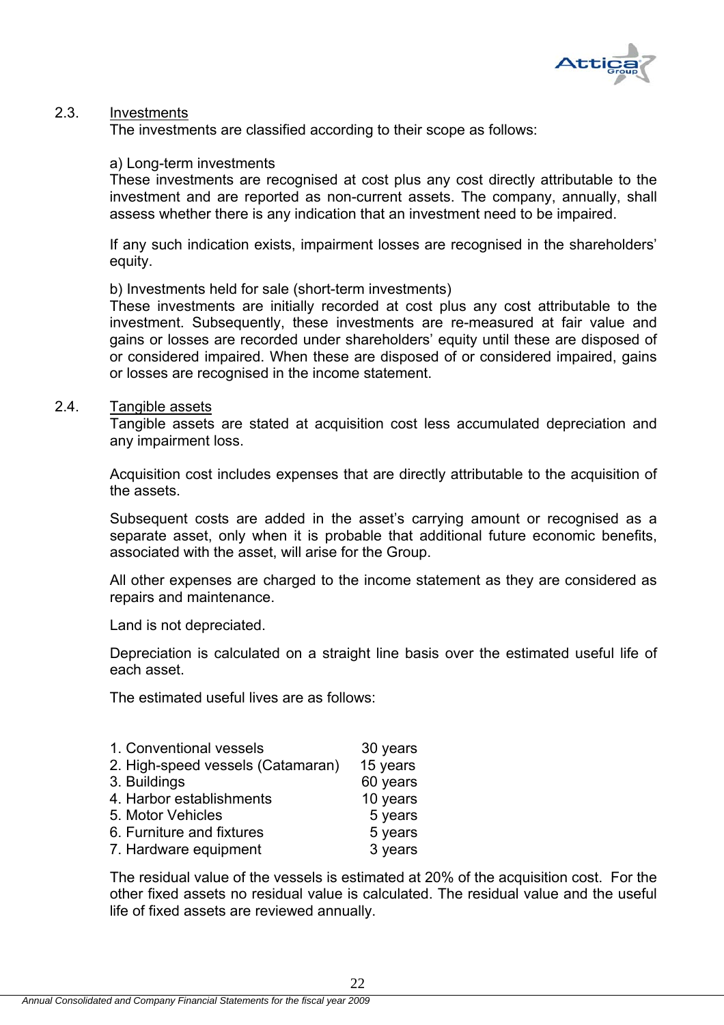

### 2.3. Investments

The investments are classified according to their scope as follows:

#### a) Long-term investments

These investments are recognised at cost plus any cost directly attributable to the investment and are reported as non-current assets. The company, annually, shall assess whether there is any indication that an investment need to be impaired.

If any such indication exists, impairment losses are recognised in the shareholders' equity.

b) Investments held for sale (short-term investments)

These investments are initially recorded at cost plus any cost attributable to the investment. Subsequently, these investments are re-measured at fair value and gains or losses are recorded under shareholders' equity until these are disposed of or considered impaired. When these are disposed of or considered impaired, gains or losses are recognised in the income statement.

#### 2.4. Tangible assets

Tangible assets are stated at acquisition cost less accumulated depreciation and any impairment loss.

Acquisition cost includes expenses that are directly attributable to the acquisition of the assets.

Subsequent costs are added in the asset's carrying amount or recognised as a separate asset, only when it is probable that additional future economic benefits, associated with the asset, will arise for the Group.

All other expenses are charged to the income statement as they are considered as repairs and maintenance.

Land is not depreciated.

Depreciation is calculated on a straight line basis over the estimated useful life of each asset.

The estimated useful lives are as follows:

| 1. Conventional vessels           | 30 years |
|-----------------------------------|----------|
| 2. High-speed vessels (Catamaran) | 15 years |
| 3. Buildings                      | 60 years |
| 4. Harbor establishments          | 10 years |
| 5. Motor Vehicles                 | 5 years  |
| 6. Furniture and fixtures         | 5 years  |
| 7. Hardware equipment             | 3 years  |

The residual value of the vessels is estimated at 20% of the acquisition cost. For the other fixed assets no residual value is calculated. The residual value and the useful life of fixed assets are reviewed annually.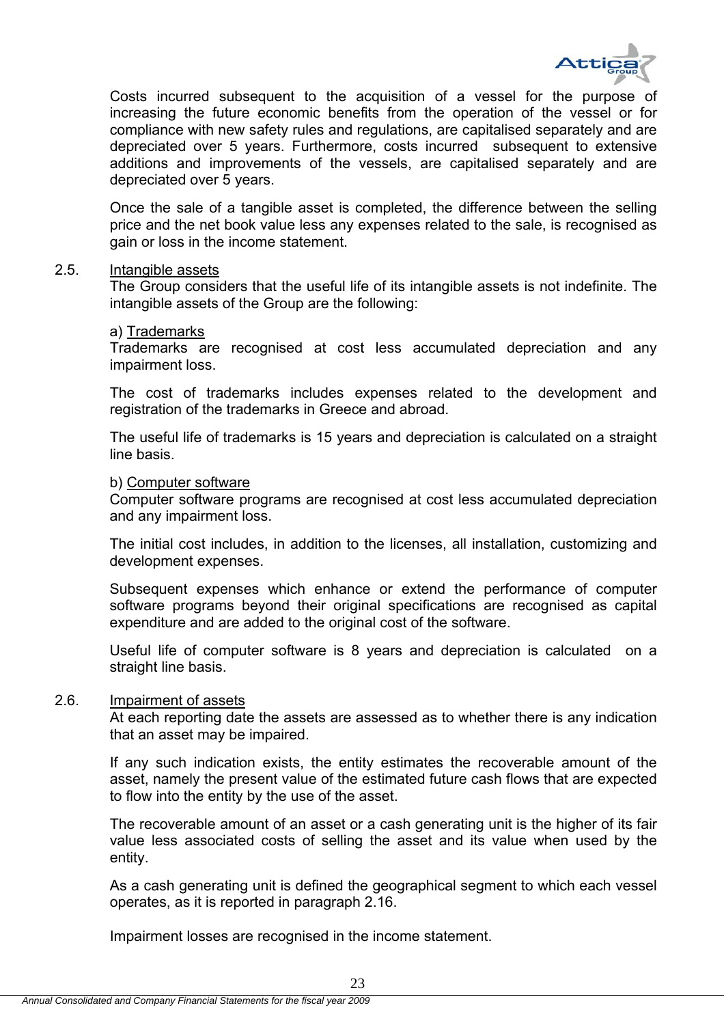

Costs incurred subsequent to the acquisition of a vessel for the purpose of increasing the future economic benefits from the operation of the vessel or for compliance with new safety rules and regulations, are capitalised separately and are depreciated over 5 years. Furthermore, costs incurred subsequent to extensive additions and improvements of the vessels, are capitalised separately and are depreciated over 5 years.

Once the sale of a tangible asset is completed, the difference between the selling price and the net book value less any expenses related to the sale, is recognised as gain or loss in the income statement.

#### 2.5. Intangible assets

The Group considers that the useful life of its intangible assets is not indefinite. The intangible assets of the Group are the following:

#### a) Trademarks

Trademarks are recognised at cost less accumulated depreciation and any impairment loss.

The cost of trademarks includes expenses related to the development and registration of the trademarks in Greece and abroad.

The useful life of trademarks is 15 years and depreciation is calculated on a straight line basis.

#### b) Computer software

Computer software programs are recognised at cost less accumulated depreciation and any impairment loss.

The initial cost includes, in addition to the licenses, all installation, customizing and development expenses.

Subsequent expenses which enhance or extend the performance of computer software programs beyond their original specifications are recognised as capital expenditure and are added to the original cost of the software.

Useful life of computer software is 8 years and depreciation is calculated on a straight line basis.

### 2.6. Impairment of assets

At each reporting date the assets are assessed as to whether there is any indication that an asset may be impaired.

If any such indication exists, the entity estimates the recoverable amount of the asset, namely the present value of the estimated future cash flows that are expected to flow into the entity by the use of the asset.

The recoverable amount of an asset or a cash generating unit is the higher of its fair value less associated costs of selling the asset and its value when used by the entity.

As a cash generating unit is defined the geographical segment to which each vessel operates, as it is reported in paragraph 2.16.

Impairment losses are recognised in the income statement.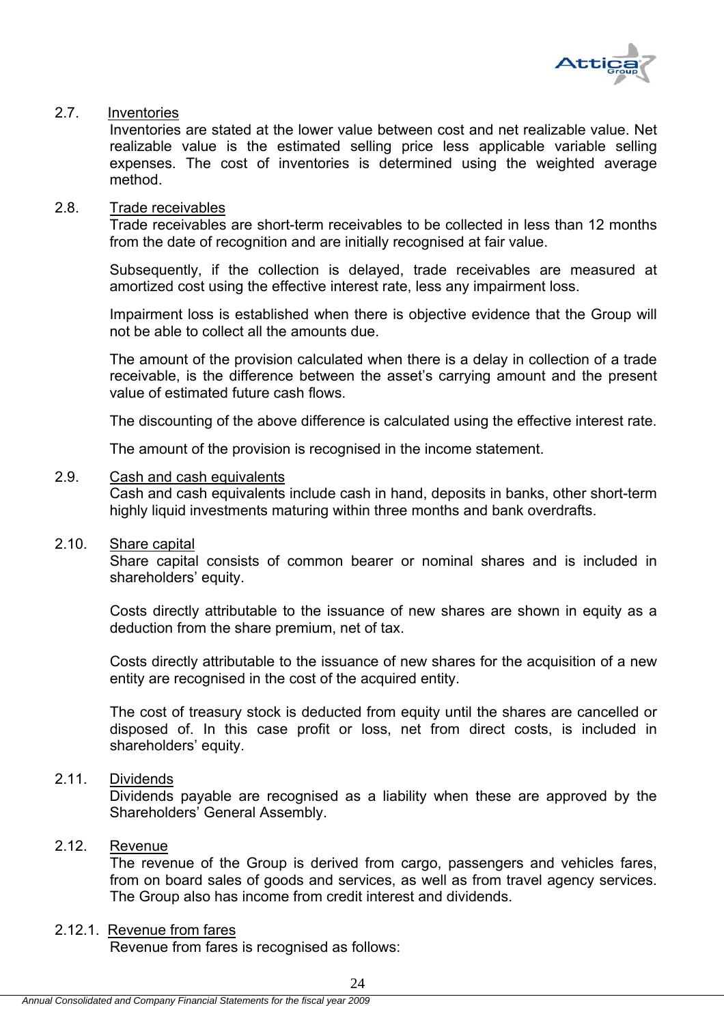

# 2.7. Inventories

Inventories are stated at the lower value between cost and net realizable value. Net realizable value is the estimated selling price less applicable variable selling expenses. The cost of inventories is determined using the weighted average method.

#### 2.8. Trade receivables

Trade receivables are short-term receivables to be collected in less than 12 months from the date of recognition and are initially recognised at fair value.

Subsequently, if the collection is delayed, trade receivables are measured at amortized cost using the effective interest rate, less any impairment loss.

Impairment loss is established when there is objective evidence that the Group will not be able to collect all the amounts due.

The amount of the provision calculated when there is a delay in collection of a trade receivable, is the difference between the asset's carrying amount and the present value of estimated future cash flows.

The discounting of the above difference is calculated using the effective interest rate.

The amount of the provision is recognised in the income statement.

### 2.9. Cash and cash equivalents

Cash and cash equivalents include cash in hand, deposits in banks, other short-term highly liquid investments maturing within three months and bank overdrafts.

#### 2.10. Share capital

Share capital consists of common bearer or nominal shares and is included in shareholders' equity.

Costs directly attributable to the issuance of new shares are shown in equity as a deduction from the share premium, net of tax.

Costs directly attributable to the issuance of new shares for the acquisition of a new entity are recognised in the cost of the acquired entity.

The cost of treasury stock is deducted from equity until the shares are cancelled or disposed of. In this case profit or loss, net from direct costs, is included in shareholders' equity.

# 2.11. Dividends

Dividends payable are recognised as a liability when these are approved by the Shareholders' General Assembly.

# 2.12. Revenue

The revenue of the Group is derived from cargo, passengers and vehicles fares, from on board sales of goods and services, as well as from travel agency services. The Group also has income from credit interest and dividends.

# 2.12.1. Revenue from fares

Revenue from fares is recognised as follows: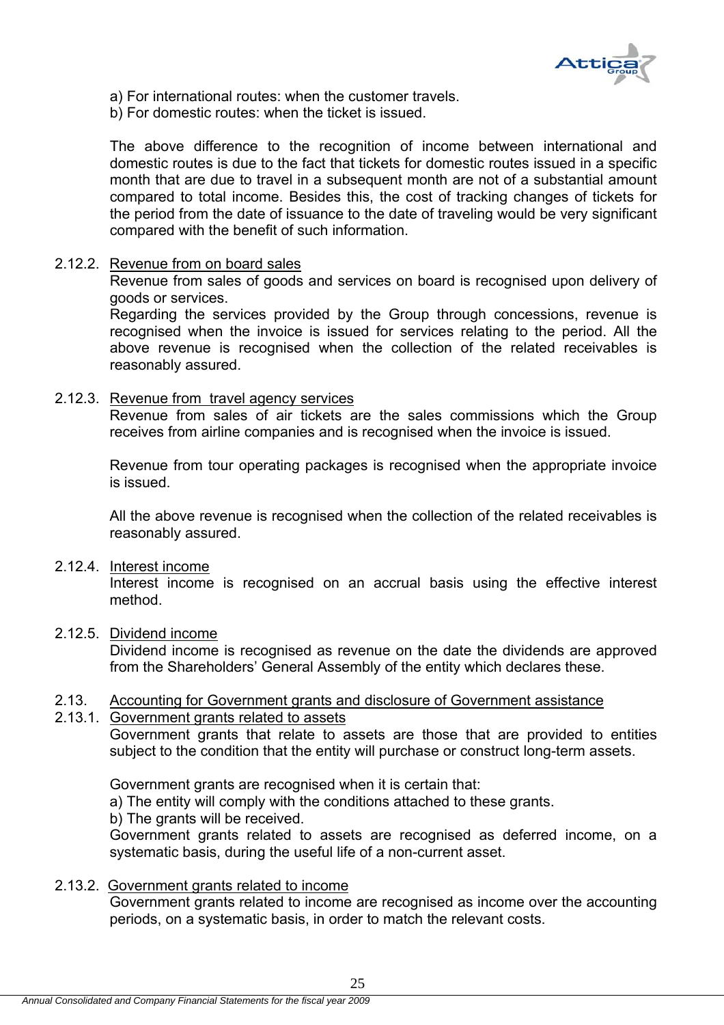

- a) For international routes: when the customer travels.
- b) For domestic routes: when the ticket is issued.

The above difference to the recognition of income between international and domestic routes is due to the fact that tickets for domestic routes issued in a specific month that are due to travel in a subsequent month are not of a substantial amount compared to total income. Besides this, the cost of tracking changes of tickets for the period from the date of issuance to the date of traveling would be very significant compared with the benefit of such information.

#### 2.12.2. Revenue from on board sales

Revenue from sales of goods and services on board is recognised upon delivery of goods or services.

Regarding the services provided by the Group through concessions, revenue is recognised when the invoice is issued for services relating to the period. All the above revenue is recognised when the collection of the related receivables is reasonably assured.

### 2.12.3. Revenue from travel agency services

Revenue from sales of air tickets are the sales commissions which the Group receives from airline companies and is recognised when the invoice is issued.

Revenue from tour operating packages is recognised when the appropriate invoice is issued.

All the above revenue is recognised when the collection of the related receivables is reasonably assured.

#### 2.12.4. Interest income

Interest income is recognised on an accrual basis using the effective interest method.

### 2.12.5. Dividend income

Dividend income is recognised as revenue on the date the dividends are approved from the Shareholders' General Assembly of the entity which declares these.

# 2.13. Accounting for Government grants and disclosure of Government assistance

### 2.13.1. Government grants related to assets

Government grants that relate to assets are those that are provided to entities subject to the condition that the entity will purchase or construct long-term assets.

Government grants are recognised when it is certain that:

a) The entity will comply with the conditions attached to these grants.

b) The grants will be received.

Government grants related to assets are recognised as deferred income, on a systematic basis, during the useful life of a non-current asset.

# 2.13.2. Government grants related to income

Government grants related to income are recognised as income over the accounting periods, on a systematic basis, in order to match the relevant costs.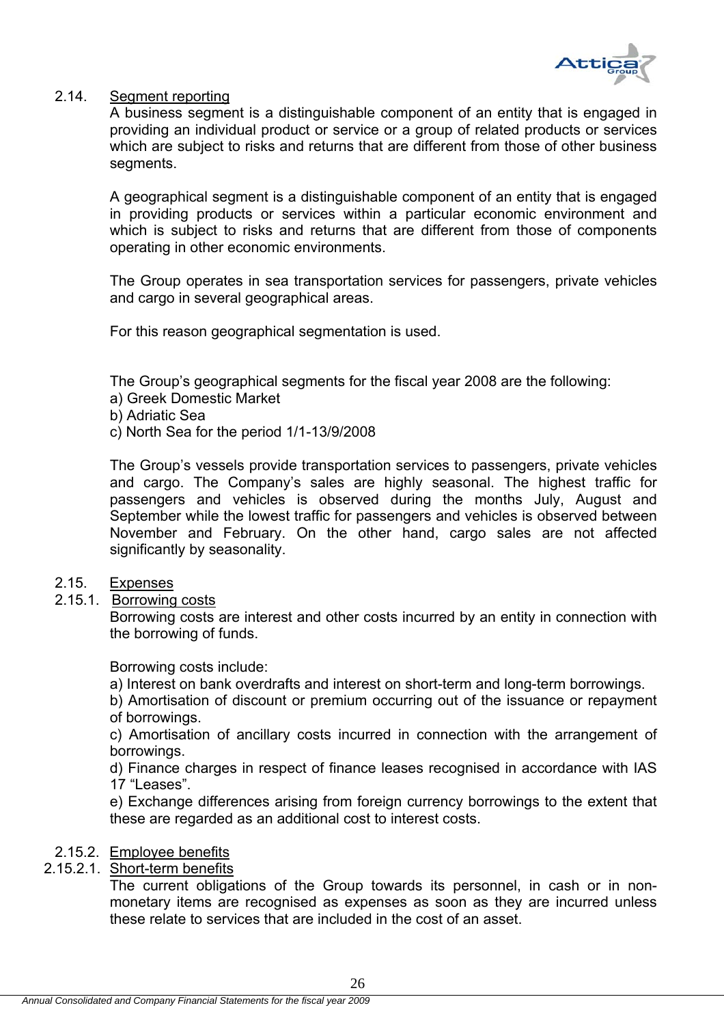

### 2.14. Segment reporting

A business segment is a distinguishable component of an entity that is engaged in providing an individual product or service or a group of related products or services which are subject to risks and returns that are different from those of other business segments.

A geographical segment is a distinguishable component of an entity that is engaged in providing products or services within a particular economic environment and which is subject to risks and returns that are different from those of components operating in other economic environments.

The Group operates in sea transportation services for passengers, private vehicles and cargo in several geographical areas.

For this reason geographical segmentation is used.

The Group's geographical segments for the fiscal year 2008 are the following:

- a) Greek Domestic Market
- b) Adriatic Sea
- c) North Sea for the period 1/1-13/9/2008

The Group's vessels provide transportation services to passengers, private vehicles and cargo. The Company's sales are highly seasonal. The highest traffic for passengers and vehicles is observed during the months July, August and September while the lowest traffic for passengers and vehicles is observed between November and February. On the other hand, cargo sales are not affected significantly by seasonality.

# 2.15. Expenses

2.15.1. Borrowing costs

Borrowing costs are interest and other costs incurred by an entity in connection with the borrowing of funds.

Borrowing costs include:

a) Interest on bank overdrafts and interest on short-term and long-term borrowings.

b) Amortisation of discount or premium occurring out of the issuance or repayment of borrowings.

c) Amortisation of ancillary costs incurred in connection with the arrangement of borrowings.

d) Finance charges in respect of finance leases recognised in accordance with IAS 17 "Leases".

e) Exchange differences arising from foreign currency borrowings to the extent that these are regarded as an additional cost to interest costs.

#### 2.15.2. Employee benefits

# 2.15.2.1. Short-term benefits

The current obligations of the Group towards its personnel, in cash or in nonmonetary items are recognised as expenses as soon as they are incurred unless these relate to services that are included in the cost of an asset.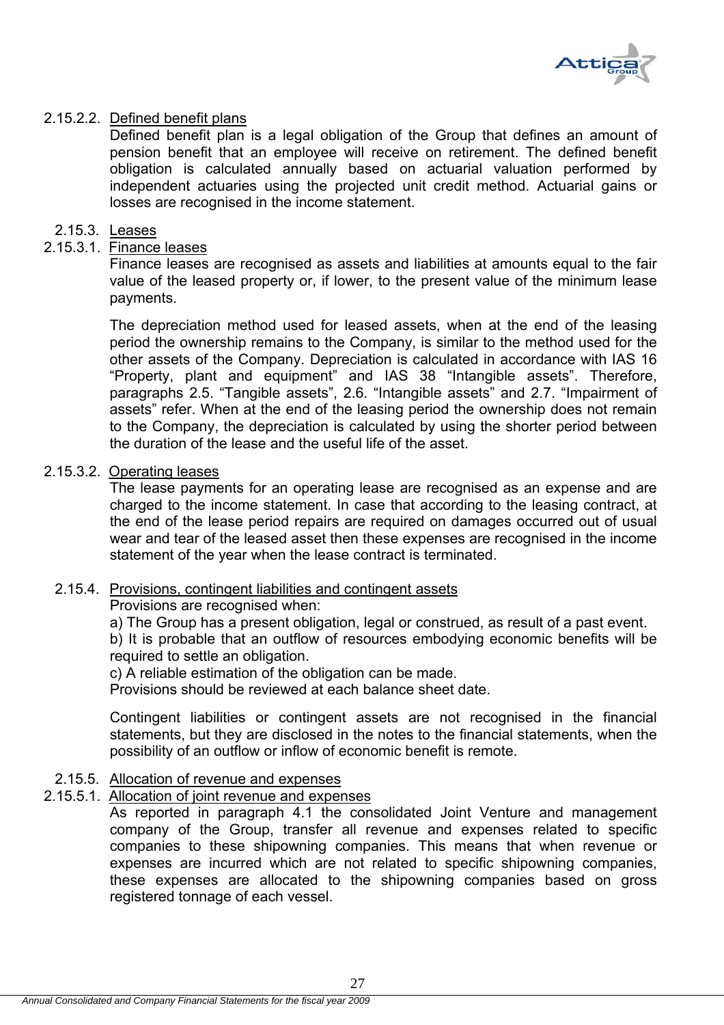

# 2.15.2.2. Defined benefit plans

Defined benefit plan is a legal obligation of the Group that defines an amount of pension benefit that an employee will receive on retirement. The defined benefit obligation is calculated annually based on actuarial valuation performed by independent actuaries using the projected unit credit method. Actuarial gains or losses are recognised in the income statement.

# 2.15.3. Leases

# 2.15.3.1. Finance leases

Finance leases are recognised as assets and liabilities at amounts equal to the fair value of the leased property or, if lower, to the present value of the minimum lease payments.

The depreciation method used for leased assets, when at the end of the leasing period the ownership remains to the Company, is similar to the method used for the other assets of the Company. Depreciation is calculated in accordance with IAS 16 "Property, plant and equipment" and IAS 38 "Intangible assets". Therefore, paragraphs 2.5. "Tangible assets", 2.6. "Intangible assets" and 2.7. "Impairment of assets" refer. When at the end of the leasing period the ownership does not remain to the Company, the depreciation is calculated by using the shorter period between the duration of the lease and the useful life of the asset.

### 2.15.3.2. Operating leases

The lease payments for an operating lease are recognised as an expense and are charged to the income statement. In case that according to the leasing contract, at the end of the lease period repairs are required on damages occurred out of usual wear and tear of the leased asset then these expenses are recognised in the income statement of the year when the lease contract is terminated.

#### 2.15.4. Provisions, contingent liabilities and contingent assets

Provisions are recognised when:

a) The Group has a present obligation, legal or construed, as result of a past event. b) It is probable that an outflow of resources embodying economic benefits will be required to settle an obligation.

c) A reliable estimation of the obligation can be made.

Provisions should be reviewed at each balance sheet date.

Contingent liabilities or contingent assets are not recognised in the financial statements, but they are disclosed in the notes to the financial statements, when the possibility of an outflow or inflow of economic benefit is remote.

# 2.15.5. Allocation of revenue and expenses

# 2.15.5.1. Allocation of joint revenue and expenses

As reported in paragraph 4.1 the consolidated Joint Venture and management company of the Group, transfer all revenue and expenses related to specific companies to these shipowning companies. This means that when revenue or expenses are incurred which are not related to specific shipowning companies, these expenses are allocated to the shipowning companies based on gross registered tonnage of each vessel.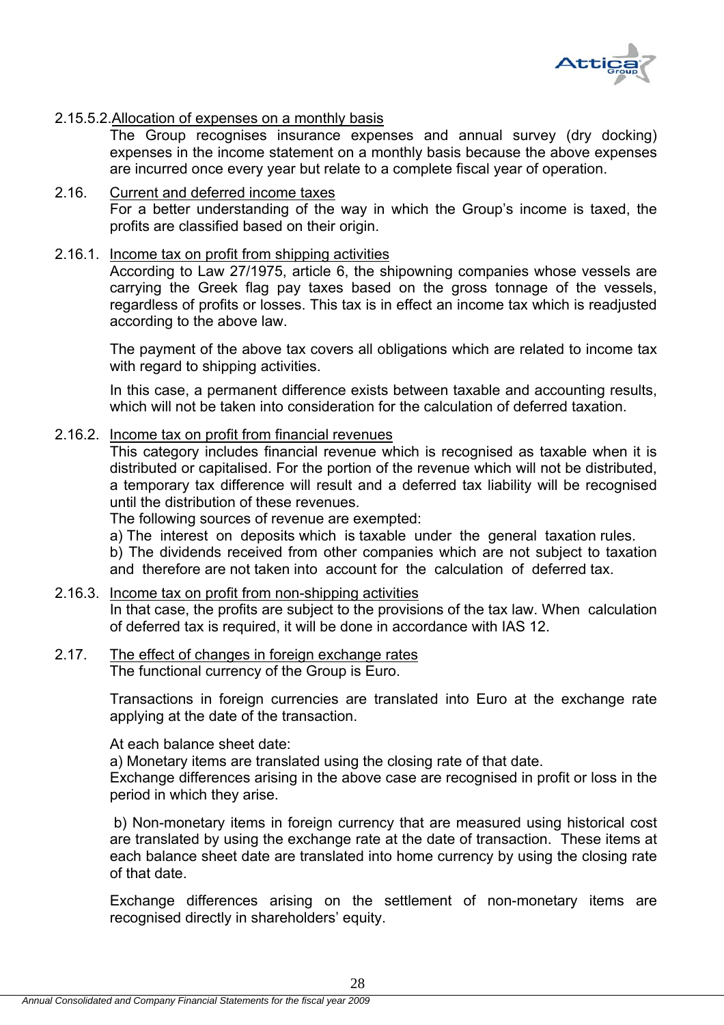

### 2.15.5.2.Allocation of expenses on a monthly basis

The Group recognises insurance expenses and annual survey (dry docking) expenses in the income statement on a monthly basis because the above expenses are incurred once every year but relate to a complete fiscal year of operation.

- 2.16. Current and deferred income taxes For a better understanding of the way in which the Group's income is taxed, the profits are classified based on their origin.
- 2.16.1. Income tax on profit from shipping activities

According to Law 27/1975, article 6, the shipowning companies whose vessels are carrying the Greek flag pay taxes based on the gross tonnage of the vessels, regardless of profits or losses. This tax is in effect an income tax which is readjusted according to the above law.

The payment of the above tax covers all obligations which are related to income tax with regard to shipping activities.

In this case, a permanent difference exists between taxable and accounting results, which will not be taken into consideration for the calculation of deferred taxation.

#### 2.16.2. Income tax on profit from financial revenues

This category includes financial revenue which is recognised as taxable when it is distributed or capitalised. For the portion of the revenue which will not be distributed, a temporary tax difference will result and a deferred tax liability will be recognised until the distribution of these revenues.

The following sources of revenue are exempted:

a) The interest on deposits which is taxable under the general taxation rules.

b) The dividends received from other companies which are not subject to taxation and therefore are not taken into account for the calculation of deferred tax.

# 2.16.3. Income tax on profit from non-shipping activities

In that case, the profits are subject to the provisions of the tax law. When calculation of deferred tax is required, it will be done in accordance with IAS 12.

#### 2.17. The effect of changes in foreign exchange rates The functional currency of the Group is Euro.

Transactions in foreign currencies are translated into Euro at the exchange rate applying at the date of the transaction.

At each balance sheet date:

a) Monetary items are translated using the closing rate of that date.

Exchange differences arising in the above case are recognised in profit or loss in the period in which they arise.

 b) Non-monetary items in foreign currency that are measured using historical cost are translated by using the exchange rate at the date of transaction. These items at each balance sheet date are translated into home currency by using the closing rate of that date.

Exchange differences arising on the settlement of non-monetary items are recognised directly in shareholders' equity.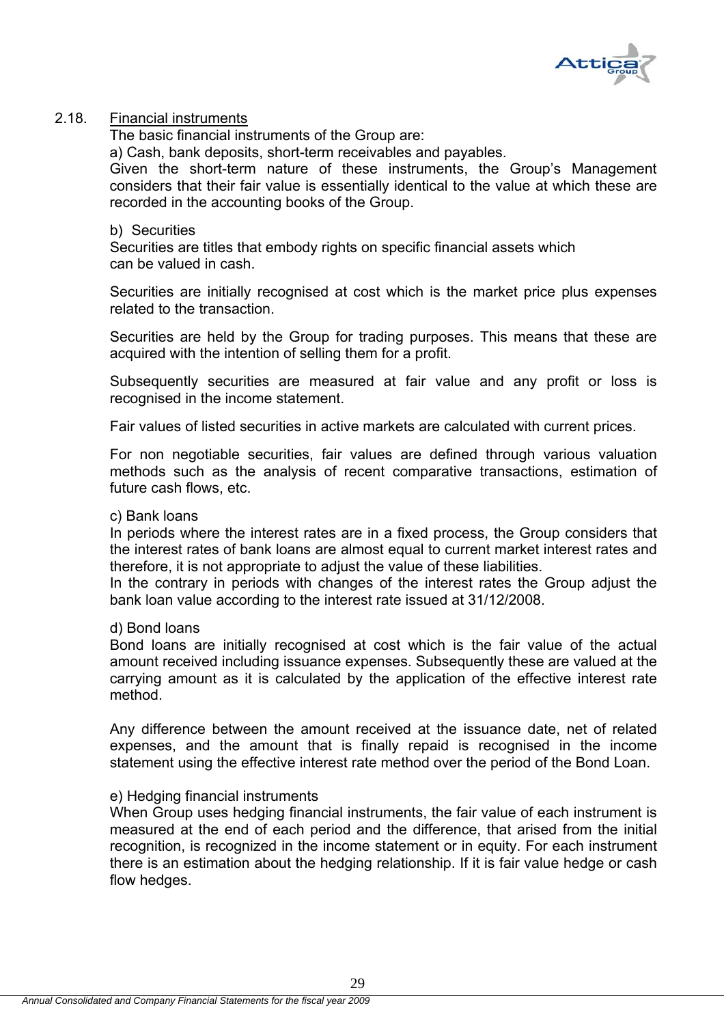

### 2.18. Financial instruments

The basic financial instruments of the Group are:

a) Cash, bank deposits, short-term receivables and payables.

Given the short-term nature of these instruments, the Group's Management considers that their fair value is essentially identical to the value at which these are recorded in the accounting books of the Group.

#### b) Securities

Securities are titles that embody rights on specific financial assets which can be valued in cash.

Securities are initially recognised at cost which is the market price plus expenses related to the transaction.

Securities are held by the Group for trading purposes. This means that these are acquired with the intention of selling them for a profit.

Subsequently securities are measured at fair value and any profit or loss is recognised in the income statement.

Fair values of listed securities in active markets are calculated with current prices.

For non negotiable securities, fair values are defined through various valuation methods such as the analysis of recent comparative transactions, estimation of future cash flows, etc.

#### c) Bank loans

In periods where the interest rates are in a fixed process, the Group considers that the interest rates of bank loans are almost equal to current market interest rates and therefore, it is not appropriate to adjust the value of these liabilities.

In the contrary in periods with changes of the interest rates the Group adjust the bank loan value according to the interest rate issued at 31/12/2008.

#### d) Bond loans

Bond loans are initially recognised at cost which is the fair value of the actual amount received including issuance expenses. Subsequently these are valued at the carrying amount as it is calculated by the application of the effective interest rate method.

Any difference between the amount received at the issuance date, net of related expenses, and the amount that is finally repaid is recognised in the income statement using the effective interest rate method over the period of the Bond Loan.

#### e) Hedging financial instruments

When Group uses hedging financial instruments, the fair value of each instrument is measured at the end of each period and the difference, that arised from the initial recognition, is recognized in the income statement or in equity. For each instrument there is an estimation about the hedging relationship. If it is fair value hedge or cash flow hedges.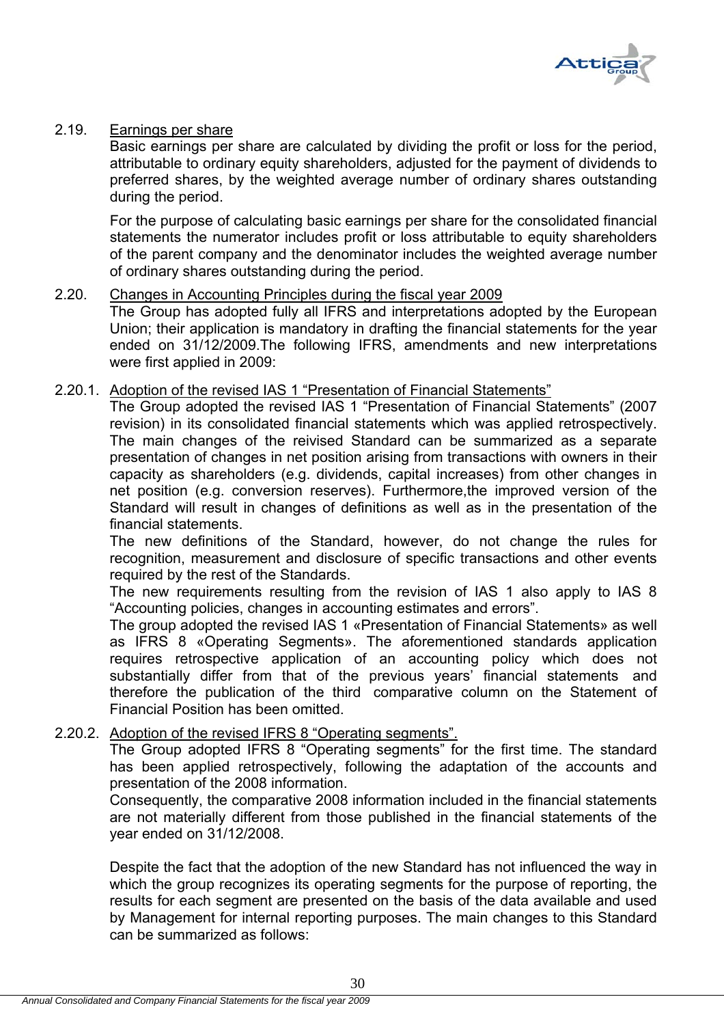

### 2.19. Earnings per share

Basic earnings per share are calculated by dividing the profit or loss for the period, attributable to ordinary equity shareholders, adjusted for the payment of dividends to preferred shares, by the weighted average number of ordinary shares outstanding during the period.

For the purpose of calculating basic earnings per share for the consolidated financial statements the numerator includes profit or loss attributable to equity shareholders of the parent company and the denominator includes the weighted average number of ordinary shares outstanding during the period.

#### 2.20. Changes in Accounting Principles during the fiscal year 2009

The Group has adopted fully all IFRS and interpretations adopted by the European Union; their application is mandatory in drafting the financial statements for the year ended on 31/12/2009.The following IFRS, amendments and new interpretations were first applied in 2009:

### 2.20.1. Adoption of the revised IAS 1 "Presentation of Financial Statements"

The Group adopted the revised IAS 1 "Presentation of Financial Statements" (2007 revision) in its consolidated financial statements which was applied retrospectively. The main changes of the reivised Standard can be summarized as a separate presentation of changes in net position arising from transactions with owners in their capacity as shareholders (e.g. dividends, capital increases) from other changes in net position (e.g. conversion reserves). Furthermore,the improved version of the Standard will result in changes of definitions as well as in the presentation of the financial statements.

The new definitions of the Standard, however, do not change the rules for recognition, measurement and disclosure of specific transactions and other events required by the rest of the Standards.

The new requirements resulting from the revision of IAS 1 also apply to IAS 8 "Accounting policies, changes in accounting estimates and errors".

The group adopted the revised IAS 1 «Presentation of Financial Statements» as well as IFRS 8 «Operating Segments». The aforementioned standards application requires retrospective application of an accounting policy which does not substantially differ from that of the previous years' financial statements and therefore the publication of the third comparative column on the Statement of Financial Position has been omitted.

# 2.20.2. Adoption of the revised IFRS 8 "Operating segments".

The Group adopted IFRS 8 "Operating segments" for the first time. The standard has been applied retrospectively, following the adaptation of the accounts and presentation of the 2008 information.

Consequently, the comparative 2008 information included in the financial statements are not materially different from those published in the financial statements of the year ended on 31/12/2008.

Despite the fact that the adoption of the new Standard has not influenced the way in which the group recognizes its operating segments for the purpose of reporting, the results for each segment are presented on the basis of the data available and used by Management for internal reporting purposes. The main changes to this Standard can be summarized as follows: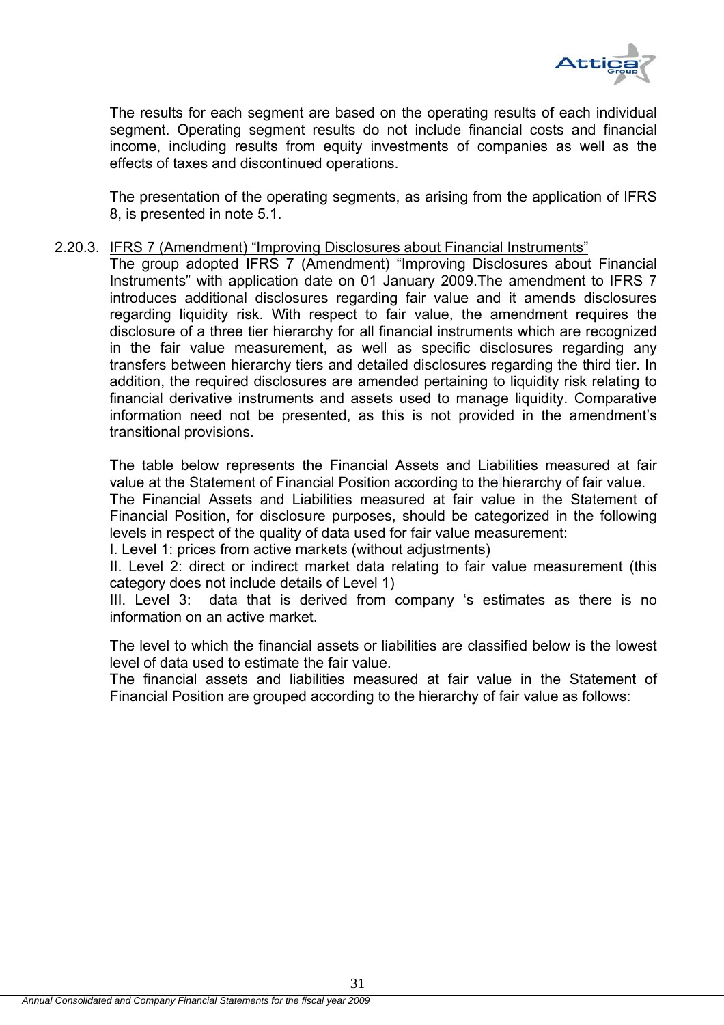

The results for each segment are based on the operating results of each individual segment. Operating segment results do not include financial costs and financial income, including results from equity investments of companies as well as the effects of taxes and discontinued operations.

The presentation of the operating segments, as arising from the application of IFRS 8, is presented in note 5.1.

#### 2.20.3. IFRS 7 (Amendment) "Improving Disclosures about Financial Instruments"

The group adopted IFRS 7 (Amendment) "Improving Disclosures about Financial Instruments" with application date on 01 January 2009.The amendment to IFRS 7 introduces additional disclosures regarding fair value and it amends disclosures regarding liquidity risk. With respect to fair value, the amendment requires the disclosure of a three tier hierarchy for all financial instruments which are recognized in the fair value measurement, as well as specific disclosures regarding any transfers between hierarchy tiers and detailed disclosures regarding the third tier. In addition, the required disclosures are amended pertaining to liquidity risk relating to financial derivative instruments and assets used to manage liquidity. Comparative information need not be presented, as this is not provided in the amendment's transitional provisions.

The table below represents the Financial Assets and Liabilities measured at fair value at the Statement of Financial Position according to the hierarchy of fair value.

The Financial Assets and Liabilities measured at fair value in the Statement of Financial Position, for disclosure purposes, should be categorized in the following levels in respect of the quality of data used for fair value measurement:

Ι. Level 1: prices from active markets (without adjustments)

ΙΙ. Level 2: direct or indirect market data relating to fair value measurement (this category does not include details of Level 1)

ΙΙΙ. Level 3: data that is derived from company 's estimates as there is no information on an active market.

The level to which the financial assets or liabilities are classified below is the lowest level of data used to estimate the fair value.

The financial assets and liabilities measured at fair value in the Statement of Financial Position are grouped according to the hierarchy of fair value as follows: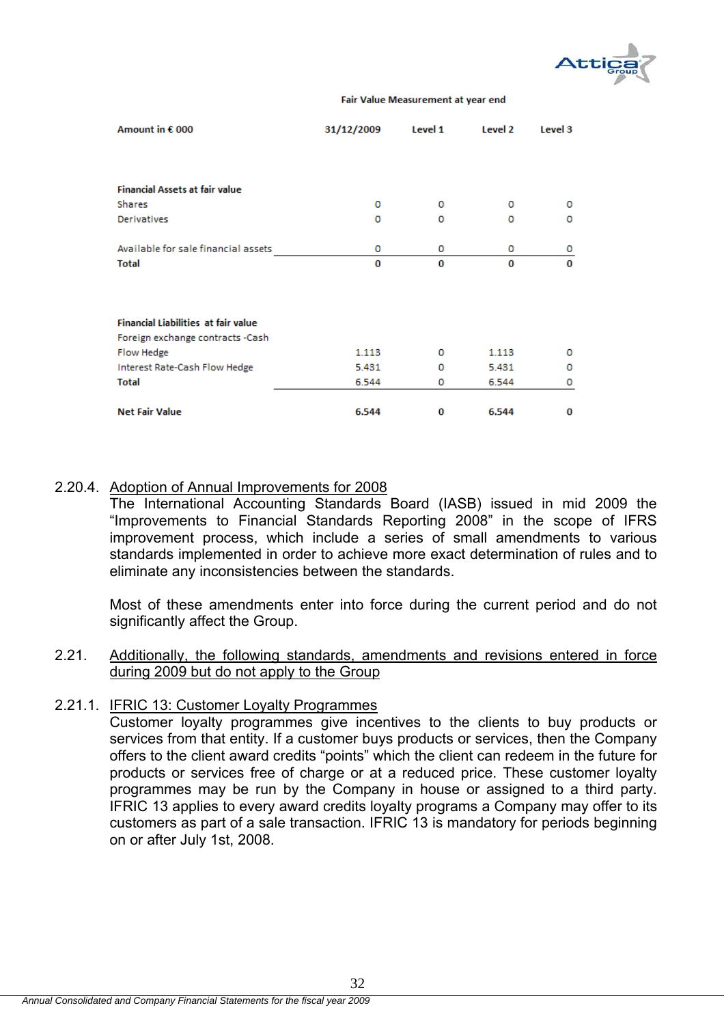

#### Fair Value Measurement at year end

| Amount in € 000                            | 31/12/2009 | Level 1 | Level 2 | Level 3 |
|--------------------------------------------|------------|---------|---------|---------|
|                                            |            |         |         |         |
|                                            |            |         |         |         |
| <b>Financial Assets at fair value</b>      |            |         |         |         |
| <b>Shares</b>                              | 0          | 0       | 0       | o       |
| <b>Derivatives</b>                         | 0          | o       | 0       | 0       |
| Available for sale financial assets        | 0          | 0       | 0       | 0       |
| <b>Total</b>                               | 0          | 0       | 0       | 0       |
|                                            |            |         |         |         |
| <b>Financial Liabilities at fair value</b> |            |         |         |         |
| Foreign exchange contracts -Cash           |            |         |         |         |
| Flow Hedge                                 | 1.113      | 0       | 1.113   | 0       |
| Interest Rate-Cash Flow Hedge              | 5.431      | 0       | 5.431   | o       |
| <b>Total</b>                               | 6.544      | 0       | 6.544   | 0       |
| <b>Net Fair Value</b>                      | 6.544      | 0       | 6.544   | 0       |

### 2.20.4. Adoption of Annual Improvements for 2008

The International Accounting Standards Board (IASB) issued in mid 2009 the "Improvements to Financial Standards Reporting 2008" in the scope of IFRS improvement process, which include a series of small amendments to various standards implemented in order to achieve more exact determination of rules and to eliminate any inconsistencies between the standards.

Most of these amendments enter into force during the current period and do not significantly affect the Group.

### 2.21. Additionally, the following standards, amendments and revisions entered in force during 2009 but do not apply to the Group

#### 2.21.1. IFRIC 13: Customer Loyalty Programmes

Customer loyalty programmes give incentives to the clients to buy products or services from that entity. If a customer buys products or services, then the Company offers to the client award credits "points" which the client can redeem in the future for products or services free of charge or at a reduced price. These customer loyalty programmes may be run by the Company in house or assigned to a third party. IFRIC 13 applies to every award credits loyalty programs a Company may offer to its customers as part of a sale transaction. IFRIC 13 is mandatory for periods beginning on or after July 1st, 2008.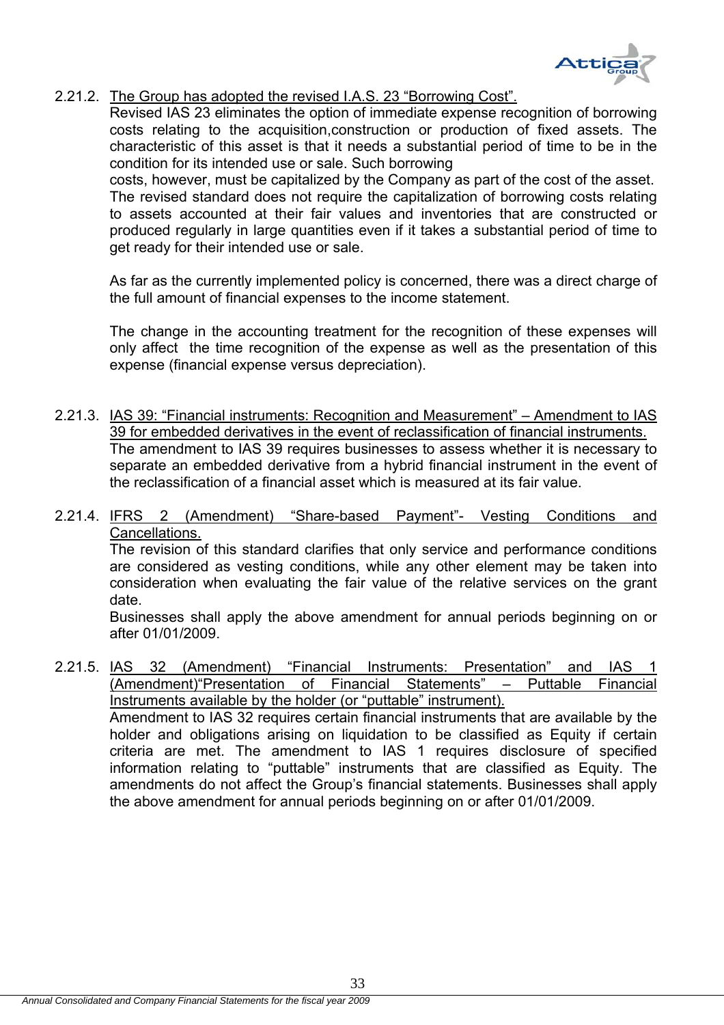

# 2.21.2. The Group has adopted the revised I.A.S. 23 "Borrowing Cost".

Revised IAS 23 eliminates the option of immediate expense recognition of borrowing costs relating to the acquisition,construction or production of fixed assets. The characteristic of this asset is that it needs a substantial period of time to be in the condition for its intended use or sale. Such borrowing

costs, however, must be capitalized by the Company as part of the cost of the asset. The revised standard does not require the capitalization of borrowing costs relating to assets accounted at their fair values and inventories that are constructed or produced regularly in large quantities even if it takes a substantial period of time to get ready for their intended use or sale.

As far as the currently implemented policy is concerned, there was a direct charge of the full amount of financial expenses to the income statement.

The change in the accounting treatment for the recognition of these expenses will only affect the time recognition of the expense as well as the presentation of this expense (financial expense versus depreciation).

- 2.21.3. IAS 39: "Financial instruments: Recognition and Measurement" Amendment to IAS 39 for embedded derivatives in the event of reclassification of financial instruments. The amendment to IAS 39 requires businesses to assess whether it is necessary to separate an embedded derivative from a hybrid financial instrument in the event of the reclassification of a financial asset which is measured at its fair value.
- 2.21.4. IFRS 2 (Amendment) "Share-based Payment"- Vesting Conditions and Cancellations.

The revision of this standard clarifies that only service and performance conditions are considered as vesting conditions, while any other element may be taken into consideration when evaluating the fair value of the relative services on the grant date.

Businesses shall apply the above amendment for annual periods beginning on or after 01/01/2009.

2.21.5. IAS 32 (Amendment) "Financial Instruments: Presentation" and IAS 1 (Amendment)"Presentation of Financial Statements" – Puttable Financial Instruments available by the holder (or "puttable" instrument). Amendment to IAS 32 requires certain financial instruments that are available by the holder and obligations arising on liquidation to be classified as Equity if certain criteria are met. The amendment to IAS 1 requires disclosure of specified information relating to "puttable" instruments that are classified as Equity. The amendments do not affect the Group's financial statements. Businesses shall apply the above amendment for annual periods beginning on or after 01/01/2009.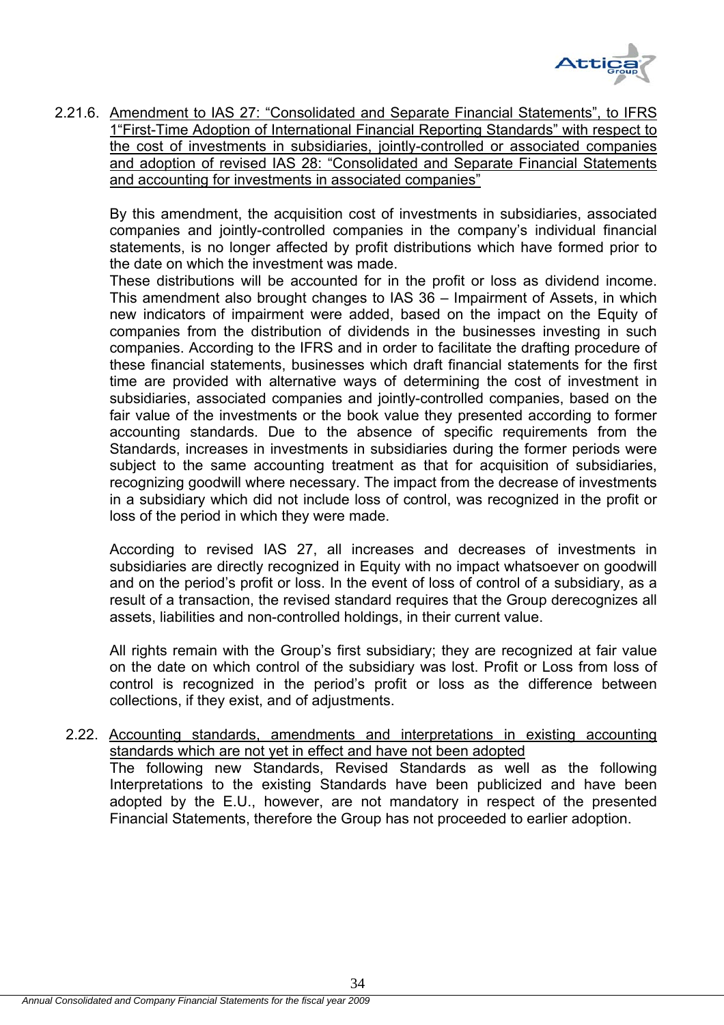

2.21.6. Amendment to IAS 27: "Consolidated and Separate Financial Statements", to IFRS 1"First-Time Adoption of International Financial Reporting Standards" with respect to the cost of investments in subsidiaries, jointly-controlled or associated companies and adoption of revised IAS 28: "Consolidated and Separate Financial Statements and accounting for investments in associated companies"

By this amendment, the acquisition cost of investments in subsidiaries, associated companies and jointly-controlled companies in the company's individual financial statements, is no longer affected by profit distributions which have formed prior to the date on which the investment was made.

These distributions will be accounted for in the profit or loss as dividend income. This amendment also brought changes to IAS 36 – Impairment of Assets, in which new indicators of impairment were added, based on the impact on the Equity of companies from the distribution of dividends in the businesses investing in such companies. According to the IFRS and in order to facilitate the drafting procedure of these financial statements, businesses which draft financial statements for the first time are provided with alternative ways of determining the cost of investment in subsidiaries, associated companies and jointly-controlled companies, based on the fair value of the investments or the book value they presented according to former accounting standards. Due to the absence of specific requirements from the Standards, increases in investments in subsidiaries during the former periods were subject to the same accounting treatment as that for acquisition of subsidiaries, recognizing goodwill where necessary. The impact from the decrease of investments in a subsidiary which did not include loss of control, was recognized in the profit or loss of the period in which they were made.

According to revised IAS 27, all increases and decreases of investments in subsidiaries are directly recognized in Equity with no impact whatsoever on goodwill and on the period's profit or loss. In the event of loss of control of a subsidiary, as a result of a transaction, the revised standard requires that the Group derecognizes all assets, liabilities and non-controlled holdings, in their current value.

All rights remain with the Group's first subsidiary; they are recognized at fair value on the date on which control of the subsidiary was lost. Profit or Loss from loss of control is recognized in the period's profit or loss as the difference between collections, if they exist, and of adjustments.

2.22. Accounting standards, amendments and interpretations in existing accounting standards which are not yet in effect and have not been adopted The following new Standards, Revised Standards as well as the following Interpretations to the existing Standards have been publicized and have been adopted by the E.U., however, are not mandatory in respect of the presented Financial Statements, therefore the Group has not proceeded to earlier adoption.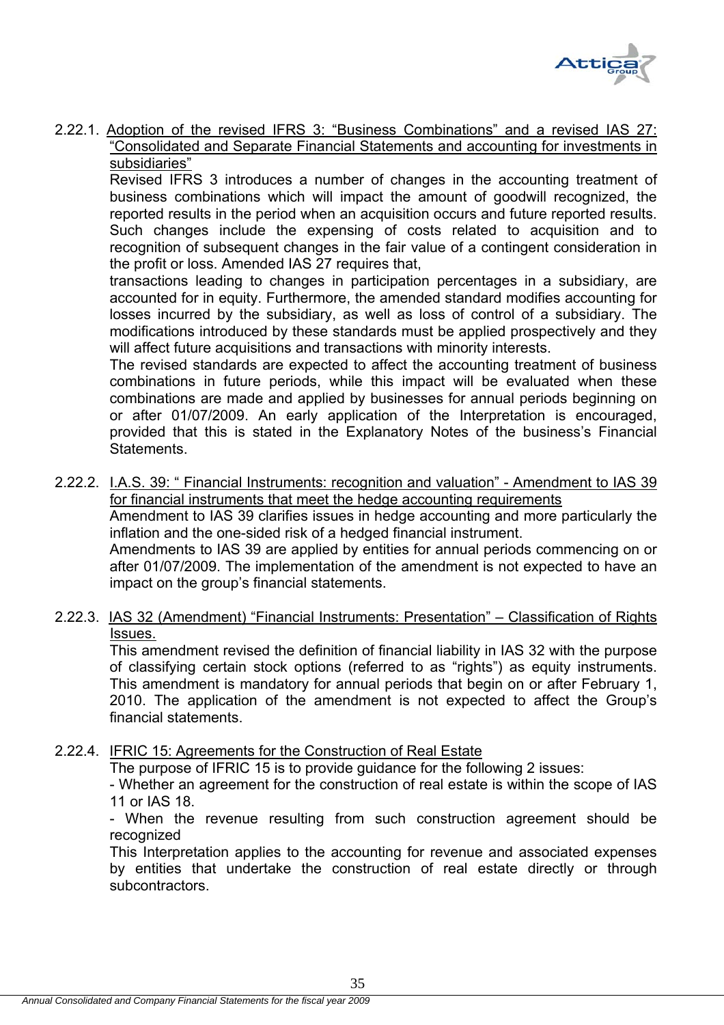

2.22.1. Adoption of the revised IFRS 3: "Business Combinations" and a revised IAS 27: "Consolidated and Separate Financial Statements and accounting for investments in subsidiaries"

Revised IFRS 3 introduces a number of changes in the accounting treatment of business combinations which will impact the amount of goodwill recognized, the reported results in the period when an acquisition occurs and future reported results. Such changes include the expensing of costs related to acquisition and to recognition of subsequent changes in the fair value of a contingent consideration in the profit or loss. Amended IAS 27 requires that,

transactions leading to changes in participation percentages in a subsidiary, are accounted for in equity. Furthermore, the amended standard modifies accounting for losses incurred by the subsidiary, as well as loss of control of a subsidiary. The modifications introduced by these standards must be applied prospectively and they will affect future acquisitions and transactions with minority interests.

The revised standards are expected to affect the accounting treatment of business combinations in future periods, while this impact will be evaluated when these combinations are made and applied by businesses for annual periods beginning on or after 01/07/2009. An early application of the Interpretation is encouraged, provided that this is stated in the Explanatory Notes of the business's Financial Statements.

2.22.2. I.A.S. 39: " Financial Instruments: recognition and valuation" - Amendment to IAS 39 for financial instruments that meet the hedge accounting requirements Amendment to IAS 39 clarifies issues in hedge accounting and more particularly the inflation and the one-sided risk of a hedged financial instrument. Amendments to IAS 39 are applied by entities for annual periods commencing on or after 01/07/2009. The implementation of the amendment is not expected to have an impact on the group's financial statements.

# 2.22.3. IAS 32 (Amendment) "Financial Instruments: Presentation" – Classification of Rights Issues.

This amendment revised the definition of financial liability in IAS 32 with the purpose of classifying certain stock options (referred to as "rights") as equity instruments. This amendment is mandatory for annual periods that begin on or after February 1, 2010. The application of the amendment is not expected to affect the Group's financial statements.

2.22.4. IFRIC 15: Agreements for the Construction of Real Estate

The purpose of IFRIC 15 is to provide guidance for the following 2 issues:

- Whether an agreement for the construction of real estate is within the scope of IAS 11 or IAS 18.

- When the revenue resulting from such construction agreement should be recognized

This Interpretation applies to the accounting for revenue and associated expenses by entities that undertake the construction of real estate directly or through subcontractors.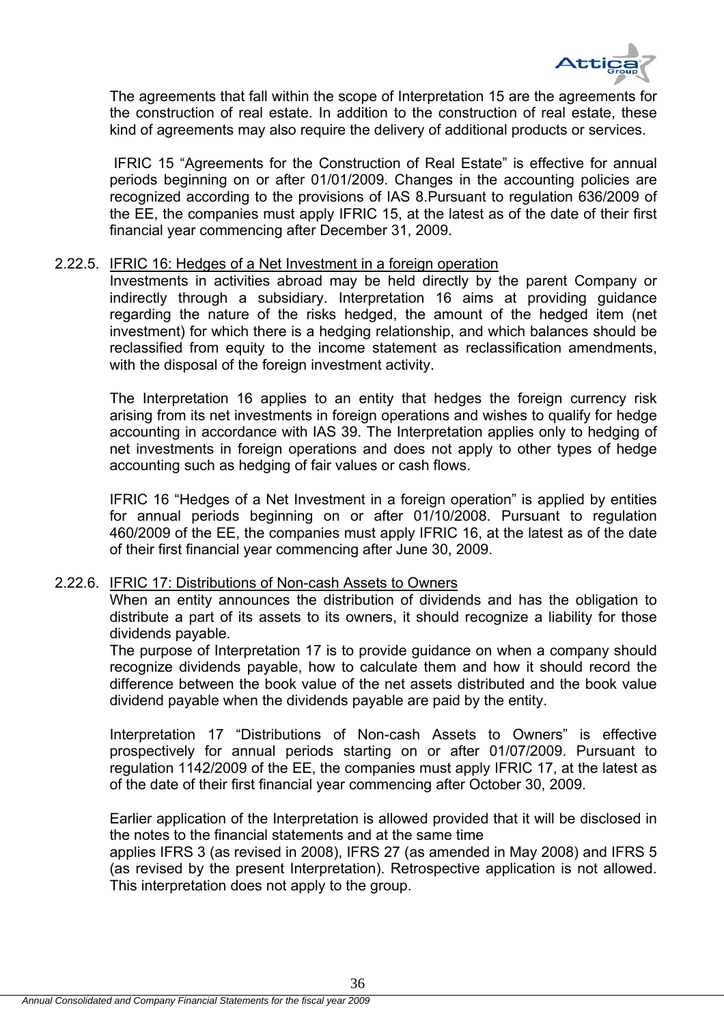

The agreements that fall within the scope of Interpretation 15 are the agreements for the construction of real estate. In addition to the construction of real estate, these kind of agreements may also require the delivery of additional products or services.

 IFRIC 15 "Agreements for the Construction of Real Estate" is effective for annual periods beginning on or after 01/01/2009. Changes in the accounting policies are recognized according to the provisions of IAS 8.Pursuant to regulation 636/2009 of the EE, the companies must apply IFRIC 15, at the latest as of the date of their first financial year commencing after December 31, 2009.

#### 2.22.5. IFRIC 16: Hedges of a Net Investment in a foreign operation

Investments in activities abroad may be held directly by the parent Company or indirectly through a subsidiary. Interpretation 16 aims at providing guidance regarding the nature of the risks hedged, the amount of the hedged item (net investment) for which there is a hedging relationship, and which balances should be reclassified from equity to the income statement as reclassification amendments, with the disposal of the foreign investment activity.

The Interpretation 16 applies to an entity that hedges the foreign currency risk arising from its net investments in foreign operations and wishes to qualify for hedge accounting in accordance with IAS 39. The Interpretation applies only to hedging of net investments in foreign operations and does not apply to other types of hedge accounting such as hedging of fair values or cash flows.

IFRIC 16 "Hedges of a Net Investment in a foreign operation" is applied by entities for annual periods beginning on or after 01/10/2008. Pursuant to regulation 460/2009 of the EE, the companies must apply IFRIC 16, at the latest as of the date of their first financial year commencing after June 30, 2009.

#### 2.22.6. IFRIC 17: Distributions of Non-cash Assets to Owners

When an entity announces the distribution of dividends and has the obligation to distribute a part of its assets to its owners, it should recognize a liability for those dividends payable.

The purpose of Interpretation 17 is to provide guidance on when a company should recognize dividends payable, how to calculate them and how it should record the difference between the book value of the net assets distributed and the book value dividend payable when the dividends payable are paid by the entity.

Interpretation 17 "Distributions of Non-cash Assets to Owners" is effective prospectively for annual periods starting on or after 01/07/2009. Pursuant to regulation 1142/2009 of the EE, the companies must apply IFRIC 17, at the latest as of the date of their first financial year commencing after October 30, 2009.

Earlier application of the Interpretation is allowed provided that it will be disclosed in the notes to the financial statements and at the same time

applies IFRS 3 (as revised in 2008), IFRS 27 (as amended in May 2008) and IFRS 5 (as revised by the present Interpretation). Retrospective application is not allowed. This interpretation does not apply to the group.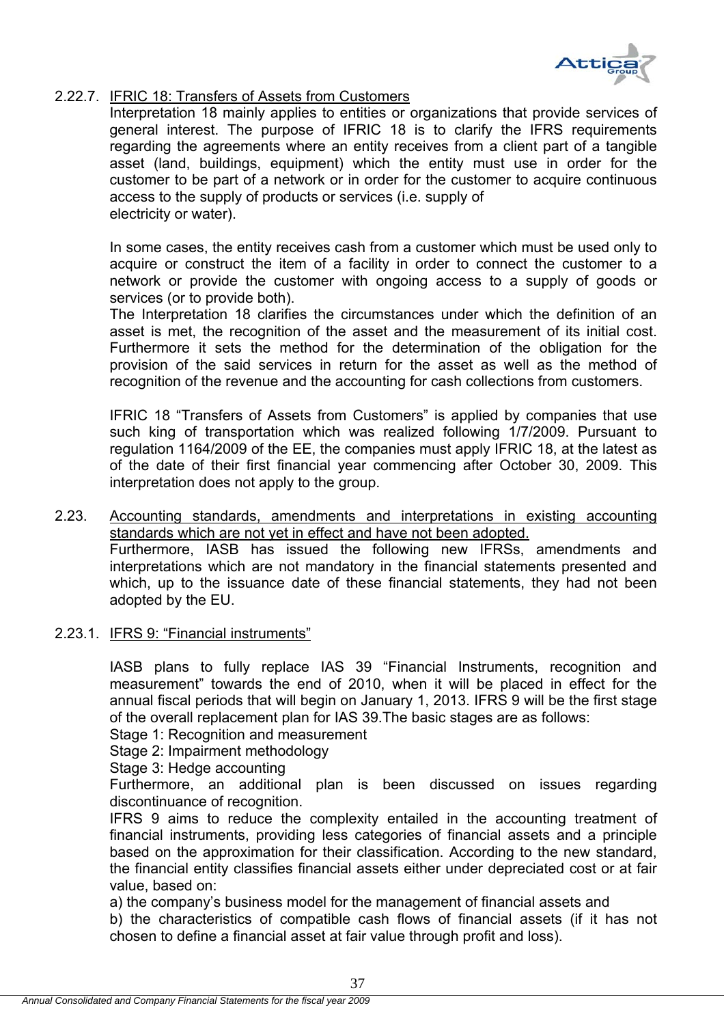

# 2.22.7. IFRIC 18: Transfers of Assets from Customers

Interpretation 18 mainly applies to entities or organizations that provide services of general interest. The purpose of IFRIC 18 is to clarify the IFRS requirements regarding the agreements where an entity receives from a client part of a tangible asset (land, buildings, equipment) which the entity must use in order for the customer to be part of a network or in order for the customer to acquire continuous access to the supply of products or services (i.e. supply of electricity or water).

In some cases, the entity receives cash from a customer which must be used only to acquire or construct the item of a facility in order to connect the customer to a network or provide the customer with ongoing access to a supply of goods or services (or to provide both).

The Interpretation 18 clarifies the circumstances under which the definition of an asset is met, the recognition of the asset and the measurement of its initial cost. Furthermore it sets the method for the determination of the obligation for the provision of the said services in return for the asset as well as the method of recognition of the revenue and the accounting for cash collections from customers.

IFRIC 18 "Transfers of Assets from Customers" is applied by companies that use such king of transportation which was realized following 1/7/2009. Pursuant to regulation 1164/2009 of the EE, the companies must apply IFRIC 18, at the latest as of the date of their first financial year commencing after October 30, 2009. This interpretation does not apply to the group.

2.23. Accounting standards, amendments and interpretations in existing accounting standards which are not yet in effect and have not been adopted. Furthermore, IASB has issued the following new IFRSs, amendments and interpretations which are not mandatory in the financial statements presented and which, up to the issuance date of these financial statements, they had not been adopted by the EU.

# 2.23.1. IFRS 9: "Financial instruments"

IASB plans to fully replace IAS 39 "Financial Instruments, recognition and measurement" towards the end of 2010, when it will be placed in effect for the annual fiscal periods that will begin on January 1, 2013. IFRS 9 will be the first stage of the overall replacement plan for IAS 39.The basic stages are as follows:

Stage 1: Recognition and measurement

Stage 2: Impairment methodology

Stage 3: Hedge accounting

Furthermore, an additional plan is been discussed on issues regarding discontinuance of recognition.

IFRS 9 aims to reduce the complexity entailed in the accounting treatment of financial instruments, providing less categories of financial assets and a principle based on the approximation for their classification. According to the new standard, the financial entity classifies financial assets either under depreciated cost or at fair value, based on:

a) the company's business model for the management of financial assets and

b) the characteristics of compatible cash flows of financial assets (if it has not chosen to define a financial asset at fair value through profit and loss).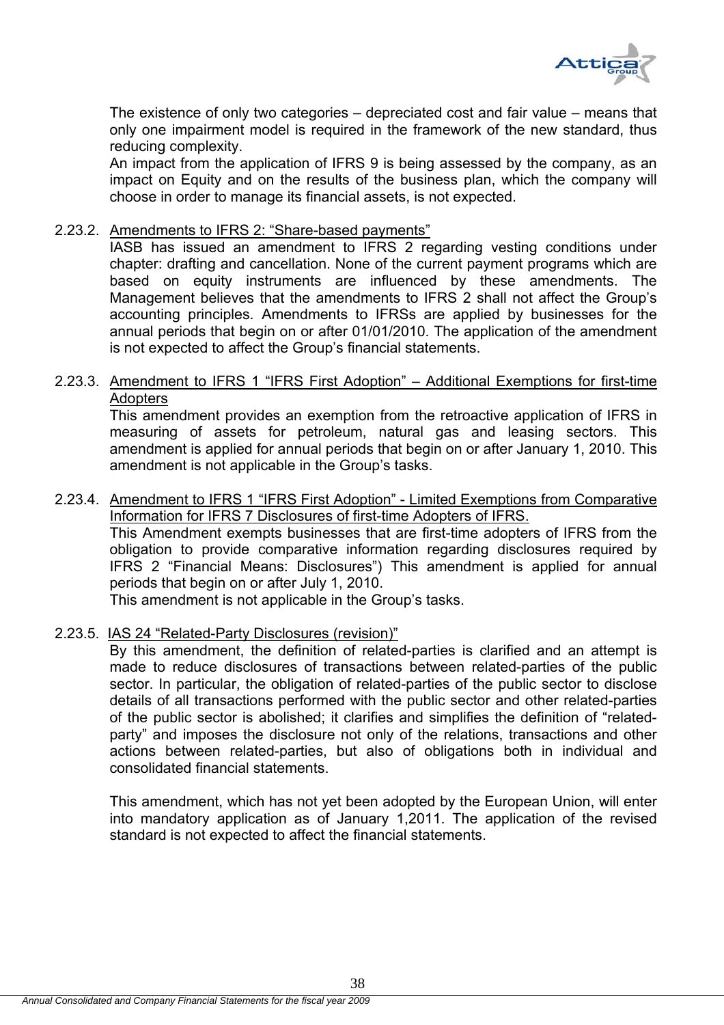

The existence of only two categories – depreciated cost and fair value – means that only one impairment model is required in the framework of the new standard, thus reducing complexity.

An impact from the application of IFRS 9 is being assessed by the company, as an impact on Equity and on the results of the business plan, which the company will choose in order to manage its financial assets, is not expected.

### 2.23.2. Amendments to IFRS 2: "Share-based payments"

IASB has issued an amendment to IFRS 2 regarding vesting conditions under chapter: drafting and cancellation. None of the current payment programs which are based on equity instruments are influenced by these amendments. The Management believes that the amendments to IFRS 2 shall not affect the Group's accounting principles. Amendments to IFRSs are applied by businesses for the annual periods that begin on or after 01/01/2010. The application of the amendment is not expected to affect the Group's financial statements.

# 2.23.3. Amendment to IFRS 1 "IFRS First Adoption" – Additional Exemptions for first-time **Adopters**

This amendment provides an exemption from the retroactive application of IFRS in measuring of assets for petroleum, natural gas and leasing sectors. This amendment is applied for annual periods that begin on or after January 1, 2010. This amendment is not applicable in the Group's tasks.

# 2.23.4. Amendment to IFRS 1 "IFRS First Adoption" - Limited Exemptions from Comparative Information for IFRS 7 Disclosures of first-time Adopters of IFRS.

This Amendment exempts businesses that are first-time adopters of IFRS from the obligation to provide comparative information regarding disclosures required by IFRS 2 "Financial Means: Disclosures") This amendment is applied for annual periods that begin on or after July 1, 2010.

This amendment is not applicable in the Group's tasks.

# 2.23.5. IAS 24 "Related-Party Disclosures (revision)"

By this amendment, the definition of related-parties is clarified and an attempt is made to reduce disclosures of transactions between related-parties of the public sector. In particular, the obligation of related-parties of the public sector to disclose details of all transactions performed with the public sector and other related-parties of the public sector is abolished; it clarifies and simplifies the definition of "relatedparty" and imposes the disclosure not only of the relations, transactions and other actions between related-parties, but also of obligations both in individual and consolidated financial statements.

This amendment, which has not yet been adopted by the European Union, will enter into mandatory application as of January 1,2011. The application of the revised standard is not expected to affect the financial statements.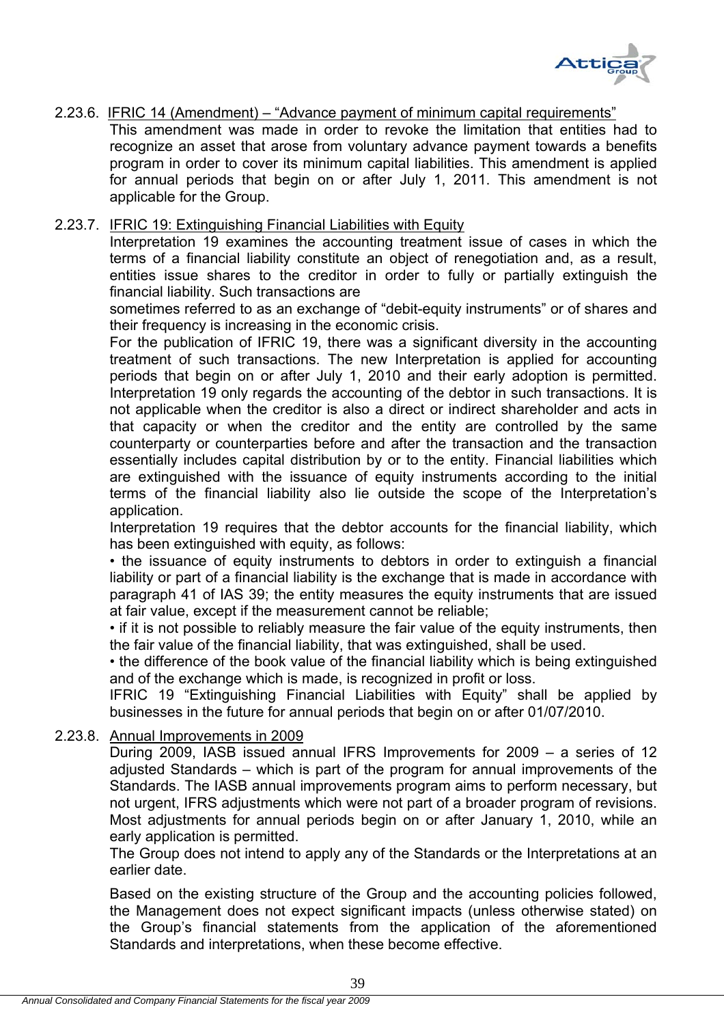

# 2.23.6. IFRIC 14 (Amendment) – "Advance payment of minimum capital requirements"

This amendment was made in order to revoke the limitation that entities had to recognize an asset that arose from voluntary advance payment towards a benefits program in order to cover its minimum capital liabilities. This amendment is applied for annual periods that begin on or after July 1, 2011. This amendment is not applicable for the Group.

# 2.23.7. IFRIC 19: Extinguishing Financial Liabilities with Equity

Interpretation 19 examines the accounting treatment issue of cases in which the terms of a financial liability constitute an object of renegotiation and, as a result, entities issue shares to the creditor in order to fully or partially extinguish the financial liability. Such transactions are

sometimes referred to as an exchange of "debit-equity instruments" or of shares and their frequency is increasing in the economic crisis.

For the publication of IFRIC 19, there was a significant diversity in the accounting treatment of such transactions. The new Interpretation is applied for accounting periods that begin on or after July 1, 2010 and their early adoption is permitted. Interpretation 19 only regards the accounting of the debtor in such transactions. It is not applicable when the creditor is also a direct or indirect shareholder and acts in that capacity or when the creditor and the entity are controlled by the same counterparty or counterparties before and after the transaction and the transaction essentially includes capital distribution by or to the entity. Financial liabilities which are extinguished with the issuance of equity instruments according to the initial terms of the financial liability also lie outside the scope of the Interpretation's application.

Interpretation 19 requires that the debtor accounts for the financial liability, which has been extinguished with equity, as follows:

• the issuance of equity instruments to debtors in order to extinguish a financial liability or part of a financial liability is the exchange that is made in accordance with paragraph 41 of IAS 39; the entity measures the equity instruments that are issued at fair value, except if the measurement cannot be reliable;

• if it is not possible to reliably measure the fair value of the equity instruments, then the fair value of the financial liability, that was extinguished, shall be used.

• the difference of the book value of the financial liability which is being extinguished and of the exchange which is made, is recognized in profit or loss.

IFRIC 19 "Extinguishing Financial Liabilities with Equity" shall be applied by businesses in the future for annual periods that begin on or after 01/07/2010.

# 2.23.8. Annual Improvements in 2009

During 2009, IASB issued annual IFRS Improvements for 2009 – a series of 12 adjusted Standards – which is part of the program for annual improvements of the Standards. The IASB annual improvements program aims to perform necessary, but not urgent, IFRS adjustments which were not part of a broader program of revisions. Most adjustments for annual periods begin on or after January 1, 2010, while an early application is permitted.

The Group does not intend to apply any of the Standards or the Interpretations at an earlier date.

Based on the existing structure of the Group and the accounting policies followed, the Management does not expect significant impacts (unless otherwise stated) on the Group's financial statements from the application of the aforementioned Standards and interpretations, when these become effective.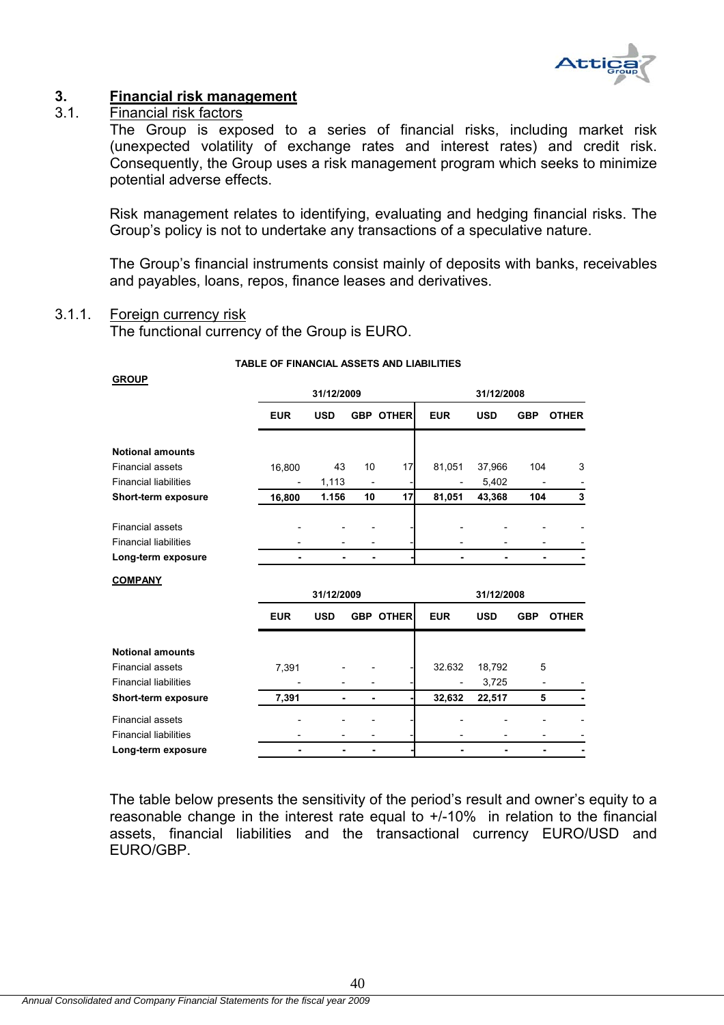

# **3. Financial risk management**

# 3.1. Financial risk factors

The Group is exposed to a series of financial risks, including market risk (unexpected volatility of exchange rates and interest rates) and credit risk. Consequently, the Group uses a risk management program which seeks to minimize potential adverse effects.

Risk management relates to identifying, evaluating and hedging financial risks. The Group's policy is not to undertake any transactions of a speculative nature.

The Group's financial instruments consist mainly of deposits with banks, receivables and payables, loans, repos, finance leases and derivatives.

#### 3.1.1. Foreign currency risk

The functional currency of the Group is EURO.

#### **TABLE OF FINANCIAL ASSETS AND LIABILITIES**

| <b>GROUP</b>                 |            |            |    |                  |            |            |            |              |
|------------------------------|------------|------------|----|------------------|------------|------------|------------|--------------|
|                              |            | 31/12/2009 |    |                  |            | 31/12/2008 |            |              |
|                              | <b>EUR</b> | <b>USD</b> |    | <b>GBP OTHER</b> | <b>EUR</b> | <b>USD</b> | <b>GBP</b> | <b>OTHER</b> |
| <b>Notional amounts</b>      |            |            |    |                  |            |            |            |              |
| <b>Financial assets</b>      | 16,800     | 43         | 10 | 17               | 81,051     | 37,966     | 104        | 3            |
| <b>Financial liabilities</b> |            | 1,113      |    |                  |            | 5,402      |            |              |
| Short-term exposure          | 16,800     | 1.156      | 10 | 17               | 81,051     | 43,368     | 104        | 3            |
| <b>Financial assets</b>      |            |            |    |                  |            |            |            |              |
| <b>Financial liabilities</b> |            |            |    |                  |            |            |            |              |
| Long-term exposure           |            |            | ۰  |                  |            | ٠          | ۰          |              |
| <b>COMPANY</b>               |            |            |    |                  |            |            |            |              |
|                              |            | 31/12/2009 |    |                  |            | 31/12/2008 |            |              |
|                              | <b>EUR</b> | <b>USD</b> |    | <b>GBP OTHER</b> | <b>EUR</b> | <b>USD</b> | <b>GBP</b> | <b>OTHER</b> |
| <b>Notional amounts</b>      |            |            |    |                  |            |            |            |              |
| <b>Financial assets</b>      | 7,391      |            |    |                  | 32.632     | 18,792     | 5          |              |
| <b>Financial liabilities</b> |            |            |    |                  |            | 3,725      |            |              |
| Short-term exposure          | 7,391      | ٠          | ۰  |                  | 32,632     | 22,517     | 5          |              |
| <b>Financial assets</b>      |            |            |    |                  |            |            |            |              |
|                              |            |            |    |                  |            |            |            |              |
| <b>Financial liabilities</b> |            |            |    |                  |            |            |            |              |

The table below presents the sensitivity of the period's result and owner's equity to a reasonable change in the interest rate equal to +/-10% in relation to the financial assets, financial liabilities and the transactional currency EURO/USD and EURO/GBP.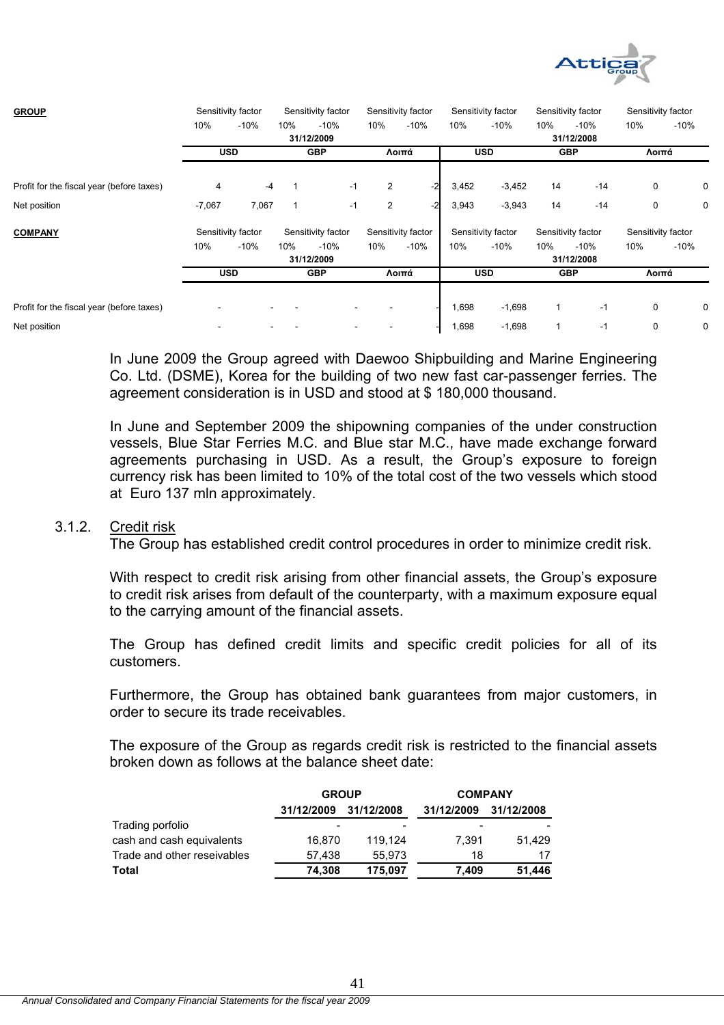

| <b>GROUP</b>                              |          | Sensitivity factor |     | Sensitivity factor |                         | Sensitivity factor |       | Sensitivity factor |     | Sensitivity factor | Sensitivity factor |        |
|-------------------------------------------|----------|--------------------|-----|--------------------|-------------------------|--------------------|-------|--------------------|-----|--------------------|--------------------|--------|
|                                           | 10%      | $-10%$             | 10% | $-10%$             | 10%                     | $-10%$             | 10%   | $-10%$             | 10% | $-10%$             | 10%                | $-10%$ |
|                                           |          |                    |     | 31/12/2009         |                         |                    |       |                    |     | 31/12/2008         |                    |        |
|                                           |          | <b>USD</b>         |     | <b>GBP</b>         |                         | Λοιπά              |       | <b>USD</b>         |     | <b>GBP</b>         | Λοιπά              |        |
| Profit for the fiscal year (before taxes) | 4        | $-4$               |     | $-1$               | 2                       | $-2$               | 3,452 | $-3,452$           | 14  | $-14$              | 0                  | 0      |
| Net position                              | $-7,067$ | 7,067              |     | $-1$               | $\overline{\mathbf{c}}$ | $-2$               | 3,943 | $-3,943$           | 14  | $-14$              | 0                  | 0      |
| <b>COMPANY</b>                            |          | Sensitivity factor |     | Sensitivity factor |                         | Sensitivity factor |       | Sensitivity factor |     | Sensitivity factor | Sensitivity factor |        |
|                                           | 10%      | $-10%$             | 10% | $-10%$             | 10%                     | $-10%$             | 10%   | $-10%$             | 10% | $-10%$             | 10%                | $-10%$ |
|                                           |          |                    |     | 31/12/2009         |                         |                    |       |                    |     | 31/12/2008         |                    |        |
|                                           |          | <b>USD</b>         |     | <b>GBP</b>         |                         | Λοιπά              |       | <b>USD</b>         |     | <b>GBP</b>         | Λοιπά              |        |
|                                           |          |                    |     |                    |                         |                    |       |                    |     |                    |                    |        |
| Profit for the fiscal year (before taxes) |          |                    |     |                    |                         |                    | 1,698 | $-1,698$           |     | $-1$               | 0                  | 0      |
| Net position                              |          |                    |     |                    |                         |                    | 1,698 | $-1,698$           |     | $-1$               | 0                  | 0      |

In June 2009 the Group agreed with Daewoo Shipbuilding and Marine Engineering Co. Ltd. (DSME), Korea for the building of two new fast car-passenger ferries. The agreement consideration is in USD and stood at \$ 180,000 thousand.

In June and September 2009 the shipowning companies of the under construction vessels, Blue Star Ferries M.C. and Blue star M.C., have made exchange forward agreements purchasing in USD. As a result, the Group's exposure to foreign currency risk has been limited to 10% of the total cost of the two vessels which stood at Euro 137 mln approximately.

#### 3.1.2. Credit risk

The Group has established credit control procedures in order to minimize credit risk.

With respect to credit risk arising from other financial assets, the Group's exposure to credit risk arises from default of the counterparty, with a maximum exposure equal to the carrying amount of the financial assets.

The Group has defined credit limits and specific credit policies for all of its customers.

Furthermore, the Group has obtained bank guarantees from major customers, in order to secure its trade receivables.

The exposure of the Group as regards credit risk is restricted to the financial assets broken down as follows at the balance sheet date:

|                             | <b>GROUP</b> |            | <b>COMPANY</b> |            |  |
|-----------------------------|--------------|------------|----------------|------------|--|
|                             | 31/12/2009   | 31/12/2008 | 31/12/2009     | 31/12/2008 |  |
| Trading porfolio            | -            |            | -              |            |  |
| cash and cash equivalents   | 16.870       | 119.124    | 7.391          | 51.429     |  |
| Trade and other reseivables | 57,438       | 55.973     | 18             | 17         |  |
| Total                       | 74.308       | 175.097    | 7.409          | 51,446     |  |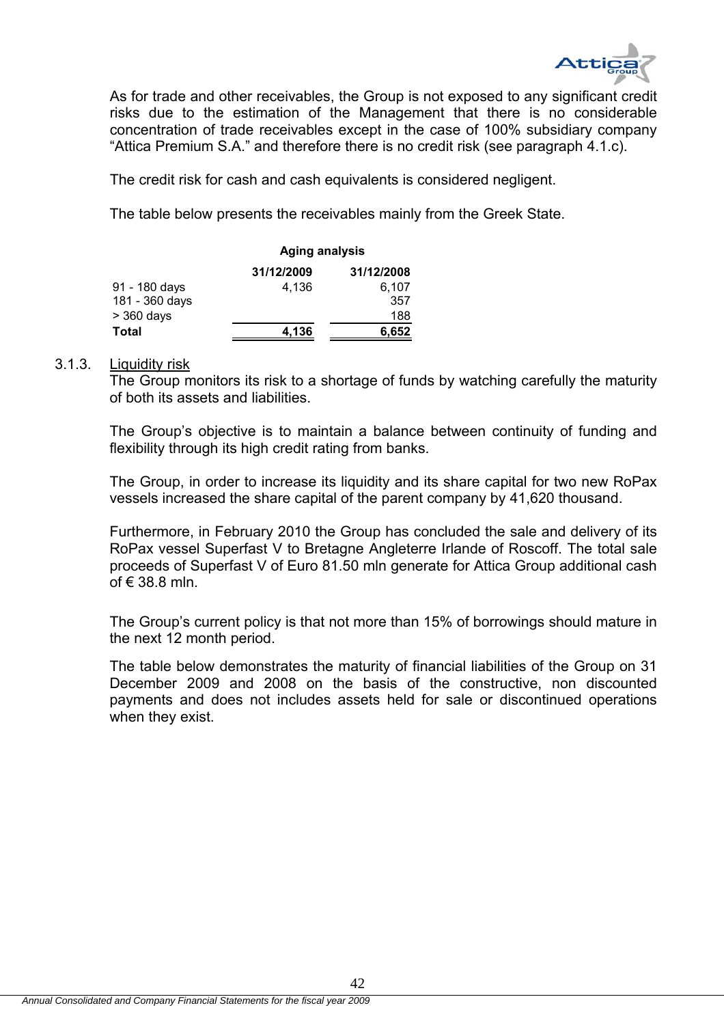

As for trade and other receivables, the Group is not exposed to any significant credit risks due to the estimation of the Management that there is no considerable concentration of trade receivables except in the case of 100% subsidiary company "Attica Premium S.A." and therefore there is no credit risk (see paragraph 4.1.c).

The credit risk for cash and cash equivalents is considered negligent.

The table below presents the receivables mainly from the Greek State.

|                |            | <b>Aging analysis</b> |  |  |
|----------------|------------|-----------------------|--|--|
|                | 31/12/2009 | 31/12/2008            |  |  |
| 91 - 180 days  | 4.136      | 6.107                 |  |  |
| 181 - 360 days |            | 357                   |  |  |
| $>$ 360 days   |            | 188                   |  |  |
| Total          | 4,136      | 6.652                 |  |  |

## 3.1.3. Liquidity risk

The Group monitors its risk to a shortage of funds by watching carefully the maturity of both its assets and liabilities.

The Group's objective is to maintain a balance between continuity of funding and flexibility through its high credit rating from banks.

The Group, in order to increase its liquidity and its share capital for two new RoPax vessels increased the share capital of the parent company by 41,620 thousand.

Furthermore, in February 2010 the Group has concluded the sale and delivery of its RoPax vessel Superfast V to Bretagne Angleterre Irlande of Roscoff. The total sale proceeds of Superfast V of Euro 81.50 mln generate for Attica Group additional cash of € 38.8 mln.

The Group's current policy is that not more than 15% of borrowings should mature in the next 12 month period.

The table below demonstrates the maturity of financial liabilities of the Group on 31 December 2009 and 2008 on the basis of the constructive, non discounted payments and does not includes assets held for sale or discontinued operations when they exist.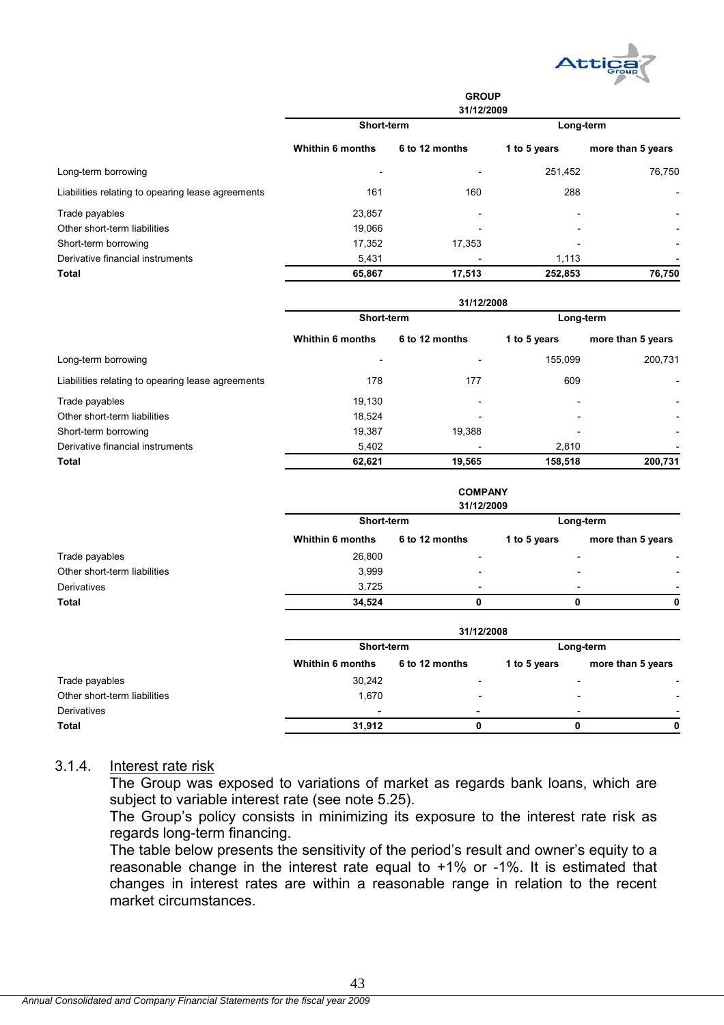

|                                                   | <b>GROUP</b><br>31/12/2009 |                          |                          |                          |  |  |
|---------------------------------------------------|----------------------------|--------------------------|--------------------------|--------------------------|--|--|
|                                                   | Short-term                 |                          | Long-term                |                          |  |  |
|                                                   | <b>Whithin 6 months</b>    | 6 to 12 months           | 1 to 5 years             | more than 5 years        |  |  |
| Long-term borrowing                               |                            | $\overline{\phantom{a}}$ | 251,452                  | 76,750                   |  |  |
| Liabilities relating to opearing lease agreements | 161                        | 160                      | 288                      | $\overline{\phantom{a}}$ |  |  |
| Trade payables                                    | 23,857                     | $\overline{\phantom{a}}$ | $\overline{\phantom{a}}$ | $\overline{\phantom{a}}$ |  |  |
| Other short-term liabilities                      | 19,066                     | $\overline{\phantom{a}}$ | $\overline{\phantom{a}}$ | $\overline{\phantom{a}}$ |  |  |
| Short-term borrowing                              | 17,352                     | 17,353                   | $\overline{\phantom{0}}$ | $\overline{\phantom{a}}$ |  |  |
| Derivative financial instruments                  | 5,431                      |                          | 1,113                    |                          |  |  |
| <b>Total</b>                                      | 65,867                     | 17,513                   | 252,853                  | 76,750                   |  |  |

|                                                   | 31/12/2008              |                |                          |                          |  |  |
|---------------------------------------------------|-------------------------|----------------|--------------------------|--------------------------|--|--|
|                                                   | Short-term              |                | Long-term                |                          |  |  |
|                                                   | <b>Whithin 6 months</b> | 6 to 12 months | 1 to 5 years             | more than 5 years        |  |  |
| Long-term borrowing                               |                         |                | 155.099                  | 200,731                  |  |  |
| Liabilities relating to opearing lease agreements | 178                     | 177            | 609                      |                          |  |  |
| Trade payables                                    | 19.130                  |                | $\overline{\phantom{a}}$ |                          |  |  |
| Other short-term liabilities                      | 18.524                  |                | $\overline{\phantom{0}}$ | $\overline{\phantom{a}}$ |  |  |
| Short-term borrowing                              | 19,387                  | 19,388         | $\overline{\phantom{a}}$ |                          |  |  |
| Derivative financial instruments                  | 5,402                   |                | 2.810                    |                          |  |  |
| Total                                             | 62,621                  | 19,565         | 158,518                  | 200,731                  |  |  |

|                              |                         | <b>COMPANY</b><br>31/12/2009 |              |                                                      |  |
|------------------------------|-------------------------|------------------------------|--------------|------------------------------------------------------|--|
|                              | Short-term              |                              | Long-term    |                                                      |  |
|                              | <b>Whithin 6 months</b> | 6 to 12 months               | 1 to 5 years | more than 5 years                                    |  |
| Trade payables               | 26,800                  | $\overline{\phantom{0}}$     |              |                                                      |  |
| Other short-term liabilities | 3,999                   | $\overline{\phantom{0}}$     |              | $\overline{\phantom{0}}$<br>$\overline{\phantom{a}}$ |  |
| Derivatives                  | 3,725                   | $\overline{\phantom{a}}$     |              | $\overline{\phantom{0}}$                             |  |
| <b>Total</b>                 | 34,524                  |                              |              | 0<br>0                                               |  |
|                              |                         |                              |              |                                                      |  |

|                              | 31/12/2008               |                          |              |                                                      |  |  |
|------------------------------|--------------------------|--------------------------|--------------|------------------------------------------------------|--|--|
|                              | Short-term               | Long-term                |              |                                                      |  |  |
|                              | <b>Whithin 6 months</b>  | 6 to 12 months           | 1 to 5 years | more than 5 years                                    |  |  |
| Trade payables               | 30,242                   |                          |              | $\overline{\phantom{a}}$                             |  |  |
| Other short-term liabilities | 1.670                    | -                        |              | $\overline{\phantom{a}}$                             |  |  |
| Derivatives                  | $\overline{\phantom{a}}$ | $\overline{\phantom{a}}$ |              | $\overline{\phantom{0}}$<br>$\overline{\phantom{0}}$ |  |  |
| <b>Total</b>                 | 31.912                   | 0                        |              | 0                                                    |  |  |

# 3.1.4. Interest rate risk

The Group was exposed to variations of market as regards bank loans, which are subject to variable interest rate (see note 5.25).

The Group's policy consists in minimizing its exposure to the interest rate risk as regards long-term financing.

The table below presents the sensitivity of the period's result and owner's equity to a reasonable change in the interest rate equal to +1% or -1%. It is estimated that changes in interest rates are within a reasonable range in relation to the recent market circumstances.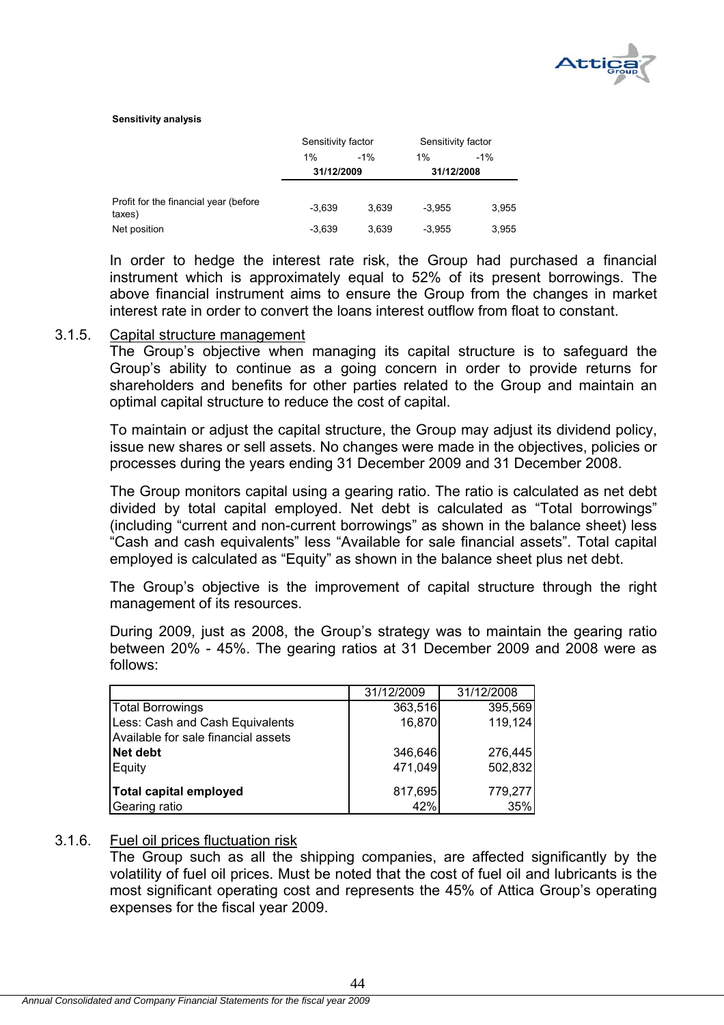

#### **Sensitivity analysis**

|                                                 | Sensitivity factor |       | Sensitivity factor |       |
|-------------------------------------------------|--------------------|-------|--------------------|-------|
|                                                 | 1%                 | $-1%$ | 1%                 | $-1%$ |
|                                                 | 31/12/2009         |       | 31/12/2008         |       |
| Profit for the financial year (before<br>taxes) | $-3,639$           | 3.639 | $-3.955$           | 3,955 |
| Net position                                    | $-3,639$           | 3.639 | $-3.955$           | 3.955 |

In order to hedge the interest rate risk, the Group had purchased a financial instrument which is approximately equal to 52% of its present borrowings. The above financial instrument aims to ensure the Group from the changes in market interest rate in order to convert the loans interest outflow from float to constant.

#### 3.1.5. Capital structure management

The Group's objective when managing its capital structure is to safeguard the Group's ability to continue as a going concern in order to provide returns for shareholders and benefits for other parties related to the Group and maintain an optimal capital structure to reduce the cost of capital.

To maintain or adjust the capital structure, the Group may adjust its dividend policy, issue new shares or sell assets. No changes were made in the objectives, policies or processes during the years ending 31 December 2009 and 31 December 2008.

The Group monitors capital using a gearing ratio. The ratio is calculated as net debt divided by total capital employed. Net debt is calculated as "Total borrowings" (including "current and non-current borrowings" as shown in the balance sheet) less "Cash and cash equivalents" less "Available for sale financial assets". Total capital employed is calculated as "Equity" as shown in the balance sheet plus net debt.

The Group's objective is the improvement of capital structure through the right management of its resources.

During 2009, just as 2008, the Group's strategy was to maintain the gearing ratio between 20% - 45%. The gearing ratios at 31 December 2009 and 2008 were as follows:

|                                     | 31/12/2009 | 31/12/2008 |
|-------------------------------------|------------|------------|
| Total Borrowings                    | 363,516    | 395,569    |
| Less: Cash and Cash Equivalents     | 16,870     | 119,124    |
| Available for sale financial assets |            |            |
| Net debt                            | 346,646    | 276,445    |
| Equity                              | 471,049    | 502,832    |
| Total capital employed              | 817,695    | 779,277    |
|                                     |            |            |
| Gearing ratio                       | 42%        | 35%        |

#### 3.1.6. Fuel oil prices fluctuation risk

The Group such as all the shipping companies, are affected significantly by the volatility of fuel oil prices. Must be noted that the cost of fuel oil and lubricants is the most significant operating cost and represents the 45% of Attica Group's operating expenses for the fiscal year 2009.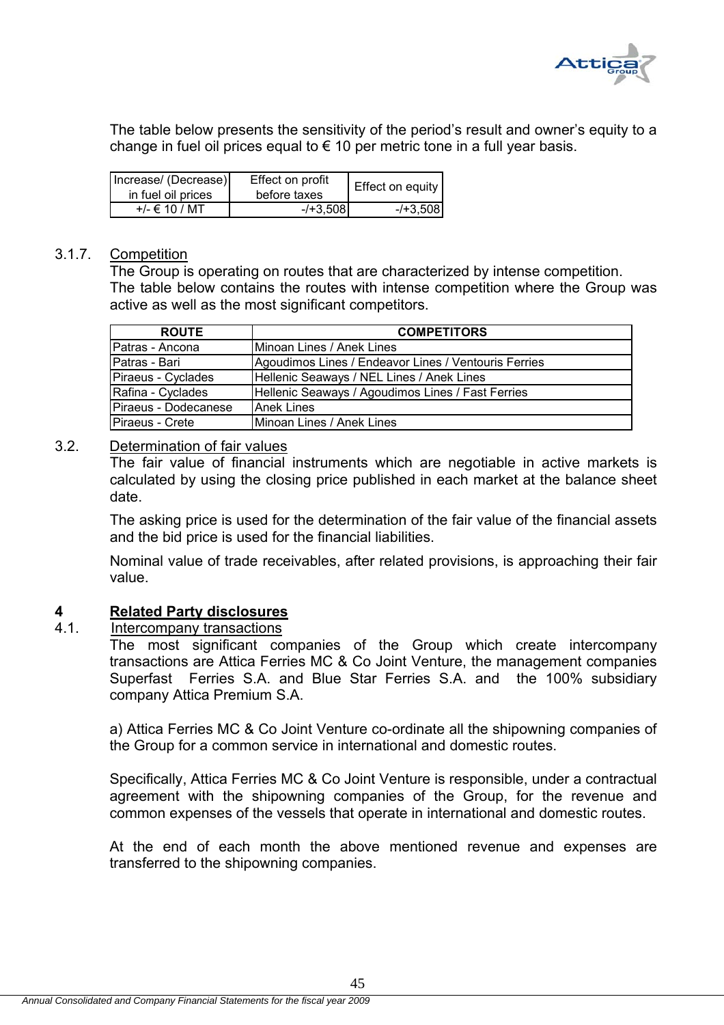

The table below presents the sensitivity of the period's result and owner's equity to a change in fuel oil prices equal to  $\epsilon$  10 per metric tone in a full year basis.

| Increase/ (Decrease)<br>in fuel oil prices | Effect on profit<br>before taxes | Effect on equity |
|--------------------------------------------|----------------------------------|------------------|
| $+/- \in 10 / MT$                          | $-$ /+3.5081                     | $-1 + 3.508$     |

#### 3.1.7. Competition

The Group is operating on routes that are characterized by intense competition. The table below contains the routes with intense competition where the Group was active as well as the most significant competitors.

| <b>ROUTE</b>         | <b>COMPETITORS</b>                                   |
|----------------------|------------------------------------------------------|
| Patras - Ancona      | IMinoan Lines / Anek Lines                           |
| Patras - Bari        | Agoudimos Lines / Endeavor Lines / Ventouris Ferries |
| Piraeus - Cyclades   | Hellenic Seaways / NEL Lines / Anek Lines            |
| Rafina - Cyclades    | Hellenic Seaways / Agoudimos Lines / Fast Ferries    |
| Piraeus - Dodecanese | <b>Anek Lines</b>                                    |
| Piraeus - Crete      | Minoan Lines / Anek Lines                            |

### 3.2. Determination of fair values

The fair value of financial instruments which are negotiable in active markets is calculated by using the closing price published in each market at the balance sheet date.

The asking price is used for the determination of the fair value of the financial assets and the bid price is used for the financial liabilities.

Nominal value of trade receivables, after related provisions, is approaching their fair value.

#### **4 Related Party disclosures**

## 4.1. Intercompany transactions

The most significant companies of the Group which create intercompany transactions are Attica Ferries MC & Co Joint Venture, the management companies Superfast Ferries S.A. and Blue Star Ferries S.A. and the 100% subsidiary company Attica Premium S.A.

a) Attica Ferries MC & Co Joint Venture co-ordinate all the shipowning companies of the Group for a common service in international and domestic routes.

Specifically, Attica Ferries MC & Co Joint Venture is responsible, under a contractual agreement with the shipowning companies of the Group, for the revenue and common expenses of the vessels that operate in international and domestic routes.

At the end of each month the above mentioned revenue and expenses are transferred to the shipowning companies.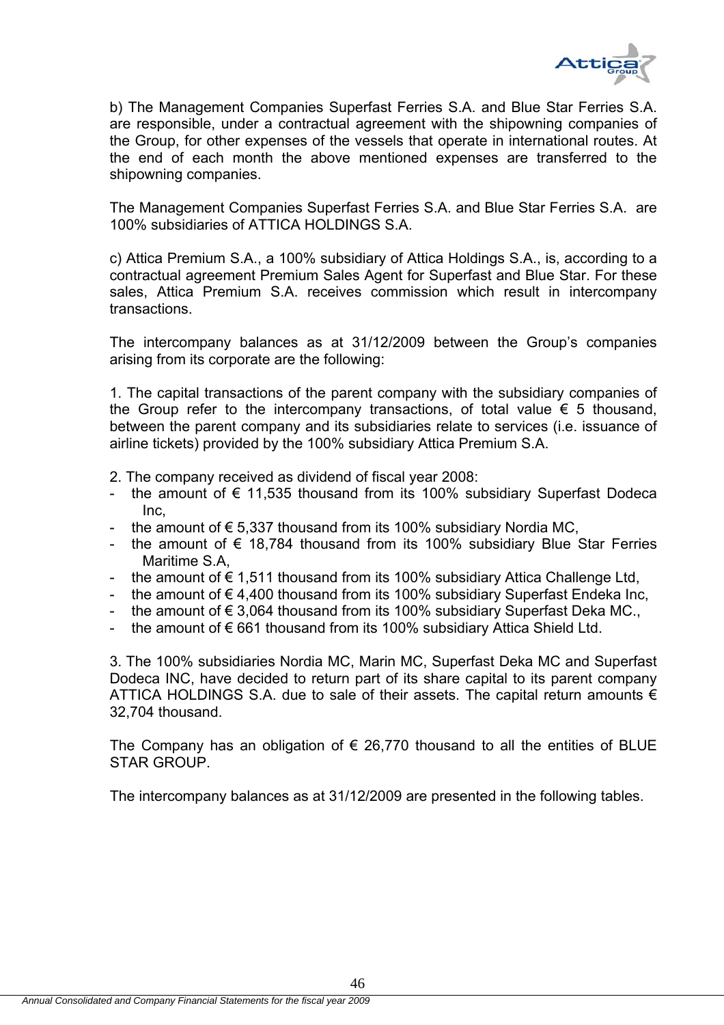

b) The Management Companies Superfast Ferries S.A. and Blue Star Ferries S.A. are responsible, under a contractual agreement with the shipowning companies of the Group, for other expenses of the vessels that operate in international routes. At the end of each month the above mentioned expenses are transferred to the shipowning companies.

The Management Companies Superfast Ferries S.A. and Blue Star Ferries S.A. are 100% subsidiaries of ATTICA HOLDINGS S.A.

c) Attica Premium S.A., a 100% subsidiary of Attica Holdings S.A., is, according to a contractual agreement Premium Sales Agent for Superfast and Blue Star. For these sales, Attica Premium S.A. receives commission which result in intercompany transactions.

The intercompany balances as at 31/12/2009 between the Group's companies arising from its corporate are the following:

1. The capital transactions of the parent company with the subsidiary companies of the Group refer to the intercompany transactions, of total value  $\epsilon$  5 thousand, between the parent company and its subsidiaries relate to services (i.e. issuance of airline tickets) provided by the 100% subsidiary Attica Premium S.A.

- 2. The company received as dividend of fiscal year 2008:
- the amount of  $\epsilon$  11,535 thousand from its 100% subsidiary Superfast Dodeca Inc,
- the amount of  $\epsilon$  5.337 thousand from its 100% subsidiary Nordia MC,
- the amount of  $\epsilon$  18,784 thousand from its 100% subsidiary Blue Star Ferries Maritime S.A,
- the amount of  $\epsilon$  1,511 thousand from its 100% subsidiary Attica Challenge Ltd,
- the amount of  $\epsilon$  4.400 thousand from its 100% subsidiary Superfast Endeka Inc,
- the amount of  $\epsilon$  3,064 thousand from its 100% subsidiary Superfast Deka MC.,
- the amount of  $\epsilon$  661 thousand from its 100% subsidiary Attica Shield Ltd.

3. The 100% subsidiaries Nordia MC, Marin MC, Superfast Deka MC and Superfast Dodeca INC, have decided to return part of its share capital to its parent company ATTICA HOLDINGS S.A. due to sale of their assets. The capital return amounts  $\epsilon$ 32,704 thousand.

The Company has an obligation of  $\epsilon$  26,770 thousand to all the entities of BLUE STAR GROUP.

The intercompany balances as at 31/12/2009 are presented in the following tables.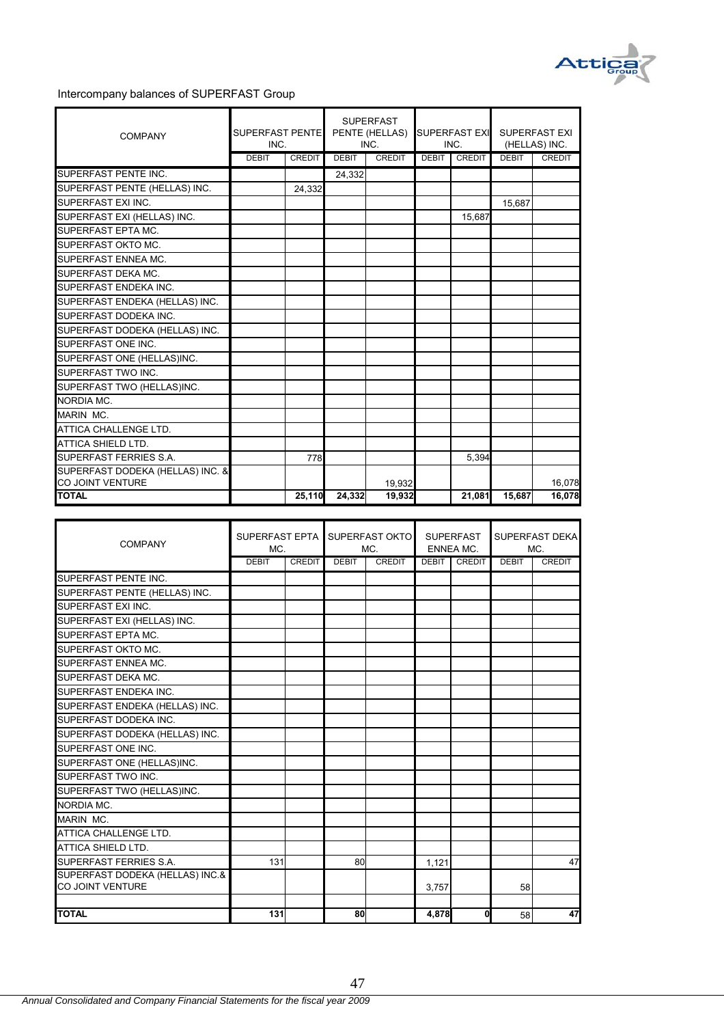

#### Intercompany balances of SUPERFAST Group

| <b>COMPANY</b>                          | SUPERFAST PENTE<br>INC. |               |              | <b>SUPERFAST</b><br>PENTE (HELLAS)<br>INC. |              | <b>SUPERFAST EXI</b><br>INC. |              | SUPERFAST EXI<br>(HELLAS) INC. |
|-----------------------------------------|-------------------------|---------------|--------------|--------------------------------------------|--------------|------------------------------|--------------|--------------------------------|
|                                         | <b>DEBIT</b>            | <b>CREDIT</b> | <b>DEBIT</b> | <b>CREDIT</b>                              | <b>DEBIT</b> | <b>CREDIT</b>                | <b>DEBIT</b> | <b>CREDIT</b>                  |
| SUPERFAST PENTE INC.                    |                         |               | 24,332       |                                            |              |                              |              |                                |
| SUPERFAST PENTE (HELLAS) INC.           |                         | 24,332        |              |                                            |              |                              |              |                                |
| SUPERFAST EXI INC.                      |                         |               |              |                                            |              |                              | 15.687       |                                |
| SUPERFAST EXI (HELLAS) INC.             |                         |               |              |                                            |              | 15,687                       |              |                                |
| SUPERFAST EPTA MC.                      |                         |               |              |                                            |              |                              |              |                                |
| SUPERFAST OKTO MC.                      |                         |               |              |                                            |              |                              |              |                                |
| SUPERFAST ENNEA MC.                     |                         |               |              |                                            |              |                              |              |                                |
| SUPERFAST DEKA MC.                      |                         |               |              |                                            |              |                              |              |                                |
| SUPERFAST ENDEKA INC.                   |                         |               |              |                                            |              |                              |              |                                |
| SUPERFAST ENDEKA (HELLAS) INC.          |                         |               |              |                                            |              |                              |              |                                |
| SUPERFAST DODEKA INC.                   |                         |               |              |                                            |              |                              |              |                                |
| SUPERFAST DODEKA (HELLAS) INC.          |                         |               |              |                                            |              |                              |              |                                |
| SUPERFAST ONE INC.                      |                         |               |              |                                            |              |                              |              |                                |
| SUPERFAST ONE (HELLAS)INC.              |                         |               |              |                                            |              |                              |              |                                |
| SUPERFAST TWO INC.                      |                         |               |              |                                            |              |                              |              |                                |
| SUPERFAST TWO (HELLAS)INC.              |                         |               |              |                                            |              |                              |              |                                |
| NORDIA MC.                              |                         |               |              |                                            |              |                              |              |                                |
| MARIN MC.                               |                         |               |              |                                            |              |                              |              |                                |
| ATTICA CHALLENGE LTD.                   |                         |               |              |                                            |              |                              |              |                                |
| ATTICA SHIELD LTD.                      |                         |               |              |                                            |              |                              |              |                                |
| SUPERFAST FERRIES S.A.                  |                         | 778           |              |                                            |              | 5,394                        |              |                                |
| SUPERFAST DODEKA (HELLAS) INC. &        |                         |               |              |                                            |              |                              |              |                                |
| <b>CO JOINT VENTURE</b><br><b>TOTAL</b> |                         | 25,110        | 24,332       | 19.932<br>19,932                           |              | 21,081                       | 15,687       | 16,078<br>16,078               |
|                                         |                         |               |              |                                            |              |                              |              |                                |

| <b>COMPANY</b>                  | SUPERFAST EPTA<br>MC. |               |              | SUPERFAST OKTO<br>MC. |       | <b>SUPERFAST</b><br><b>ENNEA MC.</b> |              | SUPERFAST DEKAL<br>MC. |
|---------------------------------|-----------------------|---------------|--------------|-----------------------|-------|--------------------------------------|--------------|------------------------|
|                                 | <b>DEBIT</b>          | <b>CREDIT</b> | <b>DEBIT</b> | <b>CREDIT</b>         | DEBIT | <b>CREDIT</b>                        | <b>DEBIT</b> | <b>CREDIT</b>          |
| SUPERFAST PENTE INC.            |                       |               |              |                       |       |                                      |              |                        |
| SUPERFAST PENTE (HELLAS) INC.   |                       |               |              |                       |       |                                      |              |                        |
| SUPERFAST EXI INC.              |                       |               |              |                       |       |                                      |              |                        |
| SUPERFAST EXI (HELLAS) INC.     |                       |               |              |                       |       |                                      |              |                        |
| SUPERFAST EPTA MC.              |                       |               |              |                       |       |                                      |              |                        |
| <b>SUPERFAST OKTO MC.</b>       |                       |               |              |                       |       |                                      |              |                        |
| SUPERFAST ENNEA MC.             |                       |               |              |                       |       |                                      |              |                        |
| SUPERFAST DEKA MC.              |                       |               |              |                       |       |                                      |              |                        |
| SUPERFAST ENDEKA INC.           |                       |               |              |                       |       |                                      |              |                        |
| SUPERFAST ENDEKA (HELLAS) INC.  |                       |               |              |                       |       |                                      |              |                        |
| SUPERFAST DODEKA INC.           |                       |               |              |                       |       |                                      |              |                        |
| SUPERFAST DODEKA (HELLAS) INC.  |                       |               |              |                       |       |                                      |              |                        |
| SUPERFAST ONE INC.              |                       |               |              |                       |       |                                      |              |                        |
| SUPERFAST ONE (HELLAS)INC.      |                       |               |              |                       |       |                                      |              |                        |
| SUPERFAST TWO INC.              |                       |               |              |                       |       |                                      |              |                        |
| SUPERFAST TWO (HELLAS)INC.      |                       |               |              |                       |       |                                      |              |                        |
| <b>NORDIA MC.</b>               |                       |               |              |                       |       |                                      |              |                        |
| MARIN MC.                       |                       |               |              |                       |       |                                      |              |                        |
| ATTICA CHALLENGE LTD.           |                       |               |              |                       |       |                                      |              |                        |
| ATTICA SHIELD LTD.              |                       |               |              |                       |       |                                      |              |                        |
| SUPERFAST FERRIES S.A.          | 131                   |               | 80           |                       | 1.121 |                                      |              | 47                     |
| SUPERFAST DODEKA (HELLAS) INC.& |                       |               |              |                       |       |                                      |              |                        |
| <b>CO JOINT VENTURE</b>         |                       |               |              |                       | 3,757 |                                      | 58           |                        |
|                                 |                       |               |              |                       |       |                                      |              |                        |
| <b>TOTAL</b>                    | 131                   |               | 80           |                       | 4,878 | 0                                    | 58           | 47                     |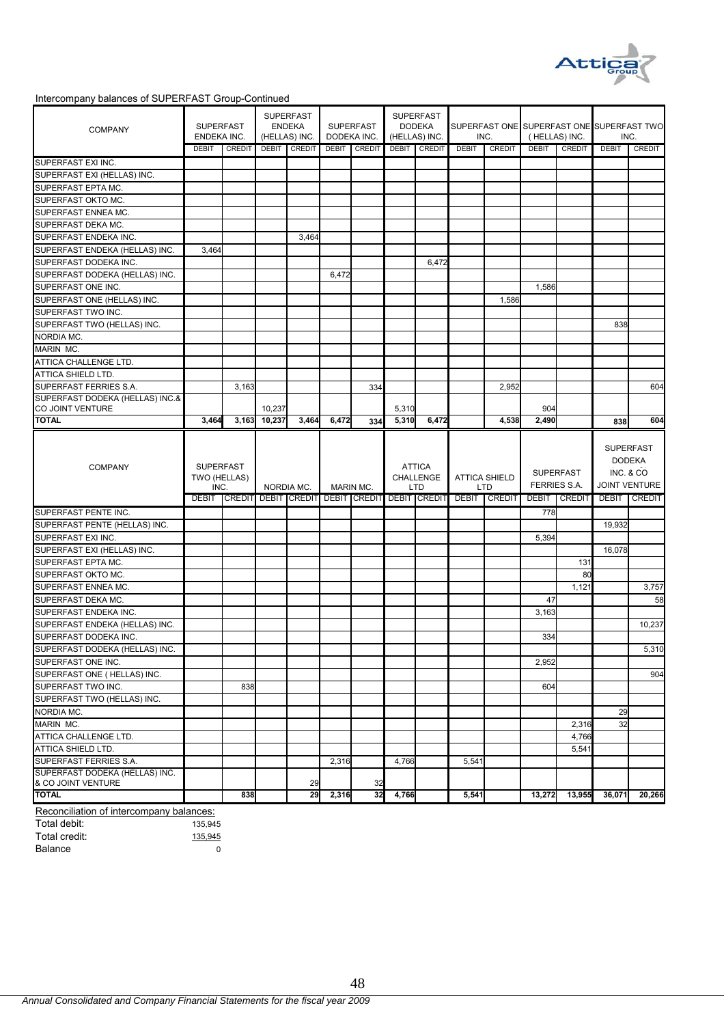

#### Intercompany balances of SUPERFAST Group-Continued

| <b>COMPANY</b>                                       | <b>SUPERFAST</b><br>ENDEKA INC. |               |        | <b>SUPERFAST</b><br><b>ENDEKA</b><br>(HELLAS) INC. |       | <b>SUPERFAST</b><br>DODEKA INC. |                | <b>SUPERFAST</b><br><b>DODEKA</b><br>(HELLAS) INC. |              | INC.                               | SUPERFAST ONE SUPERFAST ONE SUPERFAST TWO<br>(HELLAS) INC. |                                         | INC.         |                                   |
|------------------------------------------------------|---------------------------------|---------------|--------|----------------------------------------------------|-------|---------------------------------|----------------|----------------------------------------------------|--------------|------------------------------------|------------------------------------------------------------|-----------------------------------------|--------------|-----------------------------------|
|                                                      | <b>DEBIT</b>                    | CREDIT        |        | DEBIT CREDIT                                       |       | DEBIT CREDIT                    | DEBIT          | <b>CREDIT</b>                                      | <b>DEBIT</b> | <b>CREDIT</b>                      | <b>DEBIT</b>                                               | <b>CREDIT</b>                           | <b>DEBIT</b> | CREDIT                            |
| SUPERFAST EXI INC.                                   |                                 |               |        |                                                    |       |                                 |                |                                                    |              |                                    |                                                            |                                         |              |                                   |
| SUPERFAST EXI (HELLAS) INC.                          |                                 |               |        |                                                    |       |                                 |                |                                                    |              |                                    |                                                            |                                         |              |                                   |
| SUPERFAST EPTA MC.                                   |                                 |               |        |                                                    |       |                                 |                |                                                    |              |                                    |                                                            |                                         |              |                                   |
| SUPERFAST OKTO MC.                                   |                                 |               |        |                                                    |       |                                 |                |                                                    |              |                                    |                                                            |                                         |              |                                   |
| SUPERFAST ENNEA MC.                                  |                                 |               |        |                                                    |       |                                 |                |                                                    |              |                                    |                                                            |                                         |              |                                   |
| SUPERFAST DEKA MC.                                   |                                 |               |        |                                                    |       |                                 |                |                                                    |              |                                    |                                                            |                                         |              |                                   |
| SUPERFAST ENDEKA INC.                                |                                 |               |        | 3,464                                              |       |                                 |                |                                                    |              |                                    |                                                            |                                         |              |                                   |
| SUPERFAST ENDEKA (HELLAS) INC.                       | 3,464                           |               |        |                                                    |       |                                 |                |                                                    |              |                                    |                                                            |                                         |              |                                   |
| SUPERFAST DODEKA INC.                                |                                 |               |        |                                                    |       |                                 |                | 6,472                                              |              |                                    |                                                            |                                         |              |                                   |
| SUPERFAST DODEKA (HELLAS) INC.                       |                                 |               |        |                                                    | 6,472 |                                 |                |                                                    |              |                                    |                                                            |                                         |              |                                   |
| SUPERFAST ONE INC.                                   |                                 |               |        |                                                    |       |                                 |                |                                                    |              |                                    | 1,586                                                      |                                         |              |                                   |
| SUPERFAST ONE (HELLAS) INC.                          |                                 |               |        |                                                    |       |                                 |                |                                                    |              | 1,586                              |                                                            |                                         |              |                                   |
| SUPERFAST TWO INC.                                   |                                 |               |        |                                                    |       |                                 |                |                                                    |              |                                    |                                                            |                                         |              |                                   |
| SUPERFAST TWO (HELLAS) INC.                          |                                 |               |        |                                                    |       |                                 |                |                                                    |              |                                    |                                                            |                                         | 838          |                                   |
|                                                      |                                 |               |        |                                                    |       |                                 |                |                                                    |              |                                    |                                                            |                                         |              |                                   |
| NORDIA MC.                                           |                                 |               |        |                                                    |       |                                 |                |                                                    |              |                                    |                                                            |                                         |              |                                   |
| MARIN MC.                                            |                                 |               |        |                                                    |       |                                 |                |                                                    |              |                                    |                                                            |                                         |              |                                   |
| ATTICA CHALLENGE LTD.                                |                                 |               |        |                                                    |       |                                 |                |                                                    |              |                                    |                                                            |                                         |              |                                   |
| <b>ATTICA SHIELD LTD.</b>                            |                                 |               |        |                                                    |       |                                 |                |                                                    |              |                                    |                                                            |                                         |              |                                   |
| SUPERFAST FERRIES S.A.                               |                                 | 3,163         |        |                                                    |       | 334                             |                |                                                    |              | 2,952                              |                                                            |                                         |              | 604                               |
| SUPERFAST DODEKA (HELLAS) INC.&                      |                                 |               | 10,237 |                                                    |       |                                 |                |                                                    |              |                                    | 904                                                        |                                         |              |                                   |
| CO JOINT VENTURE<br><b>TOTAL</b>                     | 3,464                           | 3,163         | 10,237 | 3,464                                              | 6,472 | 334                             | 5,310<br>5,310 | 6,472                                              |              | 4,538                              | 2,490                                                      |                                         |              | 604                               |
|                                                      |                                 |               |        |                                                    |       |                                 |                |                                                    |              |                                    |                                                            |                                         | 838          |                                   |
| <b>COMPANY</b>                                       | <b>SUPERFAST</b>                |               |        |                                                    |       |                                 |                |                                                    |              |                                    |                                                            |                                         |              | <b>DODEKA</b>                     |
|                                                      | TWO (HELLAS)<br>INC.            |               |        | NORDIA MC.                                         |       | MARIN MC.                       |                | <b>ATTICA</b><br><b>CHALLENGE</b><br><b>LTD</b>    |              | <b>ATTICA SHIELD</b><br><b>LTD</b> |                                                            | <b>SUPERFAST</b><br><b>FERRIES S.A.</b> |              | INC. & CO<br><b>JOINT VENTURE</b> |
|                                                      | <b>DEBIT</b>                    | <b>CREDIT</b> |        | <b>DEBIT CREDIT DEBIT CREDIT</b>                   |       |                                 |                | <b>DEBIT CREDIT</b>                                | <b>DEBIT</b> | <b>CREDIT</b>                      | <b>DEBIT</b>                                               | <b>CREDIT</b>                           | <b>DEBIT</b> | <b>CREDIT</b>                     |
| SUPERFAST PENTE INC.                                 |                                 |               |        |                                                    |       |                                 |                |                                                    |              |                                    | 778                                                        |                                         |              |                                   |
| SUPERFAST PENTE (HELLAS) INC.                        |                                 |               |        |                                                    |       |                                 |                |                                                    |              |                                    |                                                            |                                         | 19,932       |                                   |
| SUPERFAST EXI INC.                                   |                                 |               |        |                                                    |       |                                 |                |                                                    |              |                                    | 5,394                                                      |                                         |              |                                   |
| SUPERFAST EXI (HELLAS) INC.                          |                                 |               |        |                                                    |       |                                 |                |                                                    |              |                                    |                                                            |                                         | 16,078       |                                   |
| SUPERFAST EPTA MC.                                   |                                 |               |        |                                                    |       |                                 |                |                                                    |              |                                    |                                                            | 131                                     |              |                                   |
| SUPERFAST OKTO MC.                                   |                                 |               |        |                                                    |       |                                 |                |                                                    |              |                                    |                                                            | 80                                      |              |                                   |
| SUPERFAST ENNEA MC.                                  |                                 |               |        |                                                    |       |                                 |                |                                                    |              |                                    |                                                            | 1,121                                   |              | 3,757                             |
| SUPERFAST DEKA MC.                                   |                                 |               |        |                                                    |       |                                 |                |                                                    |              |                                    | 47                                                         |                                         |              | 58                                |
| SUPERFAST ENDEKA INC.                                |                                 |               |        |                                                    |       |                                 |                |                                                    |              |                                    | 3,163                                                      |                                         |              |                                   |
| SUPERFAST ENDEKA (HELLAS) INC.                       |                                 |               |        |                                                    |       |                                 |                |                                                    |              |                                    |                                                            |                                         |              | 10,237                            |
| SUPERFAST DODEKA INC.                                |                                 |               |        |                                                    |       |                                 |                |                                                    |              |                                    | 334                                                        |                                         |              |                                   |
|                                                      |                                 |               |        |                                                    |       |                                 |                |                                                    |              |                                    |                                                            |                                         |              |                                   |
| SUPERFAST DODEKA (HELLAS) INC.                       |                                 |               |        |                                                    |       |                                 |                |                                                    |              |                                    |                                                            |                                         |              | 5,310                             |
| SUPERFAST ONE INC.                                   |                                 |               |        |                                                    |       |                                 |                |                                                    |              |                                    | 2,952                                                      |                                         |              |                                   |
| SUPERFAST ONE ( HELLAS) INC.                         |                                 |               |        |                                                    |       |                                 |                |                                                    |              |                                    |                                                            |                                         |              | 904                               |
| SUPERFAST TWO INC.                                   |                                 | 838           |        |                                                    |       |                                 |                |                                                    |              |                                    | 604                                                        |                                         |              |                                   |
| SUPERFAST TWO (HELLAS) INC.                          |                                 |               |        |                                                    |       |                                 |                |                                                    |              |                                    |                                                            |                                         |              |                                   |
| NORDIA MC.                                           |                                 |               |        |                                                    |       |                                 |                |                                                    |              |                                    |                                                            |                                         | 29           |                                   |
| MARIN MC.                                            |                                 |               |        |                                                    |       |                                 |                |                                                    |              |                                    |                                                            | 2,316                                   | 32           |                                   |
| ATTICA CHALLENGE LTD.                                |                                 |               |        |                                                    |       |                                 |                |                                                    |              |                                    |                                                            | 4,766                                   |              |                                   |
| ATTICA SHIELD LTD.                                   |                                 |               |        |                                                    |       |                                 |                |                                                    |              |                                    |                                                            | 5,541                                   |              |                                   |
| SUPERFAST FERRIES S.A.                               |                                 |               |        |                                                    | 2,316 |                                 | 4,766          |                                                    | 5,541        |                                    |                                                            |                                         |              |                                   |
| SUPERFAST DODEKA (HELLAS) INC.<br>& CO JOINT VENTURE |                                 |               |        |                                                    |       | 32                              |                |                                                    |              |                                    |                                                            |                                         |              |                                   |
| <b>TOTAL</b>                                         |                                 | 838           |        | 29<br>29                                           | 2,316 | 32                              | 4,766          |                                                    | 5,541        |                                    | 13,272                                                     | 13,955                                  | 36,071       | 20,266                            |

Reconciliation of intercompany balances:

Total debit: 135,945 Total credit: 135,945 Balance 0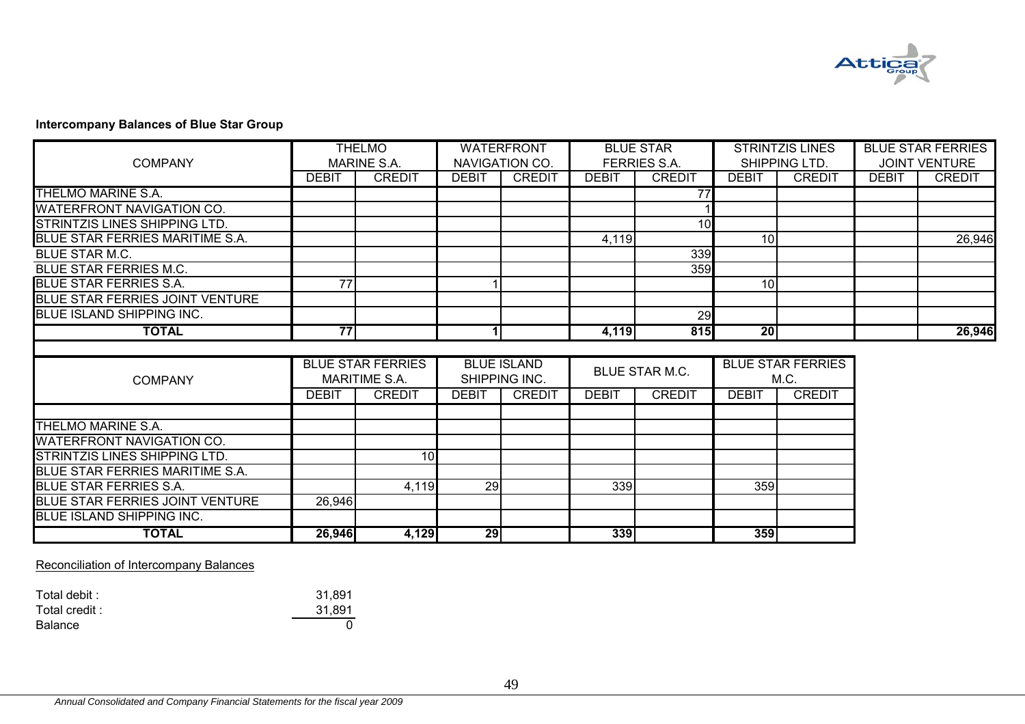

# **Intercompany Balances of Blue Star Group**

| <b>TOTAL</b>                           | 26,946       | 4,129                                            | 29           |                                     | 339          |                     | 359             |                                  |              |                          |
|----------------------------------------|--------------|--------------------------------------------------|--------------|-------------------------------------|--------------|---------------------|-----------------|----------------------------------|--------------|--------------------------|
| <b>BLUE ISLAND SHIPPING INC.</b>       |              |                                                  |              |                                     |              |                     |                 |                                  |              |                          |
| <b>BLUE STAR FERRIES JOINT VENTURE</b> | 26,946       |                                                  |              |                                     |              |                     |                 |                                  |              |                          |
| <b>BLUE STAR FERRIES S.A.</b>          |              | 4,119                                            | 29           |                                     | 339          |                     | 359             |                                  |              |                          |
| BLUE STAR FERRIES MARITIME S.A.        |              |                                                  |              |                                     |              |                     |                 |                                  |              |                          |
| STRINTZIS LINES SHIPPING LTD.          |              | 10                                               |              |                                     |              |                     |                 |                                  |              |                          |
| <b>WATERFRONT NAVIGATION CO.</b>       |              |                                                  |              |                                     |              |                     |                 |                                  |              |                          |
| THELMO MARINE S.A.                     |              |                                                  |              |                                     |              |                     |                 |                                  |              |                          |
|                                        |              |                                                  |              |                                     |              |                     |                 |                                  |              |                          |
|                                        | <b>DEBIT</b> | <b>CREDIT</b>                                    | <b>DEBIT</b> | <b>CREDIT</b>                       | <b>DEBIT</b> | <b>CREDIT</b>       | <b>DEBIT</b>    | <b>CREDIT</b>                    |              |                          |
| <b>COMPANY</b>                         |              | <b>BLUE STAR FERRIES</b><br><b>MARITIME S.A.</b> |              | <b>BLUE ISLAND</b><br>SHIPPING INC. |              | BLUE STAR M.C.      |                 | <b>BLUE STAR FERRIES</b><br>M.C. |              |                          |
| <b>TOTAL</b>                           | 77           |                                                  | $\mathbf{1}$ |                                     | 4,119        | 815                 | $\overline{20}$ |                                  |              | 26,946                   |
| <b>IBLUE ISLAND SHIPPING INC.</b>      |              |                                                  |              |                                     |              | 29                  |                 |                                  |              |                          |
| BLUE STAR FERRIES JOINT VENTURE        |              |                                                  |              |                                     |              |                     |                 |                                  |              |                          |
| <b>BLUE STAR FERRIES S.A.</b>          | 77           |                                                  |              |                                     |              |                     | 10 <sup>1</sup> |                                  |              |                          |
| <b>BLUE STAR FERRIES M.C.</b>          |              |                                                  |              |                                     |              | 359                 |                 |                                  |              |                          |
| BLUE STAR M.C.                         |              |                                                  |              |                                     |              | 339                 |                 |                                  |              |                          |
| BLUE STAR FERRIES MARITIME S.A.        |              |                                                  |              |                                     | 4,119        |                     | 10 <sup>1</sup> |                                  |              | 26,946                   |
| <b>STRINTZIS LINES SHIPPING LTD.</b>   |              |                                                  |              |                                     |              | 10                  |                 |                                  |              |                          |
| <b>WATERFRONT NAVIGATION CO.</b>       |              |                                                  |              |                                     |              |                     |                 |                                  |              |                          |
| THELMO MARINE S.A.                     |              |                                                  |              |                                     |              | 77                  |                 |                                  |              |                          |
|                                        | <b>DEBIT</b> | <b>CREDIT</b>                                    | <b>DEBIT</b> | <b>CREDIT</b>                       | <b>DEBIT</b> | <b>CREDIT</b>       | <b>DEBIT</b>    | <b>CREDIT</b>                    | <b>DEBIT</b> | <b>CREDIT</b>            |
| <b>COMPANY</b>                         |              | <b>MARINE S.A.</b>                               |              | NAVIGATION CO.                      |              | <b>FERRIES S.A.</b> |                 | SHIPPING LTD.                    |              | <b>JOINT VENTURE</b>     |
|                                        |              | <b>THELMO</b>                                    |              | <b>WATERFRONT</b>                   |              | <b>BLUE STAR</b>    |                 | <b>STRINTZIS LINES</b>           |              | <b>BLUE STAR FERRIES</b> |

Reconciliation of Intercompany Balances

| Total debit :  | 31.891 |
|----------------|--------|
| Total credit : | 31,891 |
| Balance        |        |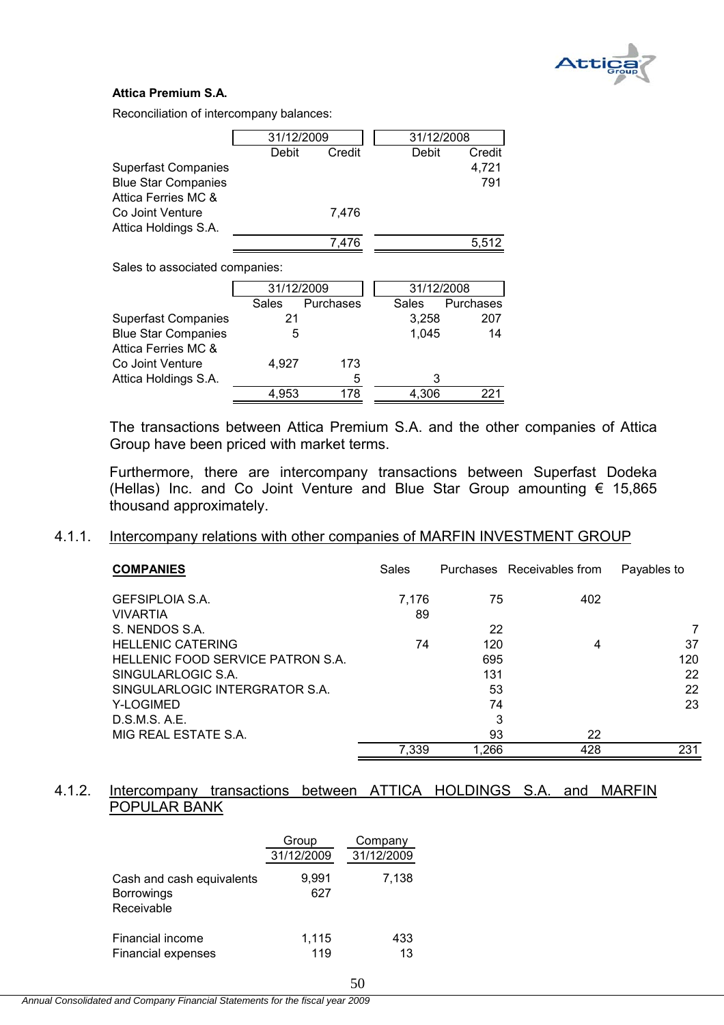

#### $\overline{a}$ **Attica Premium S.A.**

Reconciliation of intercompany balances:

|                            | 31/12/2009 |        | 31/12/2008 |        |
|----------------------------|------------|--------|------------|--------|
|                            | Debit      | Credit | Debit      | Credit |
| <b>Superfast Companies</b> |            |        |            | 4,721  |
| <b>Blue Star Companies</b> |            |        |            | 791    |
| Attica Ferries MC &        |            |        |            |        |
| Co Joint Venture           |            | 7.476  |            |        |
| Attica Holdings S.A.       |            |        |            |        |
|                            |            | 7.476  |            | 5.512  |
|                            |            |        |            |        |

Sales to associated companies:

|                            | 31/12/2009 | 31/12/2008 |       |           |
|----------------------------|------------|------------|-------|-----------|
|                            | Sales      | Purchases  | Sales | Purchases |
| <b>Superfast Companies</b> | 21         |            | 3,258 | 207       |
| <b>Blue Star Companies</b> | 5          |            | 1.045 | 14        |
| Attica Ferries MC &        |            |            |       |           |
| Co Joint Venture           | 4.927      | 173        |       |           |
| Attica Holdings S.A.       |            | 5          | 3     |           |
|                            | 4.953      | 178        | 4.306 |           |

The transactions between Attica Premium S.A. and the other companies of Attica Group have been priced with market terms.

Furthermore, there are intercompany transactions between Superfast Dodeka (Hellas) Inc. and Co Joint Venture and Blue Star Group amounting € 15,865 thousand approximately.

#### 4.1.1. Intercompany relations with other companies of MARFIN INVESTMENT GROUP

| <b>COMPANIES</b>                  | Sales |       | Purchases Receivables from | Payables to |
|-----------------------------------|-------|-------|----------------------------|-------------|
| <b>GEFSIPLOIA S.A.</b>            | 7.176 | 75    | 402                        |             |
| <b>VIVARTIA</b>                   | 89    |       |                            |             |
| S. NENDOS S.A.                    |       | 22    |                            | 7           |
| <b>HELLENIC CATERING</b>          | 74    | 120   | 4                          | 37          |
| HELLENIC FOOD SERVICE PATRON S.A. |       | 695   |                            | 120         |
| SINGULARLOGIC S.A.                |       | 131   |                            | 22          |
| SINGULARLOGIC INTERGRATOR S.A.    |       | 53    |                            | 22          |
| Y-LOGIMED                         |       | 74    |                            | 23          |
| D.S.M.S. A.E.                     |       | 3     |                            |             |
| MIG REAL ESTATE S.A.              |       | 93    | 22                         |             |
|                                   | 7,339 | 1,266 | 428                        | 231         |

# 4.1.2. Intercompany transactions between ATTICA HOLDINGS S.A. and MARFIN POPULAR BANK

|                                                              | Group        | Company    |
|--------------------------------------------------------------|--------------|------------|
|                                                              | 31/12/2009   | 31/12/2009 |
| Cash and cash equivalents<br><b>Borrowings</b><br>Receivable | 9,991<br>627 | 7,138      |
| Financial income                                             | 1,115        | 433        |
| <b>Financial expenses</b>                                    | 119          | 13         |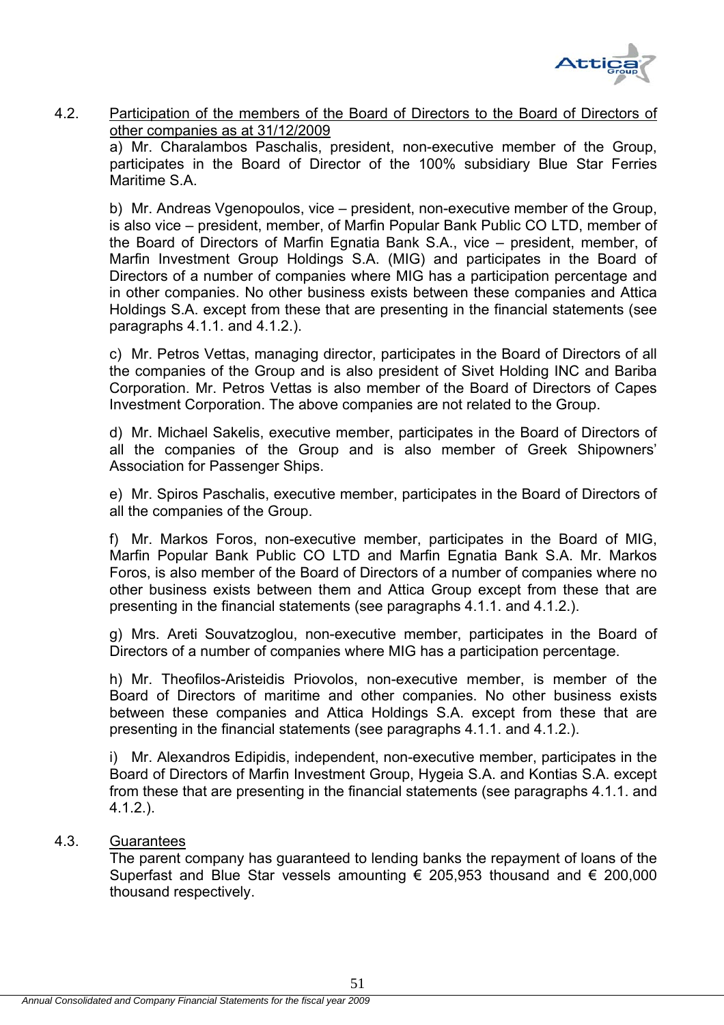

# 4.2. Participation of the members of the Board of Directors to the Board of Directors of other companies as at 31/12/2009

 a) Mr. Charalambos Paschalis, president, non-executive member of the Group, participates in the Board of Director of the 100% subsidiary Blue Star Ferries Maritime S.A.

b) Mr. Andreas Vgenopoulos, vice – president, non-executive member of the Group, is also vice – president, member, of Marfin Popular Bank Public CO LTD, member of the Board of Directors of Marfin Egnatia Bank S.A., vice – president, member, of Marfin Investment Group Holdings S.A. (MIG) and participates in the Board of Directors of a number of companies where MIG has a participation percentage and in other companies. No other business exists between these companies and Attica Holdings S.A. except from these that are presenting in the financial statements (see paragraphs 4.1.1. and 4.1.2.).

c) Mr. Petros Vettas, managing director, participates in the Board of Directors of all the companies of the Group and is also president of Sivet Holding INC and Bariba Corporation. Mr. Petros Vettas is also member of the Board of Directors of Capes Investment Corporation. The above companies are not related to the Group.

d) Mr. Michael Sakelis, executive member, participates in the Board of Directors of all the companies of the Group and is also member of Greek Shipowners' Association for Passenger Ships.

e) Mr. Spiros Paschalis, executive member, participates in the Board of Directors of all the companies of the Group.

f) Mr. Markos Foros, non-executive member, participates in the Board of MIG, Marfin Popular Bank Public CO LTD and Marfin Egnatia Bank S.A. Mr. Markos Foros, is also member of the Board of Directors of a number of companies where no other business exists between them and Attica Group except from these that are presenting in the financial statements (see paragraphs 4.1.1. and 4.1.2.).

g) Mrs. Areti Souvatzoglou, non-executive member, participates in the Board of Directors of a number of companies where MIG has a participation percentage.

h) Mr. Theofilos-Aristeidis Priovolos, non-executive member, is member of the Board of Directors of maritime and other companies. No other business exists between these companies and Attica Holdings S.A. except from these that are presenting in the financial statements (see paragraphs 4.1.1. and 4.1.2.).

i) Mr. Alexandros Edipidis, independent, non-executive member, participates in the Board of Directors of Marfin Investment Group, Hygeia S.A. and Kontias S.A. except from these that are presenting in the financial statements (see paragraphs 4.1.1. and 4.1.2.).

# 4.3. Guarantees

 The parent company has guaranteed to lending banks the repayment of loans of the Superfast and Blue Star vessels amounting  $\epsilon$  205,953 thousand and  $\epsilon$  200,000 thousand respectively.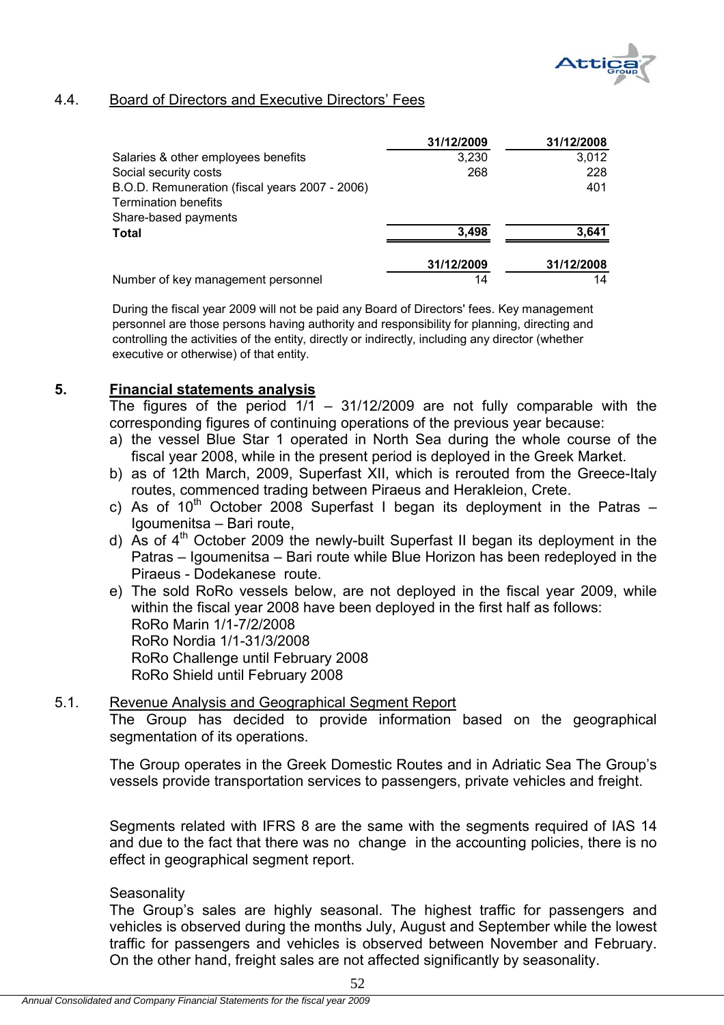

# 4.4. Board of Directors and Executive Directors' Fees

|                                                | 31/12/2009 | 31/12/2008 |
|------------------------------------------------|------------|------------|
| Salaries & other employees benefits            | 3,230      | 3,012      |
| Social security costs                          | 268        | 228        |
| B.O.D. Remuneration (fiscal years 2007 - 2006) |            | 401        |
| <b>Termination benefits</b>                    |            |            |
| Share-based payments                           |            |            |
| Total                                          | 3,498      | 3,641      |
|                                                | 31/12/2009 | 31/12/2008 |
| Number of key management personnel             | 14         | 14         |

During the fiscal year 2009 will not be paid any Board of Directors' fees. Key management personnel are those persons having authority and responsibility for planning, directing and controlling the activities of the entity, directly or indirectly, including any director (whether executive or otherwise) of that entity.

## **5. Financial statements analysis**

The figures of the period  $1/1$  – 31/12/2009 are not fully comparable with the corresponding figures of continuing operations of the previous year because:

- a) the vessel Blue Star 1 operated in North Sea during the whole course of the fiscal year 2008, while in the present period is deployed in the Greek Market.
- b) as of 12th March, 2009, Superfast XII, which is rerouted from the Greece-Italy routes, commenced trading between Piraeus and Herakleion, Crete.
- c) As of  $10^{th}$  October 2008 Superfast I began its deployment in the Patras Igoumenitsa – Bari route,
- d) As of  $4<sup>th</sup>$  October 2009 the newly-built Superfast II began its deployment in the Patras – Igoumenitsa – Bari route while Blue Horizon has been redeployed in the Piraeus - Dodekanese route.
- e) The sold RoRo vessels below, are not deployed in the fiscal year 2009, while within the fiscal year 2008 have been deployed in the first half as follows: RoRo Marin 1/1-7/2/2008 RoRo Nordia 1/1-31/3/2008 RoRo Challenge until February 2008 RoRo Shield until February 2008

# 5.1. Revenue Analysis and Geographical Segment Report

The Group has decided to provide information based on the geographical segmentation of its operations.

The Group operates in the Greek Domestic Routes and in Adriatic Sea The Group's vessels provide transportation services to passengers, private vehicles and freight.

Segments related with IFRS 8 are the same with the segments required of IAS 14 and due to the fact that there was no change in the accounting policies, there is no effect in geographical segment report.

#### **Seasonality**

The Group's sales are highly seasonal. The highest traffic for passengers and vehicles is observed during the months July, August and September while the lowest traffic for passengers and vehicles is observed between November and February. On the other hand, freight sales are not affected significantly by seasonality.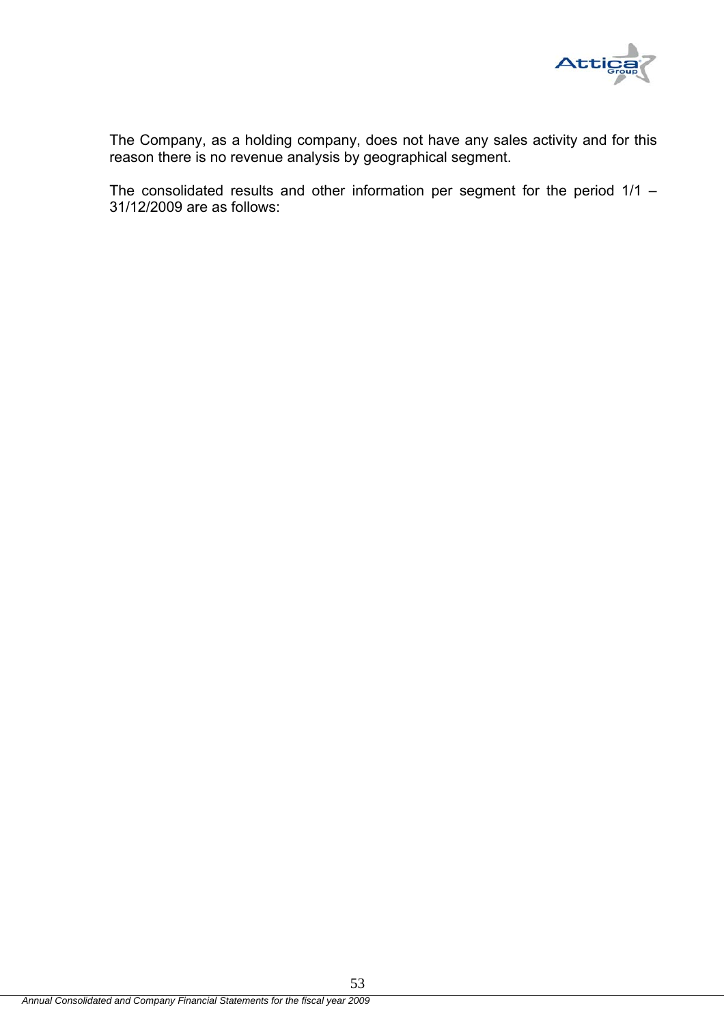

The Company, as a holding company, does not have any sales activity and for this reason there is no revenue analysis by geographical segment.

The consolidated results and other information per segment for the period 1/1 – 31/12/2009 are as follows: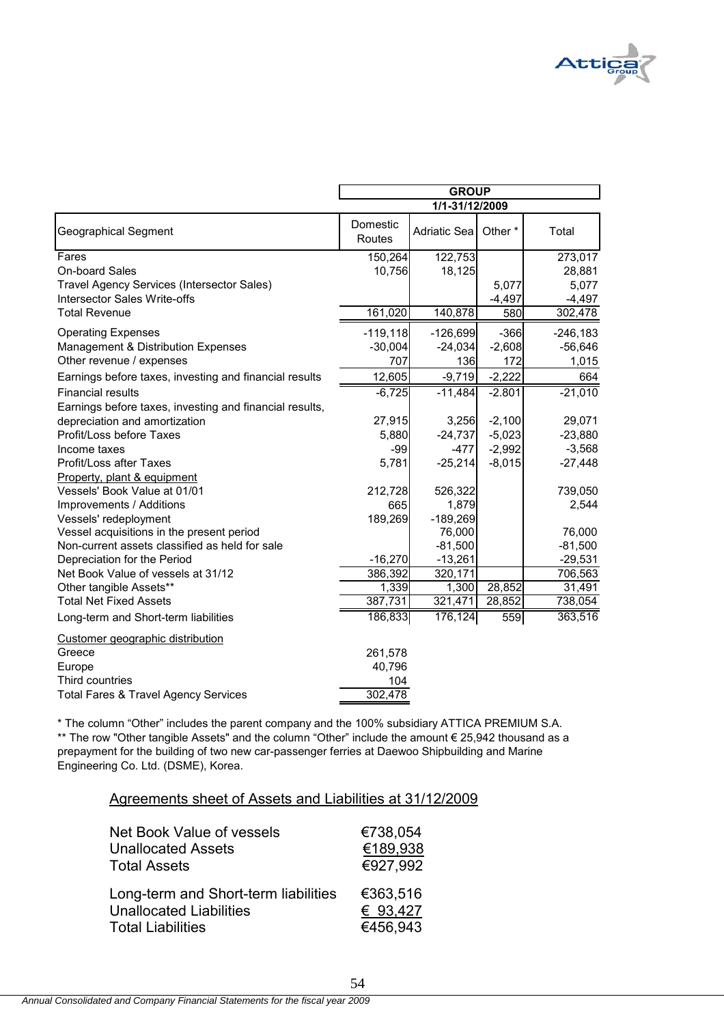

|                                                                   | <b>GROUP</b>       |                        |          |                        |
|-------------------------------------------------------------------|--------------------|------------------------|----------|------------------------|
|                                                                   |                    | 1/1-31/12/2009         |          |                        |
| <b>Geographical Segment</b>                                       | Domestic<br>Routes | <b>Adriatic Sea</b>    | Other*   | Total                  |
| Fares                                                             | 150,264            | 122,753                |          | 273,017                |
| <b>On-board Sales</b>                                             | 10,756             | 18,125                 |          | 28,881                 |
| Travel Agency Services (Intersector Sales)                        |                    |                        | 5,077    | 5,077                  |
| <b>Intersector Sales Write-offs</b>                               |                    |                        | $-4,497$ | $-4,497$               |
| <b>Total Revenue</b>                                              | 161,020            | 140,878                | 580      | 302,478                |
| <b>Operating Expenses</b>                                         | $-119,118$         | $-126,699$             | $-366$   | $-246,183$             |
| Management & Distribution Expenses                                | $-30,004$          | $-24,034$              | $-2,608$ | $-56,646$              |
| Other revenue / expenses                                          | 707                | 136                    | 172      | 1,015                  |
| Earnings before taxes, investing and financial results            | 12,605             | $-9,719$               | $-2,222$ | 664                    |
| <b>Financial results</b>                                          | $-6,725$           | $-11,484$              | $-2.801$ | $-21,010$              |
| Earnings before taxes, investing and financial results,           |                    |                        |          |                        |
| depreciation and amortization                                     | 27,915             | 3,256                  | $-2,100$ | 29,071                 |
| Profit/Loss before Taxes                                          | 5,880              | $-24,737$              | $-5,023$ | $-23,880$              |
| Income taxes                                                      | $-99$              | $-477$                 | $-2,992$ | $-3,568$               |
| <b>Profit/Loss after Taxes</b>                                    | 5,781              | $-25,214$              | $-8,015$ | $-27,448$              |
| Property, plant & equipment                                       |                    |                        |          |                        |
| Vessels' Book Value at 01/01                                      | 212,728            | 526,322                |          | 739,050                |
| Improvements / Additions                                          | 665                | 1,879                  |          | 2,544                  |
| Vessels' redeployment                                             | 189,269            | $-189,269$             |          |                        |
| Vessel acquisitions in the present period                         |                    | 76,000                 |          | 76,000                 |
| Non-current assets classified as held for sale                    | $-16,270$          | $-81,500$<br>$-13,261$ |          | $-81,500$<br>$-29,531$ |
| Depreciation for the Period<br>Net Book Value of vessels at 31/12 | 386,392            | 320,171                |          | 706,563                |
| Other tangible Assets**                                           | 1,339              | 1,300                  | 28,852   | 31,491                 |
| <b>Total Net Fixed Assets</b>                                     | 387,731            | 321,471                | 28,852   | 738,054                |
| Long-term and Short-term liabilities                              | 186,833            | 176,124                | 559      | 363,516                |
| Customer geographic distribution                                  |                    |                        |          |                        |
| Greece                                                            | 261,578            |                        |          |                        |
| Europe                                                            | 40,796             |                        |          |                        |
| Third countries                                                   | 104                |                        |          |                        |
| <b>Total Fares &amp; Travel Agency Services</b>                   | 302,478            |                        |          |                        |

Engineering Co. Ltd. (DSME), Korea. prepayment for the building of two new car-passenger ferries at Daewoo Shipbuilding and Marine \* The column "Other" includes the parent company and the 100% subsidiary ATTICA PREMIUM S.A. \*\* The row "Other tangible Assets" and the column "Other" include the amount € 25,942 thousand as a

| Agreements sheet of Assets and Liabilities at 31/12/2009 |  |  |
|----------------------------------------------------------|--|--|
|----------------------------------------------------------|--|--|

| Net Book Value of vessels            | €738,054 |
|--------------------------------------|----------|
| <b>Unallocated Assets</b>            | €189,938 |
| <b>Total Assets</b>                  | €927,992 |
| Long-term and Short-term liabilities | €363,516 |
| <b>Unallocated Liabilities</b>       | € 93,427 |
| <b>Total Liabilities</b>             | €456,943 |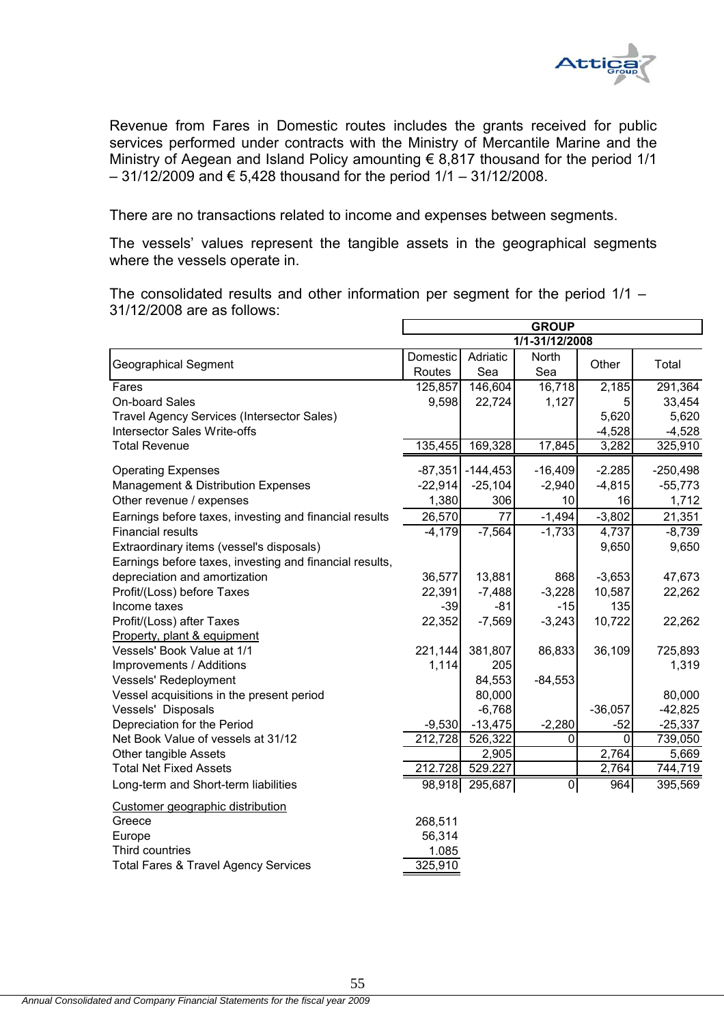

Revenue from Fares in Domestic routes includes the grants received for public services performed under contracts with the Ministry of Mercantile Marine and the Ministry of Aegean and Island Policy amounting  $\epsilon$  8,817 thousand for the period 1/1  $-31/12/2009$  and € 5,428 thousand for the period  $1/1 - 31/12/2008$ .

There are no transactions related to income and expenses between segments.

The vessels' values represent the tangible assets in the geographical segments where the vessels operate in.

The consolidated results and other information per segment for the period 1/1 – 31/12/2008 are as follows:

|                                                         | <b>GROUP</b> |                |                |                    |            |
|---------------------------------------------------------|--------------|----------------|----------------|--------------------|------------|
|                                                         |              |                | 1/1-31/12/2008 |                    |            |
| <b>Geographical Segment</b>                             | Domestic     | Adriatic       | North          | Other              | Total      |
|                                                         | Routes       | Sea            | Sea            |                    |            |
| Fares                                                   | 125,857      | 146,604        | 16,718         | 2,185              | 291,364    |
| <b>On-board Sales</b>                                   | 9,598        | 22,724         | 1,127          | 5 <sup>1</sup>     | 33,454     |
| Travel Agency Services (Intersector Sales)              |              |                |                | 5,620              | 5,620      |
| Intersector Sales Write-offs                            |              |                |                | $-4,528$           | $-4,528$   |
| <b>Total Revenue</b>                                    | 135,455      | 169,328        | 17,845         | 3,282              | 325,910    |
| <b>Operating Expenses</b>                               | $-87,351$    | $-144,453$     | $-16,409$      | $-2.285$           | $-250,498$ |
| Management & Distribution Expenses                      | $-22,914$    | $-25,104$      | $-2,940$       | $-4,815$           | $-55,773$  |
| Other revenue / expenses                                | 1,380        | 306            | 10             | 16                 | 1,712      |
| Earnings before taxes, investing and financial results  | 26,570       | 77             | $-1,494$       | $-3,802$           | 21,351     |
| <b>Financial results</b>                                | $-4,179$     | $-7,564$       | $-1,733$       | 4,737              | $-8,739$   |
| Extraordinary items (vessel's disposals)                |              |                |                | 9,650              | 9,650      |
| Earnings before taxes, investing and financial results, |              |                |                |                    |            |
| depreciation and amortization                           | 36,577       | 13,881         | 868            | $-3,653$           | 47,673     |
| Profit/(Loss) before Taxes                              | 22,391       | $-7,488$       | $-3,228$       | 10,587             | 22,262     |
| Income taxes                                            | $-39$        | $-81$          | $-15$          | 135                |            |
| Profit/(Loss) after Taxes                               | 22,352       | $-7,569$       | $-3,243$       | 10,722             | 22,262     |
| Property, plant & equipment                             |              |                |                |                    |            |
| Vessels' Book Value at 1/1                              | 221,144      | 381,807        | 86,833         | 36,109             | 725,893    |
| Improvements / Additions                                | 1,114        | 205            |                |                    | 1,319      |
| Vessels' Redeployment                                   |              | 84,553         | $-84,553$      |                    |            |
| Vessel acquisitions in the present period               |              | 80,000         |                |                    | 80,000     |
| Vessels' Disposals                                      |              | $-6,768$       |                | $-36,057$          | $-42,825$  |
| Depreciation for the Period                             | $-9,530$     | $-13,475$      | $-2,280$       | $-52$              | $-25,337$  |
| Net Book Value of vessels at 31/12                      | 212,728      | 526,322        | 0              | 0                  | 739,050    |
| Other tangible Assets                                   |              | 2,905          |                | 2,764              | 5,669      |
| <b>Total Net Fixed Assets</b>                           | 212.728      | 529.227        |                | $\overline{2,}764$ | 744,719    |
| Long-term and Short-term liabilities                    |              | 98,918 295,687 | $\pmb{0}$      | 964                | 395,569    |
| Customer geographic distribution                        |              |                |                |                    |            |
| Greece                                                  | 268,511      |                |                |                    |            |
| Europe                                                  | 56,314       |                |                |                    |            |
| Third countries                                         | 1.085        |                |                |                    |            |
| <b>Total Fares &amp; Travel Agency Services</b>         | 325,910      |                |                |                    |            |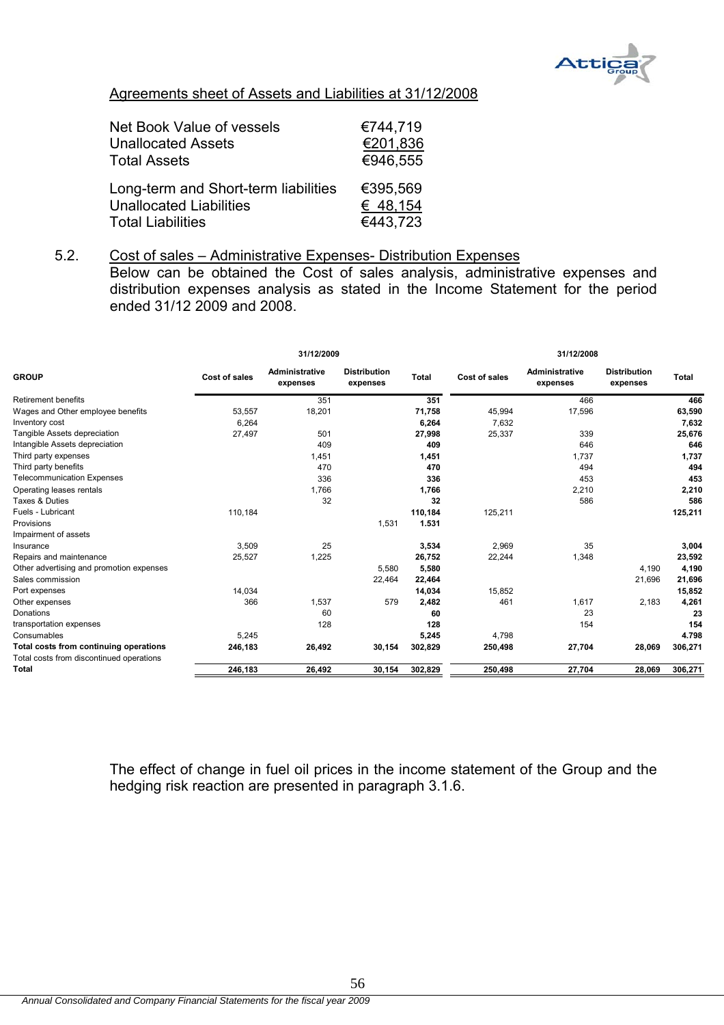

# Agreements sheet of Assets and Liabilities at 31/12/2008

| Net Book Value of vessels            | €744,719 |
|--------------------------------------|----------|
| <b>Unallocated Assets</b>            | €201,836 |
| <b>Total Assets</b>                  | €946,555 |
| Long-term and Short-term liabilities | €395,569 |
| <b>Unallocated Liabilities</b>       | € 48,154 |
| <b>Total Liabilities</b>             | €443,723 |

5.2. Cost of sales – Administrative Expenses- Distribution Expenses Below can be obtained the Cost of sales analysis, administrative expenses and distribution expenses analysis as stated in the Income Statement for the period ended 31/12 2009 and 2008.

|                                          | 31/12/2009    |                                   |                                 |              | 31/12/2008    |                                   |                                 |              |
|------------------------------------------|---------------|-----------------------------------|---------------------------------|--------------|---------------|-----------------------------------|---------------------------------|--------------|
| <b>GROUP</b>                             | Cost of sales | <b>Administrative</b><br>expenses | <b>Distribution</b><br>expenses | <b>Total</b> | Cost of sales | <b>Administrative</b><br>expenses | <b>Distribution</b><br>expenses | <b>Total</b> |
| <b>Retirement benefits</b>               |               | 351                               |                                 | 351          |               | 466                               |                                 | 466          |
| Wages and Other employee benefits        | 53,557        | 18,201                            |                                 | 71,758       | 45.994        | 17,596                            |                                 | 63,590       |
| Inventory cost                           | 6,264         |                                   |                                 | 6,264        | 7.632         |                                   |                                 | 7,632        |
| Tangible Assets depreciation             | 27,497        | 501                               |                                 | 27,998       | 25,337        | 339                               |                                 | 25,676       |
| Intangible Assets depreciation           |               | 409                               |                                 | 409          |               | 646                               |                                 | 646          |
| Third party expenses                     |               | 1,451                             |                                 | 1,451        |               | 1,737                             |                                 | 1,737        |
| Third party benefits                     |               | 470                               |                                 | 470          |               | 494                               |                                 | 494          |
| <b>Telecommunication Expenses</b>        |               | 336                               |                                 | 336          |               | 453                               |                                 | 453          |
| Operating leases rentals                 |               | 1,766                             |                                 | 1,766        |               | 2,210                             |                                 | 2,210        |
| Taxes & Duties                           |               | 32                                |                                 | 32           |               | 586                               |                                 | 586          |
| Fuels - Lubricant                        | 110,184       |                                   |                                 | 110,184      | 125,211       |                                   |                                 | 125,211      |
| Provisions                               |               |                                   | 1,531                           | 1.531        |               |                                   |                                 |              |
| Impairment of assets                     |               |                                   |                                 |              |               |                                   |                                 |              |
| Insurance                                | 3,509         | 25                                |                                 | 3,534        | 2.969         | 35                                |                                 | 3,004        |
| Repairs and maintenance                  | 25,527        | 1,225                             |                                 | 26,752       | 22,244        | 1,348                             |                                 | 23,592       |
| Other advertising and promotion expenses |               |                                   | 5,580                           | 5,580        |               |                                   | 4,190                           | 4,190        |
| Sales commission                         |               |                                   | 22,464                          | 22,464       |               |                                   | 21,696                          | 21,696       |
| Port expenses                            | 14,034        |                                   |                                 | 14,034       | 15,852        |                                   |                                 | 15,852       |
| Other expenses                           | 366           | 1,537                             | 579                             | 2,482        | 461           | 1,617                             | 2,183                           | 4,261        |
| Donations                                |               | 60                                |                                 | 60           |               | 23                                |                                 | 23           |
| transportation expenses                  |               | 128                               |                                 | 128          |               | 154                               |                                 | 154          |
| Consumables                              | 5,245         |                                   |                                 | 5,245        | 4,798         |                                   |                                 | 4.798        |
| Total costs from continuing operations   | 246,183       | 26,492                            | 30,154                          | 302,829      | 250,498       | 27,704                            | 28,069                          | 306,271      |
| Total costs from discontinued operations |               |                                   |                                 |              |               |                                   |                                 |              |
| Total                                    | 246,183       | 26,492                            | 30,154                          | 302,829      | 250,498       | 27,704                            | 28,069                          | 306,271      |

The effect of change in fuel oil prices in the income statement of the Group and the hedging risk reaction are presented in paragraph 3.1.6.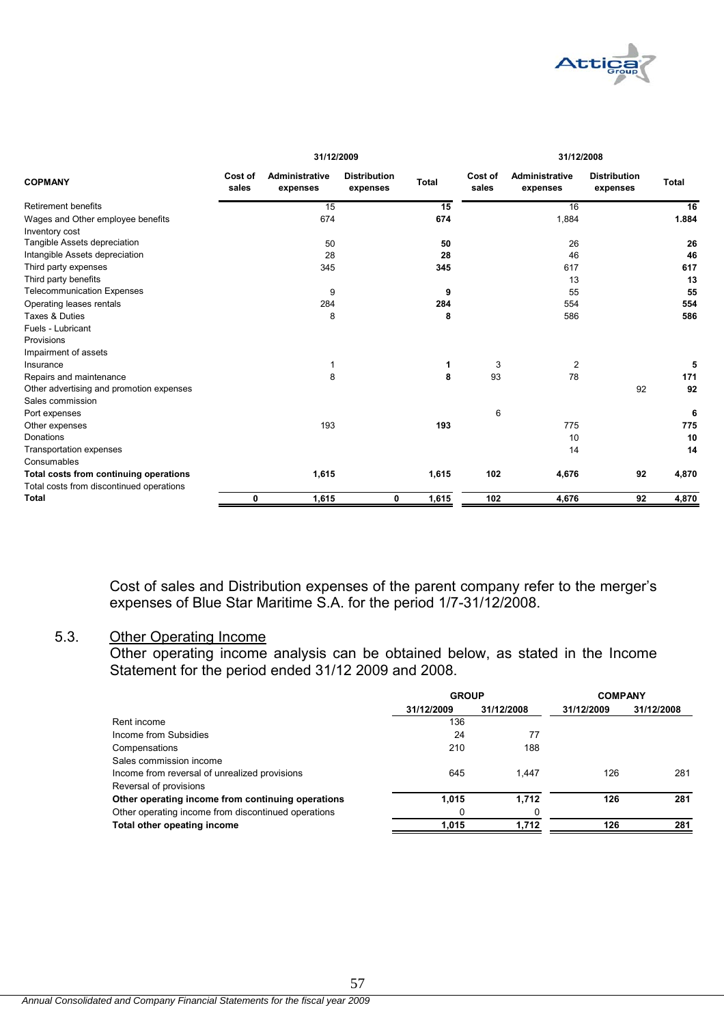

|                                          | 31/12/2009       |                                   |                                 | 31/12/2008   |                  |                            |                                 |              |
|------------------------------------------|------------------|-----------------------------------|---------------------------------|--------------|------------------|----------------------------|---------------------------------|--------------|
| <b>COPMANY</b>                           | Cost of<br>sales | <b>Administrative</b><br>expenses | <b>Distribution</b><br>expenses | <b>Total</b> | Cost of<br>sales | Administrative<br>expenses | <b>Distribution</b><br>expenses | <b>Total</b> |
| <b>Retirement benefits</b>               |                  | 15                                |                                 | 15           |                  | 16                         |                                 | 16           |
| Wages and Other employee benefits        |                  | 674                               |                                 | 674          |                  | 1,884                      |                                 | 1.884        |
| Inventory cost                           |                  |                                   |                                 |              |                  |                            |                                 |              |
| Tangible Assets depreciation             |                  | 50                                |                                 | 50           |                  | 26                         |                                 | 26           |
| Intangible Assets depreciation           |                  | 28                                |                                 | 28           |                  | 46                         |                                 | 46           |
| Third party expenses                     |                  | 345                               |                                 | 345          |                  | 617                        |                                 | 617          |
| Third party benefits                     |                  |                                   |                                 |              |                  | 13                         |                                 | 13           |
| <b>Telecommunication Expenses</b>        |                  | 9                                 |                                 | 9            |                  | 55                         |                                 | 55           |
| Operating leases rentals                 |                  | 284                               |                                 | 284          |                  | 554                        |                                 | 554          |
| Taxes & Duties                           |                  | 8                                 |                                 | 8            |                  | 586                        |                                 | 586          |
| Fuels - Lubricant                        |                  |                                   |                                 |              |                  |                            |                                 |              |
| Provisions                               |                  |                                   |                                 |              |                  |                            |                                 |              |
| Impairment of assets                     |                  |                                   |                                 |              |                  |                            |                                 |              |
| Insurance                                |                  | 1                                 |                                 |              | 3                | 2                          |                                 | 5            |
| Repairs and maintenance                  |                  | 8                                 |                                 | 8            | 93               | 78                         |                                 | 171          |
| Other advertising and promotion expenses |                  |                                   |                                 |              |                  |                            | 92                              | 92           |
| Sales commission                         |                  |                                   |                                 |              |                  |                            |                                 |              |
| Port expenses                            |                  |                                   |                                 |              | 6                |                            |                                 | 6            |
| Other expenses                           |                  | 193                               |                                 | 193          |                  | 775                        |                                 | 775          |
| Donations                                |                  |                                   |                                 |              |                  | 10                         |                                 | 10           |
| Transportation expenses                  |                  |                                   |                                 |              |                  | 14                         |                                 | 14           |
| Consumables                              |                  |                                   |                                 |              |                  |                            |                                 |              |
| Total costs from continuing operations   |                  | 1,615                             |                                 | 1,615        | 102              | 4,676                      | 92                              | 4,870        |
| Total costs from discontinued operations |                  |                                   |                                 |              |                  |                            |                                 |              |
| <b>Total</b>                             | 0                | 1,615                             | 0                               | 1,615        | 102              | 4,676                      | 92                              | 4,870        |

Cost of sales and Distribution expenses of the parent company refer to the merger's expenses of Blue Star Maritime S.A. for the period 1/7-31/12/2008.

# 5.3. Other Operating Income

Other operating income analysis can be obtained below, as stated in the Income Statement for the period ended 31/12 2009 and 2008.

|                                                     | <b>GROUP</b> |            | <b>COMPANY</b> |            |
|-----------------------------------------------------|--------------|------------|----------------|------------|
|                                                     | 31/12/2009   | 31/12/2008 | 31/12/2009     | 31/12/2008 |
| Rent income                                         | 136          |            |                |            |
| Income from Subsidies                               | 24           | 77         |                |            |
| Compensations                                       | 210          | 188        |                |            |
| Sales commission income                             |              |            |                |            |
| Income from reversal of unrealized provisions       | 645          | 1.447      | 126            | 281        |
| Reversal of provisions                              |              |            |                |            |
| Other operating income from continuing operations   | 1.015        | 1,712      | 126            | 281        |
| Other operating income from discontinued operations | <sup>0</sup> |            |                |            |
| Total other opeating income                         | 1.015        | 1.712      | 126            | 281        |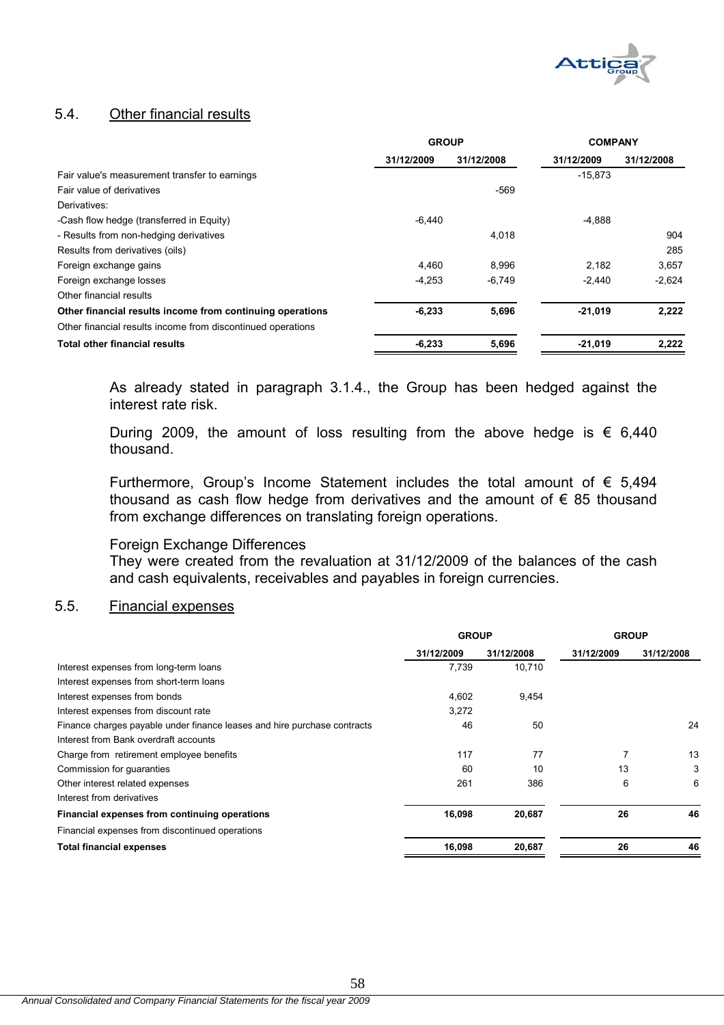

# 5.4. Other financial results

|                                                             | <b>GROUP</b> |            | <b>COMPANY</b> |            |
|-------------------------------------------------------------|--------------|------------|----------------|------------|
|                                                             | 31/12/2009   | 31/12/2008 | 31/12/2009     | 31/12/2008 |
| Fair value's measurement transfer to earnings               |              |            | $-15.873$      |            |
| Fair value of derivatives                                   |              | $-569$     |                |            |
| Derivatives:                                                |              |            |                |            |
| -Cash flow hedge (transferred in Equity)                    | $-6,440$     |            | $-4,888$       |            |
| - Results from non-hedging derivatives                      |              | 4,018      |                | 904        |
| Results from derivatives (oils)                             |              |            |                | 285        |
| Foreign exchange gains                                      | 4.460        | 8.996      | 2.182          | 3,657      |
| Foreign exchange losses                                     | $-4,253$     | $-6,749$   | $-2.440$       | $-2.624$   |
| Other financial results                                     |              |            |                |            |
| Other financial results income from continuing operations   | $-6,233$     | 5,696      | $-21,019$      | 2,222      |
| Other financial results income from discontinued operations |              |            |                |            |
| <b>Total other financial results</b>                        | $-6,233$     | 5,696      | $-21,019$      | 2,222      |

As already stated in paragraph 3.1.4., the Group has been hedged against the interest rate risk.

During 2009, the amount of loss resulting from the above hedge is  $\epsilon$  6,440 thousand.

Furthermore, Group's Income Statement includes the total amount of  $\epsilon$  5,494 thousand as cash flow hedge from derivatives and the amount of  $\epsilon$  85 thousand from exchange differences on translating foreign operations.

#### Foreign Exchange Differences

They were created from the revaluation at 31/12/2009 of the balances of the cash and cash equivalents, receivables and payables in foreign currencies.

# 5.5. Financial expenses

|                                                                          | <b>GROUP</b> |            | <b>GROUP</b> |            |
|--------------------------------------------------------------------------|--------------|------------|--------------|------------|
|                                                                          | 31/12/2009   | 31/12/2008 | 31/12/2009   | 31/12/2008 |
| Interest expenses from long-term loans                                   | 7,739        | 10,710     |              |            |
| Interest expenses from short-term loans                                  |              |            |              |            |
| Interest expenses from bonds                                             | 4,602        | 9,454      |              |            |
| Interest expenses from discount rate                                     | 3,272        |            |              |            |
| Finance charges payable under finance leases and hire purchase contracts | 46           | 50         |              | 24         |
| Interest from Bank overdraft accounts                                    |              |            |              |            |
| Charge from retirement employee benefits                                 | 117          | 77         |              | 13         |
| Commission for guaranties                                                | 60           | 10         | 13           | 3          |
| Other interest related expenses                                          | 261          | 386        | 6            | 6          |
| Interest from derivatives                                                |              |            |              |            |
| Financial expenses from continuing operations                            | 16,098       | 20,687     | 26           | 46         |
| Financial expenses from discontinued operations                          |              |            |              |            |
| <b>Total financial expenses</b>                                          | 16,098       | 20,687     | 26           | 46         |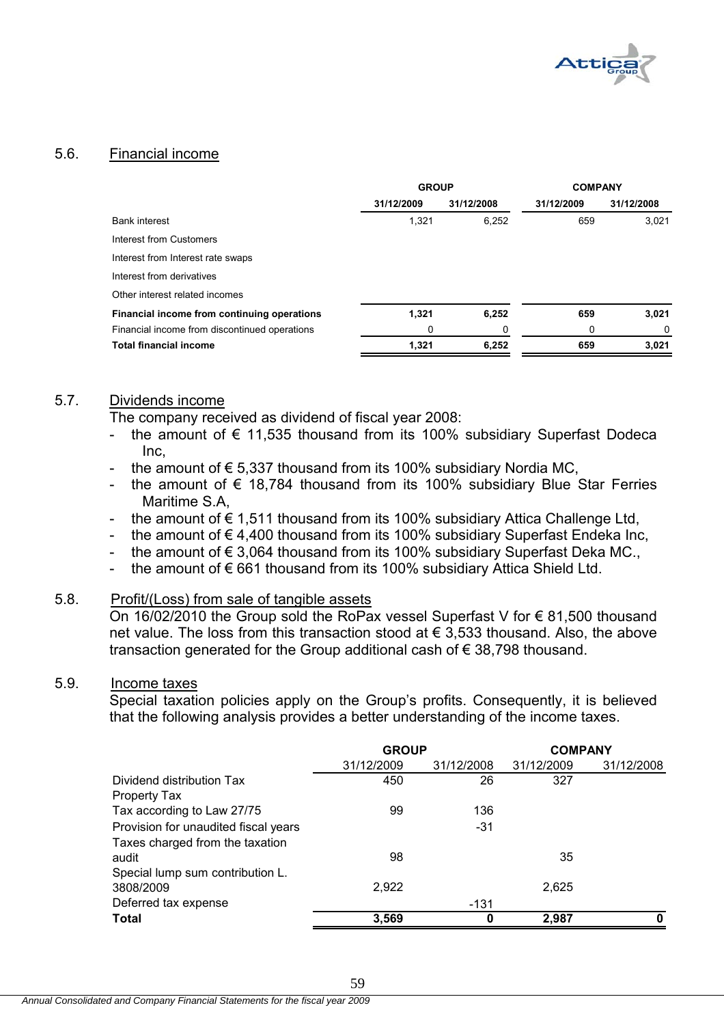

# 5.6. Financial income

|                                               | <b>GROUP</b> |            | <b>COMPANY</b> |            |
|-----------------------------------------------|--------------|------------|----------------|------------|
|                                               | 31/12/2009   | 31/12/2008 | 31/12/2009     | 31/12/2008 |
| <b>Bank interest</b>                          | 1,321        | 6,252      | 659            | 3.021      |
| Interest from Customers                       |              |            |                |            |
| Interest from Interest rate swaps             |              |            |                |            |
| Interest from derivatives                     |              |            |                |            |
| Other interest related incomes                |              |            |                |            |
| Financial income from continuing operations   | 1,321        | 6,252      | 659            | 3,021      |
| Financial income from discontinued operations | 0            | 0          | 0              | 0          |
| <b>Total financial income</b>                 | 1.321        | 6,252      | 659            | 3,021      |

## 5.7. Dividends income

The company received as dividend of fiscal year 2008:

- the amount of  $\epsilon$  11,535 thousand from its 100% subsidiary Superfast Dodeca Inc,
- the amount of  $\epsilon$  5,337 thousand from its 100% subsidiary Nordia MC,
- the amount of  $\epsilon$  18,784 thousand from its 100% subsidiary Blue Star Ferries Maritime S.A,
- the amount of  $€ 1,511$  thousand from its 100% subsidiary Attica Challenge Ltd,
- the amount of  $€ 4,400$  thousand from its 100% subsidiary Superfast Endeka Inc,
- the amount of  $\epsilon$  3,064 thousand from its 100% subsidiary Superfast Deka MC.,
- the amount of  $\epsilon$  661 thousand from its 100% subsidiary Attica Shield Ltd.

# 5.8. Profit/(Loss) from sale of tangible assets

On 16/02/2010 the Group sold the RoPax vessel Superfast V for € 81,500 thousand net value. The loss from this transaction stood at  $\epsilon$  3,533 thousand. Also, the above transaction generated for the Group additional cash of € 38,798 thousand.

# 5.9. Income taxes

Special taxation policies apply on the Group's profits. Consequently, it is believed that the following analysis provides a better understanding of the income taxes.

|                                      | <b>GROUP</b> |            | <b>COMPANY</b> |            |
|--------------------------------------|--------------|------------|----------------|------------|
|                                      | 31/12/2009   | 31/12/2008 | 31/12/2009     | 31/12/2008 |
| Dividend distribution Tax            | 450          | 26         | 327            |            |
| Property Tax                         |              |            |                |            |
| Tax according to Law 27/75           | 99           | 136        |                |            |
| Provision for unaudited fiscal years |              | $-31$      |                |            |
| Taxes charged from the taxation      |              |            |                |            |
| audit                                | 98           |            | 35             |            |
| Special lump sum contribution L.     |              |            |                |            |
| 3808/2009                            | 2,922        |            | 2,625          |            |
| Deferred tax expense                 |              | -131       |                |            |
| <b>Total</b>                         | 3,569        | 0          | 2,987          |            |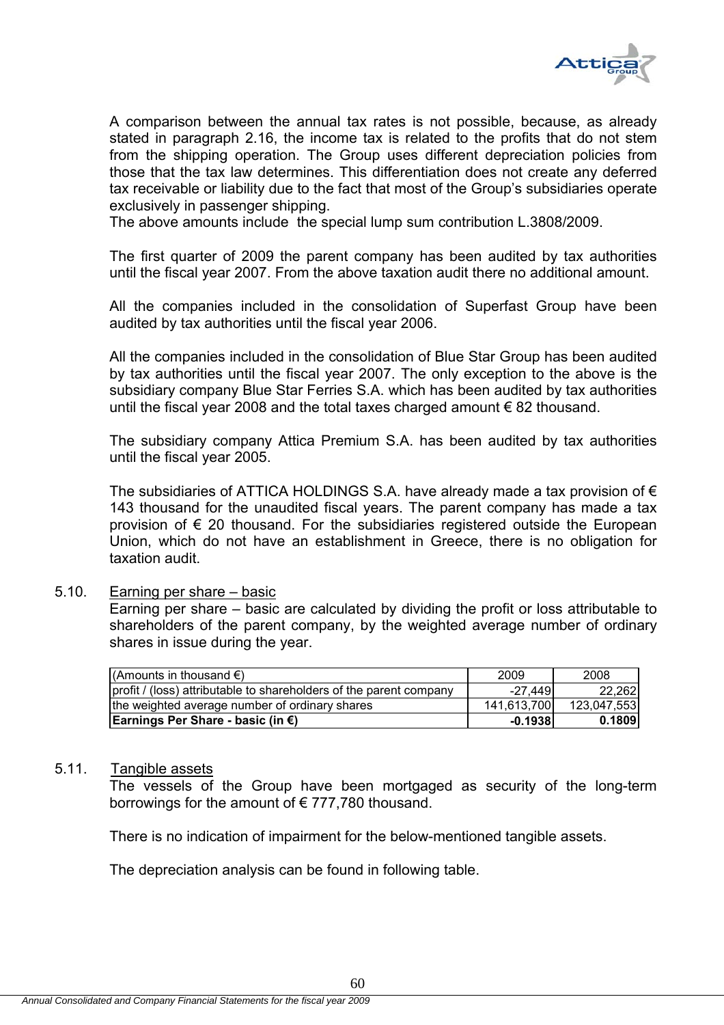

A comparison between the annual tax rates is not possible, because, as already stated in paragraph 2.16, the income tax is related to the profits that do not stem from the shipping operation. The Group uses different depreciation policies from those that the tax law determines. This differentiation does not create any deferred tax receivable or liability due to the fact that most of the Group's subsidiaries operate exclusively in passenger shipping.

The above amounts include the special lump sum contribution L.3808/2009.

The first quarter of 2009 the parent company has been audited by tax authorities until the fiscal year 2007. From the above taxation audit there no additional amount.

All the companies included in the consolidation of Superfast Group have been audited by tax authorities until the fiscal year 2006.

All the companies included in the consolidation of Blue Star Group has been audited by tax authorities until the fiscal year 2007. The only exception to the above is the subsidiary company Blue Star Ferries S.A. which has been audited by tax authorities until the fiscal year 2008 and the total taxes charged amount € 82 thousand.

The subsidiary company Attica Premium S.A. has been audited by tax authorities until the fiscal year 2005.

The subsidiaries of ATTICA HOLDINGS S.A. have already made a tax provision of  $\epsilon$ 143 thousand for the unaudited fiscal years. The parent company has made a tax provision of  $\epsilon$  20 thousand. For the subsidiaries registered outside the European Union, which do not have an establishment in Greece, there is no obligation for taxation audit.

#### 5.10. Earning per share – basic

Earning per share – basic are calculated by dividing the profit or loss attributable to shareholders of the parent company, by the weighted average number of ordinary shares in issue during the year.

| (Amounts in thousand $\epsilon$ )                                  | 2009        | 2008        |
|--------------------------------------------------------------------|-------------|-------------|
| profit / (loss) attributable to shareholders of the parent company | $-27,449$   | 22.262      |
| the weighted average number of ordinary shares                     | 141,613,700 | 123,047,553 |
| Earnings Per Share - basic (in €)                                  | $-0.1938$   | 0.1809      |

#### 5.11. Tangible assets

The vessels of the Group have been mortgaged as security of the long-term borrowings for the amount of  $\epsilon$  777,780 thousand.

There is no indication of impairment for the below-mentioned tangible assets.

The depreciation analysis can be found in following table.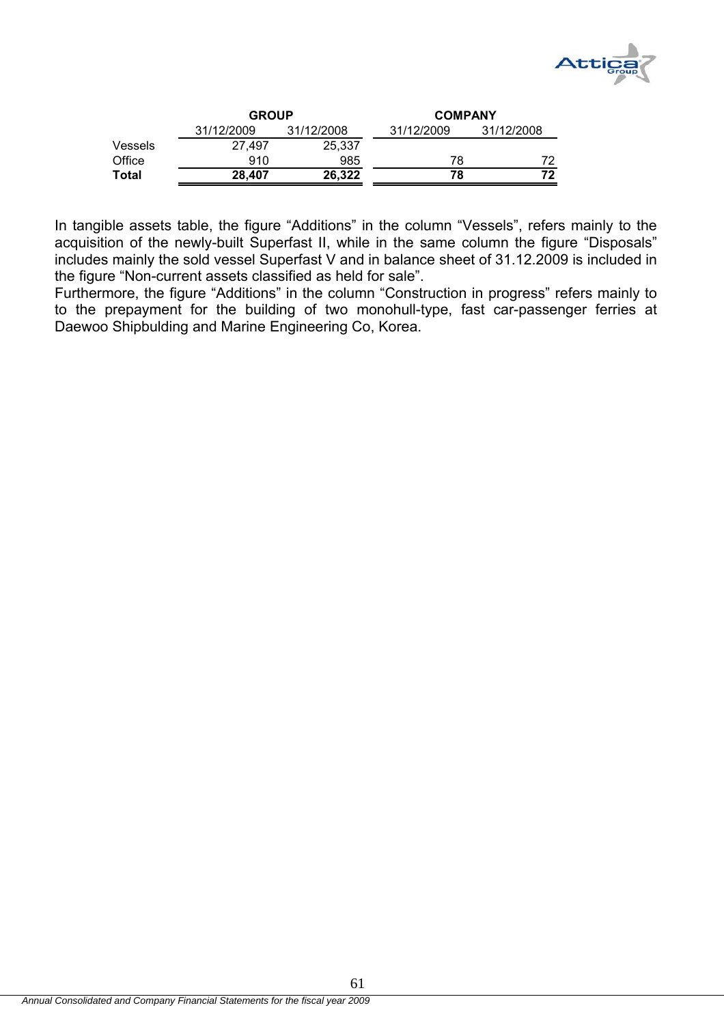

|                | <b>GROUP</b> |            | <b>COMPANY</b> |            |
|----------------|--------------|------------|----------------|------------|
|                | 31/12/2009   | 31/12/2008 | 31/12/2009     | 31/12/2008 |
| <b>Vessels</b> | 27.497       | 25.337     |                |            |
| Office         | 910          | 985        | 78             |            |
| Total          | 28,407       | 26,322     | 78             | 72         |

In tangible assets table, the figure "Additions" in the column "Vessels", refers mainly to the acquisition of the newly-built Superfast II, while in the same column the figure "Disposals" includes mainly the sold vessel Superfast V and in balance sheet of 31.12.2009 is included in the figure "Non-current assets classified as held for sale".

Furthermore, the figure "Additions" in the column "Construction in progress" refers mainly to to the prepayment for the building of two monohull-type, fast car-passenger ferries at Daewoo Shipbulding and Marine Engineering Co, Korea.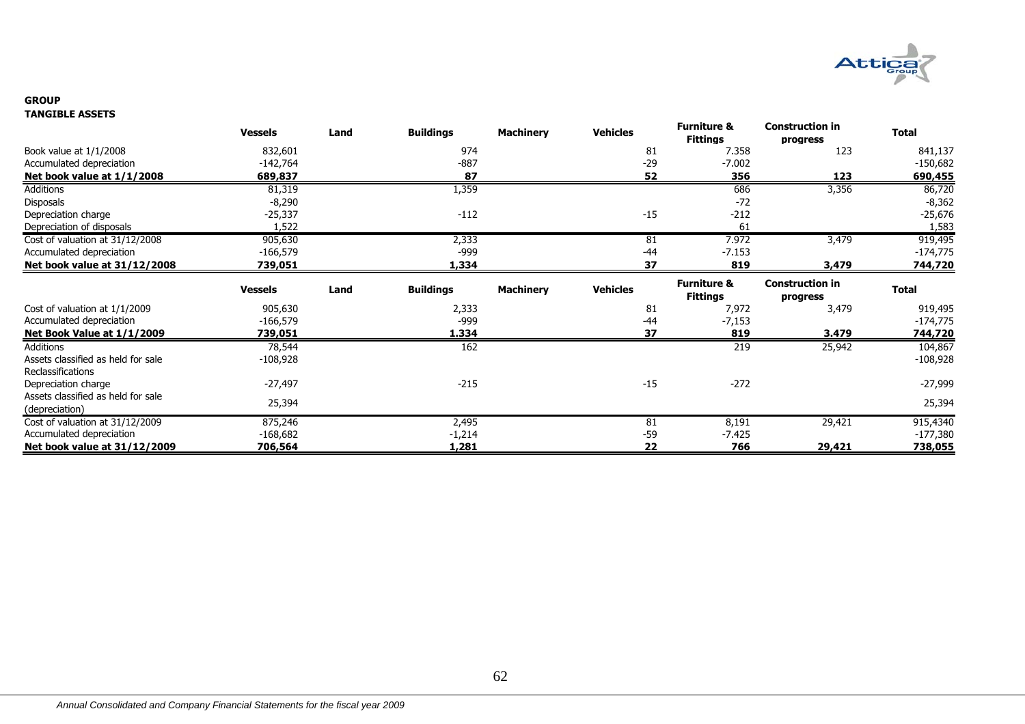

#### **GROUPTANGIBLE ASSETS**

|                                                          | <b>Vessels</b>        | Land | <b>Buildings</b>  | <b>Machinery</b> | <b>Vehicles</b> | <b>Furniture &amp;</b><br><b>Fittings</b> | <b>Construction in</b><br>progress | <b>Total</b>                       |
|----------------------------------------------------------|-----------------------|------|-------------------|------------------|-----------------|-------------------------------------------|------------------------------------|------------------------------------|
| Book value at 1/1/2008                                   | 832,601               |      | 974               |                  | 81              | 7.358                                     | 123                                | 841,137                            |
| Accumulated depreciation                                 | $-142,764$            |      | $-887$            |                  | $-29$           | $-7.002$                                  |                                    | $-150,682$                         |
| Net book value at 1/1/2008                               | 689,837               |      | 87                |                  | 52              | 356                                       | 123                                | 690,455                            |
| Additions                                                | 81,319                |      | 1,359             |                  |                 | 686                                       | 3,356                              | 86,720                             |
| <b>Disposals</b>                                         | $-8,290$              |      |                   |                  |                 | $-72$                                     |                                    | $-8,362$                           |
| Depreciation charge                                      | -25,337               |      | $-112$            |                  | $-15$           | $-212$                                    |                                    | $-25,676$                          |
| Depreciation of disposals                                | 1,522                 |      |                   |                  |                 | 61                                        |                                    | 1,583                              |
| Cost of valuation at 31/12/2008                          | 905,630               |      | 2,333             |                  | 81              | 7.972                                     | 3,479                              | 919,495                            |
| Accumulated depreciation                                 | $-166,579$            |      | $-999$            |                  | $-44$           | $-7.153$                                  |                                    | $-174,775$                         |
| Net book value at 31/12/2008                             | 739,051               |      | 1,334             |                  | 37              | 819                                       | 3,479                              | 744,720                            |
|                                                          | <b>Vessels</b>        | Land | <b>Buildings</b>  | <b>Machinery</b> | <b>Vehicles</b> | <b>Furniture &amp;</b><br><b>Fittings</b> | <b>Construction in</b><br>progress | <b>Total</b>                       |
| Cost of valuation at 1/1/2009                            | 905,630               |      | 2,333             |                  | 81              | 7,972                                     | 3,479                              | 919,495                            |
| Accumulated depreciation                                 |                       |      |                   |                  |                 |                                           |                                    |                                    |
|                                                          | -166,579              |      | -999              |                  | -44             | $-7,153$                                  |                                    | $-174,775$                         |
| Net Book Value at 1/1/2009                               | 739,051               |      | 1.334             |                  | 37              | 819                                       | 3.479                              |                                    |
| Additions                                                | 78,544                |      | 162               |                  |                 | 219                                       | 25,942                             | 104,867                            |
| Assets classified as held for sale                       | $-108,928$            |      |                   |                  |                 |                                           |                                    |                                    |
| <b>Reclassifications</b>                                 |                       |      |                   |                  |                 |                                           |                                    |                                    |
| Depreciation charge                                      | -27,497               |      | $-215$            |                  | $-15$           | $-272$                                    |                                    | 744,720<br>$-108,928$<br>$-27,999$ |
| Assets classified as held for sale                       |                       |      |                   |                  |                 |                                           |                                    |                                    |
| (depreciation)                                           | 25,394                |      |                   |                  |                 |                                           |                                    | 25,394                             |
| Cost of valuation at 31/12/2009                          | 875,246               |      | 2,495             |                  | 81              | 8,191                                     | 29,421                             | 915,4340                           |
| Accumulated depreciation<br>Net book value at 31/12/2009 | $-168,682$<br>706,564 |      | $-1,214$<br>1,281 |                  | $-59$<br>22     | $-7.425$<br>766                           | 29,421                             | $-177,380$<br>738,055              |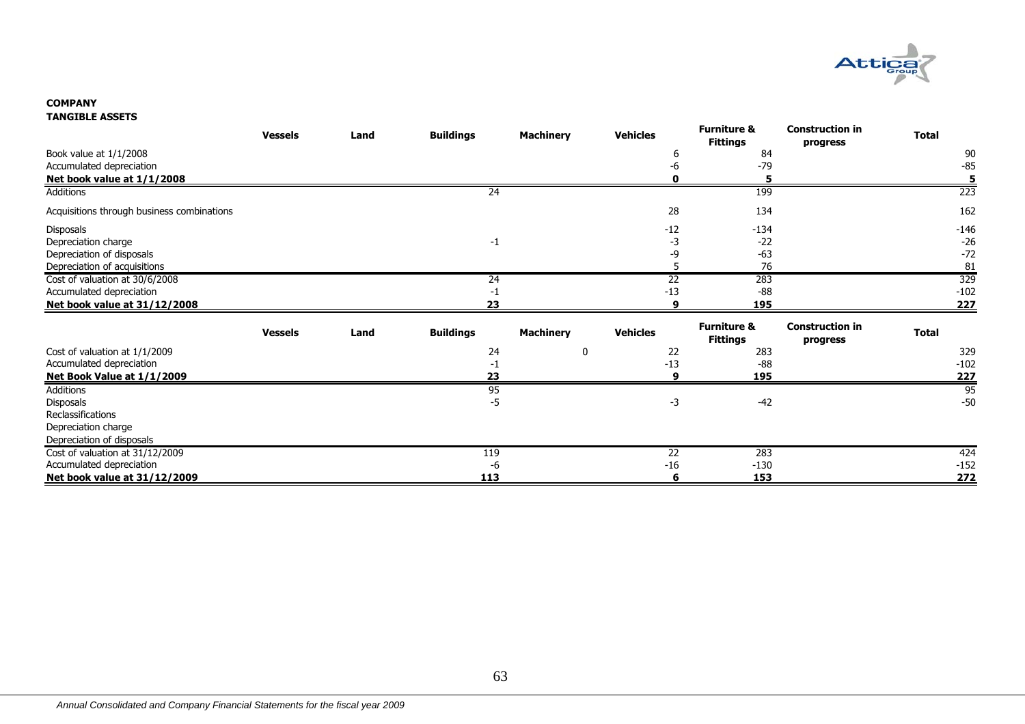

#### **COMPANYTANGIBLE ASSETS**

|                                            | <b>Vessels</b> | Land | <b>Buildings</b> | <b>Machinery</b> | <b>Vehicles</b> | <b>Furniture &amp;</b><br><b>Fittings</b> | <b>Construction in</b><br>progress | <b>Total</b> |
|--------------------------------------------|----------------|------|------------------|------------------|-----------------|-------------------------------------------|------------------------------------|--------------|
| Book value at 1/1/2008                     |                |      |                  |                  | 6               | 84                                        |                                    | 90           |
| Accumulated depreciation                   |                |      |                  |                  | -6              | $-79$                                     |                                    | $-85$        |
| Net book value at 1/1/2008                 |                |      |                  |                  |                 |                                           |                                    | 5            |
| <b>Additions</b>                           |                |      | 24               |                  |                 | 199                                       |                                    | 223          |
| Acquisitions through business combinations |                |      |                  |                  | 28              | 134                                       |                                    | 162          |
| Disposals                                  |                |      |                  |                  | $-12$           | $-134$                                    |                                    | $-146$       |
| Depreciation charge                        |                |      | $-1$             |                  | -3              | $-22$                                     |                                    | $-26$        |
| Depreciation of disposals                  |                |      |                  |                  | -9              | $-63$                                     |                                    | $-72$        |
| Depreciation of acquisitions               |                |      |                  |                  |                 | 76                                        |                                    | 81           |
| Cost of valuation at 30/6/2008             |                |      | 24               |                  | $\overline{22}$ | 283                                       |                                    | 329          |
| Accumulated depreciation                   |                |      | -1               |                  | $-13$           | $-88$                                     |                                    | $-102$       |
| Net book value at 31/12/2008               |                |      | フマ               |                  |                 | 195                                       |                                    | 227          |
|                                            | <b>Vessels</b> | Land | <b>Buildings</b> | <b>Machinery</b> | <b>Vehicles</b> | <b>Furniture &amp;</b><br><b>Fittings</b> | <b>Construction in</b><br>progress | <b>Total</b> |
| Cost of valuation at 1/1/2009              |                |      | 24               | 0                | 22              | 283                                       |                                    | 329          |
| Accumulated depreciation                   |                |      | -1               |                  | $-13$           | $-88$                                     |                                    | $-102$       |
| Net Book Value at 1/1/2009                 |                |      | 23               |                  | q               | 195                                       |                                    | <u>227</u>   |
| <b>Additions</b>                           |                |      | 95               |                  |                 |                                           |                                    | 95           |
| Disposals                                  |                |      | $-5$             |                  | $-3$            | $-42$                                     |                                    | $-50$        |
| Reclassifications                          |                |      |                  |                  |                 |                                           |                                    |              |
| Depreciation charge                        |                |      |                  |                  |                 |                                           |                                    |              |
| Depreciation of disposals                  |                |      |                  |                  |                 |                                           |                                    |              |
| Cost of valuation at 31/12/2009            |                |      | 119              |                  | $\overline{22}$ | 283                                       |                                    | 424          |
| Accumulated depreciation                   |                |      | -6               |                  | $-16$           | $-130$                                    |                                    | $-152$       |
| Net book value at 31/12/2009               |                |      | 113              |                  | 6               | 153                                       |                                    | <u>272</u>   |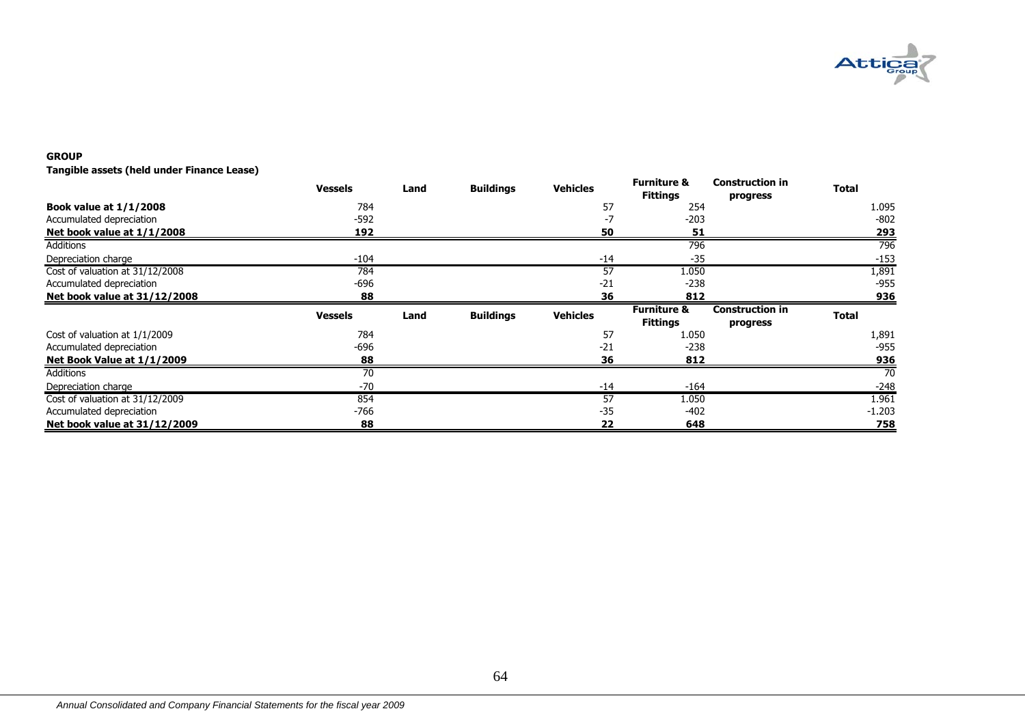

#### **GROUP**

**Tangible assets (held under Finance Lease)**

|                                 | <b>Vessels</b> | Land | <b>Buildings</b> | <b>Vehicles</b> | <b>Furniture &amp;</b><br><b>Fittings</b> | <b>Construction in</b><br>progress | <b>Total</b> |
|---------------------------------|----------------|------|------------------|-----------------|-------------------------------------------|------------------------------------|--------------|
| <b>Book value at 1/1/2008</b>   | 784            |      |                  | 57              | 254                                       |                                    | 1.095        |
| Accumulated depreciation        | $-592$         |      |                  |                 | -203                                      |                                    | $-802$       |
| Net book value at 1/1/2008      | 192            |      |                  | 50              | 51                                        |                                    | 293          |
| Additions                       |                |      |                  |                 | 796                                       |                                    | 796          |
| Depreciation charge             | $-104$         |      |                  | $-14$           | $-35$                                     |                                    | $-153$       |
| Cost of valuation at 31/12/2008 | 784            |      |                  | 57              | 1.050                                     |                                    | 1,891        |
| Accumulated depreciation        | -696           |      |                  | $-21$           | $-238$                                    |                                    | $-955$       |
| Net book value at 31/12/2008    | 88             |      |                  | 36              | 812                                       |                                    | 936          |
|                                 | <b>Vessels</b> | Land | <b>Buildings</b> | <b>Vehicles</b> | <b>Furniture &amp;</b><br><b>Fittings</b> | <b>Construction in</b><br>progress | <b>Total</b> |
| Cost of valuation at 1/1/2009   | 784            |      |                  | 57              | 1.050                                     |                                    | 1,891        |
| Accumulated depreciation        | -696           |      |                  | $-21$           | $-238$                                    |                                    | $-955$       |
| Net Book Value at 1/1/2009      | 88             |      |                  | 36              | 812                                       |                                    | 936          |
|                                 |                |      |                  |                 |                                           |                                    |              |
| Additions                       | 70             |      |                  |                 |                                           |                                    | 70           |
| Depreciation charge             | $-70$          |      |                  | $-14$           | $-164$                                    |                                    | $-248$       |
| Cost of valuation at 31/12/2009 | 854            |      |                  | 57              | 1.050                                     |                                    | 1.961        |
| Accumulated depreciation        | -766           |      |                  | $-35$           | $-402$                                    |                                    | $-1.203$     |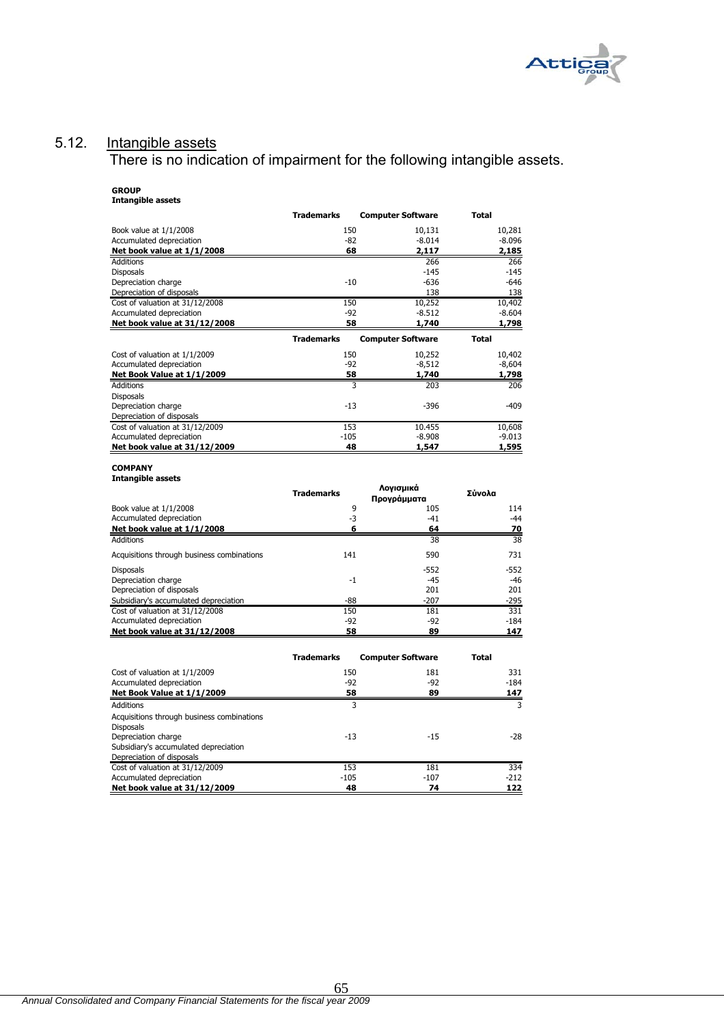

# 5.12. Intangible assets

Depreciation of disposals

Disposals

**Net book value at 31/12/2008** 

Acquisitions through business combinations

Subsidiary's accumulated depreciation Depreciation of disposals

There is no indication of impairment for the following intangible assets.

| <b>GROUP</b><br><b>Intangible assets</b>   |                   |                          |              |
|--------------------------------------------|-------------------|--------------------------|--------------|
|                                            | <b>Trademarks</b> | <b>Computer Software</b> | <b>Total</b> |
| Book value at 1/1/2008                     | 150               | 10,131                   | 10,281       |
| Accumulated depreciation                   | $-82$             | $-8.014$                 | $-8.096$     |
| Net book value at 1/1/2008                 | 68                | 2,117                    | 2,185        |
| <b>Additions</b>                           |                   | 266                      | 266          |
| <b>Disposals</b>                           |                   | $-145$                   | $-145$       |
| Depreciation charge                        | $-10$             | $-636$                   | $-646$       |
| Depreciation of disposals                  |                   | 138                      | 138          |
| Cost of valuation at 31/12/2008            | 150               | 10,252                   | 10,402       |
| Accumulated depreciation                   | $-92$             | $-8.512$                 | $-8.604$     |
| Net book value at 31/12/2008               | 58                | 1,740                    | 1,798        |
|                                            | <b>Trademarks</b> | <b>Computer Software</b> | <b>Total</b> |
| Cost of valuation at 1/1/2009              | 150               | 10,252                   | 10,402       |
| Accumulated depreciation                   | $-92$             | $-8,512$                 | $-8,604$     |
| Net Book Value at 1/1/2009                 | 58                | 1,740                    | 1,798        |
| <b>Additions</b>                           | 3                 | 203                      | 206          |
| <b>Disposals</b>                           |                   |                          |              |
| Depreciation charge                        | $-13$             | $-396$                   | $-409$       |
| Depreciation of disposals                  |                   |                          |              |
| Cost of valuation at 31/12/2009            | 153               | 10.455                   | 10,608       |
| Accumulated depreciation                   | $-105$            | $-8.908$                 | $-9.013$     |
| Net book value at 31/12/2009               | 48                | 1,547                    | 1,595        |
| <b>COMPANY</b>                             |                   |                          |              |
| <b>Intangible assets</b>                   |                   |                          |              |
|                                            | <b>Trademarks</b> | Λογισμικά<br>Προγράμματα | Σύνολα       |
| Book value at 1/1/2008                     | 9                 | 105                      | 114          |
| Accumulated depreciation                   | $-3$              | $-41$                    | $-44$        |
| Net book value at 1/1/2008                 | 6                 | 64                       | 70           |
| <b>Additions</b>                           |                   | 38                       | 38           |
| Acquisitions through business combinations | 141               | 590                      | 731          |

Disposals -552 -552 Depreciation charge -1 -45 -46

Subsidiary's accumulated depreciation -88 -207 -295 Cost of valuation at 31/12/2008 150 181 331 Accumulated depreciation 184 and 2012 184 and 2012 184 and 2012 184 and 2012 184 and 2013 184 and 2013 184 and 2013 184 and 2013 184 and 2013 184 and 2013 184 and 2013 185 and 2013 185 and 2013 186 and 2013 186 and 2013 18

Cost of valuation at 1/1/2009 150 181 331 Accumulated depreciation and the set of the set of the set of the set of the set of the set of the set of the set of the set of the set of the set of the set of the set of the set of the set of the set of the set of the se **Net Book Value at 1/1/2009** 58 58 58 59 147 Additions 3 3 3 3 3 3 3 3 4 4  $\,$  3  $\,$  3  $\,$  3  $\,$  3  $\,$  3  $\,$  3  $\,$  3  $\,$  3  $\,$  3  $\,$  3  $\,$  3  $\,$  3  $\,$  3  $\,$  3  $\,$  3  $\,$  3  $\,$  3  $\,$  3  $\,$  3  $\,$  3  $\,$  3  $\,$  3  $\,$  3  $\,$  3  $\,$  3  $\,$  3  $\,$  3  $\,$ 

Depreciation charge  $-13$  -15  $-28$ 

Cost of valuation at 31/12/2009 153 153 181 181 334 Accumulated depreciation -105 -107 -212 **Net book value at 31/12/2009 48 74 122**

**Trademarks Computer Software Total**

*Annual Consolidated and Company Financial Statements for the fiscal year 2009*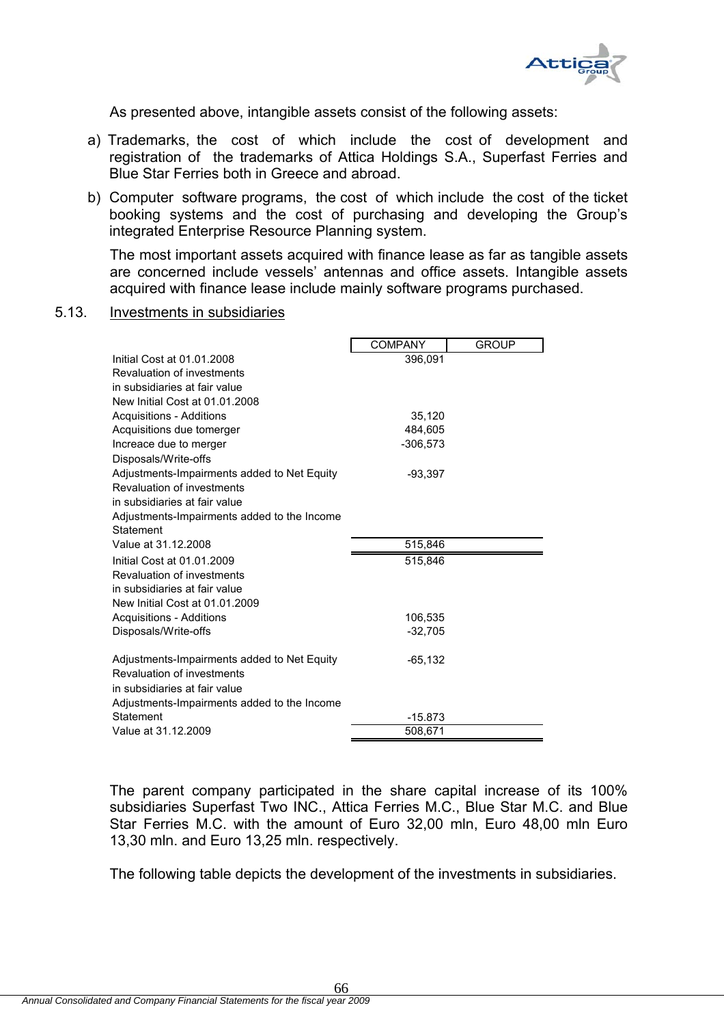

As presented above, intangible assets consist of the following assets:

- a) Trademarks, the cost of which include the cost of development and registration of the trademarks of Attica Holdings S.A., Superfast Ferries and Blue Star Ferries both in Greece and abroad.
- b) Computer software programs, the cost of which include the cost of the ticket booking systems and the cost of purchasing and developing the Group's integrated Enterprise Resource Planning system.

The most important assets acquired with finance lease as far as tangible assets are concerned include vessels' antennas and office assets. Intangible assets acquired with finance lease include mainly software programs purchased.

5.13. Investments in subsidiaries

|                                             | <b>COMPANY</b> | <b>GROUP</b> |
|---------------------------------------------|----------------|--------------|
| Initial Cost at 01.01.2008                  | 396,091        |              |
| Revaluation of investments                  |                |              |
| in subsidiaries at fair value               |                |              |
| New Initial Cost at 01.01.2008              |                |              |
| Acquisitions - Additions                    | 35,120         |              |
| Acquisitions due tomerger                   | 484.605        |              |
| Increace due to merger                      | $-306,573$     |              |
| Disposals/Write-offs                        |                |              |
| Adjustments-Impairments added to Net Equity | $-93,397$      |              |
| Revaluation of investments                  |                |              |
| in subsidiaries at fair value               |                |              |
| Adjustments-Impairments added to the Income |                |              |
| Statement                                   |                |              |
| Value at 31.12.2008                         | 515,846        |              |
| Initial Cost at 01.01.2009                  | 515,846        |              |
| Revaluation of investments                  |                |              |
| in subsidiaries at fair value               |                |              |
| New Initial Cost at 01.01.2009              |                |              |
| Acquisitions - Additions                    | 106,535        |              |
| Disposals/Write-offs                        | $-32,705$      |              |
| Adjustments-Impairments added to Net Equity | $-65, 132$     |              |
| Revaluation of investments                  |                |              |
| in subsidiaries at fair value               |                |              |
| Adjustments-Impairments added to the Income |                |              |
| Statement                                   | $-15.873$      |              |
| Value at 31.12.2009                         | 508,671        |              |

The parent company participated in the share capital increase of its 100% subsidiaries Superfast Two INC., Attica Ferries M.C., Blue Star M.C. and Blue Star Ferries M.C. with the amount of Euro 32,00 mln, Euro 48,00 mln Euro 13,30 mln. and Euro 13,25 mln. respectively.

The following table depicts the development of the investments in subsidiaries.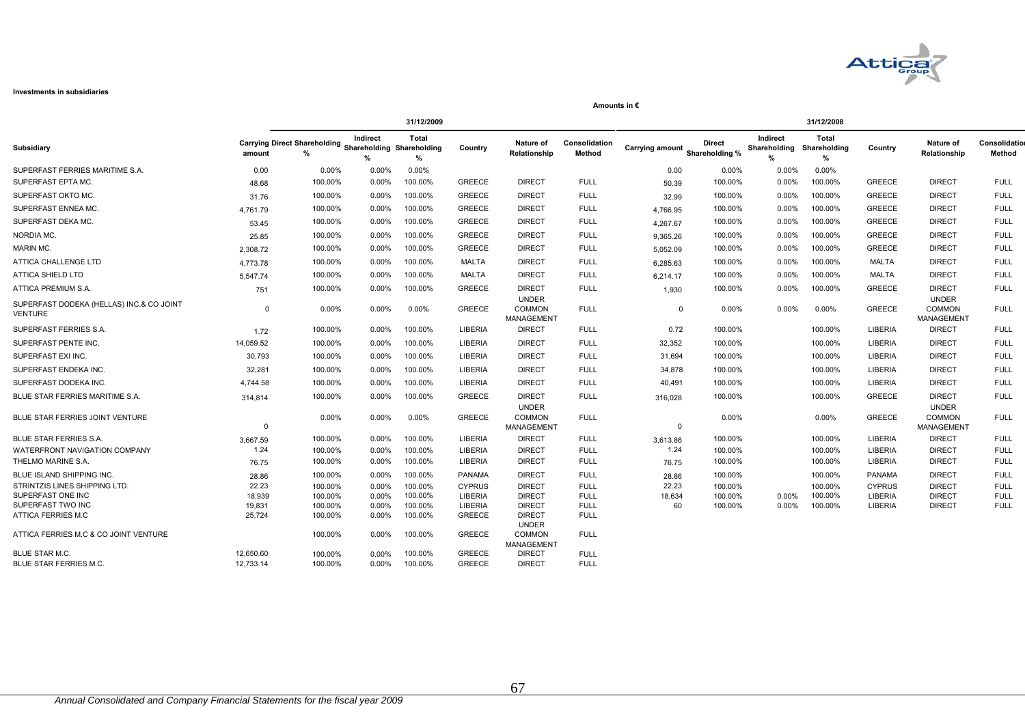

#### **Investments in subsidiaries**

|                                                     | 31/12/2009       |                                                                    |                   |                    |                           |                                                    | 31/12/2008                 |                        |                                 |                               |                            |                           |                                                    |                            |
|-----------------------------------------------------|------------------|--------------------------------------------------------------------|-------------------|--------------------|---------------------------|----------------------------------------------------|----------------------------|------------------------|---------------------------------|-------------------------------|----------------------------|---------------------------|----------------------------------------------------|----------------------------|
| Subsidiary                                          | amount           | <b>Carrying Direct Shareholding Shareholding Shareholding</b><br>% | Indirect<br>$\%$  | Total<br>%         | Country                   | Nature of<br>Relationship                          | Consolidation<br>Method    | <b>Carrying amount</b> | <b>Direct</b><br>Shareholding % | Indirect<br>Shareholding<br>% | Total<br>Shareholding<br>% | Country                   | Nature of<br>Relationship                          | Consolidation<br>Method    |
| SUPERFAST FERRIES MARITIME S.A.                     | 0.00             | 0.00%                                                              | 0.00%             | 0.00%              |                           |                                                    |                            | 0.00                   | 0.00%                           | 0.00%                         | 0.00%                      |                           |                                                    |                            |
| SUPERFAST EPTA MC.                                  | 48.68            | 100.00%                                                            | $0.00\%$          | 100.00%            | <b>GREECE</b>             | <b>DIRECT</b>                                      | <b>FULL</b>                | 50.39                  | 100.00%                         | 0.00%                         | 100.00%                    | <b>GREECE</b>             | <b>DIRECT</b>                                      | <b>FULL</b>                |
| SUPERFAST OKTO MC.                                  | 31.76            | 100.00%                                                            | 0.00%             | 100.00%            | <b>GREECE</b>             | <b>DIRECT</b>                                      | <b>FULL</b>                | 32.99                  | 100.00%                         | 0.00%                         | 100.00%                    | <b>GREECE</b>             | <b>DIRECT</b>                                      | <b>FULL</b>                |
| SUPERFAST ENNEA MC                                  | 4.761.79         | 100.00%                                                            | 0.00%             | 100.00%            | <b>GREECE</b>             | <b>DIRECT</b>                                      | <b>FULL</b>                | 4.766.95               | 100.00%                         | 0.00%                         | 100.00%                    | GREECE                    | <b>DIRECT</b>                                      | <b>FULL</b>                |
| SUPERFAST DEKA MC.                                  | 53.45            | 100.00%                                                            | $0.00\%$          | 100.00%            | <b>GREECE</b>             | <b>DIRECT</b>                                      | <b>FULL</b>                | 4,267.67               | 100.00%                         | 0.00%                         | 100.00%                    | <b>GREECE</b>             | <b>DIRECT</b>                                      | <b>FULL</b>                |
| NORDIA MC.                                          | 25.85            | 100.00%                                                            | $0.00\%$          | 100.00%            | <b>GREECE</b>             | <b>DIRECT</b>                                      | <b>FULL</b>                | 9,365.26               | 100.00%                         | 0.00%                         | 100.00%                    | <b>GREECE</b>             | <b>DIRECT</b>                                      | <b>FULL</b>                |
| MARIN MC.                                           | 2.308.72         | 100.00%                                                            | $0.00\%$          | 100.00%            | <b>GREECE</b>             | <b>DIRECT</b>                                      | <b>FULL</b>                | 5.052.09               | 100.00%                         | $0.00\%$                      | 100.00%                    | <b>GREECE</b>             | <b>DIRECT</b>                                      | <b>FULL</b>                |
| ATTICA CHALLENGE LTD                                | 4.773.78         | 100.00%                                                            | $0.00\%$          | 100.00%            | MALTA                     | <b>DIRECT</b>                                      | <b>FULL</b>                | 6.285.63               | 100.00%                         | 0.00%                         | 100.00%                    | MALTA                     | <b>DIRECT</b>                                      | <b>FULL</b>                |
| ATTICA SHIELD LTD                                   | 5,547.74         | 100.00%                                                            | 0.00%             | 100.00%            | MALTA                     | <b>DIRECT</b>                                      | <b>FULL</b>                | 6,214.17               | 100.00%                         | 0.00%                         | 100.00%                    | MALTA                     | <b>DIRECT</b>                                      | <b>FULL</b>                |
| ATTICA PREMIUM S.A.                                 | 751              | 100.00%                                                            | 0.00%             | 100.00%            | <b>GREECE</b>             | <b>DIRECT</b>                                      | <b>FULL</b>                | 1,930                  | 100.00%                         | 0.00%                         | 100.00%                    | <b>GREECE</b>             | <b>DIRECT</b>                                      | <b>FULL</b>                |
| SUPERFAST DODEKA (HELLAS) INC.& CO JOINT<br>VENTURE | $\Omega$         | 0.00%                                                              | 0.00%             | 0.00%              | <b>GREECE</b>             | <b>UNDER</b><br><b>COMMON</b><br><b>MANAGEMENT</b> | <b>FULL</b>                | $\Omega$               | $0.00\%$                        | 0.00%                         | 0.00%                      | <b>GREECE</b>             | <b>UNDER</b><br><b>COMMON</b><br><b>MANAGEMENT</b> | <b>FULL</b>                |
| SUPERFAST FERRIES S.A.                              | 1.72             | 100.00%                                                            | $0.00\%$          | 100.00%            | <b>LIBERIA</b>            | <b>DIRECT</b>                                      | <b>FULL</b>                | 0.72                   | 100.00%                         |                               | 100.00%                    | <b>LIBERIA</b>            | <b>DIRECT</b>                                      | <b>FULL</b>                |
| SUPERFAST PENTE INC.                                | 14,059.52        | 100.00%                                                            | $0.00\%$          | 100.00%            | <b>LIBERIA</b>            | <b>DIRECT</b>                                      | <b>FULL</b>                | 32,352                 | 100.00%                         |                               | 100.00%                    | <b>LIBERIA</b>            | <b>DIRECT</b>                                      | <b>FULL</b>                |
| SUPERFAST EXI INC.                                  | 30,793           | 100.00%                                                            | $0.00\%$          | 100.00%            | <b>LIBERIA</b>            | <b>DIRECT</b>                                      | <b>FULL</b>                | 31,694                 | 100.00%                         |                               | 100.00%                    | <b>LIBERIA</b>            | <b>DIRECT</b>                                      | <b>FULL</b>                |
| SUPERFAST ENDEKA INC.                               | 32,281           | 100.00%                                                            | $0.00\%$          | 100.00%            | LIBERIA                   | <b>DIRECT</b>                                      | <b>FULL</b>                | 34,878                 | 100.00%                         |                               | 100.00%                    | <b>LIBERIA</b>            | <b>DIRECT</b>                                      | <b>FULL</b>                |
| SUPERFAST DODEKA INC.                               | 4,744.58         | 100.00%                                                            | 0.00%             | 100.00%            | LIBERIA                   | <b>DIRECT</b>                                      | <b>FULL</b>                | 40,491                 | 100.00%                         |                               | 100.00%                    | <b>LIBERIA</b>            | <b>DIRECT</b>                                      | <b>FULL</b>                |
| BLUE STAR FERRIES MARITIME S.A.                     | 314,814          | 100.00%                                                            | 0.00%             | 100.00%            | <b>GREECE</b>             | <b>DIRECT</b>                                      | <b>FULL</b>                | 316,028                | 100.00%                         |                               | 100.00%                    | <b>GREECE</b>             | <b>DIRECT</b>                                      | <b>FULL</b>                |
| BLUE STAR FERRIES JOINT VENTURE                     | $\Omega$         | 0.00%                                                              | 0.00%             | 0.00%              | <b>GREECE</b>             | <b>UNDER</b><br><b>COMMON</b><br>MANAGEMENT        | <b>FULL</b>                | $\Omega$               | 0.00%                           |                               | 0.00%                      | <b>GREECE</b>             | <b>UNDER</b><br><b>COMMON</b><br>MANAGEMENT        | <b>FULL</b>                |
| <b>BLUE STAR FERRIES S.A.</b>                       | 3,667.59         | 100.00%                                                            | $0.00\%$          | 100.00%            | <b>LIBERIA</b>            | <b>DIRECT</b>                                      | <b>FULL</b>                | 3,613.86               | 100.00%                         |                               | 100.00%                    | <b>LIBERIA</b>            | <b>DIRECT</b>                                      | <b>FULL</b>                |
| WATERFRONT NAVIGATION COMPANY                       | 1.24             | 100.00%                                                            | $0.00\%$          | 100.00%            | LIBERIA                   | <b>DIRECT</b>                                      | <b>FULL</b>                | 1.24                   | 100.00%                         |                               | 100.00%                    | <b>LIBERIA</b>            | <b>DIRECT</b>                                      | <b>FULL</b>                |
| THELMO MARINE S.A.                                  | 76.75            | 100.00%                                                            | 0.00%             | 100.00%            | LIBERIA                   | <b>DIRECT</b>                                      | <b>FULL</b>                | 76.75                  | 100.00%                         |                               | 100.00%                    | LIBERIA                   | <b>DIRECT</b>                                      | <b>FULL</b>                |
| BLUE ISLAND SHIPPING INC.                           | 28.86            | 100.00%                                                            | 0.00%             | 100.00%            | <b>PANAMA</b>             | <b>DIRECT</b>                                      | <b>FULL</b>                | 28.86                  | 100.00%                         |                               | 100.00%                    | <b>PANAMA</b>             | <b>DIRECT</b>                                      | <b>FULL</b>                |
| STRINTZIS LINES SHIPPING LTD.                       | 22.23            | 100.00%                                                            | 0.00%             | 100.00%            | <b>CYPRUS</b>             | <b>DIRECT</b>                                      | <b>FULL</b>                | 22.23                  | 100.00%                         |                               | 100.00%                    | <b>CYPRUS</b>             | <b>DIRECT</b>                                      | <b>FULL</b>                |
| SUPERFAST ONE INC<br>SUPERFAST TWO INC              | 18,939<br>19,831 | 100.00%<br>100.00%                                                 | $0.00\%$<br>0.00% | 100.00%<br>100.00% | <b>LIBERIA</b><br>LIBERIA | <b>DIRECT</b><br><b>DIRECT</b>                     | <b>FULL</b><br><b>FULL</b> | 18,634<br>60           | 100.00%<br>100.00%              | $0.00\%$<br>0.00%             | 100.00%<br>100.00%         | <b>LIBERIA</b><br>LIBERIA | <b>DIRECT</b><br><b>DIRECT</b>                     | <b>FULL</b><br><b>FULL</b> |
| ATTICA FERRIES M.C                                  | 25,724           | 100.00%                                                            | $0.00\%$          | 100.00%            | <b>GREECE</b>             | <b>DIRECT</b><br><b>UNDER</b>                      | <b>FULL</b>                |                        |                                 |                               |                            |                           |                                                    |                            |
| ATTICA FERRIES M.C & CO JOINT VENTURE               |                  | 100.00%                                                            | 0.00%             | 100.00%            | <b>GREECE</b>             | <b>COMMON</b><br><b>MANAGEMENT</b>                 | <b>FULL</b>                |                        |                                 |                               |                            |                           |                                                    |                            |
| BLUE STAR M.C.                                      | 12.650.60        | 100.00%                                                            | $0.00\%$          | 100.00%            | <b>GREECE</b>             | <b>DIRECT</b>                                      | <b>FULL</b>                |                        |                                 |                               |                            |                           |                                                    |                            |
| <b>BLUE STAR FERRIES M.C.</b>                       | 12,733.14        | 100.00%                                                            | $0.00\%$          | 100.00%            | <b>GREECE</b>             | <b>DIRECT</b>                                      | <b>FULL</b>                |                        |                                 |                               |                            |                           |                                                    |                            |

**Amounts in €**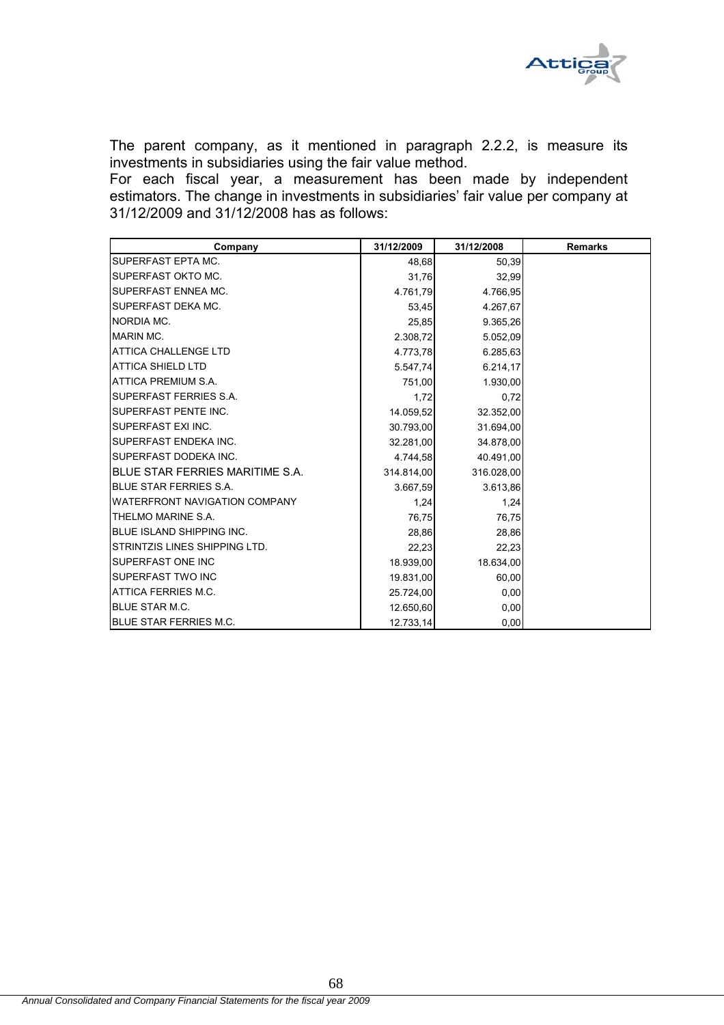

The parent company, as it mentioned in paragraph 2.2.2, is measure its investments in subsidiaries using the fair value method.

For each fiscal year, a measurement has been made by independent estimators. The change in investments in subsidiaries' fair value per company at 31/12/2009 and 31/12/2008 has as follows:

| Company                              | 31/12/2009 | 31/12/2008 | <b>Remarks</b> |
|--------------------------------------|------------|------------|----------------|
| SUPERFAST EPTA MC.                   | 48,68      | 50,39      |                |
| SUPERFAST OKTO MC.                   | 31,76      | 32,99      |                |
| SUPERFAST ENNEA MC.                  | 4.761,79   | 4.766,95   |                |
| SUPERFAST DEKA MC.                   | 53,45      | 4.267,67   |                |
| NORDIA MC.                           | 25,85      | 9.365,26   |                |
| <b>MARIN MC.</b>                     | 2.308,72   | 5.052,09   |                |
| <b>ATTICA CHALLENGE LTD</b>          | 4.773,78   | 6.285,63   |                |
| <b>ATTICA SHIELD LTD</b>             | 5.547,74   | 6.214, 17  |                |
| ATTICA PREMIUM S.A.                  | 751,00     | 1.930,00   |                |
| SUPERFAST FERRIES S.A.               | 1,72       | 0.72       |                |
| SUPERFAST PENTE INC.                 | 14.059,52  | 32.352,00  |                |
| SUPERFAST EXI INC.                   | 30.793,00  | 31.694,00  |                |
| SUPERFAST ENDEKA INC.                | 32.281,00  | 34.878,00  |                |
| SUPERFAST DODEKA INC.                | 4.744,58   | 40.491,00  |                |
| BLUE STAR FERRIES MARITIME S.A.      | 314.814,00 | 316.028,00 |                |
| <b>BLUE STAR FERRIES S.A.</b>        | 3.667,59   | 3.613,86   |                |
| <b>WATERFRONT NAVIGATION COMPANY</b> | 1,24       | 1,24       |                |
| THELMO MARINE S.A.                   | 76,75      | 76,75      |                |
| BLUE ISLAND SHIPPING INC.            | 28,86      | 28,86      |                |
| STRINTZIS LINES SHIPPING LTD.        | 22,23      | 22,23      |                |
| SUPERFAST ONE INC                    | 18.939,00  | 18.634,00  |                |
| SUPERFAST TWO INC                    | 19.831,00  | 60,00      |                |
| ATTICA FERRIES M.C.                  | 25.724,00  | 0,00       |                |
| <b>BLUE STAR M.C.</b>                | 12.650,60  | 0,00       |                |
| <b>BLUE STAR FERRIES M.C.</b>        | 12.733,14  | 0,00       |                |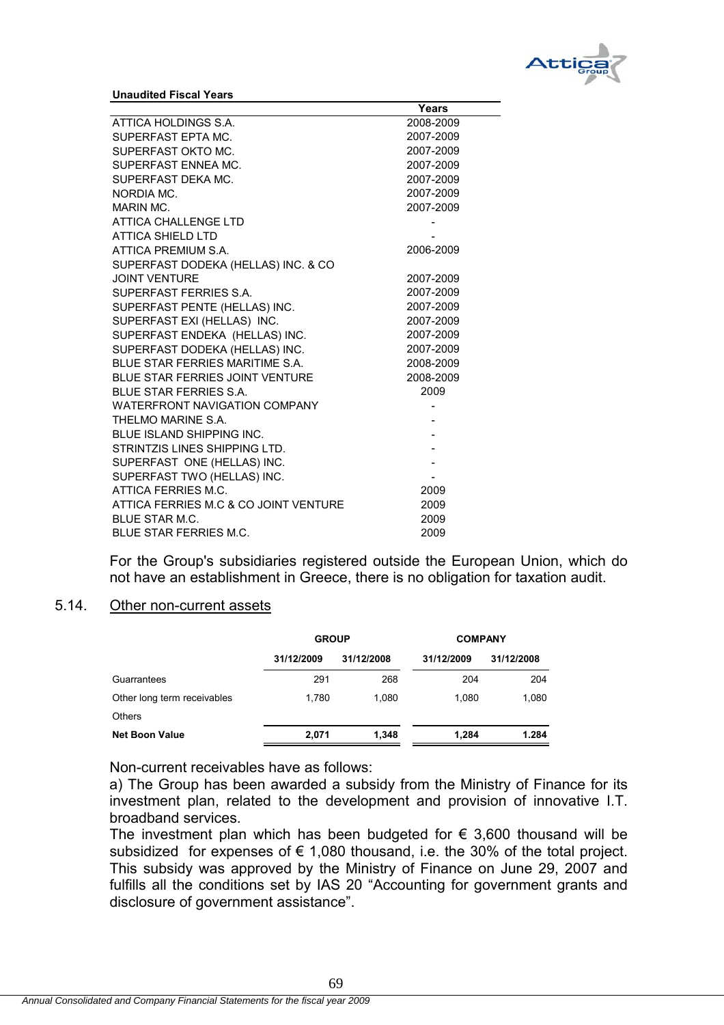

**Unaudited Fiscal Years**

|                                        | Years     |
|----------------------------------------|-----------|
| ATTICA HOLDINGS S.A.                   | 2008-2009 |
| SUPERFAST EPTA MC.                     | 2007-2009 |
| SUPERFAST OKTO MC.                     | 2007-2009 |
| SUPERFAST ENNEA MC.                    | 2007-2009 |
| SUPERFAST DEKA MC.                     | 2007-2009 |
| NORDIA MC.                             | 2007-2009 |
| MARIN MC.                              | 2007-2009 |
| <b>ATTICA CHALLENGE LTD</b>            |           |
| <b>ATTICA SHIELD LTD</b>               |           |
| ATTICA PREMIUM S.A.                    | 2006-2009 |
| SUPERFAST DODEKA (HELLAS) INC. & CO    |           |
| <b>JOINT VENTURE</b>                   | 2007-2009 |
| SUPERFAST FERRIES S.A.                 | 2007-2009 |
| SUPERFAST PENTE (HELLAS) INC.          | 2007-2009 |
| SUPERFAST EXI (HELLAS) INC.            | 2007-2009 |
| SUPERFAST ENDEKA (HELLAS) INC.         | 2007-2009 |
| SUPERFAST DODEKA (HELLAS) INC.         | 2007-2009 |
| BLUE STAR FERRIES MARITIME S.A.        | 2008-2009 |
| <b>BLUE STAR FERRIES JOINT VENTURE</b> | 2008-2009 |
| <b>BLUE STAR FERRIES S.A.</b>          | 2009      |
| <b>WATERFRONT NAVIGATION COMPANY</b>   |           |
| THEI MO MARINE S.A.                    |           |
| <b>BLUE ISLAND SHIPPING INC.</b>       |           |
| STRINTZIS LINES SHIPPING LTD.          |           |
| SUPERFAST ONE (HELLAS) INC.            |           |
| SUPERFAST TWO (HELLAS) INC.            |           |
| ATTICA FERRIES M.C.                    | 2009      |
| ATTICA FERRIES M.C & CO JOINT VENTURE  | 2009      |
| <b>BLUE STAR M.C.</b>                  | 2009      |
| <b>BLUE STAR FERRIES M.C.</b>          | 2009      |

For the Group's subsidiaries registered outside the European Union, which do not have an establishment in Greece, there is no obligation for taxation audit.

#### 5.14. Other non-current assets

|                             | <b>GROUP</b> |            | <b>COMPANY</b> |            |
|-----------------------------|--------------|------------|----------------|------------|
|                             | 31/12/2009   | 31/12/2008 | 31/12/2009     | 31/12/2008 |
| Guarrantees                 | 291          | 268        | 204            | 204        |
| Other long term receivables | 1.780        | 1.080      | 1.080          | 1,080      |
| <b>Others</b>               |              |            |                |            |
| <b>Net Boon Value</b>       | 2.071        | 1,348      | 1.284          | 1.284      |

Non-current receivables have as follows:

a) The Group has been awarded a subsidy from the Ministry of Finance for its investment plan, related to the development and provision of innovative I.T. broadband services.

The investment plan which has been budgeted for  $\epsilon$  3,600 thousand will be subsidized for expenses of  $\epsilon$  1,080 thousand, i.e. the 30% of the total project. This subsidy was approved by the Ministry of Finance on June 29, 2007 and fulfills all the conditions set by IAS 20 "Accounting for government grants and disclosure of government assistance".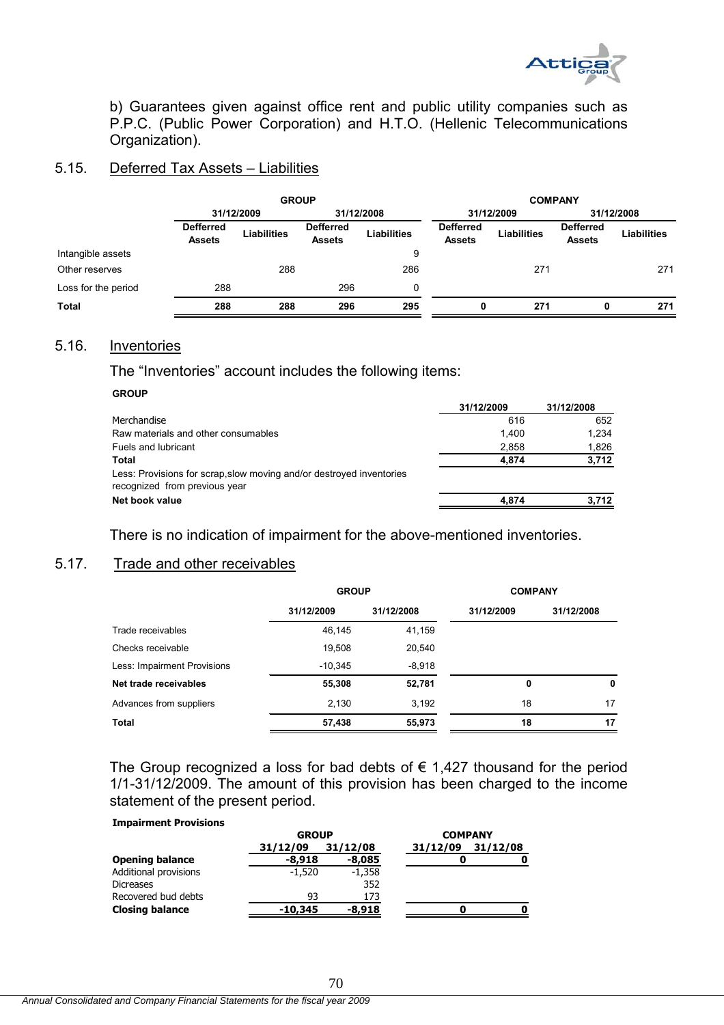

b) Guarantees given against office rent and public utility companies such as P.P.C. (Public Power Corporation) and H.T.O. (Hellenic Telecommunications Organization).

#### 5.15. Deferred Tax Assets – Liabilities

|                     | <b>GROUP</b>                      |                    |                                   |                    | <b>COMPANY</b>                    |                    |                                   |                    |
|---------------------|-----------------------------------|--------------------|-----------------------------------|--------------------|-----------------------------------|--------------------|-----------------------------------|--------------------|
|                     | 31/12/2009                        |                    | 31/12/2008                        |                    | 31/12/2009                        |                    | 31/12/2008                        |                    |
|                     | <b>Defferred</b><br><b>Assets</b> | <b>Liabilities</b> | <b>Defferred</b><br><b>Assets</b> | <b>Liabilities</b> | <b>Defferred</b><br><b>Assets</b> | <b>Liabilities</b> | <b>Defferred</b><br><b>Assets</b> | <b>Liabilities</b> |
| Intangible assets   |                                   |                    |                                   | 9                  |                                   |                    |                                   |                    |
| Other reserves      |                                   | 288                |                                   | 286                |                                   | 271                |                                   | 271                |
| Loss for the period | 288                               |                    | 296                               | 0                  |                                   |                    |                                   |                    |
| <b>Total</b>        | 288                               | 288                | 296                               | 295                | 0                                 | 271                | 0                                 | 271                |

#### 5.16. Inventories

The "Inventories" account includes the following items:

#### **GROUP**

|                                                                                                       | 31/12/2009 | 31/12/2008 |
|-------------------------------------------------------------------------------------------------------|------------|------------|
| Merchandise                                                                                           | 616        | 652        |
| Raw materials and other consumables                                                                   | 1.400      | 1.234      |
| Fuels and lubricant                                                                                   | 2.858      | 1,826      |
| Total                                                                                                 | 4.874      | 3,712      |
| Less: Provisions for scrap, slow moving and/or destroyed inventories<br>recognized from previous year |            |            |
| Net book value                                                                                        | 4.874      | 3.712      |
|                                                                                                       |            |            |

There is no indication of impairment for the above-mentioned inventories.

#### 5.17. Trade and other receivables

|                             | <b>GROUP</b> |            | <b>COMPANY</b> |            |
|-----------------------------|--------------|------------|----------------|------------|
|                             | 31/12/2009   | 31/12/2008 | 31/12/2009     | 31/12/2008 |
| Trade receivables           | 46,145       | 41,159     |                |            |
| Checks receivable           | 19,508       | 20,540     |                |            |
| Less: Impairment Provisions | $-10,345$    | $-8,918$   |                |            |
| Net trade receivables       | 55,308       | 52,781     | 0              | 0          |
| Advances from suppliers     | 2,130        | 3,192      | 18             | 17         |
| Total                       | 57,438       | 55,973     | 18             | 17         |

The Group recognized a loss for bad debts of  $\epsilon$  1,427 thousand for the period 1/1-31/12/2009. The amount of this provision has been charged to the income statement of the present period.

#### **Impairment Provisions**

|                        | <b>GROUP</b> |          | <b>COMPANY</b>       |  |
|------------------------|--------------|----------|----------------------|--|
|                        | 31/12/09     | 31/12/08 | 31/12/08<br>31/12/09 |  |
| <b>Opening balance</b> | $-8.918$     | -8,085   | Ω                    |  |
| Additional provisions  | $-1.520$     | $-1,358$ |                      |  |
| <b>Dicreases</b>       |              | 352      |                      |  |
| Recovered bud debts    | 93           | 173      |                      |  |
| <b>Closing balance</b> | $-10.345$    | $-8.918$ |                      |  |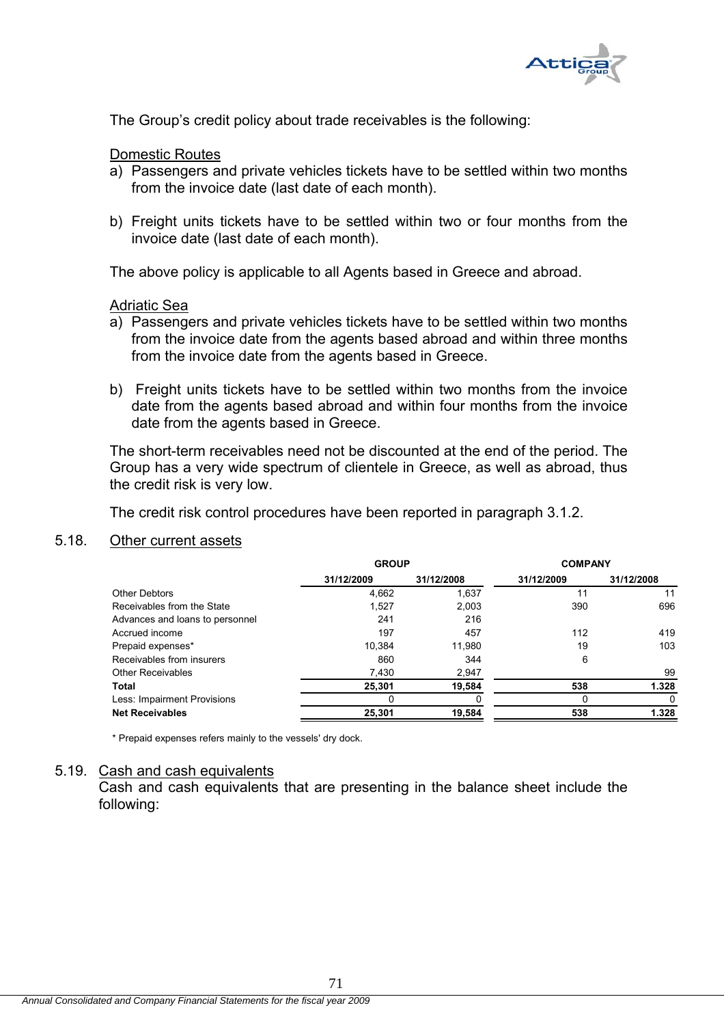

The Group's credit policy about trade receivables is the following:

### Domestic Routes

- a) Passengers and private vehicles tickets have to be settled within two months from the invoice date (last date of each month).
- b) Freight units tickets have to be settled within two or four months from the invoice date (last date of each month).

The above policy is applicable to all Agents based in Greece and abroad.

## Adriatic Sea

- a) Passengers and private vehicles tickets have to be settled within two months from the invoice date from the agents based abroad and within three months from the invoice date from the agents based in Greece.
- b) Freight units tickets have to be settled within two months from the invoice date from the agents based abroad and within four months from the invoice date from the agents based in Greece.

The short-term receivables need not be discounted at the end of the period. The Group has a very wide spectrum of clientele in Greece, as well as abroad, thus the credit risk is very low.

The credit risk control procedures have been reported in paragraph 3.1.2.

## 5.18. Other current assets

|                                 | <b>GROUP</b> |            | <b>COMPANY</b> |            |
|---------------------------------|--------------|------------|----------------|------------|
|                                 | 31/12/2009   | 31/12/2008 | 31/12/2009     | 31/12/2008 |
| Other Debtors                   | 4,662        | 1,637      | 11             | 11         |
| Receivables from the State      | 1,527        | 2,003      | 390            | 696        |
| Advances and loans to personnel | 241          | 216        |                |            |
| Accrued income                  | 197          | 457        | 112            | 419        |
| Prepaid expenses*               | 10.384       | 11,980     | 19             | 103        |
| Receivables from insurers       | 860          | 344        | 6              |            |
| <b>Other Receivables</b>        | 7,430        | 2,947      |                | 99         |
| Total                           | 25,301       | 19,584     | 538            | 1.328      |
| Less: Impairment Provisions     |              |            | O              | 0          |
| <b>Net Receivables</b>          | 25,301       | 19,584     | 538            | 1.328      |

\* Prepaid expenses refers mainly to the vessels' dry dock.

#### 5.19. Cash and cash equivalents

Cash and cash equivalents that are presenting in the balance sheet include the following: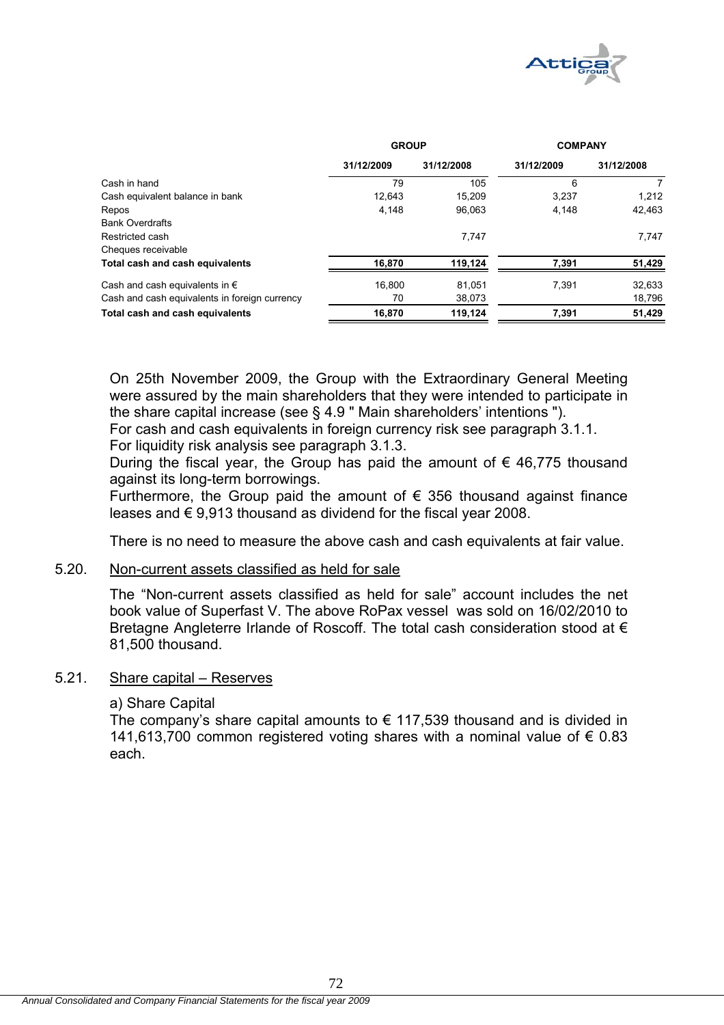

|                                               | <b>GROUP</b> |            | <b>COMPANY</b> |            |  |
|-----------------------------------------------|--------------|------------|----------------|------------|--|
|                                               | 31/12/2009   | 31/12/2008 | 31/12/2009     | 31/12/2008 |  |
| Cash in hand                                  | 79           | 105        | 6              |            |  |
| Cash equivalent balance in bank               | 12,643       | 15.209     | 3,237          | 1,212      |  |
| Repos                                         | 4,148        | 96.063     | 4,148          | 42.463     |  |
| <b>Bank Overdrafts</b>                        |              |            |                |            |  |
| Restricted cash                               |              | 7.747      |                | 7,747      |  |
| Cheques receivable                            |              |            |                |            |  |
| Total cash and cash equivalents               | 16.870       | 119,124    | 7.391          | 51,429     |  |
| Cash and cash equivalents in $\epsilon$       | 16,800       | 81,051     | 7,391          | 32,633     |  |
| Cash and cash equivalents in foreign currency | 70           | 38,073     |                | 18,796     |  |
| Total cash and cash equivalents               | 16,870       | 119,124    | 7,391          | 51,429     |  |

On 25th November 2009, the Group with the Extraordinary General Meeting were assured by the main shareholders that they were intended to participate in the share capital increase (see § 4.9 " Main shareholders' intentions ").

For cash and cash equivalents in foreign currency risk see paragraph 3.1.1.

For liquidity risk analysis see paragraph 3.1.3.

During the fiscal year, the Group has paid the amount of  $\epsilon$  46,775 thousand against its long-term borrowings.

Furthermore, the Group paid the amount of  $\epsilon$  356 thousand against finance leases and € 9,913 thousand as dividend for the fiscal year 2008.

There is no need to measure the above cash and cash equivalents at fair value.

## 5.20. Non-current assets classified as held for sale

The "Non-current assets classified as held for sale" account includes the net book value of Superfast V. The above RoPax vessel was sold on 16/02/2010 to Bretagne Angleterre Irlande of Roscoff. The total cash consideration stood at  $\epsilon$ 81,500 thousand.

## 5.21. Share capital – Reserves

## a) Share Capital

The company's share capital amounts to  $\epsilon$  117,539 thousand and is divided in 141,613,700 common registered voting shares with a nominal value of € 0.83 each.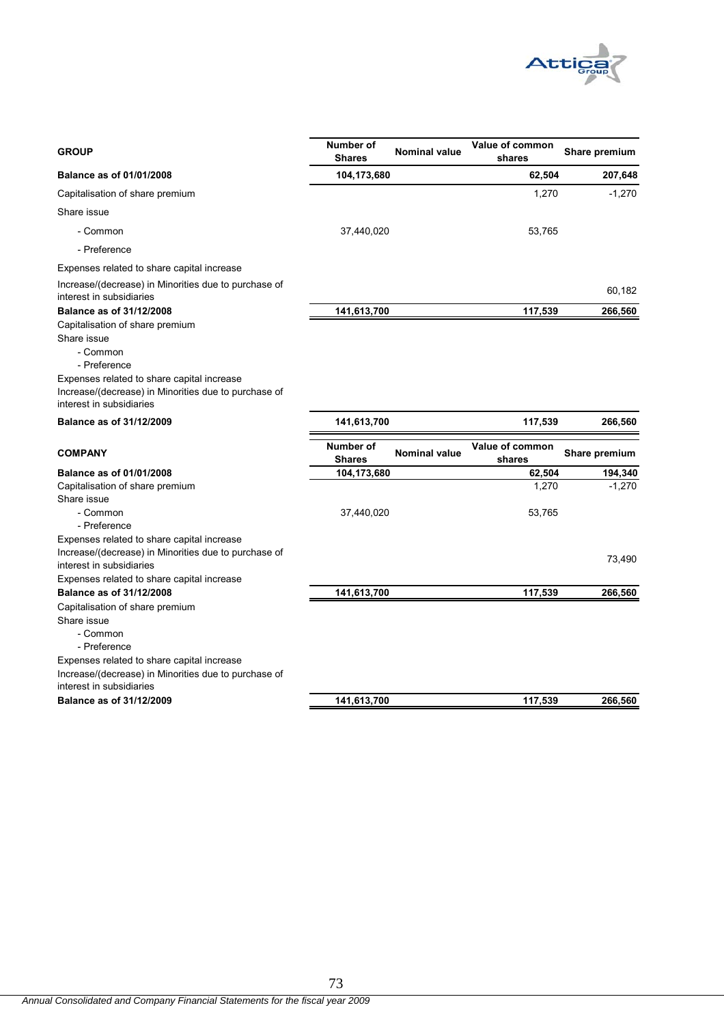

| <b>GROUP</b>                                                                     | Number of<br><b>Shares</b> | <b>Nominal value</b> | Value of common<br>shares | Share premium |
|----------------------------------------------------------------------------------|----------------------------|----------------------|---------------------------|---------------|
| Balance as of 01/01/2008                                                         | 104,173,680                |                      | 62,504                    | 207,648       |
| Capitalisation of share premium                                                  |                            |                      | 1,270                     | $-1,270$      |
| Share issue                                                                      |                            |                      |                           |               |
| - Common                                                                         | 37,440,020                 |                      | 53,765                    |               |
| - Preference                                                                     |                            |                      |                           |               |
| Expenses related to share capital increase                                       |                            |                      |                           |               |
| Increase/(decrease) in Minorities due to purchase of<br>interest in subsidiaries |                            |                      |                           | 60,182        |
| <b>Balance as of 31/12/2008</b>                                                  | 141,613,700                |                      | 117,539                   | 266,560       |
| Capitalisation of share premium                                                  |                            |                      |                           |               |
| Share issue                                                                      |                            |                      |                           |               |
| - Common<br>- Preference                                                         |                            |                      |                           |               |
| Expenses related to share capital increase                                       |                            |                      |                           |               |
| Increase/(decrease) in Minorities due to purchase of                             |                            |                      |                           |               |
| interest in subsidiaries                                                         |                            |                      |                           |               |
| Balance as of 31/12/2009                                                         | 141,613,700                |                      | 117,539                   | 266,560       |
| <b>COMPANY</b>                                                                   | Number of<br><b>Shares</b> | <b>Nominal value</b> | Value of common<br>shares | Share premium |
| <b>Balance as of 01/01/2008</b>                                                  | 104,173,680                |                      | 62,504                    | 194,340       |
| Capitalisation of share premium                                                  |                            |                      | 1,270                     | $-1.270$      |
| Share issue                                                                      |                            |                      |                           |               |
| - Common                                                                         | 37,440,020                 |                      | 53,765                    |               |
| - Preference<br>Expenses related to share capital increase                       |                            |                      |                           |               |
| Increase/(decrease) in Minorities due to purchase of                             |                            |                      |                           |               |
| interest in subsidiaries                                                         |                            |                      |                           | 73,490        |
| Expenses related to share capital increase                                       |                            |                      |                           |               |
| Balance as of 31/12/2008                                                         | 141,613,700                |                      | 117,539                   | 266,560       |
| Capitalisation of share premium                                                  |                            |                      |                           |               |
| Share issue                                                                      |                            |                      |                           |               |
| - Common                                                                         |                            |                      |                           |               |
| - Preference<br>Expenses related to share capital increase                       |                            |                      |                           |               |
| Increase/(decrease) in Minorities due to purchase of                             |                            |                      |                           |               |
| interest in subsidiaries                                                         |                            |                      |                           |               |
| Balance as of 31/12/2009                                                         | 141,613,700                |                      | 117,539                   | 266,560       |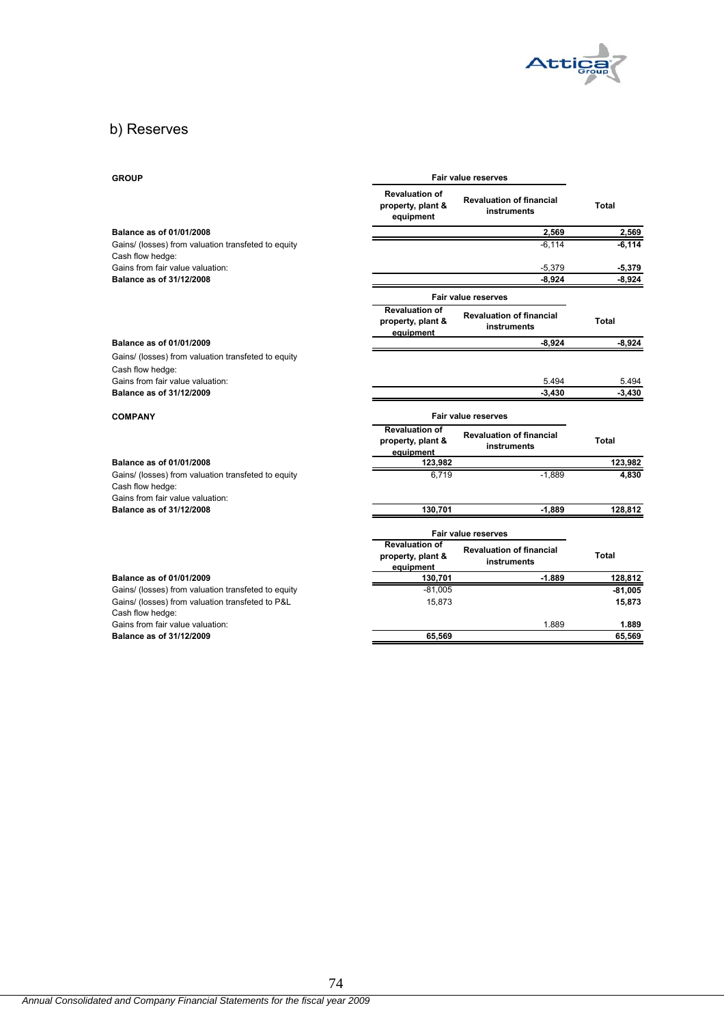

# b) Reserves

| <b>GROUP</b>                                                                                                | <b>Fair value reserves</b>                              |                                                |           |
|-------------------------------------------------------------------------------------------------------------|---------------------------------------------------------|------------------------------------------------|-----------|
|                                                                                                             | <b>Revaluation of</b><br>property, plant &<br>equipment | <b>Revaluation of financial</b><br>instruments | Total     |
| Balance as of 01/01/2008                                                                                    |                                                         | 2.569                                          | 2,569     |
| Gains/ (losses) from valuation transfeted to equity                                                         |                                                         | $-6,114$                                       | $-6, 114$ |
| Cash flow hedge:                                                                                            |                                                         |                                                |           |
| Gains from fair value valuation:                                                                            |                                                         | $-5.379$                                       | $-5,379$  |
| Balance as of 31/12/2008                                                                                    |                                                         | $-8,924$                                       | $-8,924$  |
|                                                                                                             |                                                         | <b>Fair value reserves</b>                     |           |
|                                                                                                             | <b>Revaluation of</b><br>property, plant &<br>equipment | <b>Revaluation of financial</b><br>instruments | Total     |
| Balance as of 01/01/2009                                                                                    |                                                         | $-8,924$                                       | $-8,924$  |
| Gains/ (losses) from valuation transfeted to equity                                                         |                                                         |                                                |           |
| Cash flow hedge:                                                                                            |                                                         |                                                |           |
| Gains from fair value valuation:                                                                            |                                                         | 5.494                                          | 5.494     |
| Balance as of 31/12/2009                                                                                    |                                                         | $-3.430$                                       | $-3,430$  |
| <b>COMPANY</b>                                                                                              | Fair value reserves                                     |                                                |           |
|                                                                                                             | <b>Revaluation of</b><br>property, plant &<br>equipment | <b>Revaluation of financial</b><br>instruments | Total     |
| Balance as of 01/01/2008                                                                                    | 123,982                                                 |                                                | 123,982   |
| Gains/ (losses) from valuation transfeted to equity<br>Cash flow hedge:<br>Gains from fair value valuation: | 6,719                                                   | $-1,889$                                       | 4,830     |
| Balance as of 31/12/2008                                                                                    | 130,701                                                 | $-1.889$                                       | 128,812   |
|                                                                                                             |                                                         | Fair value reserves                            |           |
|                                                                                                             | <b>Revaluation of</b><br>property, plant &              | <b>Revaluation of financial</b>                | Total     |
|                                                                                                             | equipment                                               | instruments                                    |           |
| Balance as of 01/01/2009                                                                                    | 130,701                                                 | $-1.889$                                       | 128,812   |
| Gains/ (losses) from valuation transfeted to equity                                                         | $-81,005$                                               |                                                | $-81,005$ |
| Gains/ (losses) from valuation transfeted to P&L<br>Cash flow hedge:                                        | 15,873                                                  |                                                | 15,873    |
| Gains from fair value valuation:                                                                            |                                                         | 1.889                                          | 1.889     |
| Balance as of 31/12/2009                                                                                    | 65,569                                                  |                                                | 65,569    |
|                                                                                                             |                                                         |                                                |           |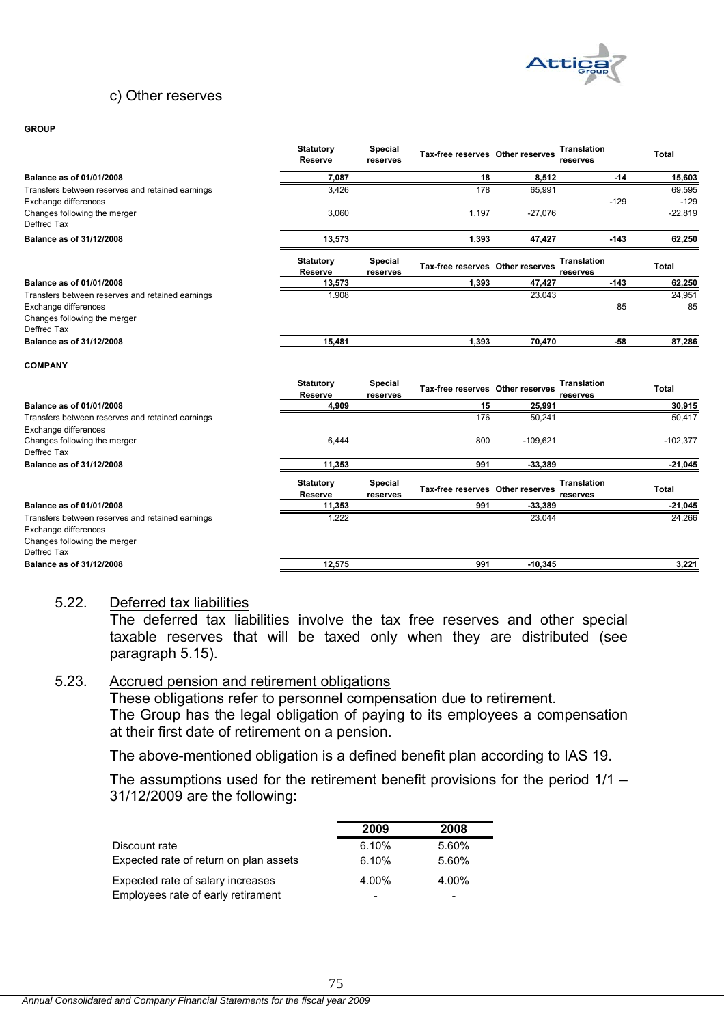

### c) Other reserves

#### **GROUP**

|                                                                     | <b>Statutory</b><br><b>Reserve</b> | <b>Special</b><br>reserves | Tax-free reserves Other reserves |            | <b>Translation</b><br>reserves | <b>Total</b> |
|---------------------------------------------------------------------|------------------------------------|----------------------------|----------------------------------|------------|--------------------------------|--------------|
| Balance as of 01/01/2008                                            | 7,087                              |                            | 18                               | 8,512      | $-14$                          | 15,603       |
| Transfers between reserves and retained earnings                    | 3,426                              |                            | 178                              | 65,991     |                                | 69,595       |
| Exchange differences                                                |                                    |                            |                                  |            | $-129$                         | $-129$       |
| Changes following the merger<br>Deffred Tax                         | 3,060                              |                            | 1,197                            | $-27,076$  |                                | $-22,819$    |
| Balance as of 31/12/2008                                            | 13,573                             |                            | 1,393                            | 47,427     | $-143$                         | 62,250       |
|                                                                     | <b>Statutory</b><br><b>Reserve</b> | <b>Special</b><br>reserves | Tax-free reserves Other reserves |            | <b>Translation</b><br>reserves | Total        |
| Balance as of 01/01/2008                                            | 13,573                             |                            | 1,393                            | 47,427     | $-143$                         | 62,250       |
| Transfers between reserves and retained earnings                    | 1.908                              |                            |                                  | 23.043     |                                | 24,951       |
| Exchange differences                                                |                                    |                            |                                  |            | 85                             | 85           |
| Changes following the merger<br>Deffred Tax                         |                                    |                            |                                  |            |                                |              |
| Balance as of 31/12/2008                                            | 15,481                             |                            | 1,393                            | 70,470     | -58                            | 87,286       |
| <b>COMPANY</b>                                                      |                                    |                            |                                  |            |                                |              |
|                                                                     | <b>Statutory</b><br><b>Reserve</b> | <b>Special</b><br>reserves | Tax-free reserves Other reserves |            | <b>Translation</b><br>reserves | <b>Total</b> |
| Balance as of 01/01/2008                                            | 4,909                              |                            | 15                               | 25,991     |                                | 30,915       |
| Transfers between reserves and retained earnings                    |                                    |                            | 176                              | 50,241     |                                | 50,417       |
| Exchange differences<br>Changes following the merger<br>Deffred Tax | 6,444                              |                            | 800                              | $-109,621$ |                                | $-102,377$   |
| Balance as of 31/12/2008                                            | 11,353                             |                            | 991                              | $-33.389$  |                                | $-21,045$    |
|                                                                     | <b>Statutory</b><br>Reserve        | <b>Special</b><br>reserves | Tax-free reserves Other reserves |            | <b>Translation</b><br>reserves | <b>Total</b> |
| Balance as of 01/01/2008                                            | 11,353                             |                            | 991                              | $-33,389$  |                                | $-21,045$    |
| Transfers between reserves and retained earnings                    | 1.222                              |                            |                                  | 23.044     |                                | 24,266       |
| Exchange differences                                                |                                    |                            |                                  |            |                                |              |
| Changes following the merger                                        |                                    |                            |                                  |            |                                |              |
| Deffred Tax                                                         |                                    |                            |                                  |            |                                |              |
| Balance as of 31/12/2008                                            | 12,575                             |                            | 991                              | $-10,345$  |                                | 3,221        |

#### 5.22. Deferred tax liabilities

The deferred tax liabilities involve the tax free reserves and other special taxable reserves that will be taxed only when they are distributed (see paragraph 5.15).

### 5.23. Accrued pension and retirement obligations

These obligations refer to personnel compensation due to retirement. The Group has the legal obligation of paying to its employees a compensation at their first date of retirement on a pension.

The above-mentioned obligation is a defined benefit plan according to IAS 19.

The assumptions used for the retirement benefit provisions for the period 1/1 – 31/12/2009 are the following:

|                                        | 2009  | 2008  |
|----------------------------------------|-------|-------|
| Discount rate                          | 6.10% | 5.60% |
| Expected rate of return on plan assets | 6.10% | 5.60% |
| Expected rate of salary increases      | 4.00% | 4.00% |
| Employees rate of early retirament     | -     |       |

75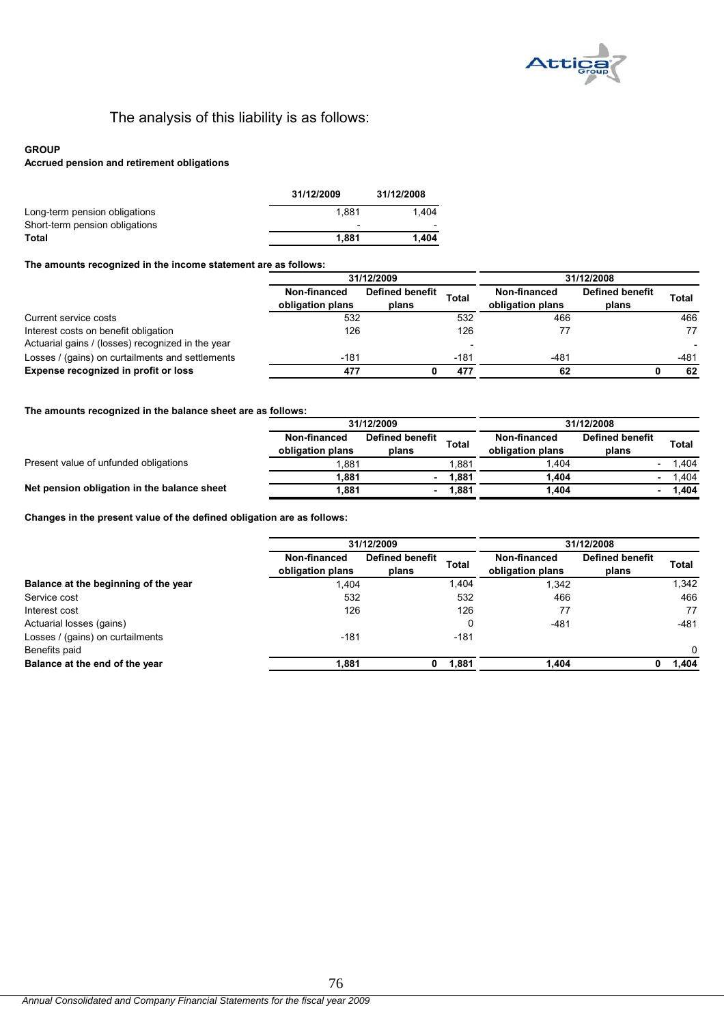

# The analysis of this liability is as follows:

#### **GROUP**

#### **Accrued pension and retirement obligations**

|                                | 31/12/2009               | 31/12/2008 |
|--------------------------------|--------------------------|------------|
| Long-term pension obligations  | 1.881                    | 1.404      |
| Short-term pension obligations | $\overline{\phantom{0}}$ |            |
| Total                          | 1.881                    | 1.404      |
|                                |                          |            |

#### **The amounts recognized in the income statement are as follows:**

|                                                   | 31/12/2009                       |                                 | 31/12/2008 |                                  |                                 |        |
|---------------------------------------------------|----------------------------------|---------------------------------|------------|----------------------------------|---------------------------------|--------|
|                                                   | Non-financed<br>obligation plans | <b>Defined benefit</b><br>plans | Total      | Non-financed<br>obligation plans | <b>Defined benefit</b><br>plans | Total  |
| Current service costs                             | 532                              |                                 | 532        | 466                              |                                 | 466    |
| Interest costs on benefit obligation              | 126                              |                                 | 126        |                                  |                                 | 77     |
| Actuarial gains / (losses) recognized in the year |                                  |                                 |            |                                  |                                 |        |
| Losses / (gains) on curtailments and settlements  | $-181$                           |                                 | $-181$     | $-481$                           |                                 | $-481$ |
| Expense recognized in profit or loss              | 477                              |                                 | 477        | 62                               |                                 | 62     |

#### **The amounts recognized in the balance sheet are as follows:**

|                                             | 31/12/2009                       |                                 | 31/12/2008   |                                  |                                 |       |
|---------------------------------------------|----------------------------------|---------------------------------|--------------|----------------------------------|---------------------------------|-------|
|                                             | Non-financed<br>obligation plans | <b>Defined benefit</b><br>plans | <b>Total</b> | Non-financed<br>obligation plans | <b>Defined benefit</b><br>plans | Total |
| Present value of unfunded obligations       | 1.881                            |                                 | 1.881        | .404                             |                                 | .404  |
|                                             | 1.881                            |                                 | 1.881        | 1.404                            |                                 | .404  |
| Net pension obligation in the balance sheet | 1,881                            |                                 | 1,881        | 1,404                            |                                 | .404  |

**Changes in the present value of the defined obligation are as follows:**

|                                      | 31/12/2009                       |                                 | 31/12/2008   |                                  |                                 |          |
|--------------------------------------|----------------------------------|---------------------------------|--------------|----------------------------------|---------------------------------|----------|
|                                      | Non-financed<br>obligation plans | <b>Defined benefit</b><br>plans | <b>Total</b> | Non-financed<br>obligation plans | <b>Defined benefit</b><br>plans | Total    |
| Balance at the beginning of the year | 1,404                            |                                 | 1,404        | 1,342                            |                                 | 1,342    |
| Service cost                         | 532                              |                                 | 532          | 466                              |                                 | 466      |
| Interest cost                        | 126                              |                                 | 126          | 77                               |                                 | 77       |
| Actuarial losses (gains)             |                                  |                                 | 0            | $-481$                           |                                 | $-481$   |
| Losses / (gains) on curtailments     | $-181$                           |                                 | $-181$       |                                  |                                 |          |
| Benefits paid                        |                                  |                                 |              |                                  |                                 | $\Omega$ |
| Balance at the end of the year       | 1,881                            | 0                               | 1,881        | 1,404                            | 0                               | 404. ا   |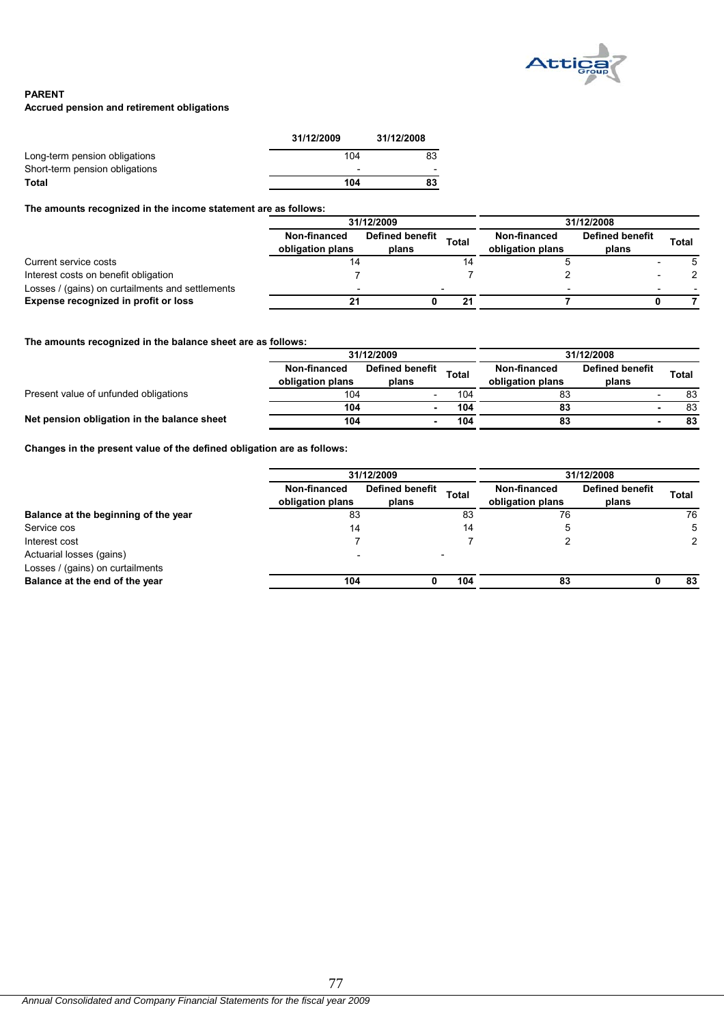

#### **PARENT**

#### **Accrued pension and retirement obligations**

|                                | 31/12/2009               | 31/12/2008 |
|--------------------------------|--------------------------|------------|
| Long-term pension obligations  | 104                      | 83         |
| Short-term pension obligations | $\overline{\phantom{0}}$ |            |
| Total                          | 104                      | 83         |

**The amounts recognized in the income statement are as follows:**

|                                                  | 31/12/2009                       |                                 |              | 31/12/2008                       |                                 |       |  |
|--------------------------------------------------|----------------------------------|---------------------------------|--------------|----------------------------------|---------------------------------|-------|--|
|                                                  | Non-financed<br>obligation plans | <b>Defined benefit</b><br>plans | <b>Total</b> | Non-financed<br>obligation plans | <b>Defined benefit</b><br>plans | Total |  |
| Current service costs                            |                                  |                                 |              |                                  |                                 |       |  |
| Interest costs on benefit obligation             |                                  |                                 |              |                                  |                                 |       |  |
| Losses / (gains) on curtailments and settlements |                                  |                                 |              |                                  |                                 |       |  |
| Expense recognized in profit or loss             | 21                               |                                 |              |                                  |                                 |       |  |

#### **The amounts recognized in the balance sheet are as follows:**

|                                             |                                  | 31/12/2009                      |       |                                  | 31/12/2008                      |       |  |
|---------------------------------------------|----------------------------------|---------------------------------|-------|----------------------------------|---------------------------------|-------|--|
|                                             | Non-financed<br>obligation plans | <b>Defined benefit</b><br>plans | Total | Non-financed<br>obligation plans | <b>Defined benefit</b><br>plans | Total |  |
| Present value of unfunded obligations       | 104                              |                                 | 104   | 83                               |                                 | 83    |  |
|                                             | 104                              |                                 | 104   | 83                               |                                 | 83    |  |
| Net pension obligation in the balance sheet | 104                              |                                 | 104   | 83                               |                                 | 83    |  |

**Changes in the present value of the defined obligation are as follows:**

|                                      | 31/12/2009                       |                          |       | 31/12/2008                       |                                 |              |
|--------------------------------------|----------------------------------|--------------------------|-------|----------------------------------|---------------------------------|--------------|
|                                      | Non-financed<br>obligation plans | Defined benefit<br>plans | Total | Non-financed<br>obligation plans | <b>Defined benefit</b><br>plans | <b>Total</b> |
| Balance at the beginning of the year | 83<br>83                         |                          | 76    |                                  | 76                              |              |
| Service cos                          | 14                               |                          | 14    | 5                                |                                 | 5            |
| Interest cost                        |                                  |                          |       |                                  |                                 |              |
| Actuarial losses (gains)             |                                  |                          |       |                                  |                                 |              |
| Losses / (gains) on curtailments     |                                  |                          |       |                                  |                                 |              |
| Balance at the end of the year       | 104                              |                          | 104   | 83                               |                                 | 83           |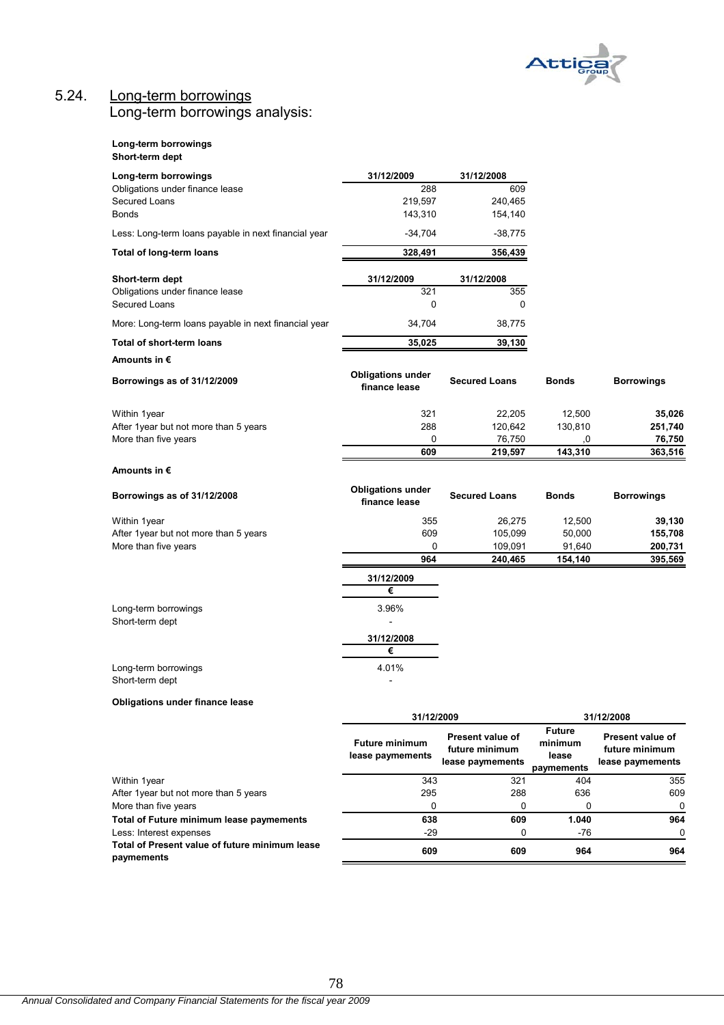

# 5.24. Long-term borrowings Long-term borrowings analysis:

#### **Long-term borrowings Short-term dept**

| Long-term borrowings                                 | 31/12/2009                                | 31/12/2008                                             |                                                 |                                                        |
|------------------------------------------------------|-------------------------------------------|--------------------------------------------------------|-------------------------------------------------|--------------------------------------------------------|
| Obligations under finance lease                      | 288                                       | 609                                                    |                                                 |                                                        |
| Secured Loans                                        | 219,597                                   | 240,465                                                |                                                 |                                                        |
| <b>Bonds</b>                                         | 143,310                                   | 154,140                                                |                                                 |                                                        |
| Less: Long-term loans payable in next financial year | $-34,704$                                 | $-38,775$                                              |                                                 |                                                        |
| Total of long-term loans                             | 328,491                                   | 356,439                                                |                                                 |                                                        |
| Short-term dept                                      | 31/12/2009                                | 31/12/2008                                             |                                                 |                                                        |
| Obligations under finance lease<br>Secured Loans     | 321<br>0                                  | 355<br>0                                               |                                                 |                                                        |
| More: Long-term loans payable in next financial year | 34,704                                    | 38,775                                                 |                                                 |                                                        |
| Total of short-term loans                            | 35,025                                    | 39,130                                                 |                                                 |                                                        |
| Amounts in €                                         |                                           |                                                        |                                                 |                                                        |
| Borrowings as of 31/12/2009                          | <b>Obligations under</b><br>finance lease | <b>Secured Loans</b>                                   | <b>Bonds</b>                                    | <b>Borrowings</b>                                      |
| Within 1year                                         | 321                                       | 22,205                                                 | 12,500                                          | 35,026                                                 |
| After 1year but not more than 5 years                | 288                                       | 120,642                                                | 130,810                                         | 251,740                                                |
| More than five years                                 | 0                                         | 76,750                                                 | 0,                                              | 76,750                                                 |
|                                                      | 609                                       | 219,597                                                | 143,310                                         | 363,516                                                |
| Amounts in €                                         |                                           |                                                        |                                                 |                                                        |
| Borrowings as of 31/12/2008                          | <b>Obligations under</b><br>finance lease | <b>Secured Loans</b>                                   | <b>Bonds</b>                                    | <b>Borrowings</b>                                      |
| Within 1year                                         | 355                                       | 26,275                                                 | 12,500                                          | 39,130                                                 |
| After 1year but not more than 5 years                | 609                                       | 105,099                                                | 50,000                                          | 155,708                                                |
| More than five years                                 | 0                                         | 109,091                                                | 91,640                                          | 200,731                                                |
|                                                      | 964                                       | 240,465                                                | 154,140                                         | 395,569                                                |
|                                                      | 31/12/2009                                |                                                        |                                                 |                                                        |
|                                                      | €                                         |                                                        |                                                 |                                                        |
| Long-term borrowings<br>Short-term dept              | 3.96%                                     |                                                        |                                                 |                                                        |
|                                                      | 31/12/2008                                |                                                        |                                                 |                                                        |
|                                                      | €                                         |                                                        |                                                 |                                                        |
| Long-term borrowings                                 | 4.01%                                     |                                                        |                                                 |                                                        |
| Short-term dept                                      |                                           |                                                        |                                                 |                                                        |
| Obligations under finance lease                      |                                           |                                                        |                                                 |                                                        |
|                                                      | 31/12/2009                                |                                                        |                                                 | 31/12/2008                                             |
|                                                      | <b>Future minimum</b><br>lease paymements | Present value of<br>future minimum<br>lease paymements | <b>Future</b><br>minimum<br>lease<br>paymements | Present value of<br>future minimum<br>lease paymements |
| Within 1year                                         | 343                                       | 321                                                    | 404                                             | 355                                                    |
| After 1year but not more than 5 years                | 295                                       | 288                                                    | 636                                             | 609                                                    |
| More than five years                                 | 0                                         | 0                                                      | 0                                               | 0                                                      |

Total of Future minimum lease paymements **1.040** 638 609 1.040 **964** 

Less: Interest expenses -29 0 -76 0

**Total of Present value of future minimum lease paymements 609 609 964 964**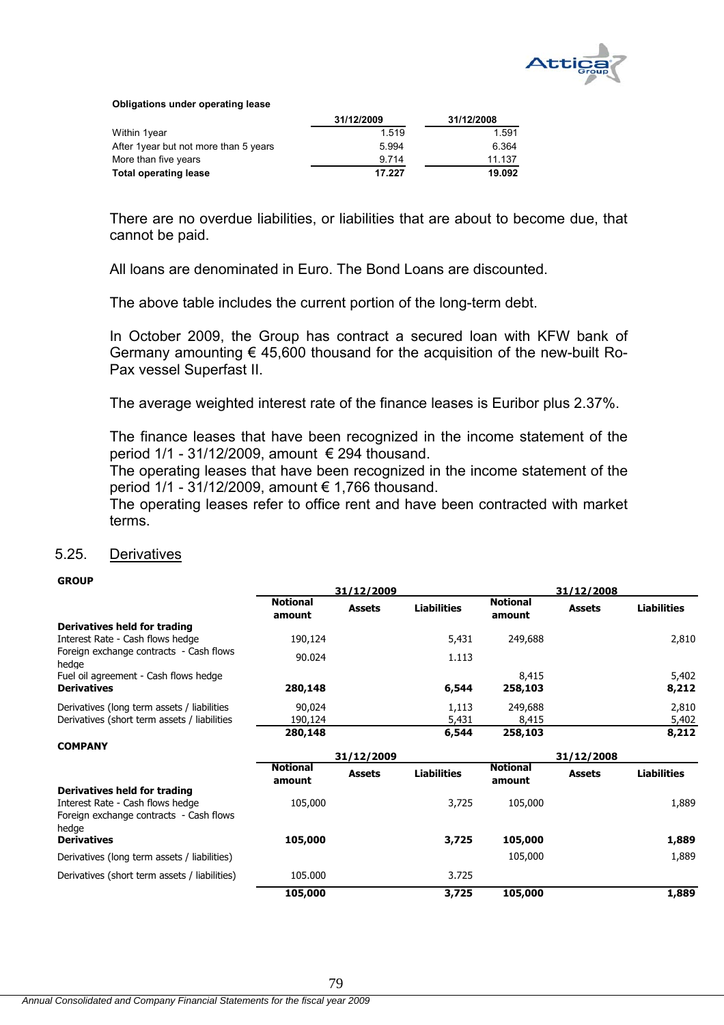

**Obligations under operating lease**

|                                        | 31/12/2009 | 31/12/2008 |
|----------------------------------------|------------|------------|
| Within 1year                           | 1.519      | 1.591      |
| After 1 year but not more than 5 years | 5.994      | 6.364      |
| More than five years                   | 9.714      | 11.137     |
| <b>Total operating lease</b>           | 17.227     | 19.092     |

There are no overdue liabilities, or liabilities that are about to become due, that cannot be paid.

All loans are denominated in Euro. The Bond Loans are discounted.

The above table includes the current portion of the long-term debt.

In October 2009, the Group has contract a secured loan with KFW bank of Germany amounting  $\epsilon$  45,600 thousand for the acquisition of the new-built Ro-Pax vessel Superfast II.

The average weighted interest rate of the finance leases is Euribor plus 2.37%.

The finance leases that have been recognized in the income statement of the period  $1/1$  - 31/12/2009, amount  $\epsilon$  294 thousand.

The operating leases that have been recognized in the income statement of the period 1/1 - 31/12/2009, amount € 1,766 thousand.

The operating leases refer to office rent and have been contracted with market terms.

## 5.25. Derivatives

#### **GROUP**

|                                                                                      | 31/12/2009                |               |                    | 31/12/2008                |               |                    |
|--------------------------------------------------------------------------------------|---------------------------|---------------|--------------------|---------------------------|---------------|--------------------|
|                                                                                      | <b>Notional</b><br>amount | <b>Assets</b> | <b>Liabilities</b> | <b>Notional</b><br>amount | <b>Assets</b> | <b>Liabilities</b> |
| Derivatives held for trading                                                         |                           |               |                    |                           |               |                    |
| Interest Rate - Cash flows hedge                                                     | 190,124                   |               | 5,431              | 249,688                   |               | 2,810              |
| Foreign exchange contracts - Cash flows<br>hedge                                     | 90.024                    |               | 1.113              |                           |               |                    |
| Fuel oil agreement - Cash flows hedge                                                |                           |               |                    | 8,415                     |               | 5,402              |
| <b>Derivatives</b>                                                                   | 280,148                   |               | 6,544              | 258,103                   |               | 8,212              |
| Derivatives (long term assets / liabilities                                          | 90,024                    |               | 1,113              | 249,688                   |               | 2,810              |
| Derivatives (short term assets / liabilities                                         | 190,124                   |               | 5,431              | 8,415                     |               | 5,402              |
|                                                                                      | 280,148                   |               | 6,544              | 258,103                   |               | 8,212              |
| <b>COMPANY</b>                                                                       |                           |               |                    |                           |               |                    |
|                                                                                      |                           | 31/12/2009    |                    |                           | 31/12/2008    |                    |
|                                                                                      | <b>Notional</b><br>amount | <b>Assets</b> | <b>Liabilities</b> | <b>Notional</b><br>amount | <b>Assets</b> | <b>Liabilities</b> |
| Derivatives held for trading                                                         |                           |               |                    |                           |               |                    |
| Interest Rate - Cash flows hedge<br>Foreign exchange contracts - Cash flows<br>hedge | 105,000                   |               | 3,725              | 105,000                   |               | 1,889              |
| <b>Derivatives</b>                                                                   | 105,000                   |               | 3,725              | 105,000                   |               | 1,889              |
|                                                                                      |                           |               |                    |                           |               |                    |
| Derivatives (long term assets / liabilities)                                         |                           |               |                    | 105,000                   |               | 1,889              |
| Derivatives (short term assets / liabilities)                                        | 105.000                   |               | 3.725              |                           |               |                    |
|                                                                                      | 105,000                   |               | 3,725              | 105,000                   |               | 1,889              |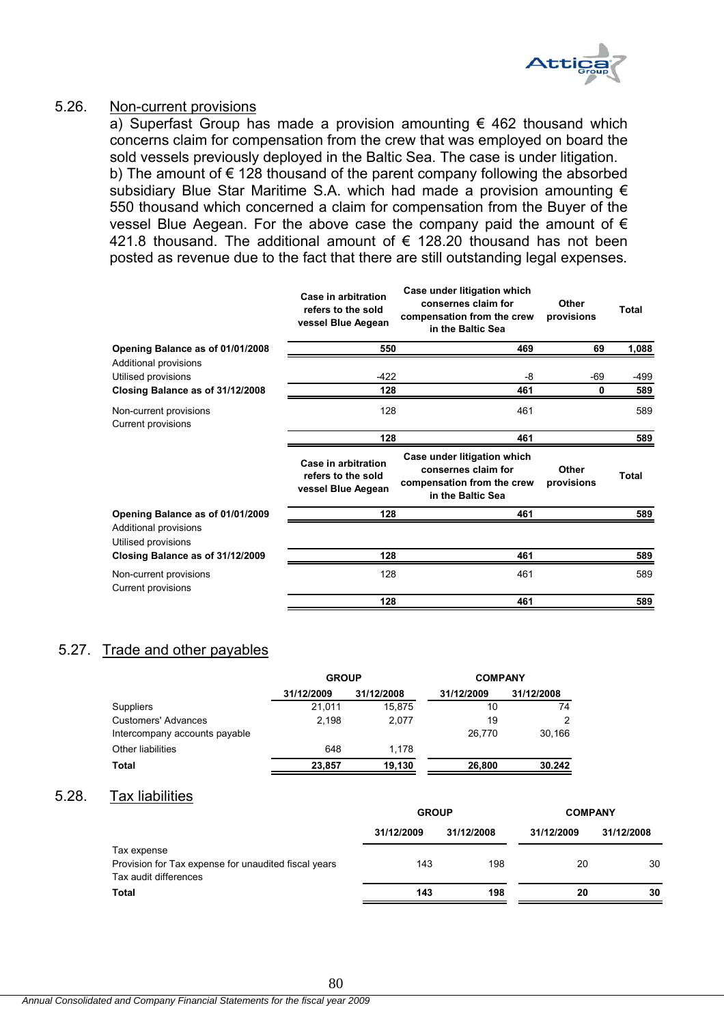

## 5.26. Non-current provisions

a) Superfast Group has made a provision amounting  $\epsilon$  462 thousand which concerns claim for compensation from the crew that was employed on board the sold vessels previously deployed in the Baltic Sea. The case is under litigation. b) The amount of  $\epsilon$  128 thousand of the parent company following the absorbed subsidiary Blue Star Maritime S.A. which had made a provision amounting  $\epsilon$ 550 thousand which concerned a claim for compensation from the Buyer of the vessel Blue Aegean. For the above case the company paid the amount of  $\epsilon$ 421.8 thousand. The additional amount of € 128.20 thousand has not been posted as revenue due to the fact that there are still outstanding legal expenses.

|                                                                                  | Case in arbitration<br>refers to the sold<br>vessel Blue Aegean | Case under litigation which<br>consernes claim for<br>compensation from the crew<br>in the Baltic Sea | Other<br>provisions | Total       |
|----------------------------------------------------------------------------------|-----------------------------------------------------------------|-------------------------------------------------------------------------------------------------------|---------------------|-------------|
| Opening Balance as of 01/01/2008                                                 | 550                                                             | 469                                                                                                   | 69                  | 1,088       |
| Additional provisions<br>Utilised provisions<br>Closing Balance as of 31/12/2008 | $-422$<br>128                                                   | -8<br>461                                                                                             | -69<br>0            | -499<br>589 |
| Non-current provisions<br>Current provisions                                     | 128                                                             | 461                                                                                                   |                     | 589         |
|                                                                                  | 128                                                             | 461                                                                                                   |                     | 589         |
|                                                                                  | Case in arbitration<br>refers to the sold<br>vessel Blue Aegean | Case under litigation which<br>consernes claim for<br>compensation from the crew<br>in the Baltic Sea | Other<br>provisions | Total       |
| Opening Balance as of 01/01/2009                                                 | 128                                                             | 461                                                                                                   |                     | 589         |
| Additional provisions<br>Utilised provisions                                     |                                                                 |                                                                                                       |                     |             |
| Closing Balance as of 31/12/2009                                                 | 128                                                             | 461                                                                                                   |                     | 589         |
| Non-current provisions<br>Current provisions                                     | 128                                                             | 461                                                                                                   |                     | 589         |
|                                                                                  | 128                                                             | 461                                                                                                   |                     | 589         |
|                                                                                  |                                                                 |                                                                                                       |                     |             |

# 5.27. Trade and other payables

|                               | <b>GROUP</b> |            | <b>COMPANY</b> |            |
|-------------------------------|--------------|------------|----------------|------------|
|                               | 31/12/2009   | 31/12/2008 | 31/12/2009     | 31/12/2008 |
| Suppliers                     | 21,011       | 15.875     | 10             | 74         |
| <b>Customers' Advances</b>    | 2.198        | 2,077      | 19             | າ          |
| Intercompany accounts payable |              |            | 26.770         | 30.166     |
| Other liabilities             | 648          | 1.178      |                |            |
| <b>Total</b>                  | 23.857       | 19,130     | 26,800         | 30.242     |

# 5.28. Tax liabilities

|                                                      | <b>GROUP</b> |            | <b>COMPANY</b> |            |  |
|------------------------------------------------------|--------------|------------|----------------|------------|--|
|                                                      | 31/12/2009   | 31/12/2008 | 31/12/2009     | 31/12/2008 |  |
| Tax expense                                          |              |            |                |            |  |
| Provision for Tax expense for unaudited fiscal years | 143          | 198        | 20             | 30         |  |
| Tax audit differences                                |              |            |                |            |  |
| Total                                                | 143          | 198        | 20             | 30         |  |
|                                                      |              |            |                |            |  |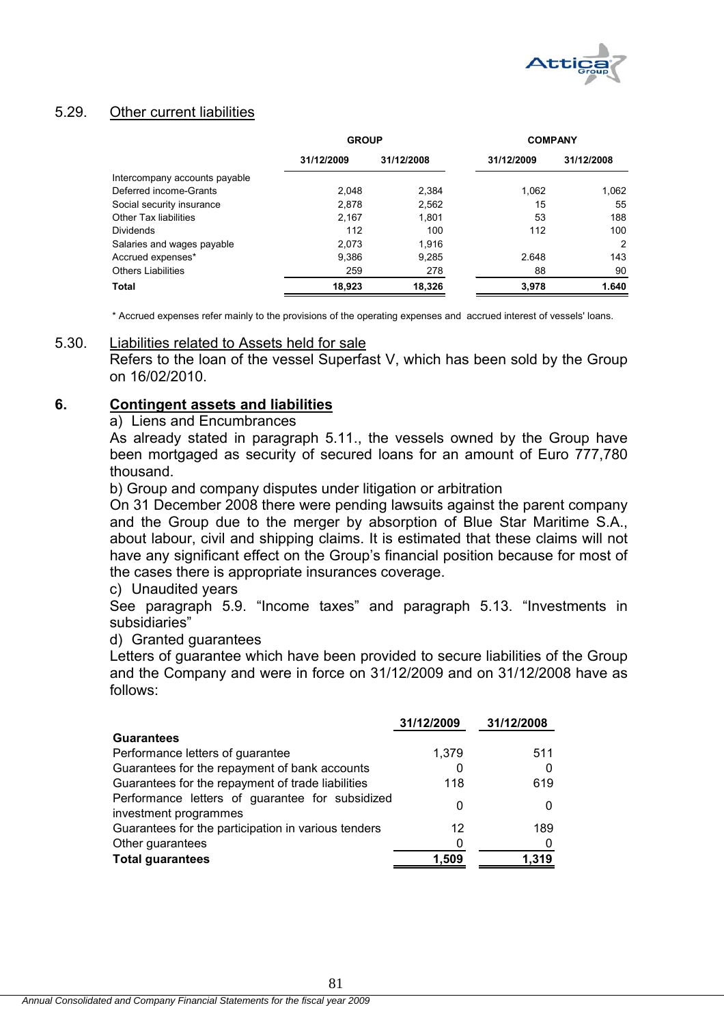

# 5.29. Other current liabilities

|                               | <b>GROUP</b> |            | <b>COMPANY</b> |            |
|-------------------------------|--------------|------------|----------------|------------|
|                               | 31/12/2009   | 31/12/2008 | 31/12/2009     | 31/12/2008 |
| Intercompany accounts payable |              |            |                |            |
| Deferred income-Grants        | 2.048        | 2,384      | 1,062          | 1,062      |
| Social security insurance     | 2.878        | 2,562      | 15             | 55         |
| <b>Other Tax liabilities</b>  | 2,167        | 1,801      | 53             | 188        |
| Dividends                     | 112          | 100        | 112            | 100        |
| Salaries and wages payable    | 2.073        | 1.916      |                | 2          |
| Accrued expenses*             | 9.386        | 9.285      | 2.648          | 143        |
| <b>Others Liabilities</b>     | 259          | 278        | 88             | 90         |
| Total                         | 18.923       | 18.326     | 3.978          | 1.640      |

\* Accrued expenses refer mainly to the provisions of the operating expenses and accrued interest of vessels' loans.

## 5.30. Liabilities related to Assets held for sale

Refers to the loan of the vessel Superfast V, which has been sold by the Group on 16/02/2010.

### **6. Contingent assets and liabilities**

a) Liens and Encumbrances

As already stated in paragraph 5.11., the vessels owned by the Group have been mortgaged as security of secured loans for an amount of Euro 777,780 thousand.

b) Group and company disputes under litigation or arbitration

On 31 December 2008 there were pending lawsuits against the parent company and the Group due to the merger by absorption of Blue Star Maritime S.A., about labour, civil and shipping claims. It is estimated that these claims will not have any significant effect on the Group's financial position because for most of the cases there is appropriate insurances coverage.

### c) Unaudited years

See paragraph 5.9. "Income taxes" and paragraph 5.13. "Investments in subsidiaries"

### d) Granted guarantees

Letters of guarantee which have been provided to secure liabilities of the Group and the Company and were in force on 31/12/2009 and on 31/12/2008 have as follows:

|                                                                          | 31/12/2009 | 31/12/2008 |
|--------------------------------------------------------------------------|------------|------------|
| <b>Guarantees</b>                                                        |            |            |
| Performance letters of guarantee                                         | 1,379      | 511        |
| Guarantees for the repayment of bank accounts                            | 0          |            |
| Guarantees for the repayment of trade liabilities                        | 118        | 619        |
| Performance letters of guarantee for subsidized<br>investment programmes | 0          |            |
| Guarantees for the participation in various tenders                      | 12         | 189        |
| Other guarantees                                                         | 0          |            |
| <b>Total guarantees</b>                                                  | 1.509      | 1,319      |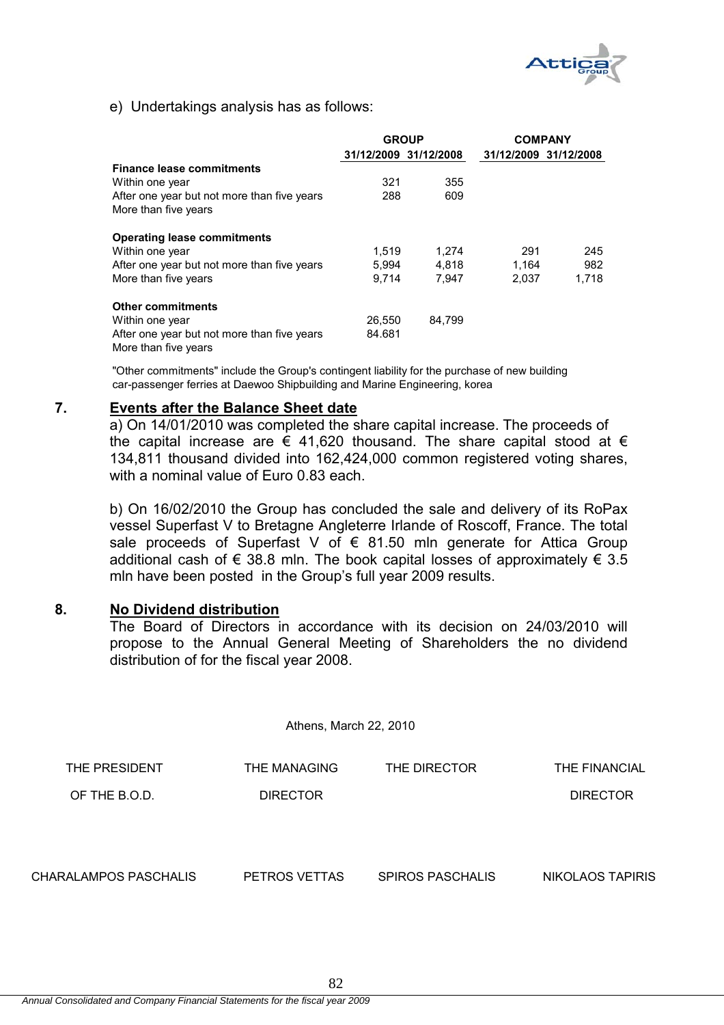

e) Undertakings analysis has as follows:

|                                                                     |        | <b>GROUP</b>          | <b>COMPANY</b>        |       |  |
|---------------------------------------------------------------------|--------|-----------------------|-----------------------|-------|--|
|                                                                     |        | 31/12/2009 31/12/2008 | 31/12/2009 31/12/2008 |       |  |
| <b>Finance lease commitments</b>                                    |        |                       |                       |       |  |
| Within one year                                                     | 321    | 355                   |                       |       |  |
| After one year but not more than five years                         | 288    | 609                   |                       |       |  |
| More than five years                                                |        |                       |                       |       |  |
| <b>Operating lease commitments</b>                                  |        |                       |                       |       |  |
| Within one year                                                     | 1.519  | 1.274                 | 291                   | 245   |  |
| After one year but not more than five years                         | 5.994  | 4,818                 | 1.164                 | 982   |  |
| More than five years                                                | 9.714  | 7,947                 | 2.037                 | 1,718 |  |
| <b>Other commitments</b>                                            |        |                       |                       |       |  |
| Within one year                                                     | 26,550 | 84.799                |                       |       |  |
| After one year but not more than five years<br>More than five vears | 84.681 |                       |                       |       |  |

"Other commitments" include the Group's contingent liability for the purchase of new building car-passenger ferries at Daewoo Shipbuilding and Marine Engineering, korea

### **7. Events after the Balance Sheet date**

a) On 14/01/2010 was completed the share capital increase. The proceeds of the capital increase are  $\epsilon$  41,620 thousand. The share capital stood at  $\epsilon$ 134,811 thousand divided into 162,424,000 common registered voting shares, with a nominal value of Euro 0.83 each.

b) On 16/02/2010 the Group has concluded the sale and delivery of its RoPax vessel Superfast V to Bretagne Angleterre Irlande of Roscoff, France. The total sale proceeds of Superfast V of  $\epsilon$  81.50 mln generate for Attica Group additional cash of  $\epsilon$  38.8 mln. The book capital losses of approximately  $\epsilon$  3.5 mln have been posted in the Group's full year 2009 results.

### **8. No Dividend distribution**

The Board of Directors in accordance with its decision on 24/03/2010 will propose to the Annual General Meeting of Shareholders the no dividend distribution of for the fiscal year 2008.

Athens, March 22, 2010 THE PRESIDENT THE MANAGING THE DIRECTOR THE FINANCIAL OF THE B.O.D. DIRECTOR DIRECTOR CHARALAMPOS PASCHALIS PETROS VETTAS SPIROS PASCHALIS NIKOLAOS TAPIRIS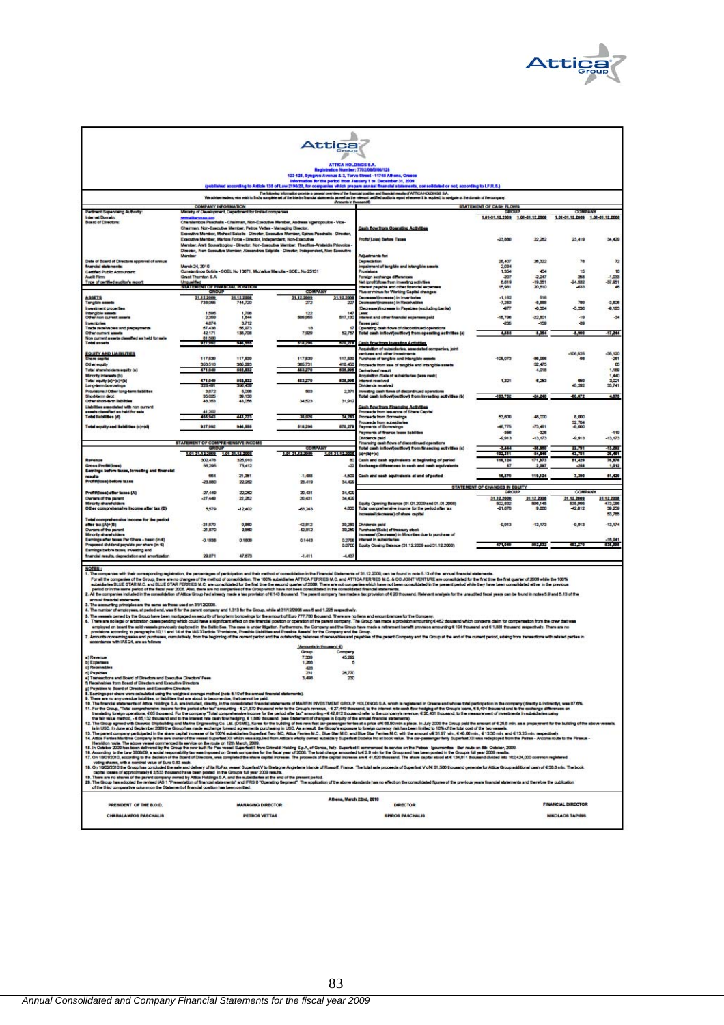

| Attica                                                                                                                                                                                                                                                                                                                                                                                                                                                                                                                                                                                                                                                                                                                                                                                                                                                                                                                                                                                                                                                                                                                                                                                                                                                                                                                                                                                                                                                                                                                                                                                                                                                                                                                                                                                                                                                                                                                                                                                                                                                                                                                                                                                                                                                                                                                                                                                                                                                                                                                                                                                                                                                                                                                                                                                                         |                                                                                         |                            |                                                                                                                                                                                       |                         |                                                                                                                                                                                                                                      |                                                                       |                                |                                                      |                                 |
|----------------------------------------------------------------------------------------------------------------------------------------------------------------------------------------------------------------------------------------------------------------------------------------------------------------------------------------------------------------------------------------------------------------------------------------------------------------------------------------------------------------------------------------------------------------------------------------------------------------------------------------------------------------------------------------------------------------------------------------------------------------------------------------------------------------------------------------------------------------------------------------------------------------------------------------------------------------------------------------------------------------------------------------------------------------------------------------------------------------------------------------------------------------------------------------------------------------------------------------------------------------------------------------------------------------------------------------------------------------------------------------------------------------------------------------------------------------------------------------------------------------------------------------------------------------------------------------------------------------------------------------------------------------------------------------------------------------------------------------------------------------------------------------------------------------------------------------------------------------------------------------------------------------------------------------------------------------------------------------------------------------------------------------------------------------------------------------------------------------------------------------------------------------------------------------------------------------------------------------------------------------------------------------------------------------------------------------------------------------------------------------------------------------------------------------------------------------------------------------------------------------------------------------------------------------------------------------------------------------------------------------------------------------------------------------------------------------------------------------------------------------------------------------------------------------|-----------------------------------------------------------------------------------------|----------------------------|---------------------------------------------------------------------------------------------------------------------------------------------------------------------------------------|-------------------------|--------------------------------------------------------------------------------------------------------------------------------------------------------------------------------------------------------------------------------------|-----------------------------------------------------------------------|--------------------------------|------------------------------------------------------|---------------------------------|
| ATTICA HOLDINGS S.A.<br>Registration Number: 7702/04/8/8/125                                                                                                                                                                                                                                                                                                                                                                                                                                                                                                                                                                                                                                                                                                                                                                                                                                                                                                                                                                                                                                                                                                                                                                                                                                                                                                                                                                                                                                                                                                                                                                                                                                                                                                                                                                                                                                                                                                                                                                                                                                                                                                                                                                                                                                                                                                                                                                                                                                                                                                                                                                                                                                                                                                                                                   |                                                                                         |                            |                                                                                                                                                                                       |                         |                                                                                                                                                                                                                                      |                                                                       |                                |                                                      |                                 |
| 123-125, Syngrou Avenue & 3, Torva Street - 11745 Athens, Greece                                                                                                                                                                                                                                                                                                                                                                                                                                                                                                                                                                                                                                                                                                                                                                                                                                                                                                                                                                                                                                                                                                                                                                                                                                                                                                                                                                                                                                                                                                                                                                                                                                                                                                                                                                                                                                                                                                                                                                                                                                                                                                                                                                                                                                                                                                                                                                                                                                                                                                                                                                                                                                                                                                                                               |                                                                                         |                            |                                                                                                                                                                                       |                         |                                                                                                                                                                                                                                      |                                                                       |                                |                                                      |                                 |
|                                                                                                                                                                                                                                                                                                                                                                                                                                                                                                                                                                                                                                                                                                                                                                                                                                                                                                                                                                                                                                                                                                                                                                                                                                                                                                                                                                                                                                                                                                                                                                                                                                                                                                                                                                                                                                                                                                                                                                                                                                                                                                                                                                                                                                                                                                                                                                                                                                                                                                                                                                                                                                                                                                                                                                                                                |                                                                                         |                            |                                                                                                                                                                                       |                         | information for the period from January 1 to December 31, 2009<br>(published according to Article 135 of Law 219929, for companies which prepare annual financial statements, consolidated or not, according to LF.R.S.)             |                                                                       |                                |                                                      |                                 |
|                                                                                                                                                                                                                                                                                                                                                                                                                                                                                                                                                                                                                                                                                                                                                                                                                                                                                                                                                                                                                                                                                                                                                                                                                                                                                                                                                                                                                                                                                                                                                                                                                                                                                                                                                                                                                                                                                                                                                                                                                                                                                                                                                                                                                                                                                                                                                                                                                                                                                                                                                                                                                                                                                                                                                                                                                |                                                                                         |                            |                                                                                                                                                                                       | (Antounts in thousands) | .<br>The following information provide a general overview of the financial position and financial mexits of ATTCA HOLDMGS S.A.<br>In complete set of the interim financial statements as well as the mineral certified auditor's rep | ple of the domain of the company                                      |                                |                                                      |                                 |
| Pertners Supervising Authority<br><b>Internet Domain:</b>                                                                                                                                                                                                                                                                                                                                                                                                                                                                                                                                                                                                                                                                                                                                                                                                                                                                                                                                                                                                                                                                                                                                                                                                                                                                                                                                                                                                                                                                                                                                                                                                                                                                                                                                                                                                                                                                                                                                                                                                                                                                                                                                                                                                                                                                                                                                                                                                                                                                                                                                                                                                                                                                                                                                                      | <b>COMPANY INFORMATION</b><br>Ministry of Development, Department for limited companies |                            |                                                                                                                                                                                       |                         |                                                                                                                                                                                                                                      | STATEMENT OF CASH FLOWS<br>0930093<br>1.01-31.12.2009 1.01-31.12.2008 |                                | <b>DOM/JUNIOR</b><br>1.01-31.12.2000 1.01-31.12.2008 |                                 |
| <b>Board of Directors</b>                                                                                                                                                                                                                                                                                                                                                                                                                                                                                                                                                                                                                                                                                                                                                                                                                                                                                                                                                                                                                                                                                                                                                                                                                                                                                                                                                                                                                                                                                                                                                                                                                                                                                                                                                                                                                                                                                                                                                                                                                                                                                                                                                                                                                                                                                                                                                                                                                                                                                                                                                                                                                                                                                                                                                                                      |                                                                                         |                            | Charatembos Paschalis - Chairman, Non-Executive Member, Andreas Voenpopulos - Vice-<br>Chairman, Non-Executive Member, Petros Vettes - Managing Director,                             |                         | <b>Cash flow from Operating Activities</b>                                                                                                                                                                                           |                                                                       |                                |                                                      |                                 |
|                                                                                                                                                                                                                                                                                                                                                                                                                                                                                                                                                                                                                                                                                                                                                                                                                                                                                                                                                                                                                                                                                                                                                                                                                                                                                                                                                                                                                                                                                                                                                                                                                                                                                                                                                                                                                                                                                                                                                                                                                                                                                                                                                                                                                                                                                                                                                                                                                                                                                                                                                                                                                                                                                                                                                                                                                |                                                                                         |                            | Executive Member, Michael Sakela - Director, Executive Member, Scirce Paechalia - Director,<br>Executive Member, Markos Force - Director, Independent, Non-Executive                  |                         | <b>Profit/Loan) Before Tasses</b>                                                                                                                                                                                                    | -23,880                                                               | 22.282                         | 23,419                                               | 34,429                          |
|                                                                                                                                                                                                                                                                                                                                                                                                                                                                                                                                                                                                                                                                                                                                                                                                                                                                                                                                                                                                                                                                                                                                                                                                                                                                                                                                                                                                                                                                                                                                                                                                                                                                                                                                                                                                                                                                                                                                                                                                                                                                                                                                                                                                                                                                                                                                                                                                                                                                                                                                                                                                                                                                                                                                                                                                                |                                                                                         |                            | Member, And Souvatzoglou - Director, Non-Executive Member, Theoffice-Aristaldia Priovolos<br>Director, Non-Executive Member, Alexandros Edpide - Director, Independent, Non-Executive |                         | <b>Adjustments for</b>                                                                                                                                                                                                               |                                                                       |                                |                                                      |                                 |
| Date of Board of Directors approval of annual<br>financial statements:                                                                                                                                                                                                                                                                                                                                                                                                                                                                                                                                                                                                                                                                                                                                                                                                                                                                                                                                                                                                                                                                                                                                                                                                                                                                                                                                                                                                                                                                                                                                                                                                                                                                                                                                                                                                                                                                                                                                                                                                                                                                                                                                                                                                                                                                                                                                                                                                                                                                                                                                                                                                                                                                                                                                         | March 24, 2010                                                                          |                            |                                                                                                                                                                                       |                         | Depreciation<br>Impairment of tangible and intengible asset                                                                                                                                                                          | 28,407<br>2.034                                                       | 26.322                         | 78                                                   | $\overline{r}$                  |
| <b>Certified Public Accountant</b><br><b>Audit Firm:</b><br>Type of certified auditor's report:                                                                                                                                                                                                                                                                                                                                                                                                                                                                                                                                                                                                                                                                                                                                                                                                                                                                                                                                                                                                                                                                                                                                                                                                                                                                                                                                                                                                                                                                                                                                                                                                                                                                                                                                                                                                                                                                                                                                                                                                                                                                                                                                                                                                                                                                                                                                                                                                                                                                                                                                                                                                                                                                                                                | Grant Thomton S.A.                                                                      |                            | Constantinou Sotiria - SOEL No 13671, Michalios Manolis - SOEL No 25131                                                                                                               |                         | Provisions<br>Fareign exchange differences                                                                                                                                                                                           | 1,354<br>$-207$<br>6,619                                              | 454<br>$-2,247$                | 15<br>258<br>24,532                                  | 16<br>$-1,000$                  |
|                                                                                                                                                                                                                                                                                                                                                                                                                                                                                                                                                                                                                                                                                                                                                                                                                                                                                                                                                                                                                                                                                                                                                                                                                                                                                                                                                                                                                                                                                                                                                                                                                                                                                                                                                                                                                                                                                                                                                                                                                                                                                                                                                                                                                                                                                                                                                                                                                                                                                                                                                                                                                                                                                                                                                                                                                | <b>Unqualified</b><br><b>STATEMENT OF PINANCIAL POSITION</b><br>PERMIT                  |                            | COMPANY                                                                                                                                                                               |                         | wit (proft) foes from investing activities<br>rowest payable and other financial expe<br>Plus or minus for Working Capital changes:                                                                                                  | 15,981                                                                | 19,351<br>20,610               | -833                                                 | 37,951<br>Æ                     |
| <b>ASSETS</b><br><b>Tangible search</b>                                                                                                                                                                                                                                                                                                                                                                                                                                                                                                                                                                                                                                                                                                                                                                                                                                                                                                                                                                                                                                                                                                                                                                                                                                                                                                                                                                                                                                                                                                                                                                                                                                                                                                                                                                                                                                                                                                                                                                                                                                                                                                                                                                                                                                                                                                                                                                                                                                                                                                                                                                                                                                                                                                                                                                        | 31.12.2009<br>738,066                                                                   | 31.12 2004<br>744,720      | 31.12.2009<br>272                                                                                                                                                                     | 31.12.2001<br>22        | Decrease/(increase) in inventories<br>Decrease/Gnovese) in Receivables                                                                                                                                                               | $-1.182$<br>$-7,253$                                                  | 516<br>-8,888                  | 789                                                  | 3,806                           |
| <b>Investment property</b><br><b>Intergible assets</b><br>Other non current a                                                                                                                                                                                                                                                                                                                                                                                                                                                                                                                                                                                                                                                                                                                                                                                                                                                                                                                                                                                                                                                                                                                                                                                                                                                                                                                                                                                                                                                                                                                                                                                                                                                                                                                                                                                                                                                                                                                                                                                                                                                                                                                                                                                                                                                                                                                                                                                                                                                                                                                                                                                                                                                                                                                                  | 1,505                                                                                   | 1,758<br>1.644             |                                                                                                                                                                                       | 517.130                 | (Decrease)/increase in Payables (espluding banks)<br>Lense<br>hterest and other financial expenses paid                                                                                                                              | $-4077$<br>$-15.708$                                                  | -8.364<br>22,801               | 5.236<br>$-19$                                       | $-4.183$<br>$-34$               |
| <b>Inventories</b><br>Trade receivables and prepayments                                                                                                                                                                                                                                                                                                                                                                                                                                                                                                                                                                                                                                                                                                                                                                                                                                                                                                                                                                                                                                                                                                                                                                                                                                                                                                                                                                                                                                                                                                                                                                                                                                                                                                                                                                                                                                                                                                                                                                                                                                                                                                                                                                                                                                                                                                                                                                                                                                                                                                                                                                                                                                                                                                                                                        | 4874<br>57,438                                                                          | 3.712<br>55,073            | 18                                                                                                                                                                                    |                         | <b>Taxes paid</b><br>Operating cash flows of discontinued operations                                                                                                                                                                 | -256                                                                  | $-150$                         | -39                                                  |                                 |
| Other current asses<br>Non current search cla<br>affect an held for sale<br><b>Total assets</b>                                                                                                                                                                                                                                                                                                                                                                                                                                                                                                                                                                                                                                                                                                                                                                                                                                                                                                                                                                                                                                                                                                                                                                                                                                                                                                                                                                                                                                                                                                                                                                                                                                                                                                                                                                                                                                                                                                                                                                                                                                                                                                                                                                                                                                                                                                                                                                                                                                                                                                                                                                                                                                                                                                                | 42,171<br>81,500<br><b>FRANCIS</b>                                                      | 138,708<br>945,555         | 7.929<br>518,295                                                                                                                                                                      | 52.75<br>50.97          | Total cash inflow(joutflow) from operating activities (a)<br>Cash flow from investing Activities                                                                                                                                     | 4,885                                                                 | 8,354                          | -5,900                                               | $-17,244$                       |
| <b>EQUITY AND LIABILITIES</b>                                                                                                                                                                                                                                                                                                                                                                                                                                                                                                                                                                                                                                                                                                                                                                                                                                                                                                                                                                                                                                                                                                                                                                                                                                                                                                                                                                                                                                                                                                                                                                                                                                                                                                                                                                                                                                                                                                                                                                                                                                                                                                                                                                                                                                                                                                                                                                                                                                                                                                                                                                                                                                                                                                                                                                                  |                                                                                         |                            |                                                                                                                                                                                       |                         | coulation of aubaidiaries, associated companies, joint<br>ventures and other investments                                                                                                                                             |                                                                       |                                | $-106,525$                                           | $-36, 120$                      |
| Share capita<br>Other equity                                                                                                                                                                                                                                                                                                                                                                                                                                                                                                                                                                                                                                                                                                                                                                                                                                                                                                                                                                                                                                                                                                                                                                                                                                                                                                                                                                                                                                                                                                                                                                                                                                                                                                                                                                                                                                                                                                                                                                                                                                                                                                                                                                                                                                                                                                                                                                                                                                                                                                                                                                                                                                                                                                                                                                                   | 117,530<br>353,510                                                                      | 117,530<br>386,293         | 117,539<br>365,731                                                                                                                                                                    | 117.53<br>418.45        | Purchase of tangible and intengible assets<br>Proceeds from sale of tengible and intengible assets                                                                                                                                   | 105,073                                                               | 88,966<br>52,475               |                                                      | $-261$<br>$\mathbf{e}$          |
| Total shareholders equity (a)<br>Minority Interests (b)<br>Total equity (c)=(a)+(b)                                                                                                                                                                                                                                                                                                                                                                                                                                                                                                                                                                                                                                                                                                                                                                                                                                                                                                                                                                                                                                                                                                                                                                                                                                                                                                                                                                                                                                                                                                                                                                                                                                                                                                                                                                                                                                                                                                                                                                                                                                                                                                                                                                                                                                                                                                                                                                                                                                                                                                                                                                                                                                                                                                                            | 471,048<br>471,048                                                                      | 502,532<br>502,532         | 483,270<br>483,270                                                                                                                                                                    | 535,995<br>535,995      | Derivatives' result<br><b>Coulsition /Sale of aubaidaries dess cash)</b><br><b>Interest received</b>                                                                                                                                 | 1,321                                                                 | 4,018<br>6,253                 | 65                                                   | 1,189<br>1,440<br>3,021         |
| Long-term borrowings<br>Provisions / Other long-te<br>m isbite                                                                                                                                                                                                                                                                                                                                                                                                                                                                                                                                                                                                                                                                                                                                                                                                                                                                                                                                                                                                                                                                                                                                                                                                                                                                                                                                                                                                                                                                                                                                                                                                                                                                                                                                                                                                                                                                                                                                                                                                                                                                                                                                                                                                                                                                                                                                                                                                                                                                                                                                                                                                                                                                                                                                                 | 128,40<br>3,872                                                                         | <b>SINGLE AND</b><br>5,098 | 503                                                                                                                                                                                   | 237                     | <b>Olvidends received</b><br>Investing cash flows of discontinued operations                                                                                                                                                         |                                                                       |                                | 45,202                                               | 33,741                          |
| Short-term debt<br>Other short-term liabilities<br>Liabilities associated with non current                                                                                                                                                                                                                                                                                                                                                                                                                                                                                                                                                                                                                                                                                                                                                                                                                                                                                                                                                                                                                                                                                                                                                                                                                                                                                                                                                                                                                                                                                                                                                                                                                                                                                                                                                                                                                                                                                                                                                                                                                                                                                                                                                                                                                                                                                                                                                                                                                                                                                                                                                                                                                                                                                                                     | 35,025<br>48.353                                                                        | 30,130<br>43.056           | 34,523                                                                                                                                                                                | 31.91                   | Total cash inflow(joutflow) from investing activities (b)<br><b>Cash flow from Financino Activities</b>                                                                                                                              | -103,782                                                              | -24,240                        | 40,672                                               | 4,078                           |
| whed as held for sale<br>ta cla<br><b>Total liabilities (d)</b>                                                                                                                                                                                                                                                                                                                                                                                                                                                                                                                                                                                                                                                                                                                                                                                                                                                                                                                                                                                                                                                                                                                                                                                                                                                                                                                                                                                                                                                                                                                                                                                                                                                                                                                                                                                                                                                                                                                                                                                                                                                                                                                                                                                                                                                                                                                                                                                                                                                                                                                                                                                                                                                                                                                                                | <b>BRAZE</b>                                                                            | 441,725                    | 35,031                                                                                                                                                                                | 34.20                   | Proceeds from Issuance of Share Capital<br>Proceeds from Borrowings                                                                                                                                                                  | 53,600                                                                | 48,000                         | 8,000                                                |                                 |
| Total equity and Babilities (c)+(d)                                                                                                                                                                                                                                                                                                                                                                                                                                                                                                                                                                                                                                                                                                                                                                                                                                                                                                                                                                                                                                                                                                                                                                                                                                                                                                                                                                                                                                                                                                                                                                                                                                                                                                                                                                                                                                                                                                                                                                                                                                                                                                                                                                                                                                                                                                                                                                                                                                                                                                                                                                                                                                                                                                                                                                            | 927,992                                                                                 | 946,555                    | 518,296                                                                                                                                                                               | 570,278                 | Proceeds from subsidiar<br>Payments of Borrowings<br>Payments of finance lease babilities                                                                                                                                            | 48,775<br>-356                                                        | $-73.481$<br>-326              | 32,704                                               | $-110$                          |
|                                                                                                                                                                                                                                                                                                                                                                                                                                                                                                                                                                                                                                                                                                                                                                                                                                                                                                                                                                                                                                                                                                                                                                                                                                                                                                                                                                                                                                                                                                                                                                                                                                                                                                                                                                                                                                                                                                                                                                                                                                                                                                                                                                                                                                                                                                                                                                                                                                                                                                                                                                                                                                                                                                                                                                                                                | STATEMENT OF COMPREHENSIVE INCOME                                                       |                            |                                                                                                                                                                                       |                         | Dividende paid<br>Financing cash flows of discordinued operations                                                                                                                                                                    | $-0.013$                                                              | $-13.173$                      | $-0.013$                                             | $-13, 173$                      |
|                                                                                                                                                                                                                                                                                                                                                                                                                                                                                                                                                                                                                                                                                                                                                                                                                                                                                                                                                                                                                                                                                                                                                                                                                                                                                                                                                                                                                                                                                                                                                                                                                                                                                                                                                                                                                                                                                                                                                                                                                                                                                                                                                                                                                                                                                                                                                                                                                                                                                                                                                                                                                                                                                                                                                                                                                | 1.01-31.12.2009 1.01-31.12.2008                                                         |                            | <b>CONTRATE</b><br>1.01-31.12.2009                                                                                                                                                    | 1.01-31.12.2006         | Total cash inflow(outflow) from financing activities (c)<br>$(40+01) + (4)$                                                                                                                                                          | -3,444<br>00011                                                       | 55,5210<br>54.546              | 85. PA<br>43.751                                     | 43,292<br>35,461                |
| Gross Profit/Joss)<br>Earnings before taxes, investing and financial                                                                                                                                                                                                                                                                                                                                                                                                                                                                                                                                                                                                                                                                                                                                                                                                                                                                                                                                                                                                                                                                                                                                                                                                                                                                                                                                                                                                                                                                                                                                                                                                                                                                                                                                                                                                                                                                                                                                                                                                                                                                                                                                                                                                                                                                                                                                                                                                                                                                                                                                                                                                                                                                                                                                           | 302,478<br>58,295                                                                       | 325, 910<br>75.412         |                                                                                                                                                                                       | æ<br>-22                | Cash and cash equivalents at beginning of period<br>Exchange differences in cash and cash equivalents                                                                                                                                | 119,124<br>87                                                         | 171,873<br>2,097               | 51,429<br>-258                                       | 78.878<br>1,012                 |
| results<br>Profit(loss) before taxes                                                                                                                                                                                                                                                                                                                                                                                                                                                                                                                                                                                                                                                                                                                                                                                                                                                                                                                                                                                                                                                                                                                                                                                                                                                                                                                                                                                                                                                                                                                                                                                                                                                                                                                                                                                                                                                                                                                                                                                                                                                                                                                                                                                                                                                                                                                                                                                                                                                                                                                                                                                                                                                                                                                                                                           | 664<br>-23.880                                                                          | 21.351<br>22.262           | $-1.488$<br>23,419                                                                                                                                                                    | $-4,500$<br>34.420      | Cash and cash equivalents at end of period                                                                                                                                                                                           | 16,870                                                                | 119,124                        | 7,390                                                | 11,429                          |
| Profit/Joss) after taxes (A)                                                                                                                                                                                                                                                                                                                                                                                                                                                                                                                                                                                                                                                                                                                                                                                                                                                                                                                                                                                                                                                                                                                                                                                                                                                                                                                                                                                                                                                                                                                                                                                                                                                                                                                                                                                                                                                                                                                                                                                                                                                                                                                                                                                                                                                                                                                                                                                                                                                                                                                                                                                                                                                                                                                                                                                   | $-27.440$                                                                               | 22.262                     | 20,431                                                                                                                                                                                | 34.429                  |                                                                                                                                                                                                                                      | <b>STATEMENT OF CHANGES IN BOUTY</b><br>GROUS                         |                                | <b>COMPANY</b>                                       |                                 |
| Owners of the parent<br>Minority shareholders<br>Other comprehensive income after tax (B)                                                                                                                                                                                                                                                                                                                                                                                                                                                                                                                                                                                                                                                                                                                                                                                                                                                                                                                                                                                                                                                                                                                                                                                                                                                                                                                                                                                                                                                                                                                                                                                                                                                                                                                                                                                                                                                                                                                                                                                                                                                                                                                                                                                                                                                                                                                                                                                                                                                                                                                                                                                                                                                                                                                      | $-27.440$<br>5,579                                                                      | 22,282<br>$-12.402$        | 20,431<br>43,243                                                                                                                                                                      | 34,429<br>4.830         | Equity Opening Balance (01.01.2009 and 01.01.2008)<br>Total comprehensive income for the period after tax                                                                                                                            | 31.12.2009<br>502,832<br>$-21,870$                                    | 31.12.2006<br>506.145<br>9,860 | 31.12.2009<br>535,995<br>42.812                      | 31.12.2008<br>473,086<br>39,259 |
| Total comprehensive income for the period                                                                                                                                                                                                                                                                                                                                                                                                                                                                                                                                                                                                                                                                                                                                                                                                                                                                                                                                                                                                                                                                                                                                                                                                                                                                                                                                                                                                                                                                                                                                                                                                                                                                                                                                                                                                                                                                                                                                                                                                                                                                                                                                                                                                                                                                                                                                                                                                                                                                                                                                                                                                                                                                                                                                                                      |                                                                                         |                            |                                                                                                                                                                                       |                         | normanal(decrease) of share capital                                                                                                                                                                                                  |                                                                       |                                |                                                      | 53,785                          |
| after tax (A)+(B)<br>Owners of the pa<br><b>Minority shareholders</b>                                                                                                                                                                                                                                                                                                                                                                                                                                                                                                                                                                                                                                                                                                                                                                                                                                                                                                                                                                                                                                                                                                                                                                                                                                                                                                                                                                                                                                                                                                                                                                                                                                                                                                                                                                                                                                                                                                                                                                                                                                                                                                                                                                                                                                                                                                                                                                                                                                                                                                                                                                                                                                                                                                                                          | $-21,870$<br>$-21, 870$                                                                 | 0,880<br>0.880             | 42,812<br>$-42,812$                                                                                                                                                                   | 30.25<br>30.25          | Dividende paid<br>Purchase/(Sale) of treasury abolt<br>Increase/ (Decrease) in Minorities due to purchase of                                                                                                                         | $-0.913$                                                              | $-13,173$                      | 41.913                                               | $-13, 174$                      |
| Earnings after bases Per Share - basic (in 4)<br>Proposed dividend payable per share (in €)                                                                                                                                                                                                                                                                                                                                                                                                                                                                                                                                                                                                                                                                                                                                                                                                                                                                                                                                                                                                                                                                                                                                                                                                                                                                                                                                                                                                                                                                                                                                                                                                                                                                                                                                                                                                                                                                                                                                                                                                                                                                                                                                                                                                                                                                                                                                                                                                                                                                                                                                                                                                                                                                                                                    | -0.1938                                                                                 | 0.1809                     | 01443                                                                                                                                                                                 | 0.279<br>0.0700         | interest in autosidantes<br>Equity Closing Balance (31.12.2009 and 31.12.2008)                                                                                                                                                       | 471,048                                                               | 502,832                        | 483,270                                              | 16,941<br>535,995               |
| Eamings before texes, investing and<br>financial results, depreciation and amortization                                                                                                                                                                                                                                                                                                                                                                                                                                                                                                                                                                                                                                                                                                                                                                                                                                                                                                                                                                                                                                                                                                                                                                                                                                                                                                                                                                                                                                                                                                                                                                                                                                                                                                                                                                                                                                                                                                                                                                                                                                                                                                                                                                                                                                                                                                                                                                                                                                                                                                                                                                                                                                                                                                                        | 29.071                                                                                  | 47,873                     | $-1.411$                                                                                                                                                                              | $-4.43$                 |                                                                                                                                                                                                                                      |                                                                       |                                |                                                      |                                 |
| NOTES:<br>oldation in the Financial Statements of 31.12.2009, can be found in note 5.13 of the annual financial etc<br>nies with their corresponding registration, the percentages of participation and their method of cons<br>For all the comparise of the Group, there are no changes of the method of consoldation. The 100% subsidiaries ATTICA FERRES M.C. and ATTICA FERRES M.C. & CO JONT VENTURE are consoldated for the first quarter of 2009 while<br>stations BULK STATKE such EULE STATERWICE W.C. as considered to the second particular and compartments in the monoclosed one considers in present prior which the product of the product of the product of the product of the<br>2. All the companies included in the consolidation of Attice Oroup had already made a tax provision of 6143 thousand. The parent company has made a tax provision of 6 20 thousand. Relevant analysis for the unsuchled facel<br>annual financial statements.<br>3. The accounting principles are the same as those used on 31/12/2008.<br>4. The number of employees, at period end, was 6 for the parent company and 1,313 for the Group, while at 31/12/2008 was 6 and 1,225 respectively.<br>5. The vessels owned by the Group have been mortgaged as security of long term borrowings for the amount of Euro 777,780 thousand. There are no liens and encumbrances for the Company.<br>6. There are no legal or arbitration cases pending which could have a significant effect on the financial position or operation of the parent company. The Group has made a provision amounting 4.452 thousand which concerns<br>erphysion boad the activesels probaby deloyed in the Battle See. The case is under Higation, Furthermore, the Company and the Coup have make a reference baned provides amounting € 104 thosend and € 1,801 thosend respective                                                                                                                                                                                                                                                                                                                                                                                                                                                                                                                                                                                                                                                                                                                                                                                                                                                                                                                                                  |                                                                                         |                            |                                                                                                                                                                                       |                         |                                                                                                                                                                                                                                      |                                                                       |                                |                                                      |                                 |
| accordance with IAS 24, are as follows:                                                                                                                                                                                                                                                                                                                                                                                                                                                                                                                                                                                                                                                                                                                                                                                                                                                                                                                                                                                                                                                                                                                                                                                                                                                                                                                                                                                                                                                                                                                                                                                                                                                                                                                                                                                                                                                                                                                                                                                                                                                                                                                                                                                                                                                                                                                                                                                                                                                                                                                                                                                                                                                                                                                                                                        |                                                                                         |                            | (Arrounts in thousand 4)<br>Group                                                                                                                                                     | Com                     |                                                                                                                                                                                                                                      |                                                                       |                                |                                                      |                                 |
| a) Revenue<br>b) Experient                                                                                                                                                                                                                                                                                                                                                                                                                                                                                                                                                                                                                                                                                                                                                                                                                                                                                                                                                                                                                                                                                                                                                                                                                                                                                                                                                                                                                                                                                                                                                                                                                                                                                                                                                                                                                                                                                                                                                                                                                                                                                                                                                                                                                                                                                                                                                                                                                                                                                                                                                                                                                                                                                                                                                                                     |                                                                                         |                            | 7,339<br>1,266                                                                                                                                                                        | 45,292<br>٠             |                                                                                                                                                                                                                                      |                                                                       |                                |                                                      |                                 |
| d) Payables<br>e) Transactions and Board of Directors and Executive Directors' Fees                                                                                                                                                                                                                                                                                                                                                                                                                                                                                                                                                                                                                                                                                                                                                                                                                                                                                                                                                                                                                                                                                                                                                                                                                                                                                                                                                                                                                                                                                                                                                                                                                                                                                                                                                                                                                                                                                                                                                                                                                                                                                                                                                                                                                                                                                                                                                                                                                                                                                                                                                                                                                                                                                                                            |                                                                                         |                            | 428<br>231<br>3,498                                                                                                                                                                   | 26,770<br>220           |                                                                                                                                                                                                                                      |                                                                       |                                |                                                      |                                 |
|                                                                                                                                                                                                                                                                                                                                                                                                                                                                                                                                                                                                                                                                                                                                                                                                                                                                                                                                                                                                                                                                                                                                                                                                                                                                                                                                                                                                                                                                                                                                                                                                                                                                                                                                                                                                                                                                                                                                                                                                                                                                                                                                                                                                                                                                                                                                                                                                                                                                                                                                                                                                                                                                                                                                                                                                                |                                                                                         |                            |                                                                                                                                                                                       |                         |                                                                                                                                                                                                                                      |                                                                       |                                |                                                      |                                 |
| f) Receivables from Board of Directors and Executive Directors<br>g) Payables to Board of Directors and Executive Directors<br>8. Earnings per share were calculated using the weighted average method (note 5.10 of the annual financial statements).<br>9. There are no any overdue liabilities, or liabilities that are about to become due, that cannot be paid.<br>it he havin minuted History is a minuted and, the consider include the minuted and including the minimum including the minimum including the state in the minimum including including the state of the minimum of the minimum<br>tensity Engineering (Steund in the company Tok completely in paid one is another 4 Californial of the company in the company in the company in the meaning in address wing<br>To be win mobel - 65,12 found and to the first and<br>12. The Group agreed with Daewoo Shipbuilding and Marine Engineering Co. Ltd. (DSME), Korea for the building of two new fast car-passenger ferries at a price off 68.50 min a piece. In July 2000 the Group paid the amount of<br>ht USI n.l.an.ad Separte 2009 to Dog ha makedapy breed agement publishing in USI As reall to Gougle to be guas breedy and the back of the Second State in the Second State of the Second State of the Second USI of the Second<br>14. Attics Ferries Maritme Company is the new owner of the vessel Superfact XII which was acquired from Attica's wholly owned autosidary Superfact Dockles Inc at book value. The cor-passenger feny Superfact XII was moteplo<br>Heraldon culture above vessel commencials asvice on the role on CDM. In Comment of the Comment of the Comment of the Comment of the Comment of the Comment of the Comment of the Comment of the Comment of the Comment of the<br>16. Accords at the MMML, a coil agentificity to a first coil of the comparability of a coil of the base of parameters of 2.0 minutes of the long and here coil and the first of the main of the comparability and the comparam<br>voting shares, with a nominal value of Euro 0.83 each.<br>16. On Biz2010 to Grapher in School of the Birkhur weed (bankty is the School Firest Minister in the School Firest Minister School of Grapher in Hotel and the Coupled in the School of Grapher in the School of Grapher in th<br>19. There are no shares of the parent company owned by Aftica Holdings S.A. and the subsidiaries at the end of the present period.<br>20. The Group has adopted the revised UAS 1 "Presentation of financial statements" and IFRS 8 "Operating Segment". The application of the above attendants has no effect on the consolidated figures of the previous years fra<br>of the third comparative column on the Statement of financial position has been omitted.<br>Athena, March 22nd, 2010 |                                                                                         |                            |                                                                                                                                                                                       |                         |                                                                                                                                                                                                                                      |                                                                       |                                |                                                      |                                 |
| PRESIDENT OF THE B.O.D.                                                                                                                                                                                                                                                                                                                                                                                                                                                                                                                                                                                                                                                                                                                                                                                                                                                                                                                                                                                                                                                                                                                                                                                                                                                                                                                                                                                                                                                                                                                                                                                                                                                                                                                                                                                                                                                                                                                                                                                                                                                                                                                                                                                                                                                                                                                                                                                                                                                                                                                                                                                                                                                                                                                                                                                        |                                                                                         | <b>MANAGING DIRECTOR</b>   |                                                                                                                                                                                       |                         | <b>DIRECTOR</b>                                                                                                                                                                                                                      |                                                                       |                                | <b>FINANCIAL DIRECTOR</b>                            |                                 |
| <b>CHARALAMPOS PASCHALIS</b>                                                                                                                                                                                                                                                                                                                                                                                                                                                                                                                                                                                                                                                                                                                                                                                                                                                                                                                                                                                                                                                                                                                                                                                                                                                                                                                                                                                                                                                                                                                                                                                                                                                                                                                                                                                                                                                                                                                                                                                                                                                                                                                                                                                                                                                                                                                                                                                                                                                                                                                                                                                                                                                                                                                                                                                   |                                                                                         | PETROS VETTAS              |                                                                                                                                                                                       |                         | <b>SPIROS PASCHALIS</b>                                                                                                                                                                                                              |                                                                       |                                | <b>NIKOLAOS TAPIRIS</b>                              |                                 |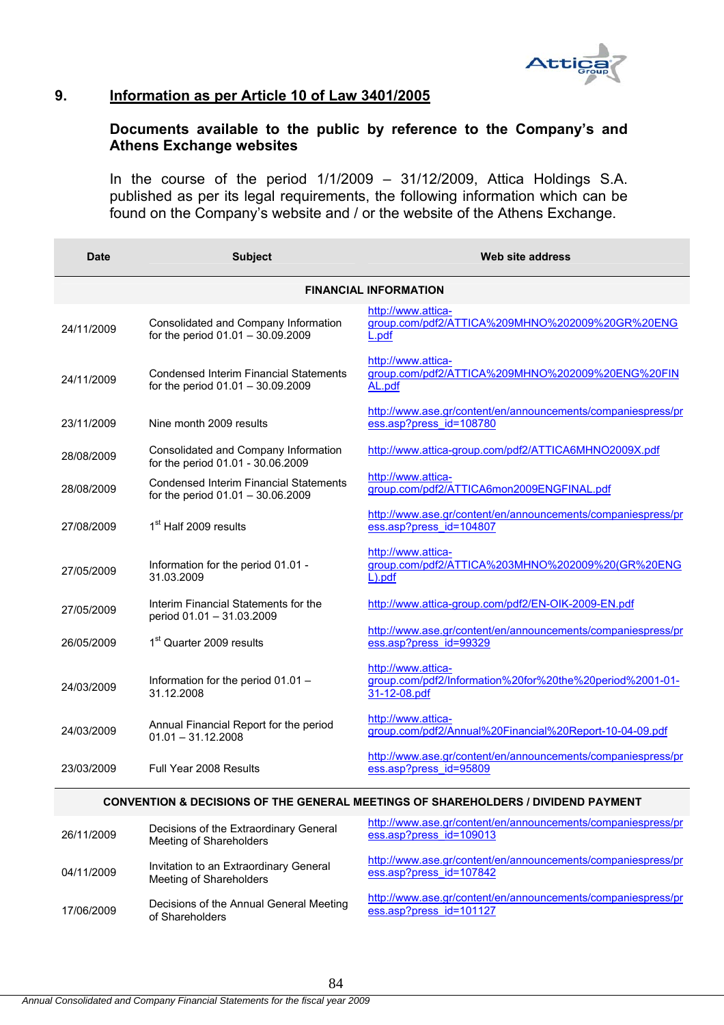

# **9. Information as per Article 10 of Law 3401/2005**

# **Documents available to the public by reference to the Company's and Athens Exchange websites**

In the course of the period 1/1/2009 – 31/12/2009, Attica Holdings S.A. published as per its legal requirements, the following information which can be found on the Company's website and / or the website of the Athens Exchange.

| Date       | <b>Subject</b>                                                                       | Web site address                                                                               |
|------------|--------------------------------------------------------------------------------------|------------------------------------------------------------------------------------------------|
|            |                                                                                      | <b>FINANCIAL INFORMATION</b>                                                                   |
| 24/11/2009 | Consolidated and Company Information<br>for the period $01.01 - 30.09.2009$          | http://www.attica-<br>group.com/pdf2/ATTICA%209MHNO%202009%20GR%20ENG<br>L.pdf                 |
| 24/11/2009 | <b>Condensed Interim Financial Statements</b><br>for the period 01.01 - 30.09.2009   | http://www.attica-<br>group.com/pdf2/ATTICA%209MHNO%202009%20ENG%20FIN<br>AL.pdf               |
| 23/11/2009 | Nine month 2009 results                                                              | http://www.ase.gr/content/en/announcements/companiespress/pr<br>ess.asp?press id=108780        |
| 28/08/2009 | Consolidated and Company Information<br>for the period 01.01 - 30.06.2009            | http://www.attica-group.com/pdf2/ATTICA6MHNO2009X.pdf                                          |
| 28/08/2009 | <b>Condensed Interim Financial Statements</b><br>for the period $01.01 - 30.06.2009$ | http://www.attica-<br>group.com/pdf2/ATTICA6mon2009ENGFINAL.pdf                                |
| 27/08/2009 | 1 <sup>st</sup> Half 2009 results                                                    | http://www.ase.gr/content/en/announcements/companiespress/pr<br>ess.asp?press id=104807        |
| 27/05/2009 | Information for the period 01.01 -<br>31.03.2009                                     | http://www.attica-<br>group.com/pdf2/ATTICA%203MHNO%202009%20(GR%20ENG<br>$L$ ). $pdf$         |
| 27/05/2009 | Interim Financial Statements for the<br>period 01.01 - 31.03.2009                    | http://www.attica-group.com/pdf2/EN-OIK-2009-EN.pdf                                            |
| 26/05/2009 | 1 <sup>st</sup> Quarter 2009 results                                                 | http://www.ase.gr/content/en/announcements/companiespress/pr<br>ess.asp?press_id=99329         |
| 24/03/2009 | Information for the period 01.01 -<br>31.12.2008                                     | http://www.attica-<br>group.com/pdf2/Information%20for%20the%20period%2001-01-<br>31-12-08.pdf |
| 24/03/2009 | Annual Financial Report for the period<br>$01.01 - 31.12.2008$                       | http://www.attica-<br>group.com/pdf2/Annual%20Financial%20Report-10-04-09.pdf                  |
| 23/03/2009 | Full Year 2008 Results                                                               | http://www.ase.gr/content/en/announcements/companiespress/pr<br>ess.asp?press id=95809         |
|            |                                                                                      | CONVENTION & DECISIONS OF THE GENERAL MEETINGS OF SHAREHOLDERS / DIVIDEND PAYMENT              |

| 26/11/2009 | Decisions of the Extraordinary General<br>Meeting of Shareholders | http://www.ase.gr/content/en/announcements/companiespress/pr<br>ess.asp?press_id=109013 |
|------------|-------------------------------------------------------------------|-----------------------------------------------------------------------------------------|
| 04/11/2009 | Invitation to an Extraordinary General<br>Meeting of Shareholders | http://www.ase.gr/content/en/announcements/companiespress/pr<br>ess.asp?press id=107842 |
| 17/06/2009 | Decisions of the Annual General Meeting<br>of Shareholders        | http://www.ase.gr/content/en/announcements/companiespress/pr<br>ess.asp?press_id=101127 |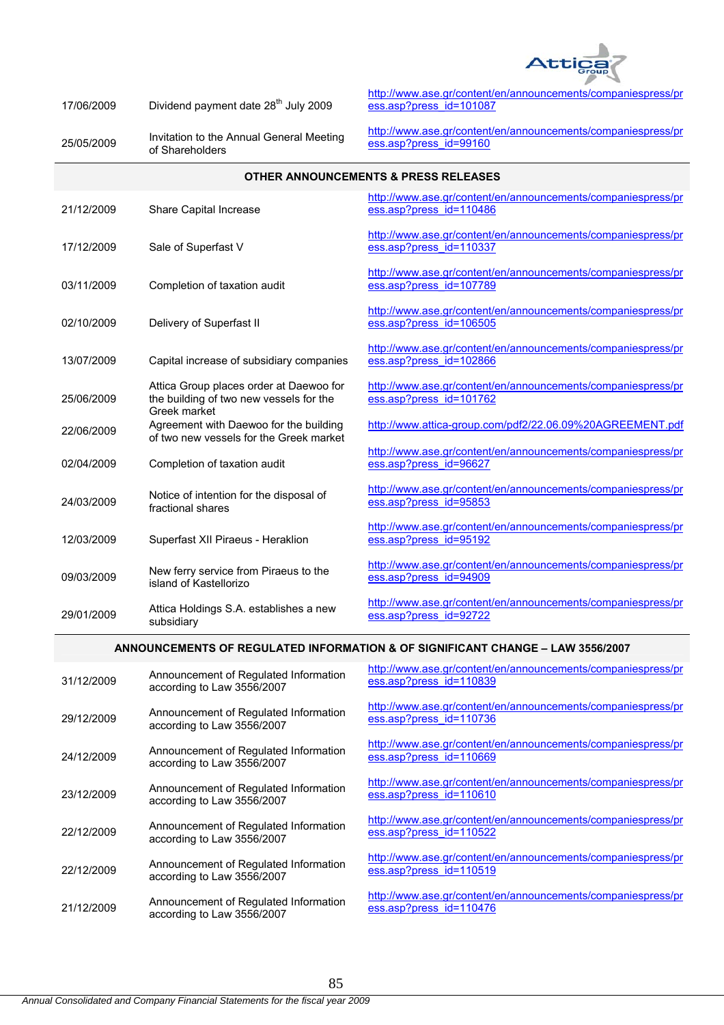

| 17/06/2009 | Dividend payment date 28 <sup>th</sup> July 2009 |
|------------|--------------------------------------------------|
|------------|--------------------------------------------------|

25/05/2009 Invitation to the Annual General Meeting of Shareholders

http://www.ase.gr/content/en/announcements/companiespress/pr ess.asp?press\_id=101087

http://www.ase.gr/content/en/announcements/companiespress/pr ess.asp?press\_id=99160

| <b>OTHER ANNOUNCEMENTS &amp; PRESS RELEASES</b>                                |                                                                                                   |                                                                                         |
|--------------------------------------------------------------------------------|---------------------------------------------------------------------------------------------------|-----------------------------------------------------------------------------------------|
| 21/12/2009                                                                     | Share Capital Increase                                                                            | http://www.ase.gr/content/en/announcements/companiespress/pr<br>ess.asp?press id=110486 |
| 17/12/2009                                                                     | Sale of Superfast V                                                                               | http://www.ase.gr/content/en/announcements/companiespress/pr<br>ess.asp?press_id=110337 |
| 03/11/2009                                                                     | Completion of taxation audit                                                                      | http://www.ase.gr/content/en/announcements/companiespress/pr<br>ess.asp?press id=107789 |
| 02/10/2009                                                                     | Delivery of Superfast II                                                                          | http://www.ase.gr/content/en/announcements/companiespress/pr<br>ess.asp?press id=106505 |
| 13/07/2009                                                                     | Capital increase of subsidiary companies                                                          | http://www.ase.gr/content/en/announcements/companiespress/pr<br>ess.asp?press id=102866 |
| 25/06/2009                                                                     | Attica Group places order at Daewoo for<br>the building of two new vessels for the                | http://www.ase.gr/content/en/announcements/companiespress/pr<br>ess.asp?press id=101762 |
| 22/06/2009                                                                     | Greek market<br>Agreement with Daewoo for the building<br>of two new vessels for the Greek market | http://www.attica-group.com/pdf2/22.06.09%20AGREEMENT.pdf                               |
| 02/04/2009                                                                     | Completion of taxation audit                                                                      | http://www.ase.gr/content/en/announcements/companiespress/pr<br>ess.asp?press_id=96627  |
| 24/03/2009                                                                     | Notice of intention for the disposal of<br>fractional shares                                      | http://www.ase.gr/content/en/announcements/companiespress/pr<br>ess.asp?press id=95853  |
| 12/03/2009                                                                     | Superfast XII Piraeus - Heraklion                                                                 | http://www.ase.gr/content/en/announcements/companiespress/pr<br>ess.asp?press_id=95192  |
| 09/03/2009                                                                     | New ferry service from Piraeus to the<br>island of Kastellorizo                                   | http://www.ase.gr/content/en/announcements/companiespress/pr<br>ess.asp?press_id=94909  |
| 29/01/2009                                                                     | Attica Holdings S.A. establishes a new<br>subsidiary                                              | http://www.ase.gr/content/en/announcements/companiespress/pr<br>ess.asp?press_id=92722  |
| ANNOUNCEMENTS OF REGULATED INFORMATION & OF SIGNIFICANT CHANGE - LAW 3556/2007 |                                                                                                   |                                                                                         |
| 31/12/2009                                                                     | Announcement of Regulated Information<br>according to Law 3556/2007                               | http://www.ase.gr/content/en/announcements/companiespress/pr<br>ess.asp?press id=110839 |

http://www.ase.gr/content/en/announcements/companiespress/pr ess.asp?press\_id=110736

http://www.ase.gr/content/en/announcements/companiespress/pr ess.asp?press\_id=110669

http://www.ase.gr/content/en/announcements/companiespress/pr ess.asp?press\_id=110610

http://www.ase.gr/content/en/announcements/companiespress/pr ess.asp?press\_id=110522

http://www.ase.gr/content/en/announcements/companiespress/pr ess.asp?press\_id=110519

http://www.ase.gr/content/en/announcements/companiespress/pr ess.asp?press\_id=110476

29/12/2009 Announcement of Regulated Information according to Law 3556/2007

24/12/2009 Announcement of Regulated Information according to Law 3556/2007

23/12/2009 Announcement of Regulated Information according to Law 3556/2007

22/12/2009 Announcement of Regulated Information according to Law 3556/2007

22/12/2009 Announcement of Regulated Information according to Law 3556/2007

21/12/2009 Announcement of Regulated Information according to Law 3556/2007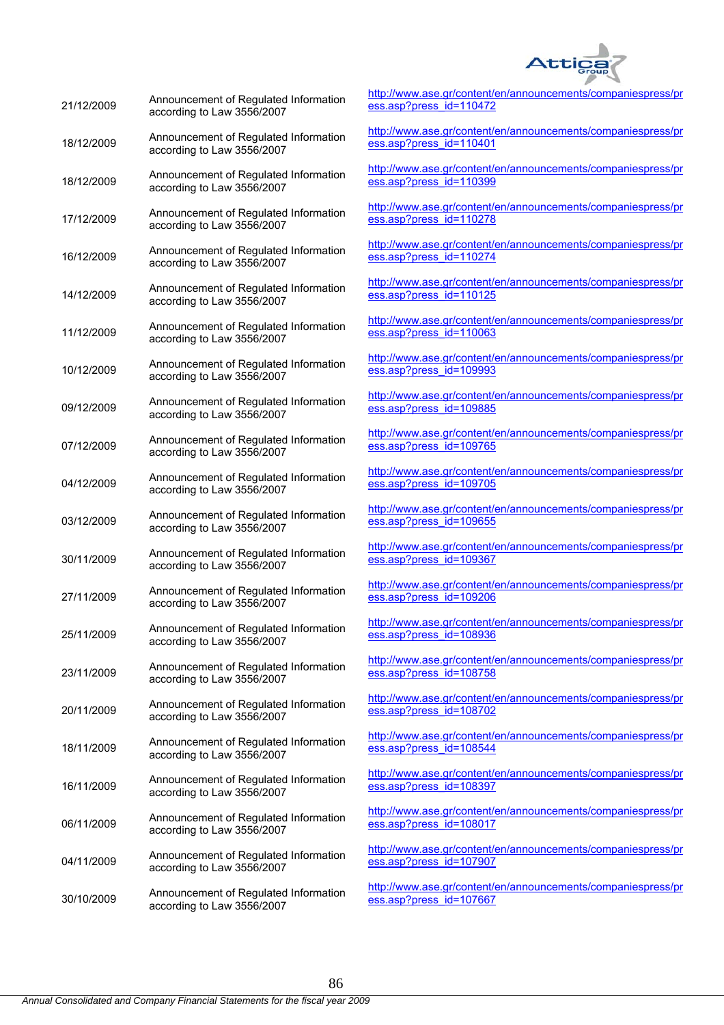

| 21/12/2009 | Announcement of Regulated Information<br>according to Law 3556/2007 | htt<br><u>es</u>        |
|------------|---------------------------------------------------------------------|-------------------------|
| 18/12/2009 | Announcement of Regulated Information<br>according to Law 3556/2007 | <u>hti</u><br>$es$      |
| 18/12/2009 | Announcement of Regulated Information<br>according to Law 3556/2007 | <u>hti</u><br><u>es</u> |
| 17/12/2009 | Announcement of Regulated Information<br>according to Law 3556/2007 | hti<br><u>es</u>        |
| 16/12/2009 | Announcement of Regulated Information<br>according to Law 3556/2007 | hti<br><u>es</u>        |
| 14/12/2009 | Announcement of Regulated Information<br>according to Law 3556/2007 | hti<br><u>es</u>        |
| 11/12/2009 | Announcement of Regulated Information<br>according to Law 3556/2007 | htt<br><u>es</u>        |
| 10/12/2009 | Announcement of Regulated Information<br>according to Law 3556/2007 | hti<br><u>es</u>        |
| 09/12/2009 | Announcement of Regulated Information<br>according to Law 3556/2007 | hti<br><u>es</u>        |
| 07/12/2009 | Announcement of Regulated Information<br>according to Law 3556/2007 | hti<br><u>es</u>        |
| 04/12/2009 | Announcement of Regulated Information<br>according to Law 3556/2007 | <u>hti</u><br><u>es</u> |
| 03/12/2009 | Announcement of Regulated Information<br>according to Law 3556/2007 | hti<br><u>es</u>        |
| 30/11/2009 | Announcement of Regulated Information<br>according to Law 3556/2007 | htt<br><u>es</u>        |
| 27/11/2009 | Announcement of Regulated Information<br>according to Law 3556/2007 | <u>hti</u><br><u>es</u> |
| 25/11/2009 | Announcement of Regulated Information<br>according to Law 3556/2007 | hti<br><u>es</u>        |
| 23/11/2009 | Announcement of Regulated Information<br>according to Law 3556/2007 | hti<br><u>es</u>        |
| 20/11/2009 | Announcement of Regulated Information<br>according to Law 3556/2007 | <u>hti</u><br><u>es</u> |
| 18/11/2009 | Announcement of Regulated Information<br>according to Law 3556/2007 | hti<br><u>es</u>        |
| 16/11/2009 | Announcement of Regulated Information<br>according to Law 3556/2007 | <u>hti</u><br><u>es</u> |
| 06/11/2009 | Announcement of Regulated Information<br>according to Law 3556/2007 | hti<br><u>es</u>        |
| 04/11/2009 | Announcement of Regulated Information<br>according to Law 3556/2007 | hti<br><u>es</u>        |
| 30/10/2009 | Announcement of Regulated Information<br>according to Law 3556/2007 | <u>hti</u><br>$es$      |

tp://www.ase.gr/content/en/announcements/companiespress/pr ess.asp?press\_id=110472

tp://www.ase.gr/content/en/announcements/companiespress/pr ss.asp?press\_id=110401

tp://www.ase.gr/content/en/announcements/companiespress/pr ss.asp?press\_id=110399

tp://www.ase.gr/content/en/announcements/companiespress/pr ss.asp?press\_id=110278

tp://www.ase.gr/content/en/announcements/companiespress/pr ss.asp?press\_id=110274

tp://www.ase.gr/content/en/announcements/companiespress/pr ess.asp?press\_id=110125

tp://www.ase.gr/content/en/announcements/companiespress/pr ss.asp?press\_id=110063

tp://www.ase.gr/content/en/announcements/companiespress/pr ss.asp?press\_id=109993

tp://www.ase.gr/content/en/announcements/companiespress/pr ss.asp?press\_id=109885

tp://www.ase.gr/content/en/announcements/companiespress/pr ss.asp?press\_id=109765

tp://www.ase.gr/content/en/announcements/companiespress/pr ss.asp?press\_id=109705

tp://www.ase.gr/content/en/announcements/companiespress/pr ss.asp?press\_id=109655

tp://www.ase.gr/content/en/announcements/companiespress/pr ss.asp?press\_id=109367

tp://www.ase.gr/content/en/announcements/companiespress/pr ess.asp?press\_id=109206

tp://www.ase.gr/content/en/announcements/companiespress/pr ess.asp?press\_id=108936

tp://www.ase.gr/content/en/announcements/companiespress/pr ss.asp?press\_id=108758

tp://www.ase.gr/content/en/announcements/companiespress/pr ss.asp?press\_id=108702

tp://www.ase.gr/content/en/announcements/companiespress/pr ss.asp?press\_id=108544

tp://www.ase.gr/content/en/announcements/companiespress/pr ss.asp?press\_id=108397

tp://www.ase.gr/content/en/announcements/companiespress/pr ss.asp?press\_id=108017

tp://www.ase.gr/content/en/announcements/companiespress/pr ss.asp?press\_id=107907

tp://www.ase.gr/content/en/announcements/companiespress/pr ss.asp?press\_id=107667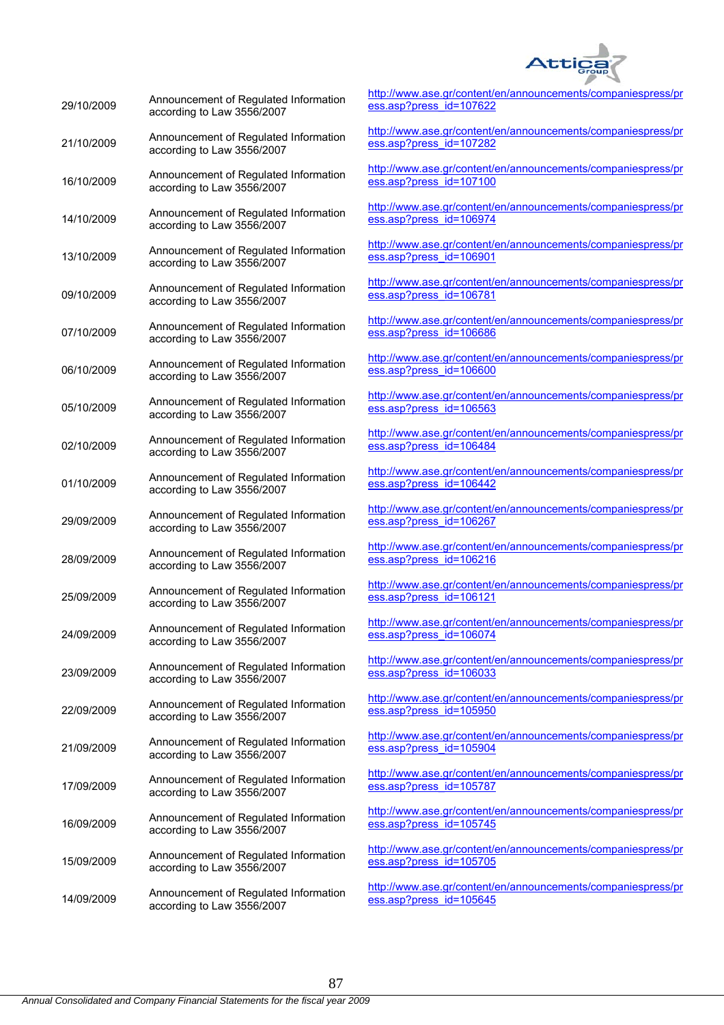

| 29/10/2009 | Announcement of Regulated Information<br>according to Law 3556/2007 | htt<br>ess                |
|------------|---------------------------------------------------------------------|---------------------------|
| 21/10/2009 | Announcement of Regulated Information<br>according to Law 3556/2007 | <u>http</u><br><u>ess</u> |
| 16/10/2009 | Announcement of Regulated Information<br>according to Law 3556/2007 | <u>http</u><br><u>ess</u> |
| 14/10/2009 | Announcement of Regulated Information<br>according to Law 3556/2007 | httı<br>ess               |
| 13/10/2009 | Announcement of Regulated Information<br>according to Law 3556/2007 | httı<br><u>ess</u>        |
| 09/10/2009 | Announcement of Regulated Information<br>according to Law 3556/2007 | htti<br><u>ess</u>        |
| 07/10/2009 | Announcement of Regulated Information<br>according to Law 3556/2007 | htti<br><u>ess</u>        |
| 06/10/2009 | Announcement of Regulated Information<br>according to Law 3556/2007 | htti<br><u>ess</u>        |
| 05/10/2009 | Announcement of Regulated Information<br>according to Law 3556/2007 | httı<br>ess               |
| 02/10/2009 | Announcement of Regulated Information<br>according to Law 3556/2007 | htt<br><u>ess</u>         |
| 01/10/2009 | Announcement of Regulated Information<br>according to Law 3556/2007 | htti<br><u>ess</u>        |
| 29/09/2009 | Announcement of Regulated Information<br>according to Law 3556/2007 | <u>httı</u><br><u>ess</u> |
| 28/09/2009 | Announcement of Regulated Information<br>according to Law 3556/2007 | htti<br><u>ess</u>        |
| 25/09/2009 | Announcement of Regulated Information<br>according to Law 3556/2007 | <u>http</u><br>ess        |
| 24/09/2009 | Announcement of Regulated Information<br>according to Law 3556/2007 | httı<br><u>ess</u>        |
| 23/09/2009 | Announcement of Regulated Information<br>according to Law 3556/2007 | httı<br><u>ess</u>        |
| 22/09/2009 | Announcement of Regulated Information<br>according to Law 3556/2007 | <u>httı</u><br><u>ess</u> |
| 21/09/2009 | Announcement of Regulated Information<br>according to Law 3556/2007 | httı<br>ess               |
| 17/09/2009 | Announcement of Regulated Information<br>according to Law 3556/2007 | htt<br><u>ess</u>         |
| 16/09/2009 | Announcement of Regulated Information<br>according to Law 3556/2007 | <u>http</u><br><u>ess</u> |
| 15/09/2009 | Announcement of Regulated Information<br>according to Law 3556/2007 | <u>http</u><br>ess        |
| 14/09/2009 | Announcement of Regulated Information<br>according to Law 3556/2007 | <u>http</u><br><u>ess</u> |

p://www.ase.gr/content/en/announcements/companiespress/pr s.asp?press\_id=107622

p://www.ase.gr/content/en/announcements/companiespress/pr s.asp?press\_id=107282

p://www.ase.gr/content/en/announcements/companiespress/pr s.asp?press\_id=107100

p://www.ase.gr/content/en/announcements/companiespress/pr s.asp?press\_id=106974

p://www.ase.gr/content/en/announcements/companiespress/pr s.asp?press\_id=106901

p://www.ase.gr/content/en/announcements/companiespress/pr s.asp?press\_id=106781

p://www.ase.gr/content/en/announcements/companiespress/pr s.asp?press\_id=106686

p://www.ase.gr/content/en/announcements/companiespress/pr s.asp?press\_id=106600

p://www.ase.gr/content/en/announcements/companiespress/pr s.asp?press\_id=106563

p://www.ase.gr/content/en/announcements/companiespress/pr s.asp?press\_id=106484

p://www.ase.gr/content/en/announcements/companiespress/pr s.asp?press\_id=106442

p://www.ase.gr/content/en/announcements/companiespress/pr s.asp?press\_id=106267

p://www.ase.gr/content/en/announcements/companiespress/pr s.asp?press\_id=106216

p://www.ase.gr/content/en/announcements/companiespress/pr s.asp?press\_id=106121

p://www.ase.gr/content/en/announcements/companiespress/pr s.asp?press\_id=106074

p://www.ase.gr/content/en/announcements/companiespress/pr s.asp?press\_id=106033

p://www.ase.gr/content/en/announcements/companiespress/pr s.asp?press\_id=105950

p://www.ase.gr/content/en/announcements/companiespress/pr s.asp?press\_id=105904

p://www.ase.gr/content/en/announcements/companiespress/pr s.asp?press\_id=105787

p://www.ase.gr/content/en/announcements/companiespress/pr s.asp?press\_id=105745

p://www.ase.gr/content/en/announcements/companiespress/pr s.asp?press\_id=105705

p://www.ase.gr/content/en/announcements/companiespress/pr s.asp?press\_id=105645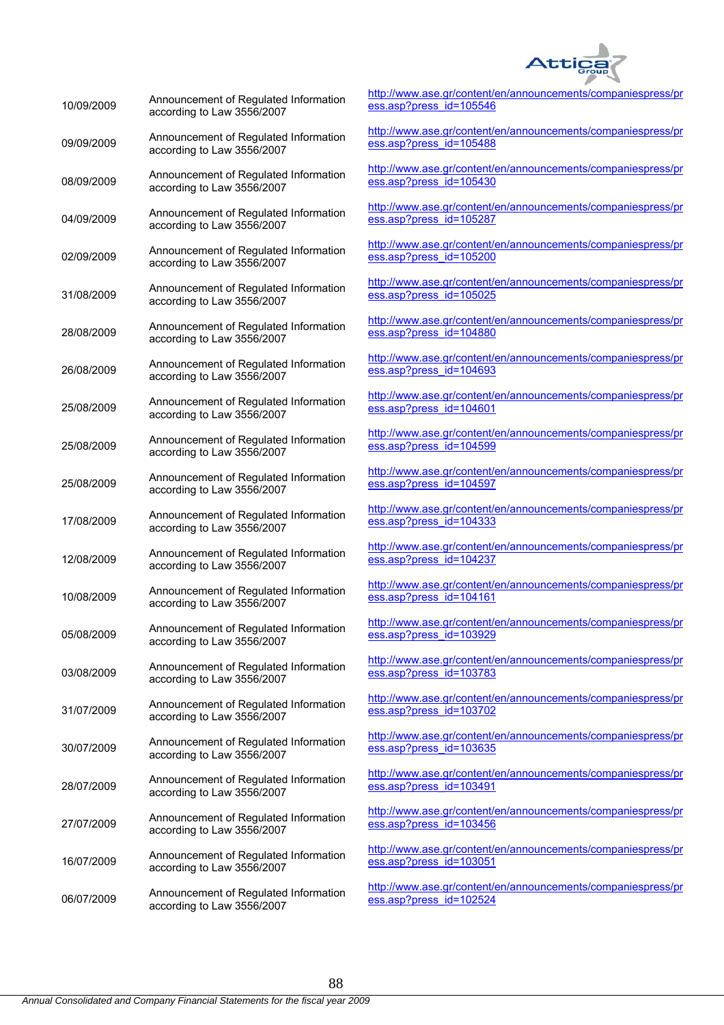

| 10/09/2009 | Announcement of Regulated Information<br>according to Law 3556/2007 | http<br>ess               |
|------------|---------------------------------------------------------------------|---------------------------|
| 09/09/2009 | Announcement of Regulated Information<br>according to Law 3556/2007 | http<br>ess               |
| 08/09/2009 | Announcement of Regulated Information<br>according to Law 3556/2007 | <u>http</u><br><u>ess</u> |
| 04/09/2009 | Announcement of Regulated Information<br>according to Law 3556/2007 | <u>http</u><br>ess        |
| 02/09/2009 | Announcement of Regulated Information<br>according to Law 3556/2007 | <u>http</u><br><b>ess</b> |
| 31/08/2009 | Announcement of Regulated Information<br>according to Law 3556/2007 | <u>http</u><br>ess        |
| 28/08/2009 | Announcement of Regulated Information<br>according to Law 3556/2007 | http<br>ess               |
| 26/08/2009 | Announcement of Regulated Information<br>according to Law 3556/2007 | http<br><u>ess</u>        |
| 25/08/2009 | Announcement of Regulated Information<br>according to Law 3556/2007 | <u>http</u><br>ess        |
| 25/08/2009 | Announcement of Regulated Information<br>according to Law 3556/2007 | <u>http</u><br><b>ess</b> |
| 25/08/2009 | Announcement of Regulated Information<br>according to Law 3556/2007 | <u>http</u><br>ess        |
| 17/08/2009 | Announcement of Regulated Information<br>according to Law 3556/2007 | <u>http</u><br>ess        |
| 12/08/2009 | Announcement of Regulated Information<br>according to Law 3556/2007 | http<br>ess               |
| 10/08/2009 | Announcement of Regulated Information<br>according to Law 3556/2007 | <u>http</u><br>ess        |
| 05/08/2009 | Announcement of Regulated Information<br>according to Law 3556/2007 | <u>http</u><br><u>ess</u> |
| 03/08/2009 | Announcement of Regulated Information<br>according to Law 3556/2007 | <u>http</u><br><b>ess</b> |
| 31/07/2009 | Announcement of Regulated Information<br>according to Law 3556/2007 | <u>http</u><br><b>ess</b> |
| 30/07/2009 | Announcement of Regulated Information<br>according to Law 3556/2007 | <u>http</u><br>ess        |
| 28/07/2009 | Announcement of Regulated Information<br>according to Law 3556/2007 | http<br><u>ess</u>        |
| 27/07/2009 | Announcement of Regulated Information<br>according to Law 3556/2007 | <u>http</u><br><b>ess</b> |
| 16/07/2009 | Announcement of Regulated Information<br>according to Law 3556/2007 | <u>http</u><br>ess        |
| 06/07/2009 | Announcement of Regulated Information<br>according to Law 3556/2007 | <u>http</u><br><b>ess</b> |

http://www.ase.gr/content/en/announcements/companiespress/pr .asp?press\_id=105546

://www.ase.gr/content/en/announcements/companiespress/pr ess.asp?press\_id=105488

://www.ase.gr/content/en/announcements/companiespress/pr .asp?press\_id=105430

://www.ase.gr/content/en/announcements/companiespress/pr .asp?press\_id=105287

://www.ase.gr/content/en/announcements/companiespress/pr .asp?press\_id=105200

://www.ase.gr/content/en/announcements/companiespress/pr ess.asp?press\_id=105025

://www.ase.gr/content/en/announcements/companiespress/pr .asp?press\_id=104880

://www.ase.gr/content/en/announcements/companiespress/pr .asp?press\_id=104693

://www.ase.gr/content/en/announcements/companiespress/pr .asp?press\_id=104601

://www.ase.gr/content/en/announcements/companiespress/pr .asp?press\_id=104599

://www.ase.gr/content/en/announcements/companiespress/pr .asp?press\_id=104597

://www.ase.gr/content/en/announcements/companiespress/pr .asp?press\_id=104333

http://www.ase.gr/content/en/announcements/companiespress/pr .asp?press\_id=104237

://www.ase.gr/content/en/announcements/companiespress/pr .asp?press\_id=104161

://www.ase.gr/content/en/announcements/companiespress/pr ess.asp?press\_id=103929

://www.ase.gr/content/en/announcements/companiespress/pr .asp?press\_id=103783

http://www.ase.gr/content/en/announcements/companiespress/pr .asp?press\_id=103702

://www.ase.gr/content/en/announcements/companiespress/pr .asp?press\_id=103635

://www.ase.gr/content/en/announcements/companiespress/pr .asp?press\_id=103491

://www.ase.gr/content/en/announcements/companiespress/pr ess.asp?press\_id=103456

://www.ase.gr/content/en/announcements/companiespress/pr asp?press\_id=103051

://www.ase.gr/content/en/announcements/companiespress/pr .asp?press\_id=102524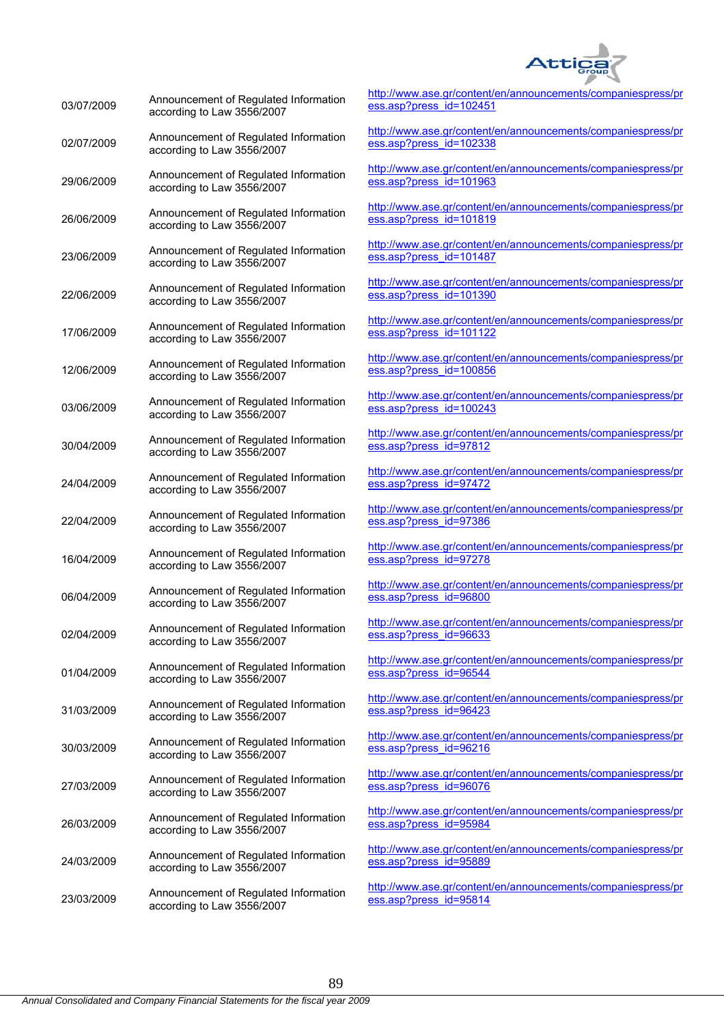

| 03/07/2009 | Announcement of Regulated Information<br>according to Law 3556/2007 | <u>htt</u><br>es        |
|------------|---------------------------------------------------------------------|-------------------------|
| 02/07/2009 | Announcement of Regulated Information<br>according to Law 3556/2007 | <u>htt</u><br><u>es</u> |
| 29/06/2009 | Announcement of Regulated Information<br>according to Law 3556/2007 | htt<br>$es$             |
| 26/06/2009 | Announcement of Regulated Information<br>according to Law 3556/2007 | htt<br>es               |
| 23/06/2009 | Announcement of Regulated Information<br>according to Law 3556/2007 | htt<br>$es$             |
| 22/06/2009 | Announcement of Regulated Information<br>according to Law 3556/2007 | htt<br><u>es</u>        |
| 17/06/2009 | Announcement of Regulated Information<br>according to Law 3556/2007 | htt<br>$\mathbf{es}$    |
| 12/06/2009 | Announcement of Regulated Information<br>according to Law 3556/2007 | htt<br><u>es</u>        |
| 03/06/2009 | Announcement of Regulated Information<br>according to Law 3556/2007 | htt<br>es               |
| 30/04/2009 | Announcement of Regulated Information<br>according to Law 3556/2007 | htt<br>$es$             |
| 24/04/2009 | Announcement of Regulated Information<br>according to Law 3556/2007 | <u>htt</u><br><u>es</u> |
| 22/04/2009 | Announcement of Regulated Information<br>according to Law 3556/2007 | <u>htt</u><br>es        |
| 16/04/2009 | Announcement of Regulated Information<br>according to Law 3556/2007 | htt<br>$\mathbf{es}$    |
| 06/04/2009 | Announcement of Regulated Information<br>according to Law 3556/2007 | htt<br>$\mathbf{es}$    |
| 02/04/2009 | Announcement of Regulated Information<br>according to Law 3556/2007 | <u>htt</u><br><u>es</u> |
| 01/04/2009 | Announcement of Regulated Information<br>according to Law 3556/2007 | htt<br><u>es</u>        |
| 31/03/2009 | Announcement of Regulated Information<br>according to Law 3556/2007 | <u>htt</u><br><u>es</u> |
| 30/03/2009 | Announcement of Regulated Information<br>according to Law 3556/2007 | htt<br>es               |
| 27/03/2009 | Announcement of Regulated Information<br>according to Law 3556/2007 | htt<br><u>es</u>        |
| 26/03/2009 | Announcement of Regulated Information<br>according to Law 3556/2007 | htt<br>$es$             |
| 24/03/2009 | Announcement of Regulated Information<br>according to Law 3556/2007 | htt<br><u>es</u>        |
| 23/03/2009 | Announcement of Regulated Information<br>according to Law 3556/2007 | <u>htt</u><br>$es$      |

mttwww.ase.gr/content/en/announcements/companiespress/pr s.asp?press\_id=102451

rp://www.ase.gr/content/en/announcements/companiespress/pr s.asp?press\_id=102338

p://www.ase.gr/content/en/announcements/companiespress/pr s.asp?press\_id=101963

p://www.ase.gr/content/en/announcements/companiespress/pr s.asp?press\_id=101819

p://www.ase.gr/content/en/announcements/companiespress/pr s.asp?press\_id=101487

rp://www.ase.gr/content/en/announcements/companiespress/pr s.asp?press\_id=101390

:p://www.ase.gr/content/en/announcements/companiespress/pr s.asp?press\_id=101122

:p://www.ase.gr/content/en/announcements/companiespress/pr s.asp?press\_id=100856

:p://www.ase.gr/content/en/announcements/companiespress/pr s.asp?press\_id=100243

:p://www.ase.gr/content/en/announcements/companiespress/pr s.asp?press\_id=97812

:p://www.ase.gr/content/en/announcements/companiespress/pr s.asp?press\_id=97472

p://www.ase.gr/content/en/announcements/companiespress/pr s.asp?press\_id=97386

:p://www.ase.gr/content/en/announcements/companiespress/pr s.asp?press\_id=97278

p://www.ase.gr/content/en/announcements/companiespress/pr s.asp?press\_id=96800

p://www.ase.gr/content/en/announcements/companiespress/pr s.asp?press\_id=96633

p://www.ase.gr/content/en/announcements/companiespress/pr s.asp?press\_id=96544

:p://www.ase.gr/content/en/announcements/companiespress/pr s.asp?press\_id=96423

btthttp://www.ase.gr/content/en/announcements/companiespress/pr s.asp?press\_id=96216

:p://www.ase.gr/content/en/announcements/companiespress/pr s.asp?press\_id=96076

p://www.ase.gr/content/en/announcements/companiespress/pr s.asp?press\_id=95984

:p://www.ase.gr/content/en/announcements/companiespress/pr s.asp?press\_id=95889

p://www.ase.gr/content/en/announcements/companiespress/pr s.asp?press\_id=95814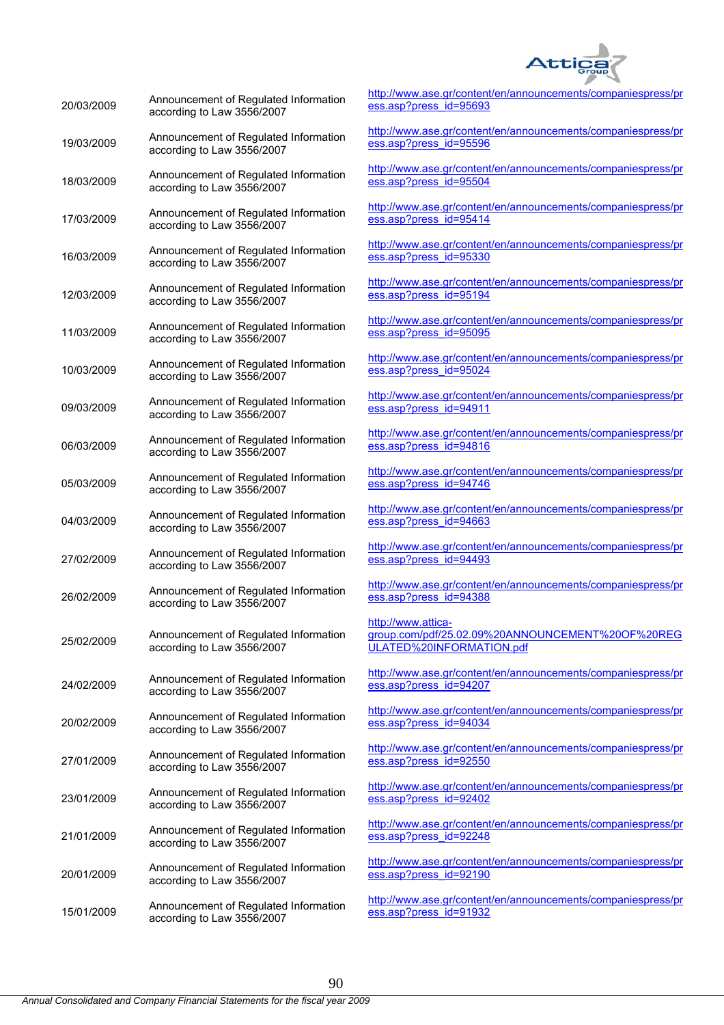

| 20/03/2009 | Announcement of Regulated Information<br>according to Law 3556/2007 | htt<br>$\mathbf{es}$                  |
|------------|---------------------------------------------------------------------|---------------------------------------|
| 19/03/2009 | Announcement of Regulated Information<br>according to Law 3556/2007 | <u>htt</u><br><u>es</u>               |
| 18/03/2009 | Announcement of Regulated Information<br>according to Law 3556/2007 | htt<br><u>es</u>                      |
| 17/03/2009 | Announcement of Regulated Information<br>according to Law 3556/2007 | htt<br>$es$                           |
| 16/03/2009 | Announcement of Regulated Information<br>according to Law 3556/2007 | htt<br>$es$                           |
| 12/03/2009 | Announcement of Regulated Information<br>according to Law 3556/2007 | <u>htt</u><br><u>es</u>               |
| 11/03/2009 | Announcement of Regulated Information<br>according to Law 3556/2007 | <u>htt</u><br>$\mathbf{es}$           |
| 10/03/2009 | Announcement of Regulated Information<br>according to Law 3556/2007 | htt<br>$\mathbf{es}$                  |
| 09/03/2009 | Announcement of Regulated Information<br>according to Law 3556/2007 | htt<br>$\mathbf{es}$                  |
| 06/03/2009 | Announcement of Regulated Information<br>according to Law 3556/2007 | htt<br>$es$                           |
| 05/03/2009 | Announcement of Regulated Information<br>according to Law 3556/2007 | htt<br><u>es</u>                      |
| 04/03/2009 | Announcement of Regulated Information<br>according to Law 3556/2007 | htt<br><u>es</u>                      |
| 27/02/2009 | Announcement of Regulated Information<br>according to Law 3556/2007 | htt<br>$\mathbf{es}$                  |
| 26/02/2009 | Announcement of Regulated Information<br>according to Law 3556/2007 | htt<br>$\mathbf{es}$                  |
| 25/02/2009 | Announcement of Regulated Information<br>according to Law 3556/2007 | <u>htt</u><br><u>gra</u><br><u>ul</u> |
| 24/02/2009 | Announcement of Regulated Information<br>according to Law 3556/2007 | htt<br>es                             |
| 20/02/2009 | Announcement of Regulated Information<br>according to Law 3556/2007 | htt<br>$es$                           |
| 27/01/2009 | Announcement of Regulated Information<br>according to Law 3556/2007 | htt<br>$es$                           |
| 23/01/2009 | Announcement of Regulated Information<br>according to Law 3556/2007 | htt<br><u>es</u>                      |
| 21/01/2009 | Announcement of Regulated Information<br>according to Law 3556/2007 | <u>htt</u><br>$es$                    |
| 20/01/2009 | Announcement of Regulated Information<br>according to Law 3556/2007 | htt<br>$\mathbf{es}$                  |
| 15/01/2009 | Announcement of Regulated Information<br>according to Law 3556/2007 | htt<br>$es$                           |

tp://www.ase.gr/content/en/announcements/companiespress/pr s.asp?press\_id=95693

tp://www.ase.gr/content/en/announcements/companiespress/pr ess.asp?press\_id=95596

tp://www.ase.gr/content/en/announcements/companiespress/pr ss.asp?press\_id=95504

tp://www.ase.gr/content/en/announcements/companiespress/pr ess.asp?press\_id=95414

tp://www.ase.gr/content/en/announcements/companiespress/pr ss.asp?press\_id=95330

tp://www.ase.gr/content/en/announcements/companiespress/pr ess.asp?press\_id=95194

tp://www.ase.gr/content/en/announcements/companiespress/pr ss.asp?press\_id=95095

tp://www.ase.gr/content/en/announcements/companiespress/pr ss.asp?press\_id=95024

tp://www.ase.gr/content/en/announcements/companiespress/pr s.asp?press\_id=94911

tp://www.ase.gr/content/en/announcements/companiespress/pr s.asp?press\_id=94816

tp://www.ase.gr/content/en/announcements/companiespress/pr ss.asp?press\_id=94746

tp://www.ase.gr/content/en/announcements/companiespress/pr ess.asp?press\_id=94663

tp://www.ase.gr/content/en/announcements/companiespress/pr s.asp?press\_id=94493

tp://www.ase.gr/content/en/announcements/companiespress/pr ess.asp?press\_id=94388

#### http://www.attica-

group.com/pdf/25.02.09%20ANNOUNCEMENT%20OF%20REG ULATED%20INFORMATION.pdf

tp://www.ase.gr/content/en/announcements/companiespress/pr ss.asp?press\_id=94207

tp://www.ase.gr/content/en/announcements/companiespress/pr s.asp?press\_id=94034

tp://www.ase.gr/content/en/announcements/companiespress/pr s.asp?press\_id=92550

tp://www.ase.gr/content/en/announcements/companiespress/pr s.asp?press\_id=92402

tp://www.ase.gr/content/en/announcements/companiespress/pr ess.asp?press\_id=92248

tp://www.ase.gr/content/en/announcements/companiespress/pr s.asp?press\_id=92190

tp://www.ase.gr/content/en/announcements/companiespress/pr ess.asp?press\_id=91932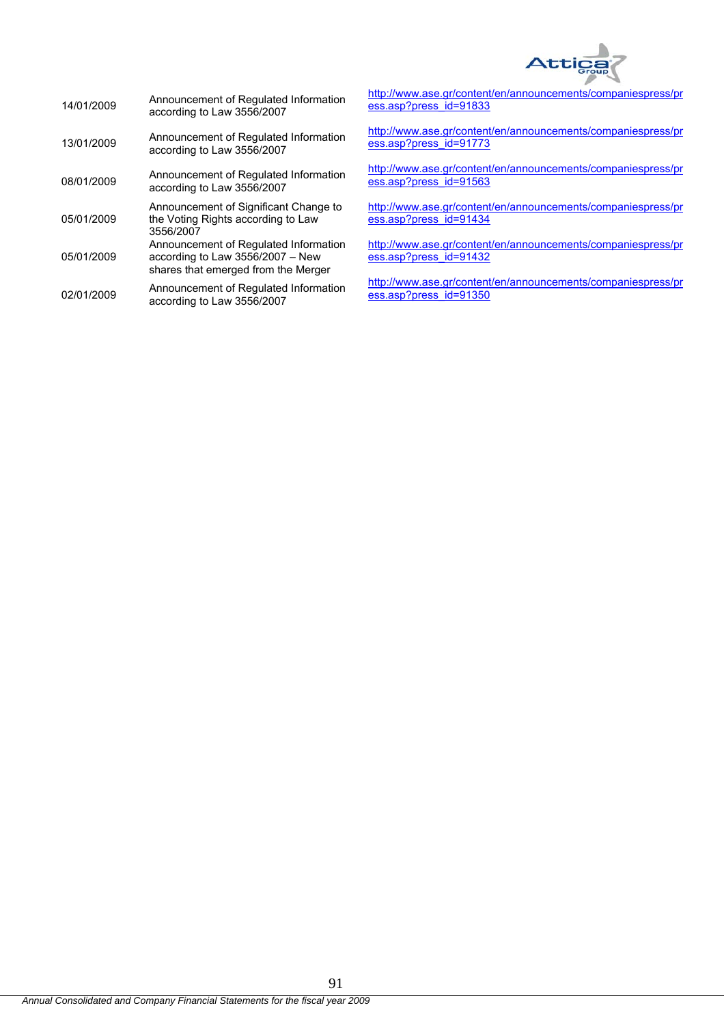

| 14/01/2009 | Announcement of Regulated Information<br>according to Law 3556/2007                                              |
|------------|------------------------------------------------------------------------------------------------------------------|
| 13/01/2009 | Announcement of Regulated Information<br>according to Law 3556/2007                                              |
| 08/01/2009 | Announcement of Regulated Information<br>according to Law 3556/2007                                              |
| 05/01/2009 | Announcement of Significant Change to<br>the Voting Rights according to Law<br>3556/2007                         |
| 05/01/2009 | Announcement of Regulated Information<br>according to Law 3556/2007 - New<br>shares that emerged from the Merger |
| 02/01/2009 | Announcement of Regulated Information<br>according to Law 3556/2007                                              |

http://www.ase.gr/content/en/announcements/companiespress/pr ess.asp?press\_id=91833

http://www.ase.gr/content/en/announcements/companiespress/pr ess.asp?press\_id=91773

http://www.ase.gr/content/en/announcements/companiespress/pr ess.asp?press\_id=91563

http://www.ase.gr/content/en/announcements/companiespress/pr ess.asp?press\_id=91434

http://www.ase.gr/content/en/announcements/companiespress/pr ess.asp?press\_id=91432

http://www.ase.gr/content/en/announcements/companiespress/pr ess.asp?press\_id=91350